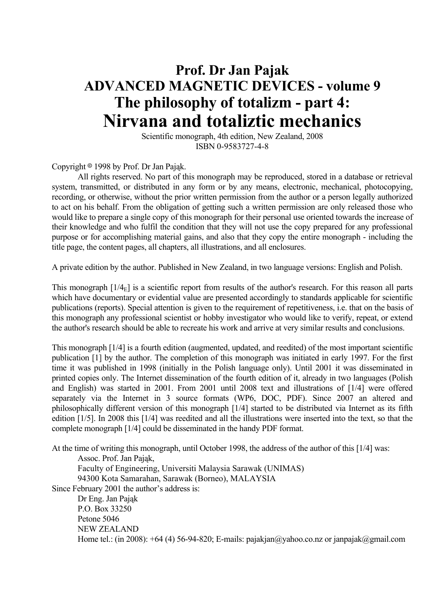## **Prof. Dr Jan Pajak ADVANCED MAGNETIC DEVICES - volume 9 The philosophy of totalizm - part 4: Nirvana and totaliztic mechanics**

 Scientific monograph, 4th edition, New Zealand, 2008 ISBN 0-9583727-4-8

Copyright  $\circ$  1998 by Prof. Dr Jan Pająk.

 All rights reserved. No part of this monograph may be reproduced, stored in a database or retrieval system, transmitted, or distributed in any form or by any means, electronic, mechanical, photocopying, recording, or otherwise, without the prior written permission from the author or a person legally authorized to act on his behalf. From the obligation of getting such a written permission are only released those who would like to prepare a single copy of this monograph for their personal use oriented towards the increase of their knowledge and who fulfil the condition that they will not use the copy prepared for any professional purpose or for accomplishing material gains, and also that they copy the entire monograph - including the title page, the content pages, all chapters, all illustrations, and all enclosures.

A private edition by the author. Published in New Zealand, in two language versions: English and Polish.

This monograph  $[1/4<sub>E</sub>]$  is a scientific report from results of the author's research. For this reason all parts which have documentary or evidential value are presented accordingly to standards applicable for scientific publications (reports). Special attention is given to the requirement of repetitiveness, i.e. that on the basis of this monograph any professional scientist or hobby investigator who would like to verify, repeat, or extend the author's research should be able to recreate his work and arrive at very similar results and conclusions.

This monograph [1/4] is a fourth edition (augmented, updated, and reedited) of the most important scientific publication [1] by the author. The completion of this monograph was initiated in early 1997. For the first time it was published in 1998 (initially in the Polish language only). Until 2001 it was disseminated in printed copies only. The Internet dissemination of the fourth edition of it, already in two languages (Polish and English) was started in 2001. From 2001 until 2008 text and illustrations of [1/4] were offered separately via the Internet in 3 source formats (WP6, DOC, PDF). Since 2007 an altered and philosophically different version of this monograph [1/4] started to be distributed via Internet as its fifth edition [1/5]. In 2008 this [1/4] was reedited and all the illustrations were inserted into the text, so that the complete monograph [1/4] could be disseminated in the handy PDF format.

At the time of writing this monograph, until October 1998, the address of the author of this [1/4] was:

Assoc. Prof. Jan Pająk,

 Faculty of Engineering, Universiti Malaysia Sarawak (UNIMAS) 94300 Kota Samarahan, Sarawak (Borneo), MALAYSIA

Since February 2001 the author's address is:

 Dr Eng. Jan Pająk P.O. Box 33250 Petone 5046 NEW ZEALAND Home tel.: (in 2008): +64 (4) 56-94-820; E-mails: pajakjan@yahoo.co.nz or janpajak@gmail.com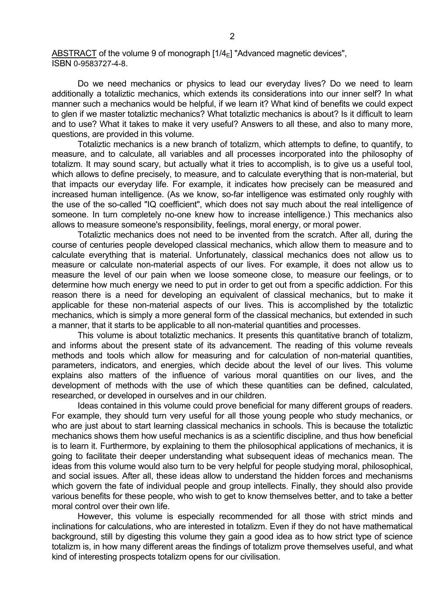ABSTRACT of the volume 9 of monograph  $[1/4_F]$  "Advanced magnetic devices", ISBN 0-9583727-4-8.

 Do we need mechanics or physics to lead our everyday lives? Do we need to learn additionally a totaliztic mechanics, which extends its considerations into our inner self? In what manner such a mechanics would be helpful, if we learn it? What kind of benefits we could expect to glen if we master totaliztic mechanics? What totaliztic mechanics is about? Is it difficult to learn and to use? What it takes to make it very useful? Answers to all these, and also to many more, questions, are provided in this volume.

 Totaliztic mechanics is a new branch of totalizm, which attempts to define, to quantify, to measure, and to calculate, all variables and all processes incorporated into the philosophy of totalizm. It may sound scary, but actually what it tries to accomplish, is to give us a useful tool, which allows to define precisely, to measure, and to calculate everything that is non-material, but that impacts our everyday life. For example, it indicates how precisely can be measured and increased human intelligence. (As we know, so-far intelligence was estimated only roughly with the use of the so-called "IQ coefficient", which does not say much about the real intelligence of someone. In turn completely no-one knew how to increase intelligence.) This mechanics also allows to measure someone's responsibility, feelings, moral energy, or moral power.

 Totaliztic mechanics does not need to be invented from the scratch. After all, during the course of centuries people developed classical mechanics, which allow them to measure and to calculate everything that is material. Unfortunately, classical mechanics does not allow us to measure or calculate non-material aspects of our lives. For example, it does not allow us to measure the level of our pain when we loose someone close, to measure our feelings, or to determine how much energy we need to put in order to get out from a specific addiction. For this reason there is a need for developing an equivalent of classical mechanics, but to make it applicable for these non-material aspects of our lives. This is accomplished by the totaliztic mechanics, which is simply a more general form of the classical mechanics, but extended in such a manner, that it starts to be applicable to all non-material quantities and processes.

 This volume is about totaliztic mechanics. It presents this quantitative branch of totalizm, and informs about the present state of its advancement. The reading of this volume reveals methods and tools which allow for measuring and for calculation of non-material quantities, parameters, indicators, and energies, which decide about the level of our lives. This volume explains also matters of the influence of various moral quantities on our lives, and the development of methods with the use of which these quantities can be defined, calculated, researched, or developed in ourselves and in our children.

 Ideas contained in this volume could prove beneficial for many different groups of readers. For example, they should turn very useful for all those young people who study mechanics, or who are just about to start learning classical mechanics in schools. This is because the totaliztic mechanics shows them how useful mechanics is as a scientific discipline, and thus how beneficial is to learn it. Furthermore, by explaining to them the philosophical applications of mechanics, it is going to facilitate their deeper understanding what subsequent ideas of mechanics mean. The ideas from this volume would also turn to be very helpful for people studying moral, philosophical, and social issues. After all, these ideas allow to understand the hidden forces and mechanisms which govern the fate of individual people and group intellects. Finally, they should also provide various benefits for these people, who wish to get to know themselves better, and to take a better moral control over their own life.

 However, this volume is especially recommended for all those with strict minds and inclinations for calculations, who are interested in totalizm. Even if they do not have mathematical background, still by digesting this volume they gain a good idea as to how strict type of science totalizm is, in how many different areas the findings of totalizm prove themselves useful, and what kind of interesting prospects totalizm opens for our civilisation.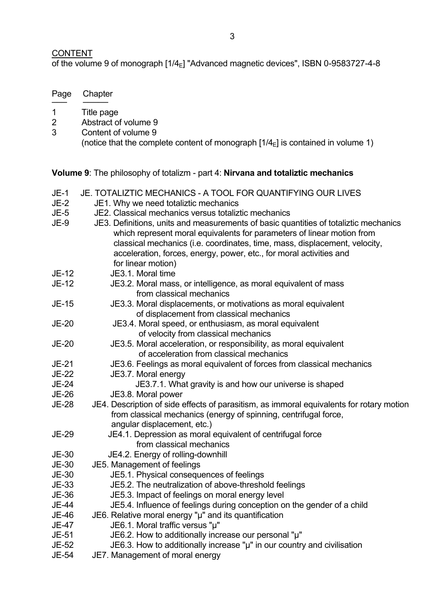## **CONTENT**

Page Chapter ─── ───── 1 Title page

2 Abstract of volume 9 3 Content of volume 9

of the volume 9 of monograph  $[1/4_E]$  "Advanced magnetic devices", ISBN 0-9583727-4-8

(notice that the complete content of monograph  $[1/4<sub>E</sub>]$  is contained in volume 1)

|              | Volume 9: The philosophy of totalizm - part 4: Nirvana and totaliztic mechanics                                                                                                                                                                                                                                                           |
|--------------|-------------------------------------------------------------------------------------------------------------------------------------------------------------------------------------------------------------------------------------------------------------------------------------------------------------------------------------------|
| $JE-1$       | JE. TOTALIZTIC MECHANICS - A TOOL FOR QUANTIFYING OUR LIVES                                                                                                                                                                                                                                                                               |
| <b>JE-2</b>  | JE1. Why we need totaliztic mechanics                                                                                                                                                                                                                                                                                                     |
| JE-5         | JE2. Classical mechanics versus totaliztic mechanics                                                                                                                                                                                                                                                                                      |
| JE-9         | JE3. Definitions, units and measurements of basic quantities of totaliztic mechanics<br>which represent moral equivalents for parameters of linear motion from<br>classical mechanics (i.e. coordinates, time, mass, displacement, velocity,<br>acceleration, forces, energy, power, etc., for moral activities and<br>for linear motion) |
| JE-12        | JE3.1. Moral time                                                                                                                                                                                                                                                                                                                         |
| JE-12        | JE3.2. Moral mass, or intelligence, as moral equivalent of mass<br>from classical mechanics                                                                                                                                                                                                                                               |
| <b>JE-15</b> | JE3.3. Moral displacements, or motivations as moral equivalent<br>of displacement from classical mechanics                                                                                                                                                                                                                                |
| <b>JE-20</b> | JE3.4. Moral speed, or enthusiasm, as moral equivalent                                                                                                                                                                                                                                                                                    |
|              | of velocity from classical mechanics                                                                                                                                                                                                                                                                                                      |
| <b>JE-20</b> | JE3.5. Moral acceleration, or responsibility, as moral equivalent<br>of acceleration from classical mechanics                                                                                                                                                                                                                             |
| JE-21        | JE3.6. Feelings as moral equivalent of forces from classical mechanics                                                                                                                                                                                                                                                                    |
| <b>JE-22</b> | JE3.7. Moral energy                                                                                                                                                                                                                                                                                                                       |
| <b>JE-24</b> | JE3.7.1. What gravity is and how our universe is shaped                                                                                                                                                                                                                                                                                   |
| JE-26        | JE3.8. Moral power                                                                                                                                                                                                                                                                                                                        |
| <b>JE-28</b> | JE4. Description of side effects of parasitism, as immoral equivalents for rotary motion<br>from classical mechanics (energy of spinning, centrifugal force,<br>angular displacement, etc.)                                                                                                                                               |
| JE-29        | JE4.1. Depression as moral equivalent of centrifugal force                                                                                                                                                                                                                                                                                |
|              | from classical mechanics                                                                                                                                                                                                                                                                                                                  |
| JE-30        | JE4.2. Energy of rolling-downhill                                                                                                                                                                                                                                                                                                         |
| <b>JE-30</b> | JE5. Management of feelings                                                                                                                                                                                                                                                                                                               |
| <b>JE-30</b> | JE5.1. Physical consequences of feelings                                                                                                                                                                                                                                                                                                  |
| JE-33        | JE5.2. The neutralization of above-threshold feelings                                                                                                                                                                                                                                                                                     |
| <b>JE-36</b> | JE5.3. Impact of feelings on moral energy level                                                                                                                                                                                                                                                                                           |
| <b>JE-44</b> | JE5.4. Influence of feelings during conception on the gender of a child                                                                                                                                                                                                                                                                   |
| JE-46        | JE6. Relative moral energy "µ" and its quantification                                                                                                                                                                                                                                                                                     |
| <b>JE-47</b> | JE6.1. Moral traffic versus "µ"                                                                                                                                                                                                                                                                                                           |
| JE-51        | JE6.2. How to additionally increase our personal "µ"                                                                                                                                                                                                                                                                                      |
| JE-52        | JE6.3. How to additionally increase "µ" in our country and civilisation                                                                                                                                                                                                                                                                   |

JE-54 JE7. Management of moral energy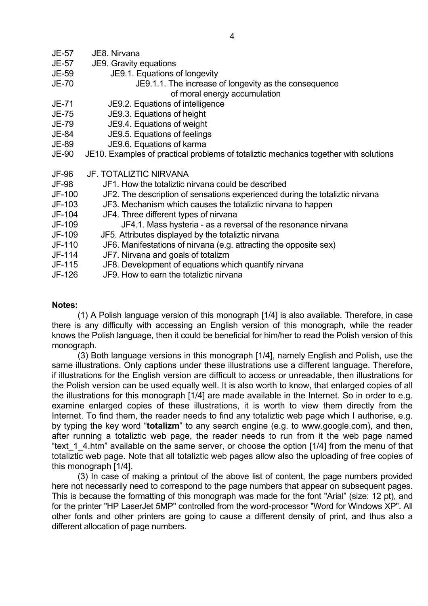- JE-57 JE8. Nirvana
- JE-57 JE9. Gravity equations
- JE-59 JE9.1. Equations of longevity
- JE-70 JE9.1.1. The increase of longevity as the consequence of moral energy accumulation
- JE-71 JE9.2. Equations of intelligence
- JE-75 JE9.3. Equations of height
- JE-79 JE9.4. Equations of weight
- JE-84 JE9.5. Equations of feelings
- JE-89 JE9.6. Equations of karma
- JE-90 JE10. Examples of practical problems of totaliztic mechanics together with solutions
- JF-96 JF. TOTALIZTIC NIRVANA
- JF-98 JF1. How the totaliztic nirvana could be described
- JF-100 JF2. The description of sensations experienced during the totaliztic nirvana
- JF-103 JF3. Mechanism which causes the totaliztic nirvana to happen
- JF-104 JF4. Three different types of nirvana
- JF-109 JF4.1. Mass hysteria as a reversal of the resonance nirvana
- JF-109 JF5. Attributes displayed by the totaliztic nirvana
- JF-110 JF6. Manifestations of nirvana (e.g. attracting the opposite sex)
- JF-114 JF7. Nirvana and goals of totalizm
- JF-115 JF8. Development of equations which quantify nirvana
- JF-126 JF9. How to earn the totaliztic nirvana

#### **Notes:**

 (1) A Polish language version of this monograph [1/4] is also available. Therefore, in case there is any difficulty with accessing an English version of this monograph, while the reader knows the Polish language, then it could be beneficial for him/her to read the Polish version of this monograph.

 (3) Both language versions in this monograph [1/4], namely English and Polish, use the same illustrations. Only captions under these illustrations use a different language. Therefore, if illustrations for the English version are difficult to access or unreadable, then illustrations for the Polish version can be used equally well. It is also worth to know, that enlarged copies of all the illustrations for this monograph [1/4] are made available in the Internet. So in order to e.g. examine enlarged copies of these illustrations, it is worth to view them directly from the Internet. To find them, the reader needs to find any totaliztic web page which I authorise, e.g. by typing the key word "**totalizm**" to any search engine (e.g. to www.google.com), and then, after running a totaliztic web page, the reader needs to run from it the web page named "text 1 4.htm" available on the same server, or choose the option [1/4] from the menu of that totaliztic web page. Note that all totaliztic web pages allow also the uploading of free copies of this monograph [1/4].

 (3) In case of making a printout of the above list of content, the page numbers provided here not necessarily need to correspond to the page numbers that appear on subsequent pages. This is because the formatting of this monograph was made for the font "Arial" (size: 12 pt), and for the printer "HP LaserJet 5MP" controlled from the word-processor "Word for Windows XP". All other fonts and other printers are going to cause a different density of print, and thus also a different allocation of page numbers.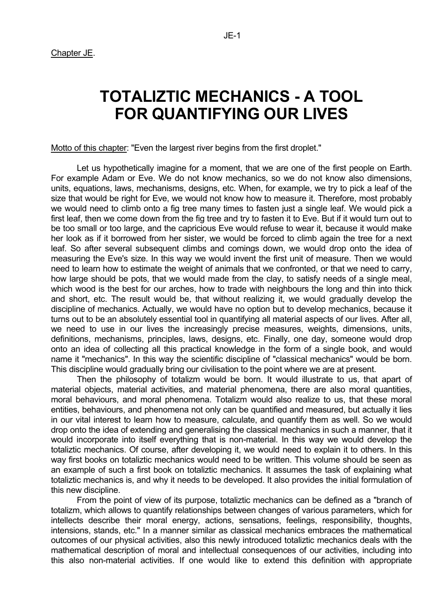# **TOTALIZTIC MECHANICS - A TOOL FOR QUANTIFYING OUR LIVES**

Motto of this chapter: "Even the largest river begins from the first droplet."

 Let us hypothetically imagine for a moment, that we are one of the first people on Earth. For example Adam or Eve. We do not know mechanics, so we do not know also dimensions, units, equations, laws, mechanisms, designs, etc. When, for example, we try to pick a leaf of the size that would be right for Eve, we would not know how to measure it. Therefore, most probably we would need to climb onto a fig tree many times to fasten just a single leaf. We would pick a first leaf, then we come down from the fig tree and try to fasten it to Eve. But if it would turn out to be too small or too large, and the capricious Eve would refuse to wear it, because it would make her look as if it borrowed from her sister, we would be forced to climb again the tree for a next leaf. So after several subsequent climbs and comings down, we would drop onto the idea of measuring the Eve's size. In this way we would invent the first unit of measure. Then we would need to learn how to estimate the weight of animals that we confronted, or that we need to carry, how large should be pots, that we would made from the clay, to satisfy needs of a single meal, which wood is the best for our arches, how to trade with neighbours the long and thin into thick and short, etc. The result would be, that without realizing it, we would gradually develop the discipline of mechanics. Actually, we would have no option but to develop mechanics, because it turns out to be an absolutely essential tool in quantifying all material aspects of our lives. After all, we need to use in our lives the increasingly precise measures, weights, dimensions, units, definitions, mechanisms, principles, laws, designs, etc. Finally, one day, someone would drop onto an idea of collecting all this practical knowledge in the form of a single book, and would name it "mechanics". In this way the scientific discipline of "classical mechanics" would be born. This discipline would gradually bring our civilisation to the point where we are at present.

 Then the philosophy of totalizm would be born. It would illustrate to us, that apart of material objects, material activities, and material phenomena, there are also moral quantities, moral behaviours, and moral phenomena. Totalizm would also realize to us, that these moral entities, behaviours, and phenomena not only can be quantified and measured, but actually it lies in our vital interest to learn how to measure, calculate, and quantify them as well. So we would drop onto the idea of extending and generalising the classical mechanics in such a manner, that it would incorporate into itself everything that is non-material. In this way we would develop the totaliztic mechanics. Of course, after developing it, we would need to explain it to others. In this way first books on totaliztic mechanics would need to be written. This volume should be seen as an example of such a first book on totaliztic mechanics. It assumes the task of explaining what totaliztic mechanics is, and why it needs to be developed. It also provides the initial formulation of this new discipline.

 From the point of view of its purpose, totaliztic mechanics can be defined as a "branch of totalizm, which allows to quantify relationships between changes of various parameters, which for intellects describe their moral energy, actions, sensations, feelings, responsibility, thoughts, intensions, stands, etc." In a manner similar as classical mechanics embraces the mathematical outcomes of our physical activities, also this newly introduced totaliztic mechanics deals with the mathematical description of moral and intellectual consequences of our activities, including into this also non-material activities. If one would like to extend this definition with appropriate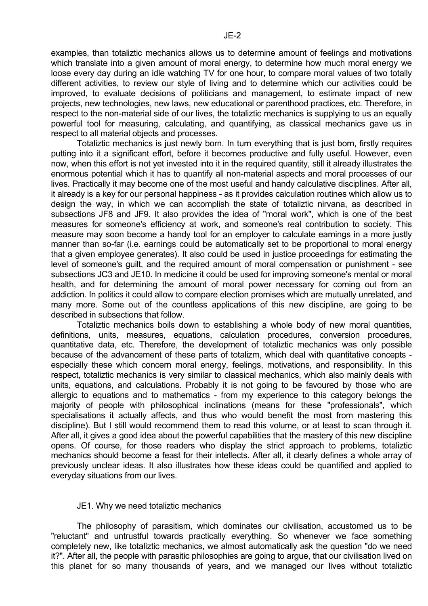examples, than totaliztic mechanics allows us to determine amount of feelings and motivations which translate into a given amount of moral energy, to determine how much moral energy we loose every day during an idle watching TV for one hour, to compare moral values of two totally different activities, to review our style of living and to determine which our activities could be improved, to evaluate decisions of politicians and management, to estimate impact of new projects, new technologies, new laws, new educational or parenthood practices, etc. Therefore, in respect to the non-material side of our lives, the totaliztic mechanics is supplying to us an equally powerful tool for measuring, calculating, and quantifying, as classical mechanics gave us in respect to all material objects and processes.

 Totaliztic mechanics is just newly born. In turn everything that is just born, firstly requires putting into it a significant effort, before it becomes productive and fully useful. However, even now, when this effort is not yet invested into it in the required quantity, still it already illustrates the enormous potential which it has to quantify all non-material aspects and moral processes of our lives. Practically it may become one of the most useful and handy calculative disciplines. After all, it already is a key for our personal happiness - as it provides calculation routines which allow us to design the way, in which we can accomplish the state of totaliztic nirvana, as described in subsections JF8 and JF9. It also provides the idea of "moral work", which is one of the best measures for someone's efficiency at work, and someone's real contribution to society. This measure may soon become a handy tool for an employer to calculate earnings in a more justly manner than so-far (i.e. earnings could be automatically set to be proportional to moral energy that a given employee generates). It also could be used in justice proceedings for estimating the level of someone's guilt, and the required amount of moral compensation or punishment - see subsections JC3 and JE10. In medicine it could be used for improving someone's mental or moral health, and for determining the amount of moral power necessary for coming out from an addiction. In politics it could allow to compare election promises which are mutually unrelated, and many more. Some out of the countless applications of this new discipline, are going to be described in subsections that follow.

 Totaliztic mechanics boils down to establishing a whole body of new moral quantities, definitions, units, measures, equations, calculation procedures, conversion procedures, quantitative data, etc. Therefore, the development of totaliztic mechanics was only possible because of the advancement of these parts of totalizm, which deal with quantitative concepts especially these which concern moral energy, feelings, motivations, and responsibility. In this respect, totaliztic mechanics is very similar to classical mechanics, which also mainly deals with units, equations, and calculations. Probably it is not going to be favoured by those who are allergic to equations and to mathematics - from my experience to this category belongs the majority of people with philosophical inclinations (means for these "professionals", which specialisations it actually affects, and thus who would benefit the most from mastering this discipline). But I still would recommend them to read this volume, or at least to scan through it. After all, it gives a good idea about the powerful capabilities that the mastery of this new discipline opens. Of course, for those readers who display the strict approach to problems, totaliztic mechanics should become a feast for their intellects. After all, it clearly defines a whole array of previously unclear ideas. It also illustrates how these ideas could be quantified and applied to everyday situations from our lives.

#### JE1. Why we need totaliztic mechanics

 The philosophy of parasitism, which dominates our civilisation, accustomed us to be "reluctant" and untrustful towards practically everything. So whenever we face something completely new, like totaliztic mechanics, we almost automatically ask the question "do we need it?". After all, the people with parasitic philosophies are going to argue, that our civilisation lived on this planet for so many thousands of years, and we managed our lives without totaliztic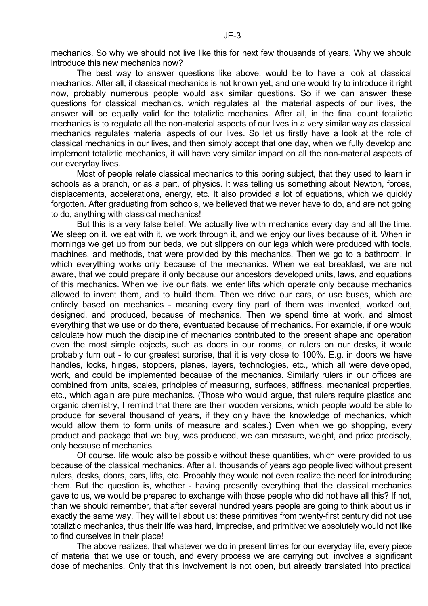mechanics. So why we should not live like this for next few thousands of years. Why we should introduce this new mechanics now?

 The best way to answer questions like above, would be to have a look at classical mechanics. After all, if classical mechanics is not known yet, and one would try to introduce it right now, probably numerous people would ask similar questions. So if we can answer these questions for classical mechanics, which regulates all the material aspects of our lives, the answer will be equally valid for the totaliztic mechanics. After all, in the final count totaliztic mechanics is to regulate all the non-material aspects of our lives in a very similar way as classical mechanics regulates material aspects of our lives. So let us firstly have a look at the role of classical mechanics in our lives, and then simply accept that one day, when we fully develop and implement totaliztic mechanics, it will have very similar impact on all the non-material aspects of our everyday lives.

 Most of people relate classical mechanics to this boring subject, that they used to learn in schools as a branch, or as a part, of physics. It was telling us something about Newton, forces, displacements, accelerations, energy, etc. It also provided a lot of equations, which we quickly forgotten. After graduating from schools, we believed that we never have to do, and are not going to do, anything with classical mechanics!

 But this is a very false belief. We actually live with mechanics every day and all the time. We sleep on it, we eat with it, we work through it, and we enjoy our lives because of it. When in mornings we get up from our beds, we put slippers on our legs which were produced with tools, machines, and methods, that were provided by this mechanics. Then we go to a bathroom, in which everything works only because of the mechanics. When we eat breakfast, we are not aware, that we could prepare it only because our ancestors developed units, laws, and equations of this mechanics. When we live our flats, we enter lifts which operate only because mechanics allowed to invent them, and to build them. Then we drive our cars, or use buses, which are entirely based on mechanics - meaning every tiny part of them was invented, worked out, designed, and produced, because of mechanics. Then we spend time at work, and almost everything that we use or do there, eventuated because of mechanics. For example, if one would calculate how much the discipline of mechanics contributed to the present shape and operation even the most simple objects, such as doors in our rooms, or rulers on our desks, it would probably turn out - to our greatest surprise, that it is very close to 100%. E.g. in doors we have handles, locks, hinges, stoppers, planes, layers, technologies, etc., which all were developed, work, and could be implemented because of the mechanics. Similarly rulers in our offices are combined from units, scales, principles of measuring, surfaces, stiffness, mechanical properties, etc., which again are pure mechanics. (Those who would argue, that rulers require plastics and organic chemistry, I remind that there are their wooden versions, which people would be able to produce for several thousand of years, if they only have the knowledge of mechanics, which would allow them to form units of measure and scales.) Even when we go shopping, every product and package that we buy, was produced, we can measure, weight, and price precisely, only because of mechanics.

 Of course, life would also be possible without these quantities, which were provided to us because of the classical mechanics. After all, thousands of years ago people lived without present rulers, desks, doors, cars, lifts, etc. Probably they would not even realize the need for introducing them. But the question is, whether - having presently everything that the classical mechanics gave to us, we would be prepared to exchange with those people who did not have all this? If not, than we should remember, that after several hundred years people are going to think about us in exactly the same way. They will tell about us: these primitives from twenty-first century did not use totaliztic mechanics, thus their life was hard, imprecise, and primitive: we absolutely would not like to find ourselves in their place!

 The above realizes, that whatever we do in present times for our everyday life, every piece of material that we use or touch, and every process we are carrying out, involves a significant dose of mechanics. Only that this involvement is not open, but already translated into practical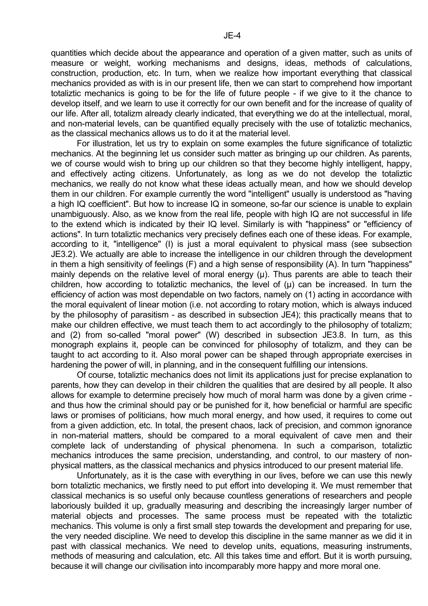quantities which decide about the appearance and operation of a given matter, such as units of measure or weight, working mechanisms and designs, ideas, methods of calculations, construction, production, etc. In turn, when we realize how important everything that classical mechanics provided as with is in our present life, then we can start to comprehend how important totaliztic mechanics is going to be for the life of future people - if we give to it the chance to develop itself, and we learn to use it correctly for our own benefit and for the increase of quality of our life. After all, totalizm already clearly indicated, that everything we do at the intellectual, moral, and non-material levels, can be quantified equally precisely with the use of totaliztic mechanics, as the classical mechanics allows us to do it at the material level.

 For illustration, let us try to explain on some examples the future significance of totaliztic mechanics. At the beginning let us consider such matter as bringing up our children. As parents, we of course would wish to bring up our children so that they become highly intelligent, happy, and effectively acting citizens. Unfortunately, as long as we do not develop the totaliztic mechanics, we really do not know what these ideas actually mean, and how we should develop them in our children. For example currently the word "intelligent" usually is understood as "having a high IQ coefficient". But how to increase IQ in someone, so-far our science is unable to explain unambiguously. Also, as we know from the real life, people with high IQ are not successful in life to the extend which is indicated by their IQ level. Similarly is with "happiness" or "efficiency of actions". In turn totaliztic mechanics very precisely defines each one of these ideas. For example, according to it, "intelligence" (I) is just a moral equivalent to physical mass (see subsection JE3.2). We actually are able to increase the intelligence in our children through the development in them a high sensitivity of feelings (F) and a high sense of responsibility (A). In turn "happiness" mainly depends on the relative level of moral energy (u). Thus parents are able to teach their children, how according to totaliztic mechanics, the level of  $(\mu)$  can be increased. In turn the efficiency of action was most dependable on two factors, namely on (1) acting in accordance with the moral equivalent of linear motion (i.e. not according to rotary motion, which is always induced by the philosophy of parasitism - as described in subsection JE4); this practically means that to make our children effective, we must teach them to act accordingly to the philosophy of totalizm; and (2) from so-called "moral power" (W) described in subsection JE3.8. In turn, as this monograph explains it, people can be convinced for philosophy of totalizm, and they can be taught to act according to it. Also moral power can be shaped through appropriate exercises in hardening the power of will, in planning, and in the consequent fulfilling our intensions.

 Of course, totaliztic mechanics does not limit its applications just for precise explanation to parents, how they can develop in their children the qualities that are desired by all people. It also allows for example to determine precisely how much of moral harm was done by a given crime and thus how the criminal should pay or be punished for it, how beneficial or harmful are specific laws or promises of politicians, how much moral energy, and how used, it requires to come out from a given addiction, etc. In total, the present chaos, lack of precision, and common ignorance in non-material matters, should be compared to a moral equivalent of cave men and their complete lack of understanding of physical phenomena. In such a comparison, totaliztic mechanics introduces the same precision, understanding, and control, to our mastery of nonphysical matters, as the classical mechanics and physics introduced to our present material life.

 Unfortunately, as it is the case with everything in our lives, before we can use this newly born totaliztic mechanics, we firstly need to put effort into developing it. We must remember that classical mechanics is so useful only because countless generations of researchers and people laboriously builded it up, gradually measuring and describing the increasingly larger number of material objects and processes. The same process must be repeated with the totaliztic mechanics. This volume is only a first small step towards the development and preparing for use, the very needed discipline. We need to develop this discipline in the same manner as we did it in past with classical mechanics. We need to develop units, equations, measuring instruments, methods of measuring and calculation, etc. All this takes time and effort. But it is worth pursuing, because it will change our civilisation into incomparably more happy and more moral one.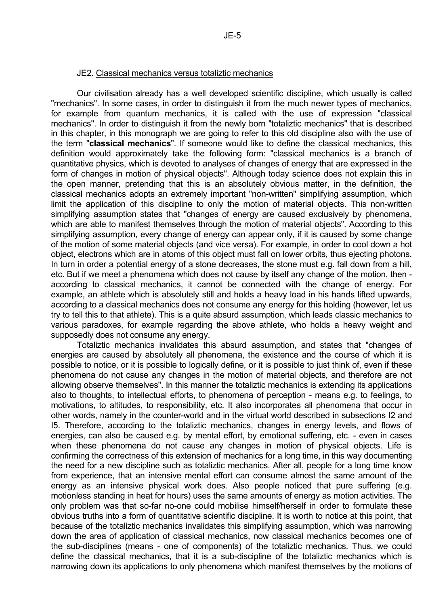#### JE2. Classical mechanics versus totaliztic mechanics

 Our civilisation already has a well developed scientific discipline, which usually is called "mechanics". In some cases, in order to distinguish it from the much newer types of mechanics, for example from quantum mechanics, it is called with the use of expression "classical mechanics". In order to distinguish it from the newly born "totaliztic mechanics" that is described in this chapter, in this monograph we are going to refer to this old discipline also with the use of the term "**classical mechanics**". If someone would like to define the classical mechanics, this definition would approximately take the following form: "classical mechanics is a branch of quantitative physics, which is devoted to analyses of changes of energy that are expressed in the form of changes in motion of physical objects". Although today science does not explain this in the open manner, pretending that this is an absolutely obvious matter, in the definition, the classical mechanics adopts an extremely important "non-written" simplifying assumption, which limit the application of this discipline to only the motion of material objects. This non-written simplifying assumption states that "changes of energy are caused exclusively by phenomena, which are able to manifest themselves through the motion of material objects". According to this simplifying assumption, every change of energy can appear only, if it is caused by some change of the motion of some material objects (and vice versa). For example, in order to cool down a hot object, electrons which are in atoms of this object must fall on lower orbits, thus ejecting photons. In turn in order a potential energy of a stone decreases, the stone must e.g. fall down from a hill, etc. But if we meet a phenomena which does not cause by itself any change of the motion, then according to classical mechanics, it cannot be connected with the change of energy. For example, an athlete which is absolutely still and holds a heavy load in his hands lifted upwards, according to a classical mechanics does not consume any energy for this holding (however, let us try to tell this to that athlete). This is a quite absurd assumption, which leads classic mechanics to various paradoxes, for example regarding the above athlete, who holds a heavy weight and supposedly does not consume any energy.

 Totaliztic mechanics invalidates this absurd assumption, and states that "changes of energies are caused by absolutely all phenomena, the existence and the course of which it is possible to notice, or it is possible to logically define, or it is possible to just think of, even if these phenomena do not cause any changes in the motion of material objects, and therefore are not allowing observe themselves". In this manner the totaliztic mechanics is extending its applications also to thoughts, to intellectual efforts, to phenomena of perception - means e.g. to feelings, to motivations, to altitudes, to responsibility, etc. It also incorporates all phenomena that occur in other words, namely in the counter-world and in the virtual world described in subsections I2 and I5. Therefore, according to the totaliztic mechanics, changes in energy levels, and flows of energies, can also be caused e.g. by mental effort, by emotional suffering, etc. - even in cases when these phenomena do not cause any changes in motion of physical objects. Life is confirming the correctness of this extension of mechanics for a long time, in this way documenting the need for a new discipline such as totaliztic mechanics. After all, people for a long time know from experience, that an intensive mental effort can consume almost the same amount of the energy as an intensive physical work does. Also people noticed that pure suffering (e.g. motionless standing in heat for hours) uses the same amounts of energy as motion activities. The only problem was that so-far no-one could mobilise himself/herself in order to formulate these obvious truths into a form of quantitative scientific discipline. It is worth to notice at this point, that because of the totaliztic mechanics invalidates this simplifying assumption, which was narrowing down the area of application of classical mechanics, now classical mechanics becomes one of the sub-disciplines (means - one of components) of the totaliztic mechanics. Thus, we could define the classical mechanics, that it is a sub-discipline of the totaliztic mechanics which is narrowing down its applications to only phenomena which manifest themselves by the motions of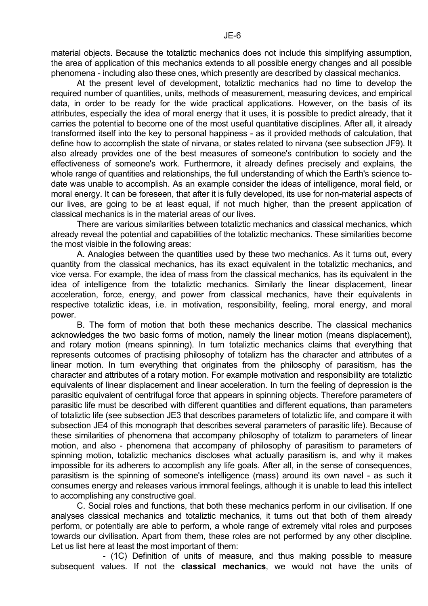material objects. Because the totaliztic mechanics does not include this simplifying assumption, the area of application of this mechanics extends to all possible energy changes and all possible phenomena - including also these ones, which presently are described by classical mechanics.

 At the present level of development, totaliztic mechanics had no time to develop the required number of quantities, units, methods of measurement, measuring devices, and empirical data, in order to be ready for the wide practical applications. However, on the basis of its attributes, especially the idea of moral energy that it uses, it is possible to predict already, that it carries the potential to become one of the most useful quantitative disciplines. After all, it already transformed itself into the key to personal happiness - as it provided methods of calculation, that define how to accomplish the state of nirvana, or states related to nirvana (see subsection JF9). It also already provides one of the best measures of someone's contribution to society and the effectiveness of someone's work. Furthermore, it already defines precisely and explains, the whole range of quantities and relationships, the full understanding of which the Earth's science todate was unable to accomplish. As an example consider the ideas of intelligence, moral field, or moral energy. It can be foreseen, that after it is fully developed, its use for non-material aspects of our lives, are going to be at least equal, if not much higher, than the present application of classical mechanics is in the material areas of our lives.

 There are various similarities between totaliztic mechanics and classical mechanics, which already reveal the potential and capabilities of the totaliztic mechanics. These similarities become the most visible in the following areas:

 A. Analogies between the quantities used by these two mechanics. As it turns out, every quantity from the classical mechanics, has its exact equivalent in the totaliztic mechanics, and vice versa. For example, the idea of mass from the classical mechanics, has its equivalent in the idea of intelligence from the totaliztic mechanics. Similarly the linear displacement, linear acceleration, force, energy, and power from classical mechanics, have their equivalents in respective totaliztic ideas, i.e. in motivation, responsibility, feeling, moral energy, and moral power.

 B. The form of motion that both these mechanics describe. The classical mechanics acknowledges the two basic forms of motion, namely the linear motion (means displacement), and rotary motion (means spinning). In turn totaliztic mechanics claims that everything that represents outcomes of practising philosophy of totalizm has the character and attributes of a linear motion. In turn everything that originates from the philosophy of parasitism, has the character and attributes of a rotary motion. For example motivation and responsibility are totaliztic equivalents of linear displacement and linear acceleration. In turn the feeling of depression is the parasitic equivalent of centrifugal force that appears in spinning objects. Therefore parameters of parasitic life must be described with different quantities and different equations, than parameters of totaliztic life (see subsection JE3 that describes parameters of totaliztic life, and compare it with subsection JE4 of this monograph that describes several parameters of parasitic life). Because of these similarities of phenomena that accompany philosophy of totalizm to parameters of linear motion, and also - phenomena that accompany of philosophy of parasitism to parameters of spinning motion, totaliztic mechanics discloses what actually parasitism is, and why it makes impossible for its adherers to accomplish any life goals. After all, in the sense of consequences, parasitism is the spinning of someone's intelligence (mass) around its own navel - as such it consumes energy and releases various immoral feelings, although it is unable to lead this intellect to accomplishing any constructive goal.

 C. Social roles and functions, that both these mechanics perform in our civilisation. If one analyses classical mechanics and totaliztic mechanics, it turns out that both of them already perform, or potentially are able to perform, a whole range of extremely vital roles and purposes towards our civilisation. Apart from them, these roles are not performed by any other discipline. Let us list here at least the most important of them:

 - (1C) Definition of units of measure, and thus making possible to measure subsequent values. If not the **classical mechanics**, we would not have the units of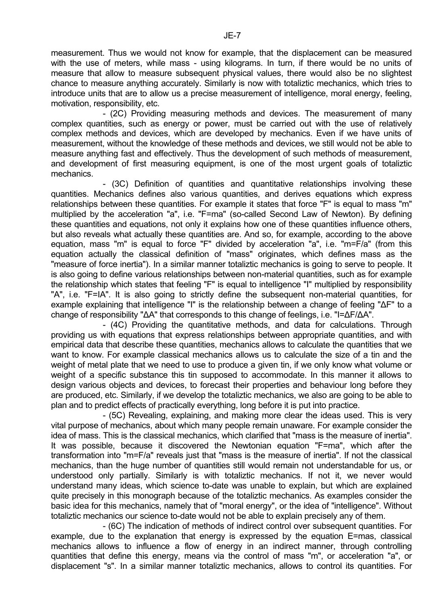measurement. Thus we would not know for example, that the displacement can be measured with the use of meters, while mass - using kilograms. In turn, if there would be no units of measure that allow to measure subsequent physical values, there would also be no slightest chance to measure anything accurately. Similarly is now with totaliztic mechanics, which tries to introduce units that are to allow us a precise measurement of intelligence, moral energy, feeling, motivation, responsibility, etc.

 - (2C) Providing measuring methods and devices. The measurement of many complex quantities, such as energy or power, must be carried out with the use of relatively complex methods and devices, which are developed by mechanics. Even if we have units of measurement, without the knowledge of these methods and devices, we still would not be able to measure anything fast and effectively. Thus the development of such methods of measurement, and development of first measuring equipment, is one of the most urgent goals of totaliztic mechanics.

 - (3C) Definition of quantities and quantitative relationships involving these quantities. Mechanics defines also various quantities, and derives equations which express relationships between these quantities. For example it states that force "F" is equal to mass "m" multiplied by the acceleration "a", i.e. "F=ma" (so-called Second Law of Newton). By defining these quantities and equations, not only it explains how one of these quantities influence others, but also reveals what actually these quantities are. And so, for example, according to the above equation, mass "m" is equal to force "F" divided by acceleration "a", i.e. "m=F/a" (from this equation actually the classical definition of "mass" originates, which defines mass as the "measure of force inertia"). In a similar manner totaliztic mechanics is going to serve to people. It is also going to define various relationships between non-material quantities, such as for example the relationship which states that feeling "F" is equal to intelligence "I" multiplied by responsibility "A", i.e. "F=IA". It is also going to strictly define the subsequent non-material quantities, for example explaining that intelligence "I" is the relationship between a change of feeling "∆F" to a change of responsibility "∆A" that corresponds to this change of feelings, i.e. "I=∆F/∆A".

 - (4C) Providing the quantitative methods, and data for calculations. Through providing us with equations that express relationships between appropriate quantities, and with empirical data that describe these quantities, mechanics allows to calculate the quantities that we want to know. For example classical mechanics allows us to calculate the size of a tin and the weight of metal plate that we need to use to produce a given tin, if we only know what volume or weight of a specific substance this tin supposed to accommodate. In this manner it allows to design various objects and devices, to forecast their properties and behaviour long before they are produced, etc. Similarly, if we develop the totaliztic mechanics, we also are going to be able to plan and to predict effects of practically everything, long before it is put into practice.

 - (5C) Revealing, explaining, and making more clear the ideas used. This is very vital purpose of mechanics, about which many people remain unaware. For example consider the idea of mass. This is the classical mechanics, which clarified that "mass is the measure of inertia". It was possible, because it discovered the Newtonian equation "F=ma", which after the transformation into "m=F/a" reveals just that "mass is the measure of inertia". If not the classical mechanics, than the huge number of quantities still would remain not understandable for us, or understood only partially. Similarly is with totaliztic mechanics. If not it, we never would understand many ideas, which science to-date was unable to explain, but which are explained quite precisely in this monograph because of the totaliztic mechanics. As examples consider the basic idea for this mechanics, namely that of "moral energy", or the idea of "intelligence". Without totaliztic mechanics our science to-date would not be able to explain precisely any of them.

 - (6C) The indication of methods of indirect control over subsequent quantities. For example, due to the explanation that energy is expressed by the equation E=mas, classical mechanics allows to influence a flow of energy in an indirect manner, through controlling quantities that define this energy, means via the control of mass "m", or acceleration "a", or displacement "s". In a similar manner totaliztic mechanics, allows to control its quantities. For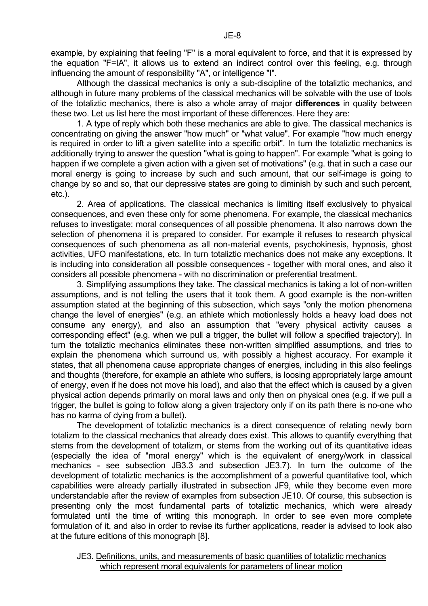example, by explaining that feeling "F" is a moral equivalent to force, and that it is expressed by the equation "F=IA", it allows us to extend an indirect control over this feeling, e.g. through influencing the amount of responsibility "A", or intelligence "I".

 Although the classical mechanics is only a sub-discipline of the totaliztic mechanics, and although in future many problems of the classical mechanics will be solvable with the use of tools of the totaliztic mechanics, there is also a whole array of major **differences** in quality between these two. Let us list here the most important of these differences. Here they are:

 1. A type of reply which both these mechanics are able to give. The classical mechanics is concentrating on giving the answer "how much" or "what value". For example "how much energy is required in order to lift a given satellite into a specific orbit". In turn the totaliztic mechanics is additionally trying to answer the question "what is going to happen". For example "what is going to happen if we complete a given action with a given set of motivations" (e.g. that in such a case our moral energy is going to increase by such and such amount, that our self-image is going to change by so and so, that our depressive states are going to diminish by such and such percent, etc.).

 2. Area of applications. The classical mechanics is limiting itself exclusively to physical consequences, and even these only for some phenomena. For example, the classical mechanics refuses to investigate: moral consequences of all possible phenomena. It also narrows down the selection of phenomena it is prepared to consider. For example it refuses to research physical consequences of such phenomena as all non-material events, psychokinesis, hypnosis, ghost activities, UFO manifestations, etc. In turn totaliztic mechanics does not make any exceptions. It is including into consideration all possible consequences - together with moral ones, and also it considers all possible phenomena - with no discrimination or preferential treatment.

 3. Simplifying assumptions they take. The classical mechanics is taking a lot of non-written assumptions, and is not telling the users that it took them. A good example is the non-written assumption stated at the beginning of this subsection, which says "only the motion phenomena change the level of energies" (e.g. an athlete which motionlessly holds a heavy load does not consume any energy), and also an assumption that "every physical activity causes a corresponding effect" (e.g. when we pull a trigger, the bullet will follow a specified trajectory). In turn the totaliztic mechanics eliminates these non-written simplified assumptions, and tries to explain the phenomena which surround us, with possibly a highest accuracy. For example it states, that all phenomena cause appropriate changes of energies, including in this also feelings and thoughts (therefore, for example an athlete who suffers, is loosing appropriately large amount of energy, even if he does not move his load), and also that the effect which is caused by a given physical action depends primarily on moral laws and only then on physical ones (e.g. if we pull a trigger, the bullet is going to follow along a given trajectory only if on its path there is no-one who has no karma of dying from a bullet).

 The development of totaliztic mechanics is a direct consequence of relating newly born totalizm to the classical mechanics that already does exist. This allows to quantify everything that stems from the development of totalizm, or stems from the working out of its quantitative ideas (especially the idea of "moral energy" which is the equivalent of energy/work in classical mechanics - see subsection JB3.3 and subsection JE3.7). In turn the outcome of the development of totaliztic mechanics is the accomplishment of a powerful quantitative tool, which capabilities were already partially illustrated in subsection JF9, while they become even more understandable after the review of examples from subsection JE10. Of course, this subsection is presenting only the most fundamental parts of totaliztic mechanics, which were already formulated until the time of writing this monograph. In order to see even more complete formulation of it, and also in order to revise its further applications, reader is advised to look also at the future editions of this monograph [8].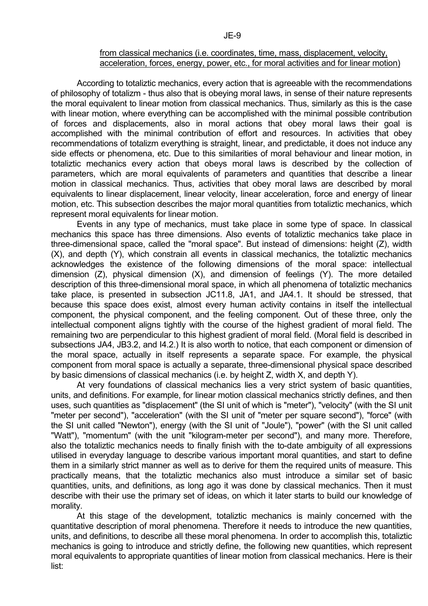## from classical mechanics (i.e. coordinates, time, mass, displacement, velocity, acceleration, forces, energy, power, etc., for moral activities and for linear motion)

 According to totaliztic mechanics, every action that is agreeable with the recommendations of philosophy of totalizm - thus also that is obeying moral laws, in sense of their nature represents the moral equivalent to linear motion from classical mechanics. Thus, similarly as this is the case with linear motion, where everything can be accomplished with the minimal possible contribution of forces and displacements, also in moral actions that obey moral laws their goal is accomplished with the minimal contribution of effort and resources. In activities that obey recommendations of totalizm everything is straight, linear, and predictable, it does not induce any side effects or phenomena, etc. Due to this similarities of moral behaviour and linear motion, in totaliztic mechanics every action that obeys moral laws is described by the collection of parameters, which are moral equivalents of parameters and quantities that describe a linear motion in classical mechanics. Thus, activities that obey moral laws are described by moral equivalents to linear displacement, linear velocity, linear acceleration, force and energy of linear motion, etc. This subsection describes the major moral quantities from totaliztic mechanics, which represent moral equivalents for linear motion.

 Events in any type of mechanics, must take place in some type of space. In classical mechanics this space has three dimensions. Also events of totaliztic mechanics take place in three-dimensional space, called the "moral space". But instead of dimensions: height (Z), width (X), and depth (Y), which constrain all events in classical mechanics, the totaliztic mechanics acknowledges the existence of the following dimensions of the moral space: intellectual dimension (Z), physical dimension (X), and dimension of feelings (Y). The more detailed description of this three-dimensional moral space, in which all phenomena of totaliztic mechanics take place, is presented in subsection JC11.8, JA1, and JA4.1. It should be stressed, that because this space does exist, almost every human activity contains in itself the intellectual component, the physical component, and the feeling component. Out of these three, only the intellectual component aligns tightly with the course of the highest gradient of moral field. The remaining two are perpendicular to this highest gradient of moral field. (Moral field is described in subsections JA4, JB3.2, and I4.2.) It is also worth to notice, that each component or dimension of the moral space, actually in itself represents a separate space. For example, the physical component from moral space is actually a separate, three-dimensional physical space described by basic dimensions of classical mechanics (i.e. by height Z, width X, and depth Y).

 At very foundations of classical mechanics lies a very strict system of basic quantities, units, and definitions. For example, for linear motion classical mechanics strictly defines, and then uses, such quantities as "displacement" (the SI unit of which is "meter"), "velocity" (with the SI unit "meter per second"), "acceleration" (with the SI unit of "meter per square second"), "force" (with the SI unit called "Newton"), energy (with the SI unit of "Joule"), "power" (with the SI unit called "Watt"), "momentum" (with the unit "kilogram-meter per second"), and many more. Therefore, also the totaliztic mechanics needs to finally finish with the to-date ambiguity of all expressions utilised in everyday language to describe various important moral quantities, and start to define them in a similarly strict manner as well as to derive for them the required units of measure. This practically means, that the totaliztic mechanics also must introduce a similar set of basic quantities, units, and definitions, as long ago it was done by classical mechanics. Then it must describe with their use the primary set of ideas, on which it later starts to build our knowledge of morality.

 At this stage of the development, totaliztic mechanics is mainly concerned with the quantitative description of moral phenomena. Therefore it needs to introduce the new quantities, units, and definitions, to describe all these moral phenomena. In order to accomplish this, totaliztic mechanics is going to introduce and strictly define, the following new quantities, which represent moral equivalents to appropriate quantities of linear motion from classical mechanics. Here is their list: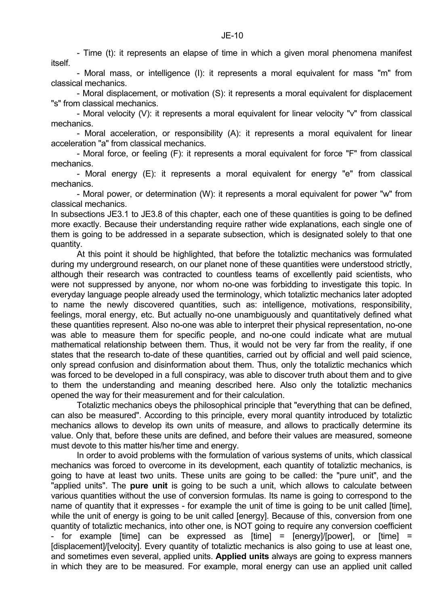- Time (t): it represents an elapse of time in which a given moral phenomena manifest itself.

 - Moral mass, or intelligence (I): it represents a moral equivalent for mass "m" from classical mechanics.

 - Moral displacement, or motivation (S): it represents a moral equivalent for displacement "s" from classical mechanics.

 - Moral velocity (V): it represents a moral equivalent for linear velocity "v" from classical mechanics.

 - Moral acceleration, or responsibility (A): it represents a moral equivalent for linear acceleration "a" from classical mechanics.

 - Moral force, or feeling (F): it represents a moral equivalent for force "F" from classical mechanics.

 - Moral energy (E): it represents a moral equivalent for energy "e" from classical mechanics.

 - Moral power, or determination (W): it represents a moral equivalent for power "w" from classical mechanics.

In subsections JE3.1 to JE3.8 of this chapter, each one of these quantities is going to be defined more exactly. Because their understanding require rather wide explanations, each single one of them is going to be addressed in a separate subsection, which is designated solely to that one quantity.

 At this point it should be highlighted, that before the totaliztic mechanics was formulated during my underground research, on our planet none of these quantities were understood strictly, although their research was contracted to countless teams of excellently paid scientists, who were not suppressed by anyone, nor whom no-one was forbidding to investigate this topic. In everyday language people already used the terminology, which totaliztic mechanics later adopted to name the newly discovered quantities, such as: intelligence, motivations, responsibility, feelings, moral energy, etc. But actually no-one unambiguously and quantitatively defined what these quantities represent. Also no-one was able to interpret their physical representation, no-one was able to measure them for specific people, and no-one could indicate what are mutual mathematical relationship between them. Thus, it would not be very far from the reality, if one states that the research to-date of these quantities, carried out by official and well paid science, only spread confusion and disinformation about them. Thus, only the totaliztic mechanics which was forced to be developed in a full conspiracy, was able to discover truth about them and to give to them the understanding and meaning described here. Also only the totaliztic mechanics opened the way for their measurement and for their calculation.

 Totaliztic mechanics obeys the philosophical principle that "everything that can be defined, can also be measured". According to this principle, every moral quantity introduced by totaliztic mechanics allows to develop its own units of measure, and allows to practically determine its value. Only that, before these units are defined, and before their values are measured, someone must devote to this matter his/her time and energy.

 In order to avoid problems with the formulation of various systems of units, which classical mechanics was forced to overcome in its development, each quantity of totaliztic mechanics, is going to have at least two units. These units are going to be called: the "pure unit", and the "applied units". The **pure unit** is going to be such a unit, which allows to calculate between various quantities without the use of conversion formulas. Its name is going to correspond to the name of quantity that it expresses - for example the unit of time is going to be unit called [time], while the unit of energy is going to be unit called [energy]. Because of this, conversion from one quantity of totaliztic mechanics, into other one, is NOT going to require any conversion coefficient - for example [time] can be expressed as [time] = [energy]/[power], or [time] = [displacement]/[velocity]. Every quantity of totaliztic mechanics is also going to use at least one, and sometimes even several, applied units. **Applied units** always are going to express manners in which they are to be measured. For example, moral energy can use an applied unit called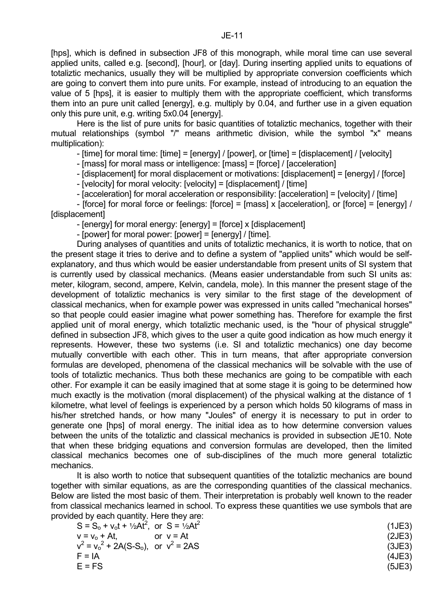[hps], which is defined in subsection JF8 of this monograph, while moral time can use several applied units, called e.g. [second], [hour], or [day]. During inserting applied units to equations of totaliztic mechanics, usually they will be multiplied by appropriate conversion coefficients which are going to convert them into pure units. For example, instead of introducing to an equation the value of 5 [hps], it is easier to multiply them with the appropriate coefficient, which transforms them into an pure unit called [energy], e.g. multiply by 0.04, and further use in a given equation only this pure unit, e.g. writing 5x0.04 [energy].

Here is the list of pure units for basic quantities of totaliztic mechanics, together with their mutual relationships (symbol "/" means arithmetic division, while the symbol "x" means multiplication):

- [time] for moral time: [time] = [energy] / [power], or [time] = [displacement] / [velocity]

- [mass] for moral mass or intelligence: [mass] = [force] / [acceleration]

- [displacement] for moral displacement or motivations: [displacement] = [energy] / [force]

- [velocity] for moral velocity: [velocity] = [displacement] / [time]

- [acceleration] for moral acceleration or responsibility: [acceleration] = [velocity] / [time]

 - [force] for moral force or feelings: [force] = [mass] x [acceleration], or [force] = [energy] / [displacement]

- [energy] for moral energy: [energy] = [force] x [displacement]

- [power] for moral power: [power] = [energy] / [time].

 During analyses of quantities and units of totaliztic mechanics, it is worth to notice, that on the present stage it tries to derive and to define a system of "applied units" which would be selfexplanatory, and thus which would be easier understandable from present units of SI system that is currently used by classical mechanics. (Means easier understandable from such SI units as: meter, kilogram, second, ampere, Kelvin, candela, mole). In this manner the present stage of the development of totaliztic mechanics is very similar to the first stage of the development of classical mechanics, when for example power was expressed in units called "mechanical horses" so that people could easier imagine what power something has. Therefore for example the first applied unit of moral energy, which totaliztic mechanic used, is the "hour of physical struggle" defined in subsection JF8, which gives to the user a quite good indication as how much energy it represents. However, these two systems (i.e. SI and totaliztic mechanics) one day become mutually convertible with each other. This in turn means, that after appropriate conversion formulas are developed, phenomena of the classical mechanics will be solvable with the use of tools of totaliztic mechanics. Thus both these mechanics are going to be compatible with each other. For example it can be easily imagined that at some stage it is going to be determined how much exactly is the motivation (moral displacement) of the physical walking at the distance of 1 kilometre, what level of feelings is experienced by a person which holds 50 kilograms of mass in his/her stretched hands, or how many "Joules" of energy it is necessary to put in order to generate one [hps] of moral energy. The initial idea as to how determine conversion values between the units of the totaliztic and classical mechanics is provided in subsection JE10. Note that when these bridging equations and conversion formulas are developed, then the limited classical mechanics becomes one of sub-disciplines of the much more general totaliztic mechanics.

 It is also worth to notice that subsequent quantities of the totaliztic mechanics are bound together with similar equations, as are the corresponding quantities of the classical mechanics. Below are listed the most basic of them. Their interpretation is probably well known to the reader from classical mechanics learned in school. To express these quantities we use symbols that are provided by each quantity. Here they are:

| $S = S_0 + v_0t + \frac{1}{2}At^2$ , or $S = \frac{1}{2}At^2$ | (1JE3) |
|---------------------------------------------------------------|--------|
| $v = v_0 + At$<br>or $v = At$                                 | (2JE3) |
| $v^2 = v_0^2 + 2A(S-S_0)$ , or $v^2 = 2AS$                    | (3JE3) |
| $F = IA$                                                      | (4JE3) |
| $E = FS$                                                      | (5JE3) |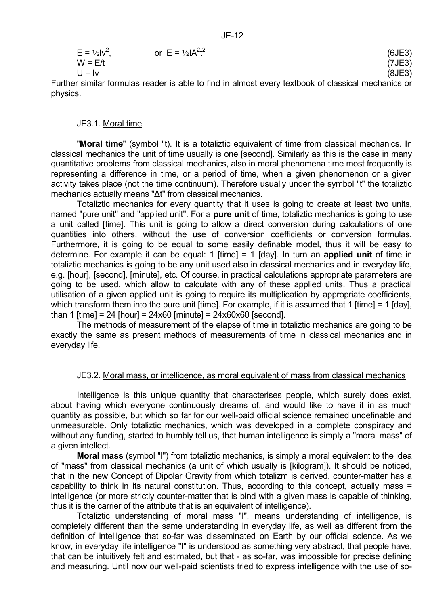$$
E = \frac{1}{2}lv^{2}, \qquad \text{or } E = \frac{1}{2}lA^{2}t^{2}
$$
\n
$$
W = E/t \qquad (5JE3)
$$
\n
$$
U = Iv \qquad (8JE3)
$$
\n
$$
(8JE3)
$$

Further similar formulas reader is able to find in almost every textbook of classical mechanics or physics.

#### JE3.1. Moral time

 "**Moral time**" (symbol "t). It is a totaliztic equivalent of time from classical mechanics. In classical mechanics the unit of time usually is one [second]. Similarly as this is the case in many quantitative problems from classical mechanics, also in moral phenomena time most frequently is representing a difference in time, or a period of time, when a given phenomenon or a given activity takes place (not the time continuum). Therefore usually under the symbol "t" the totaliztic mechanics actually means "∆t" from classical mechanics.

 Totaliztic mechanics for every quantity that it uses is going to create at least two units, named "pure unit" and "applied unit". For a **pure unit** of time, totaliztic mechanics is going to use a unit called [time]. This unit is going to allow a direct conversion during calculations of one quantities into others, without the use of conversion coefficients or conversion formulas. Furthermore, it is going to be equal to some easily definable model, thus it will be easy to determine. For example it can be equal: 1 [time] = 1 [day]. In turn an **applied unit** of time in totaliztic mechanics is going to be any unit used also in classical mechanics and in everyday life, e.g. [hour], [second], [minute], etc. Of course, in practical calculations appropriate parameters are going to be used, which allow to calculate with any of these applied units. Thus a practical utilisation of a given applied unit is going to require its multiplication by appropriate coefficients, which transform them into the pure unit [time]. For example, if it is assumed that 1 [time] = 1 [day], than 1 [time] = 24 [hour] =  $24x60$  [minute] =  $24x60x60$  [second].

 The methods of measurement of the elapse of time in totaliztic mechanics are going to be exactly the same as present methods of measurements of time in classical mechanics and in everyday life.

#### JE3.2. Moral mass, or intelligence, as moral equivalent of mass from classical mechanics

 Intelligence is this unique quantity that characterises people, which surely does exist, about having which everyone continuously dreams of, and would like to have it in as much quantity as possible, but which so far for our well-paid official science remained undefinable and unmeasurable. Only totaliztic mechanics, which was developed in a complete conspiracy and without any funding, started to humbly tell us, that human intelligence is simply a "moral mass" of a given intellect.

 **Moral mass** (symbol "I") from totaliztic mechanics, is simply a moral equivalent to the idea of "mass" from classical mechanics (a unit of which usually is [kilogram]). It should be noticed, that in the new Concept of Dipolar Gravity from which totalizm is derived, counter-matter has a capability to think in its natural constitution. Thus, according to this concept, actually mass = intelligence (or more strictly counter-matter that is bind with a given mass is capable of thinking, thus it is the carrier of the attribute that is an equivalent of intelligence).

 Totaliztic understanding of moral mass "I", means understanding of intelligence, is completely different than the same understanding in everyday life, as well as different from the definition of intelligence that so-far was disseminated on Earth by our official science. As we know, in everyday life intelligence "I" is understood as something very abstract, that people have, that can be intuitively felt and estimated, but that - as so-far, was impossible for precise defining and measuring. Until now our well-paid scientists tried to express intelligence with the use of so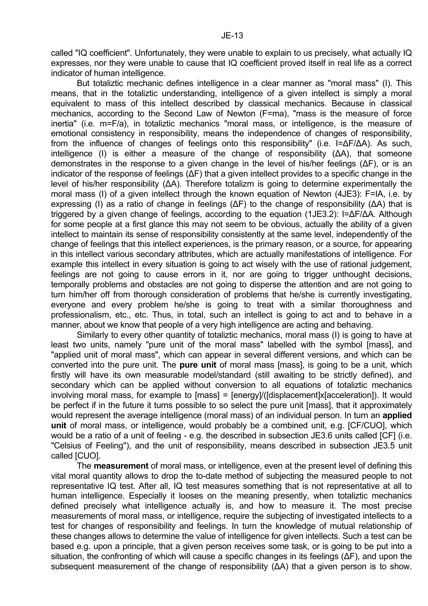called "IQ coefficient". Unfortunately, they were unable to explain to us precisely, what actually IQ expresses, nor they were unable to cause that IQ coefficient proved itself in real life as a correct indicator of human intelligence.

 But totaliztic mechanic defines intelligence in a clear manner as "moral mass" (I). This means, that in the totaliztic understanding, intelligence of a given intellect is simply a moral equivalent to mass of this intellect described by classical mechanics. Because in classical mechanics, according to the Second Law of Newton (F=ma), "mass is the measure of force inertia" (i.e. m=F/a), in totaliztic mechanics "moral mass, or intelligence, is the measure of emotional consistency in responsibility, means the independence of changes of responsibility, from the influence of changes of feelings onto this responsibility" (i.e. I=∆F/∆A). As such, intelligence (I) is either a measure of the change of responsibility (∆A), that someone demonstrates in the response to a given change in the level of his/her feelings (∆F), or is an indicator of the response of feelings (∆F) that a given intellect provides to a specific change in the level of his/her responsibility (∆A). Therefore totalizm is going to determine experimentally the moral mass (I) of a given intellect through the known equation of Newton (4JE3): F=IA, i.e. by expressing (I) as a ratio of change in feelings (∆F) to the change of responsibility (∆A) that is triggered by a given change of feelings, according to the equation (1JE3.2): I=∆F/∆A. Although for some people at a first glance this may not seem to be obvious, actually the ability of a given intellect to maintain its sense of responsibility consistently at the same level, independently of the change of feelings that this intellect experiences, is the primary reason, or a source, for appearing in this intellect various secondary attributes, which are actually manifestations of intelligence. For example this intellect in every situation is going to act wisely with the use of rational judgement. feelings are not going to cause errors in it, nor are going to trigger unthought decisions, temporally problems and obstacles are not going to disperse the attention and are not going to turn him/her off from thorough consideration of problems that he/she is currently investigating, everyone and every problem he/she is going to treat with a similar thoroughness and professionalism, etc., etc. Thus, in total, such an intellect is going to act and to behave in a manner, about we know that people of a very high intelligence are acting and behaving.

 Similarly to every other quantity of totaliztic mechanics, moral mass (I) is going to have at least two units, namely "pure unit of the moral mass" labelled with the symbol [mass], and "applied unit of moral mass", which can appear in several different versions, and which can be converted into the pure unit. The **pure unit** of moral mass [mass], is going to be a unit, which firstly will have its own measurable model/standard (still awaiting to be strictly defined), and secondary which can be applied without conversion to all equations of totaliztic mechanics involving moral mass, for example to [mass] = [energy]/([displacement]x[acceleration]). It would be perfect if in the future it turns possible to so select the pure unit [mass], that it approximately would represent the average intelligence (moral mass) of an individual person. In turn an **applied unit** of moral mass, or intelligence, would probably be a combined unit, e.g. [CF/CUO], which would be a ratio of a unit of feeling - e.g. the described in subsection JE3.6 units called [CF] (i.e. "Celsius of Feeling"), and the unit of responsibility, means described in subsection JE3.5 unit called [CUO].

 The **measurement** of moral mass, or intelligence, even at the present level of defining this vital moral quantity allows to drop the to-date method of subjecting the measured people to not representative IQ test. After all, IQ test measures something that is not representative at all to human intelligence. Especially it looses on the meaning presently, when totaliztic mechanics defined precisely what intelligence actually is, and how to measure it. The most precise measurements of moral mass, or intelligence, require the subjecting of investigated intellects to a test for changes of responsibility and feelings. In turn the knowledge of mutual relationship of these changes allows to determine the value of intelligence for given intellects. Such a test can be based e.g. upon a principle, that a given person receives some task, or is going to be put into a situation, the confronting of which will cause a specific changes in its feelings (ΔF), and upon the subsequent measurement of the change of responsibility (ΔA) that a given person is to show.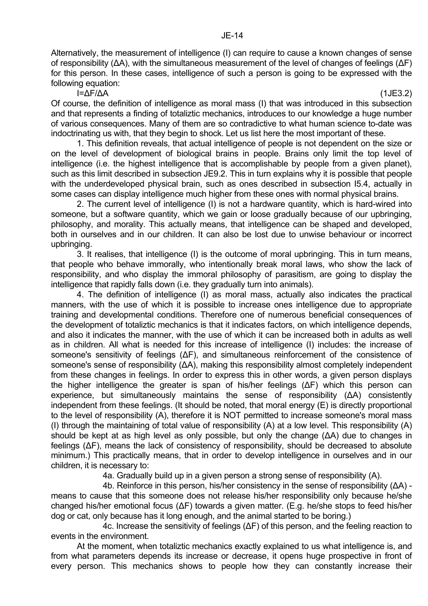Alternatively, the measurement of intelligence (I) can require to cause a known changes of sense of responsibility (∆A), with the simultaneous measurement of the level of changes of feelings (∆F) for this person. In these cases, intelligence of such a person is going to be expressed with the following equation:

I=∆F/∆A (1JE3.2)

Of course, the definition of intelligence as moral mass (I) that was introduced in this subsection and that represents a finding of totaliztic mechanics, introduces to our knowledge a huge number of various consequences. Many of them are so contradictive to what human science to-date was indoctrinating us with, that they begin to shock. Let us list here the most important of these.

 1. This definition reveals, that actual intelligence of people is not dependent on the size or on the level of development of biological brains in people. Brains only limit the top level of intelligence (i.e. the highest intelligence that is accomplishable by people from a given planet), such as this limit described in subsection JE9.2. This in turn explains why it is possible that people with the underdeveloped physical brain, such as ones described in subsection I5.4, actually in some cases can display intelligence much higher from these ones with normal physical brains.

 2. The current level of intelligence (I) is not a hardware quantity, which is hard-wired into someone, but a software quantity, which we gain or loose gradually because of our upbringing, philosophy, and morality. This actually means, that intelligence can be shaped and developed, both in ourselves and in our children. It can also be lost due to unwise behaviour or incorrect upbringing.

 3. It realises, that intelligence (I) is the outcome of moral upbringing. This in turn means, that people who behave immorally, who intentionally break moral laws, who show the lack of responsibility, and who display the immoral philosophy of parasitism, are going to display the intelligence that rapidly falls down (i.e. they gradually turn into animals).

 4. The definition of intelligence (I) as moral mass, actually also indicates the practical manners, with the use of which it is possible to increase ones intelligence due to appropriate training and developmental conditions. Therefore one of numerous beneficial consequences of the development of totaliztic mechanics is that it indicates factors, on which intelligence depends, and also it indicates the manner, with the use of which it can be increased both in adults as well as in children. All what is needed for this increase of intelligence (I) includes: the increase of someone's sensitivity of feelings (ΔF), and simultaneous reinforcement of the consistence of someone's sense of responsibility ( $\Delta A$ ), making this responsibility almost completely independent from these changes in feelings. In order to express this in other words, a given person displays the higher intelligence the greater is span of his/her feelings (∆F) which this person can experience, but simultaneously maintains the sense of responsibility (∆A) consistently independent from these feelings. (It should be noted, that moral energy (E) is directly proportional to the level of responsibility (A), therefore it is NOT permitted to increase someone's moral mass (I) through the maintaining of total value of responsibility (A) at a low level. This responsibility (A) should be kept at as high level as only possible, but only the change (ΔA) due to changes in feelings (∆F), means the lack of consistency of responsibility, should be decreased to absolute minimum.) This practically means, that in order to develop intelligence in ourselves and in our children, it is necessary to:

4a. Gradually build up in a given person a strong sense of responsibility (A).

 4b. Reinforce in this person, his/her consistency in the sense of responsibility (∆A) means to cause that this someone does not release his/her responsibility only because he/she changed his/her emotional focus (∆F) towards a given matter. (E.g. he/she stops to feed his/her dog or cat, only because has it long enough, and the animal started to be boring.)

 4c. Increase the sensitivity of feelings (∆F) of this person, and the feeling reaction to events in the environment.

 At the moment, when totaliztic mechanics exactly explained to us what intelligence is, and from what parameters depends its increase or decrease, it opens huge prospective in front of every person. This mechanics shows to people how they can constantly increase their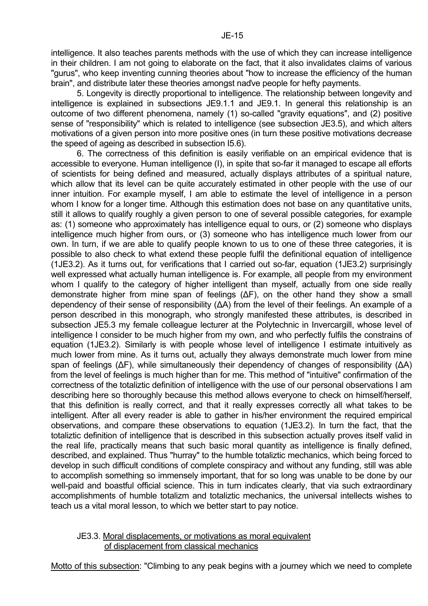intelligence. It also teaches parents methods with the use of which they can increase intelligence in their children. I am not going to elaborate on the fact, that it also invalidates claims of various "gurus", who keep inventing cunning theories about "how to increase the efficiency of the human brain", and distribute later these theories amongst naďve people for hefty payments.

 5. Longevity is directly proportional to intelligence. The relationship between longevity and intelligence is explained in subsections JE9.1.1 and JE9.1. In general this relationship is an outcome of two different phenomena, namely (1) so-called "gravity equations", and (2) positive sense of "responsibility" which is related to intelligence (see subsection JE3.5), and which alters motivations of a given person into more positive ones (in turn these positive motivations decrease the speed of ageing as described in subsection I5.6).

 6. The correctness of this definition is easily verifiable on an empirical evidence that is accessible to everyone. Human intelligence (I), in spite that so-far it managed to escape all efforts of scientists for being defined and measured, actually displays attributes of a spiritual nature, which allow that its level can be quite accurately estimated in other people with the use of our inner intuition. For example myself, I am able to estimate the level of intelligence in a person whom I know for a longer time. Although this estimation does not base on any quantitative units, still it allows to qualify roughly a given person to one of several possible categories, for example as: (1) someone who approximately has intelligence equal to ours, or (2) someone who displays intelligence much higher from ours, or (3) someone who has intelligence much lower from our own. In turn, if we are able to qualify people known to us to one of these three categories, it is possible to also check to what extend these people fulfil the definitional equation of intelligence (1JE3.2). As it turns out, for verifications that I carried out so-far, equation (1JE3.2) surprisingly well expressed what actually human intelligence is. For example, all people from my environment whom I qualify to the category of higher intelligent than myself, actually from one side really demonstrate higher from mine span of feelings (∆F), on the other hand they show a small dependency of their sense of responsibility (∆A) from the level of their feelings. An example of a person described in this monograph, who strongly manifested these attributes, is described in subsection JE5.3 my female colleague lecturer at the Polytechnic in Invercargill, whose level of intelligence I consider to be much higher from my own, and who perfectly fulfils the constrains of equation (1JE3.2). Similarly is with people whose level of intelligence I estimate intuitively as much lower from mine. As it turns out, actually they always demonstrate much lower from mine span of feelings (∆F), while simultaneously their dependency of changes of responsibility (∆A) from the level of feelings is much higher than for me. This method of "intuitive" confirmation of the correctness of the totaliztic definition of intelligence with the use of our personal observations I am describing here so thoroughly because this method allows everyone to check on himself/herself, that this definition is really correct, and that it really expresses correctly all what takes to be intelligent. After all every reader is able to gather in his/her environment the required empirical observations, and compare these observations to equation (1JE3.2). In turn the fact, that the totaliztic definition of intelligence that is described in this subsection actually proves itself valid in the real life, practically means that such basic moral quantity as intelligence is finally defined, described, and explained. Thus "hurray" to the humble totaliztic mechanics, which being forced to develop in such difficult conditions of complete conspiracy and without any funding, still was able to accomplish something so immensely important, that for so long was unable to be done by our well-paid and boastful official science. This in turn indicates clearly, that via such extraordinary accomplishments of humble totalizm and totaliztic mechanics, the universal intellects wishes to teach us a vital moral lesson, to which we better start to pay notice.

## JE3.3. Moral displacements, or motivations as moral equivalent of displacement from classical mechanics

Motto of this subsection: "Climbing to any peak begins with a journey which we need to complete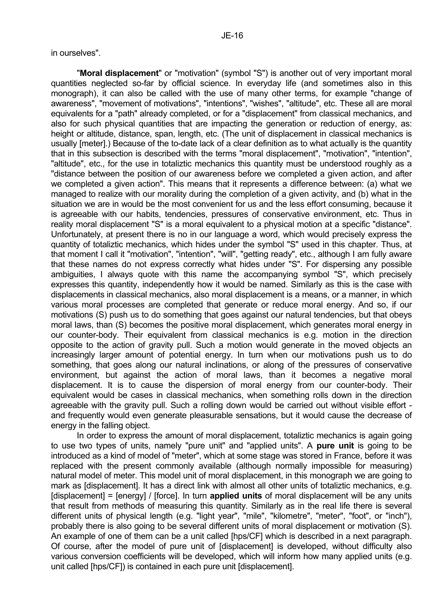in ourselves".

 "**Moral displacement**" or "motivation" (symbol "S") is another out of very important moral quantities neglected so-far by official science. In everyday life (and sometimes also in this monograph), it can also be called with the use of many other terms, for example "change of awareness", "movement of motivations", "intentions", "wishes", "altitude", etc. These all are moral equivalents for a "path" already completed, or for a "displacement" from classical mechanics, and also for such physical quantities that are impacting the generation or reduction of energy, as: height or altitude, distance, span, length, etc. (The unit of displacement in classical mechanics is usually [meter].) Because of the to-date lack of a clear definition as to what actually is the quantity that in this subsection is described with the terms "moral displacement", "motivation", "intention", "altitude", etc., for the use in totaliztic mechanics this quantity must be understood roughly as a "distance between the position of our awareness before we completed a given action, and after we completed a given action". This means that it represents a difference between: (a) what we managed to realize with our morality during the completion of a given activity, and (b) what in the situation we are in would be the most convenient for us and the less effort consuming, because it is agreeable with our habits, tendencies, pressures of conservative environment, etc. Thus in reality moral displacement "S" is a moral equivalent to a physical motion at a specific "distance". Unfortunately, at present there is no in our language a word, which would precisely express the quantity of totaliztic mechanics, which hides under the symbol "S" used in this chapter. Thus, at that moment I call it "motivation", "intention", "will", "getting ready", etc., although I am fully aware that these names do not express correctly what hides under "S". For dispersing any possible ambiguities, I always quote with this name the accompanying symbol "S", which precisely expresses this quantity, independently how it would be named. Similarly as this is the case with displacements in classical mechanics, also moral displacement is a means, or a manner, in which various moral processes are completed that generate or reduce moral energy. And so, if our motivations (S) push us to do something that goes against our natural tendencies, but that obeys moral laws, than (S) becomes the positive moral displacement, which generates moral energy in our counter-body. Their equivalent from classical mechanics is e.g. motion in the direction opposite to the action of gravity pull. Such a motion would generate in the moved objects an increasingly larger amount of potential energy. In turn when our motivations push us to do something, that goes along our natural inclinations, or along of the pressures of conservative environment, but against the action of moral laws, than it becomes a negative moral displacement. It is to cause the dispersion of moral energy from our counter-body. Their equivalent would be cases in classical mechanics, when something rolls down in the direction agreeable with the gravity pull. Such a rolling down would be carried out without visible effort and frequently would even generate pleasurable sensations, but it would cause the decrease of energy in the falling object.

 In order to express the amount of moral displacement, totaliztic mechanics is again going to use two types of units, namely "pure unit" and "applied units". A **pure unit** is going to be introduced as a kind of model of "meter", which at some stage was stored in France, before it was replaced with the present commonly available (although normally impossible for measuring) natural model of meter. This model unit of moral displacement, in this monograph we are going to mark as [displacement]. It has a direct link with almost all other units of totaliztic mechanics, e.g. [displacement] = [energy] / [force]. In turn **applied units** of moral displacement will be any units that result from methods of measuring this quantity. Similarly as in the real life there is several different units of physical length (e.g. "light year", "mile", "kilometre", "meter", "foot", or "inch"), probably there is also going to be several different units of moral displacement or motivation (S). An example of one of them can be a unit called [hps/CF] which is described in a next paragraph. Of course, after the model of pure unit of [displacement] is developed, without difficulty also various conversion coefficients will be developed, which will inform how many applied units (e.g. unit called [hps/CF]) is contained in each pure unit [displacement].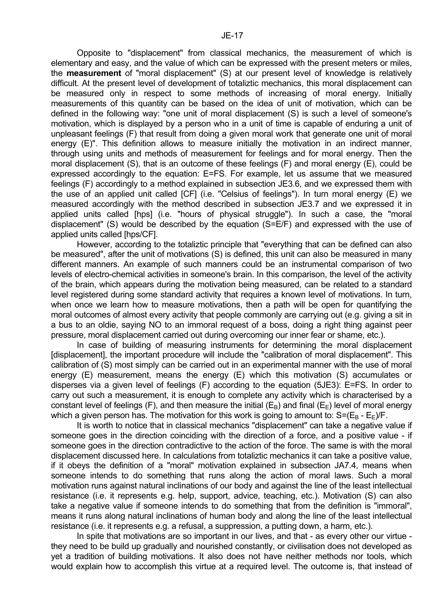Opposite to "displacement" from classical mechanics, the measurement of which is elementary and easy, and the value of which can be expressed with the present meters or miles, the **measurement** of "moral displacement" (S) at our present level of knowledge is relatively difficult. At the present level of development of totaliztic mechanics, this moral displacement can be measured only in respect to some methods of increasing of moral energy. Initially measurements of this quantity can be based on the idea of unit of motivation, which can be defined in the following way: "one unit of moral displacement (S) is such a level of someone's motivation, which is displayed by a person who in a unit of time is capable of enduring a unit of unpleasant feelings (F) that result from doing a given moral work that generate one unit of moral energy (E)". This definition allows to measure initially the motivation in an indirect manner, through using units and methods of measurement for feelings and for moral energy. Then the moral displacement (S), that is an outcome of these feelings (F) and moral energy (E), could be expressed accordingly to the equation: E=FS. For example, let us assume that we measured feelings (F) accordingly to a method explained in subsection JE3.6, and we expressed them with the use of an applied unit called [CF] (i.e. "Celsius of feelings"). In turn moral energy (E) we measured accordingly with the method described in subsection JE3.7 and we expressed it in applied units called [hps] (i.e. "hours of physical struggle"). In such a case, the "moral displacement" (S) would be described by the equation (S=E/F) and expressed with the use of applied units called [hps/CF].

 However, according to the totaliztic principle that "everything that can be defined can also be measured", after the unit of motivations (S) is defined, this unit can also be measured in many different manners. An example of such manners could be an instrumental comparison of two levels of electro-chemical activities in someone's brain. In this comparison, the level of the activity of the brain, which appears during the motivation being measured, can be related to a standard level registered during some standard activity that requires a known level of motivations. In turn, when once we learn how to measure motivations, then a path will be open for quantifying the moral outcomes of almost every activity that people commonly are carrying out (e.g. giving a sit in a bus to an oldie, saying NO to an immoral request of a boss, doing a right thing against peer pressure, moral displacement carried out during overcoming our inner fear or shame, etc.).

 In case of building of measuring instruments for determining the moral displacement [displacement], the important procedure will include the "calibration of moral displacement". This calibration of (S) most simply can be carried out in an experimental manner with the use of moral energy (E) measurement, means the energy (E) which this motivation (S) accumulates or disperses via a given level of feelings (F) according to the equation (5JE3): E=FS. In order to carry out such a measurement, it is enough to complete any activity which is characterised by a constant level of feelings (F), and then measure the initial ( $E_B$ ) and final ( $E_F$ ) level of moral energy which a given person has. The motivation for this work is going to amount to:  $S=(E_B - E_F)/F$ .

 It is worth to notice that in classical mechanics "displacement" can take a negative value if someone goes in the direction coinciding with the direction of a force, and a positive value - if someone goes in the direction contradictive to the action of the force. The same is with the moral displacement discussed here. In calculations from totaliztic mechanics it can take a positive value, if it obeys the definition of a "moral" motivation explained in subsection JA7.4, means when someone intends to do something that runs along the action of moral laws. Such a moral motivation runs against natural inclinations of our body and against the line of the least intellectual resistance (i.e. it represents e.g. help, support, advice, teaching, etc.). Motivation (S) can also take a negative value if someone intends to do something that from the definition is "immoral", means it runs along natural inclinations of human body and along the line of the least intellectual resistance (i.e. it represents e.g. a refusal, a suppression, a putting down, a harm, etc.).

 In spite that motivations are so important in our lives, and that - as every other our virtue they need to be build up gradually and nourished constantly, or civilisation does not developed as yet a tradition of building motivations. It also does not have neither methods nor tools, which would explain how to accomplish this virtue at a required level. The outcome is, that instead of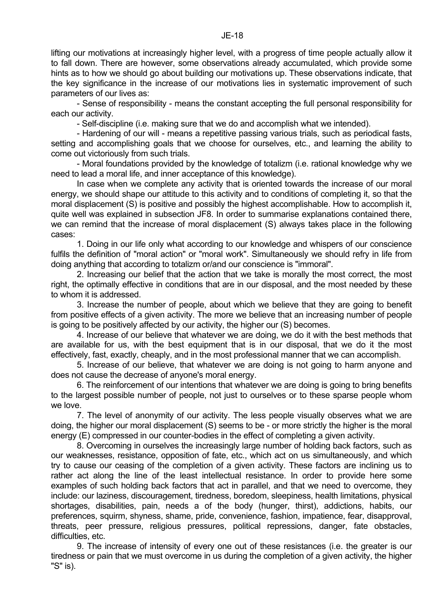lifting our motivations at increasingly higher level, with a progress of time people actually allow it to fall down. There are however, some observations already accumulated, which provide some hints as to how we should go about building our motivations up. These observations indicate, that the key significance in the increase of our motivations lies in systematic improvement of such parameters of our lives as:

 - Sense of responsibility - means the constant accepting the full personal responsibility for each our activity.

- Self-discipline (i.e. making sure that we do and accomplish what we intended).

 - Hardening of our will - means a repetitive passing various trials, such as periodical fasts, setting and accomplishing goals that we choose for ourselves, etc., and learning the ability to come out victoriously from such trials.

 - Moral foundations provided by the knowledge of totalizm (i.e. rational knowledge why we need to lead a moral life, and inner acceptance of this knowledge).

 In case when we complete any activity that is oriented towards the increase of our moral energy, we should shape our attitude to this activity and to conditions of completing it, so that the moral displacement (S) is positive and possibly the highest accomplishable. How to accomplish it, quite well was explained in subsection JF8. In order to summarise explanations contained there, we can remind that the increase of moral displacement (S) always takes place in the following cases:

 1. Doing in our life only what according to our knowledge and whispers of our conscience fulfils the definition of "moral action" or "moral work". Simultaneously we should refry in life from doing anything that according to totalizm or/and our conscience is "immoral".

 2. Increasing our belief that the action that we take is morally the most correct, the most right, the optimally effective in conditions that are in our disposal, and the most needed by these to whom it is addressed.

 3. Increase the number of people, about which we believe that they are going to benefit from positive effects of a given activity. The more we believe that an increasing number of people is going to be positively affected by our activity, the higher our (S) becomes.

 4. Increase of our believe that whatever we are doing, we do it with the best methods that are available for us, with the best equipment that is in our disposal, that we do it the most effectively, fast, exactly, cheaply, and in the most professional manner that we can accomplish.

 5. Increase of our believe, that whatever we are doing is not going to harm anyone and does not cause the decrease of anyone's moral energy.

 6. The reinforcement of our intentions that whatever we are doing is going to bring benefits to the largest possible number of people, not just to ourselves or to these sparse people whom we love.

 7. The level of anonymity of our activity. The less people visually observes what we are doing, the higher our moral displacement (S) seems to be - or more strictly the higher is the moral energy (E) compressed in our counter-bodies in the effect of completing a given activity.

 8. Overcoming in ourselves the increasingly large number of holding back factors, such as our weaknesses, resistance, opposition of fate, etc., which act on us simultaneously, and which try to cause our ceasing of the completion of a given activity. These factors are inclining us to rather act along the line of the least intellectual resistance. In order to provide here some examples of such holding back factors that act in parallel, and that we need to overcome, they include: our laziness, discouragement, tiredness, boredom, sleepiness, health limitations, physical shortages, disabilities, pain, needs a of the body (hunger, thirst), addictions, habits, our preferences, squirm, shyness, shame, pride, convenience, fashion, impatience, fear, disapproval, threats, peer pressure, religious pressures, political repressions, danger, fate obstacles, difficulties, etc.

 9. The increase of intensity of every one out of these resistances (i.e. the greater is our tiredness or pain that we must overcome in us during the completion of a given activity, the higher "S" is).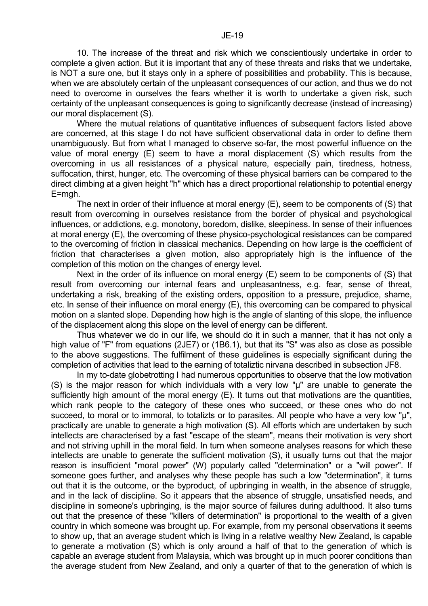Where the mutual relations of quantitative influences of subsequent factors listed above are concerned, at this stage I do not have sufficient observational data in order to define them unambiguously. But from what I managed to observe so-far, the most powerful influence on the value of moral energy (E) seem to have a moral displacement (S) which results from the overcoming in us all resistances of a physical nature, especially pain, tiredness, hotness, suffocation, thirst, hunger, etc. The overcoming of these physical barriers can be compared to the direct climbing at a given height "h" which has a direct proportional relationship to potential energy E=mgh.

 The next in order of their influence at moral energy (E), seem to be components of (S) that result from overcoming in ourselves resistance from the border of physical and psychological influences, or addictions, e.g. monotony, boredom, dislike, sleepiness. In sense of their influences at moral energy (E), the overcoming of these physico-psychological resistances can be compared to the overcoming of friction in classical mechanics. Depending on how large is the coefficient of friction that characterises a given motion, also appropriately high is the influence of the completion of this motion on the changes of energy level.

 Next in the order of its influence on moral energy (E) seem to be components of (S) that result from overcoming our internal fears and unpleasantness, e.g. fear, sense of threat, undertaking a risk, breaking of the existing orders, opposition to a pressure, prejudice, shame, etc. In sense of their influence on moral energy (E), this overcoming can be compared to physical motion on a slanted slope. Depending how high is the angle of slanting of this slope, the influence of the displacement along this slope on the level of energy can be different.

 Thus whatever we do in our life, we should do it in such a manner, that it has not only a high value of "F" from equations (2JE7) or (1B6.1), but that its "S" was also as close as possible to the above suggestions. The fulfilment of these guidelines is especially significant during the completion of activities that lead to the earning of totaliztic nirvana described in subsection JF8.

 In my to-date globetrotting I had numerous opportunities to observe that the low motivation (S) is the major reason for which individuals with a very low "µ" are unable to generate the sufficiently high amount of the moral energy (E). It turns out that motivations are the quantities, which rank people to the category of these ones who succeed, or these ones who do not succeed, to moral or to immoral, to totalizts or to parasites. All people who have a very low " $\mu$ ", practically are unable to generate a high motivation (S). All efforts which are undertaken by such intellects are characterised by a fast "escape of the steam", means their motivation is very short and not striving uphill in the moral field. In turn when someone analyses reasons for which these intellects are unable to generate the sufficient motivation (S), it usually turns out that the major reason is insufficient "moral power" (W) popularly called "determination" or a "will power". If someone goes further, and analyses why these people has such a low "determination", it turns out that it is the outcome, or the byproduct, of upbringing in wealth, in the absence of struggle, and in the lack of discipline. So it appears that the absence of struggle, unsatisfied needs, and discipline in someone's upbringing, is the major source of failures during adulthood. It also turns out that the presence of these "killers of determination" is proportional to the wealth of a given country in which someone was brought up. For example, from my personal observations it seems to show up, that an average student which is living in a relative wealthy New Zealand, is capable to generate a motivation (S) which is only around a half of that to the generation of which is capable an average student from Malaysia, which was brought up in much poorer conditions than the average student from New Zealand, and only a quarter of that to the generation of which is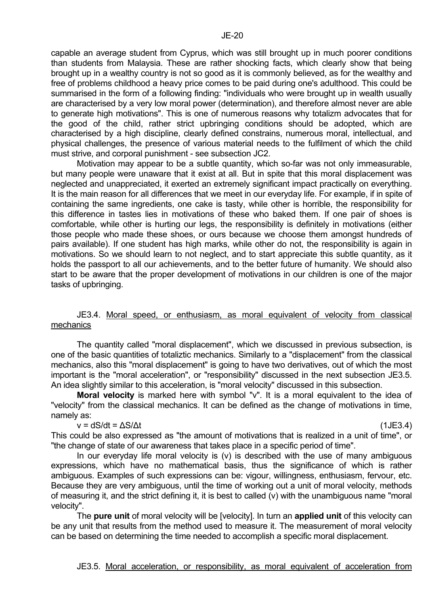capable an average student from Cyprus, which was still brought up in much poorer conditions than students from Malaysia. These are rather shocking facts, which clearly show that being brought up in a wealthy country is not so good as it is commonly believed, as for the wealthy and free of problems childhood a heavy price comes to be paid during one's adulthood. This could be summarised in the form of a following finding: "individuals who were brought up in wealth usually are characterised by a very low moral power (determination), and therefore almost never are able to generate high motivations". This is one of numerous reasons why totalizm advocates that for the good of the child, rather strict upbringing conditions should be adopted, which are characterised by a high discipline, clearly defined constrains, numerous moral, intellectual, and physical challenges, the presence of various material needs to the fulfilment of which the child must strive, and corporal punishment - see subsection JC2.

 Motivation may appear to be a subtle quantity, which so-far was not only immeasurable, but many people were unaware that it exist at all. But in spite that this moral displacement was neglected and unappreciated, it exerted an extremely significant impact practically on everything. It is the main reason for all differences that we meet in our everyday life. For example, if in spite of containing the same ingredients, one cake is tasty, while other is horrible, the responsibility for this difference in tastes lies in motivations of these who baked them. If one pair of shoes is comfortable, while other is hurting our legs, the responsibility is definitely in motivations (either those people who made these shoes, or ours because we choose them amongst hundreds of pairs available). If one student has high marks, while other do not, the responsibility is again in motivations. So we should learn to not neglect, and to start appreciate this subtle quantity, as it holds the passport to all our achievements, and to the better future of humanity. We should also start to be aware that the proper development of motivations in our children is one of the major tasks of upbringing.

#### JE3.4. Moral speed, or enthusiasm, as moral equivalent of velocity from classical mechanics

 The quantity called "moral displacement", which we discussed in previous subsection, is one of the basic quantities of totaliztic mechanics. Similarly to a "displacement" from the classical mechanics, also this "moral displacement" is going to have two derivatives, out of which the most important is the "moral acceleration", or "responsibility" discussed in the next subsection JE3.5. An idea slightly similar to this acceleration, is "moral velocity" discussed in this subsection.

 **Moral velocity** is marked here with symbol "v". It is a moral equivalent to the idea of "velocity" from the classical mechanics. It can be defined as the change of motivations in time, namely as:

$$
v = dS/dt = \Delta S/\Delta t \tag{1JE3.4}
$$

This could be also expressed as "the amount of motivations that is realized in a unit of time", or "the change of state of our awareness that takes place in a specific period of time".

In our everyday life moral velocity is  $(v)$  is described with the use of many ambiguous expressions, which have no mathematical basis, thus the significance of which is rather ambiguous. Examples of such expressions can be: vigour, willingness, enthusiasm, fervour, etc. Because they are very ambiguous, until the time of working out a unit of moral velocity, methods of measuring it, and the strict defining it, it is best to called (v) with the unambiguous name "moral velocity".

 The **pure unit** of moral velocity will be [velocity]. In turn an **applied unit** of this velocity can be any unit that results from the method used to measure it. The measurement of moral velocity can be based on determining the time needed to accomplish a specific moral displacement.

JE3.5. Moral acceleration, or responsibility, as moral equivalent of acceleration from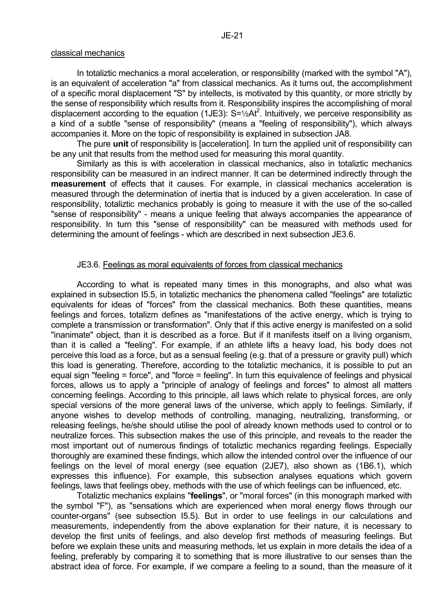#### classical mechanics

 In totaliztic mechanics a moral acceleration, or responsibility (marked with the symbol "A"), is an equivalent of acceleration "a" from classical mechanics. As it turns out, the accomplishment of a specific moral displacement "S" by intellects, is motivated by this quantity, or more strictly by the sense of responsibility which results from it. Responsibility inspires the accomplishing of moral displacement according to the equation (1JE3):  $S = \frac{1}{2}At^2$ . Intuitively, we perceive responsibility as a kind of a subtle "sense of responsibility" (means a "feeling of responsibility"), which always accompanies it. More on the topic of responsibility is explained in subsection JA8.

 The pure **unit** of responsibility is [acceleration]. In turn the applied unit of responsibility can be any unit that results from the method used for measuring this moral quantity.

 Similarly as this is with acceleration in classical mechanics, also in totaliztic mechanics responsibility can be measured in an indirect manner. It can be determined indirectly through the **measurement** of effects that it causes. For example, in classical mechanics acceleration is measured through the determination of inertia that is induced by a given acceleration. In case of responsibility, totaliztic mechanics probably is going to measure it with the use of the so-called "sense of responsibility" - means a unique feeling that always accompanies the appearance of responsibility. In turn this "sense of responsibility" can be measured with methods used for determining the amount of feelings - which are described in next subsection JE3.6.

#### JE3.6. Feelings as moral equivalents of forces from classical mechanics

 According to what is repeated many times in this monographs, and also what was explained in subsection I5.5, in totaliztic mechanics the phenomena called "feelings" are totaliztic equivalents for ideas of "forces" from the classical mechanics. Both these quantities, means feelings and forces, totalizm defines as "manifestations of the active energy, which is trying to complete a transmission or transformation". Only that if this active energy is manifested on a solid "inanimate" object, than it is described as a force. But if it manifests itself on a living organism, than it is called a "feeling". For example, if an athlete lifts a heavy load, his body does not perceive this load as a force, but as a sensual feeling (e.g. that of a pressure or gravity pull) which this load is generating. Therefore, according to the totaliztic mechanics, it is possible to put an equal sign "feeling = force", and "force = feeling". In turn this equivalence of feelings and physical forces, allows us to apply a "principle of analogy of feelings and forces" to almost all matters concerning feelings. According to this principle, all laws which relate to physical forces, are only special versions of the more general laws of the universe, which apply to feelings. Similarly, if anyone wishes to develop methods of controlling, managing, neutralizing, transforming, or releasing feelings, he/she should utilise the pool of already known methods used to control or to neutralize forces. This subsection makes the use of this principle, and reveals to the reader the most important out of numerous findings of totaliztic mechanics regarding feelings. Especially thoroughly are examined these findings, which allow the intended control over the influence of our feelings on the level of moral energy (see equation (2JE7), also shown as (1B6.1), which expresses this influence). For example, this subsection analyses equations which govern feelings, laws that feelings obey, methods with the use of which feelings can be influenced, etc.

 Totaliztic mechanics explains "**feelings**", or "moral forces" (in this monograph marked with the symbol "F"), as "sensations which are experienced when moral energy flows through our counter-organs" (see subsection I5.5). But in order to use feelings in our calculations and measurements, independently from the above explanation for their nature, it is necessary to develop the first units of feelings, and also develop first methods of measuring feelings. But before we explain these units and measuring methods, let us explain in more details the idea of a feeling, preferably by comparing it to something that is more illustrative to our senses than the abstract idea of force. For example, if we compare a feeling to a sound, than the measure of it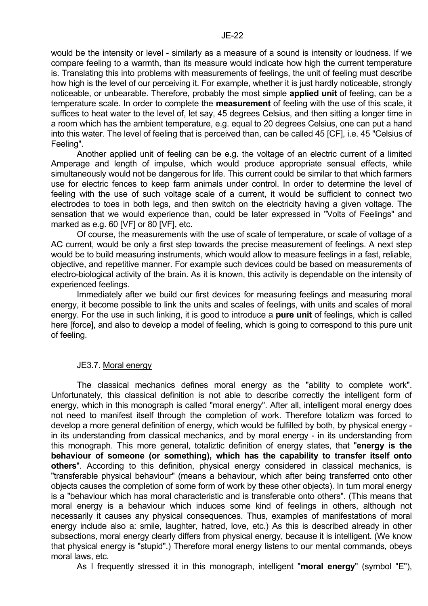would be the intensity or level - similarly as a measure of a sound is intensity or loudness. If we compare feeling to a warmth, than its measure would indicate how high the current temperature is. Translating this into problems with measurements of feelings, the unit of feeling must describe how high is the level of our perceiving it. For example, whether it is just hardly noticeable, strongly noticeable, or unbearable. Therefore, probably the most simple **applied unit** of feeling, can be a temperature scale. In order to complete the **measurement** of feeling with the use of this scale, it suffices to heat water to the level of, let say, 45 degrees Celsius, and then sitting a longer time in a room which has the ambient temperature, e.g. equal to 20 degrees Celsius, one can put a hand into this water. The level of feeling that is perceived than, can be called 45 [CF], i.e. 45 "Celsius of Feeling".

 Another applied unit of feeling can be e.g. the voltage of an electric current of a limited Amperage and length of impulse, which would produce appropriate sensual effects, while simultaneously would not be dangerous for life. This current could be similar to that which farmers use for electric fences to keep farm animals under control. In order to determine the level of feeling with the use of such voltage scale of a current, it would be sufficient to connect two electrodes to toes in both legs, and then switch on the electricity having a given voltage. The sensation that we would experience than, could be later expressed in "Volts of Feelings" and marked as e.g. 60 [VF] or 80 [VF], etc.

 Of course, the measurements with the use of scale of temperature, or scale of voltage of a AC current, would be only a first step towards the precise measurement of feelings. A next step would be to build measuring instruments, which would allow to measure feelings in a fast, reliable, objective, and repetitive manner. For example such devices could be based on measurements of electro-biological activity of the brain. As it is known, this activity is dependable on the intensity of experienced feelings.

 Immediately after we build our first devices for measuring feelings and measuring moral energy, it become possible to link the units and scales of feelings, with units and scales of moral energy. For the use in such linking, it is good to introduce a **pure unit** of feelings, which is called here [force], and also to develop a model of feeling, which is going to correspond to this pure unit of feeling.

#### JE3.7. Moral energy

 The classical mechanics defines moral energy as the "ability to complete work". Unfortunately, this classical definition is not able to describe correctly the intelligent form of energy, which in this monograph is called "moral energy". After all, intelligent moral energy does not need to manifest itself through the completion of work. Therefore totalizm was forced to develop a more general definition of energy, which would be fulfilled by both, by physical energy in its understanding from classical mechanics, and by moral energy - in its understanding from this monograph. This more general, totaliztic definition of energy states, that "**energy is the behaviour of someone (or something), which has the capability to transfer itself onto others**". According to this definition, physical energy considered in classical mechanics, is "transferable physical behaviour" (means a behaviour, which after being transferred onto other objects causes the completion of some form of work by these other objects). In turn moral energy is a "behaviour which has moral characteristic and is transferable onto others". (This means that moral energy is a behaviour which induces some kind of feelings in others, although not necessarily it causes any physical consequences. Thus, examples of manifestations of moral energy include also a: smile, laughter, hatred, love, etc.) As this is described already in other subsections, moral energy clearly differs from physical energy, because it is intelligent. (We know that physical energy is "stupid".) Therefore moral energy listens to our mental commands, obeys moral laws, etc.

As I frequently stressed it in this monograph, intelligent "**moral energy**" (symbol "E"),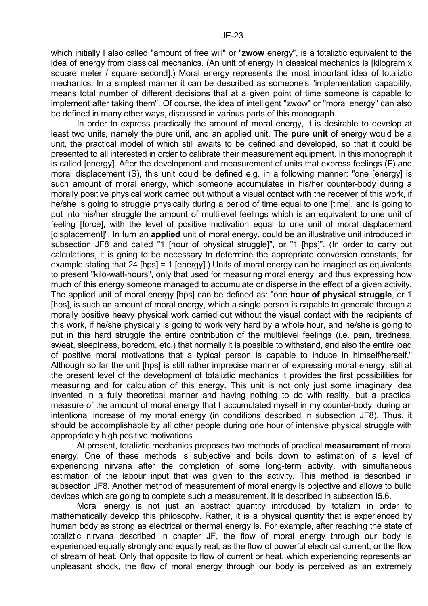which initially I also called "amount of free will" or "**zwow** energy", is a totaliztic equivalent to the idea of energy from classical mechanics. (An unit of energy in classical mechanics is [kilogram x square meter / square second].) Moral energy represents the most important idea of totaliztic mechanics. In a simplest manner it can be described as someone's "implementation capability, means total number of different decisions that at a given point of time someone is capable to implement after taking them". Of course, the idea of intelligent "zwow" or "moral energy" can also be defined in many other ways, discussed in various parts of this monograph.

 In order to express practically the amount of moral energy, it is desirable to develop at least two units, namely the pure unit, and an applied unit. The **pure unit** of energy would be a unit, the practical model of which still awaits to be defined and developed, so that it could be presented to all interested in order to calibrate their measurement equipment. In this monograph it is called [energy]. After the development and measurement of units that express feelings (F) and moral displacement (S), this unit could be defined e.g. in a following manner: "one [energy] is such amount of moral energy, which someone accumulates in his/her counter-body during a morally positive physical work carried out without a visual contact with the receiver of this work, if he/she is going to struggle physically during a period of time equal to one [time], and is going to put into his/her struggle the amount of multilevel feelings which is an equivalent to one unit of feeling [force], with the level of positive motivation equal to one unit of moral displacement [displacement]". In turn an **applied** unit of moral energy, could be an illustrative unit introduced in subsection JF8 and called "1 [hour of physical struggle]", or "1 [hps]". (In order to carry out calculations, it is going to be necessary to determine the appropriate conversion constants, for example stating that 24 [hps] = 1 [energy].) Units of moral energy can be imagined as equivalents to present "kilo-watt-hours", only that used for measuring moral energy, and thus expressing how much of this energy someone managed to accumulate or disperse in the effect of a given activity. The applied unit of moral energy [hps] can be defined as: "one **hour of physical struggle**, or 1 [hps], is such an amount of moral energy, which a single person is capable to generate through a morally positive heavy physical work carried out without the visual contact with the recipients of this work, if he/she physically is going to work very hard by a whole hour, and he/she is going to put in this hard struggle the entire contribution of the multilevel feelings (i.e. pain, tiredness, sweat, sleepiness, boredom, etc.) that normally it is possible to withstand, and also the entire load of positive moral motivations that a typical person is capable to induce in himself/herself." Although so far the unit [hps] is still rather imprecise manner of expressing moral energy, still at the present level of the development of totaliztic mechanics it provides the first possibilities for measuring and for calculation of this energy. This unit is not only just some imaginary idea invented in a fully theoretical manner and having nothing to do with reality, but a practical measure of the amount of moral energy that I accumulated myself in my counter-body, during an intentional increase of my moral energy (in conditions described in subsection JF8). Thus, it should be accomplishable by all other people during one hour of intensive physical struggle with appropriately high positive motivations.

 At present, totaliztic mechanics proposes two methods of practical **measurement** of moral energy. One of these methods is subjective and boils down to estimation of a level of experiencing nirvana after the completion of some long-term activity, with simultaneous estimation of the labour input that was given to this activity. This method is described in subsection JF8. Another method of measurement of moral energy is objective and allows to build devices which are going to complete such a measurement. It is described in subsection I5.6.

 Moral energy is not just an abstract quantity introduced by totalizm in order to mathematically develop this philosophy. Rather, it is a physical quantity that is experienced by human body as strong as electrical or thermal energy is. For example, after reaching the state of totaliztic nirvana described in chapter JF, the flow of moral energy through our body is experienced equally strongly and equally real, as the flow of powerful electrical current, or the flow of stream of heat. Only that opposite to flow of current or heat, which experiencing represents an unpleasant shock, the flow of moral energy through our body is perceived as an extremely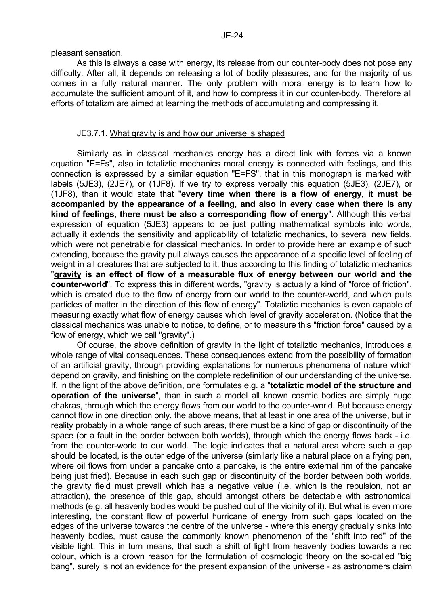pleasant sensation.

 As this is always a case with energy, its release from our counter-body does not pose any difficulty. After all, it depends on releasing a lot of bodily pleasures, and for the majority of us comes in a fully natural manner. The only problem with moral energy is to learn how to accumulate the sufficient amount of it, and how to compress it in our counter-body. Therefore all efforts of totalizm are aimed at learning the methods of accumulating and compressing it.

#### JE3.7.1. What gravity is and how our universe is shaped

 Similarly as in classical mechanics energy has a direct link with forces via a known equation "E=Fs", also in totaliztic mechanics moral energy is connected with feelings, and this connection is expressed by a similar equation "E=FS", that in this monograph is marked with labels (5JE3), (2JE7), or (1JF8). If we try to express verbally this equation (5JE3), (2JE7), or (1JF8), than it would state that "**every time when there is a flow of energy, it must be accompanied by the appearance of a feeling, and also in every case when there is any kind of feelings, there must be also a corresponding flow of energy**". Although this verbal expression of equation (5JE3) appears to be just putting mathematical symbols into words, actually it extends the sensitivity and applicability of totaliztic mechanics, to several new fields, which were not penetrable for classical mechanics. In order to provide here an example of such extending, because the gravity pull always causes the appearance of a specific level of feeling of weight in all creatures that are subjected to it, thus according to this finding of totaliztic mechanics "**gravity is an effect of flow of a measurable flux of energy between our world and the counter-world**". To express this in different words, "gravity is actually a kind of "force of friction", which is created due to the flow of energy from our world to the counter-world, and which pulls particles of matter in the direction of this flow of energy". Totaliztic mechanics is even capable of measuring exactly what flow of energy causes which level of gravity acceleration. (Notice that the classical mechanics was unable to notice, to define, or to measure this "friction force" caused by a flow of energy, which we call "gravity".)

 Of course, the above definition of gravity in the light of totaliztic mechanics, introduces a whole range of vital consequences. These consequences extend from the possibility of formation of an artificial gravity, through providing explanations for numerous phenomena of nature which depend on gravity, and finishing on the complete redefinition of our understanding of the universe. If, in the light of the above definition, one formulates e.g. a "**totaliztic model of the structure and operation of the universe**", than in such a model all known cosmic bodies are simply huge chakras, through which the energy flows from our world to the counter-world. But because energy cannot flow in one direction only, the above means, that at least in one area of the universe, but in reality probably in a whole range of such areas, there must be a kind of gap or discontinuity of the space (or a fault in the border between both worlds), through which the energy flows back - i.e. from the counter-world to our world. The logic indicates that a natural area where such a gap should be located, is the outer edge of the universe (similarly like a natural place on a frying pen, where oil flows from under a pancake onto a pancake, is the entire external rim of the pancake being just fried). Because in each such gap or discontinuity of the border between both worlds, the gravity field must prevail which has a negative value (i.e. which is the repulsion, not an attraction), the presence of this gap, should amongst others be detectable with astronomical methods (e.g. all heavenly bodies would be pushed out of the vicinity of it). But what is even more interesting, the constant flow of powerful hurricane of energy from such gaps located on the edges of the universe towards the centre of the universe - where this energy gradually sinks into heavenly bodies, must cause the commonly known phenomenon of the "shift into red" of the visible light. This in turn means, that such a shift of light from heavenly bodies towards a red colour, which is a crown reason for the formulation of cosmologic theory on the so-called "big bang", surely is not an evidence for the present expansion of the universe - as astronomers claim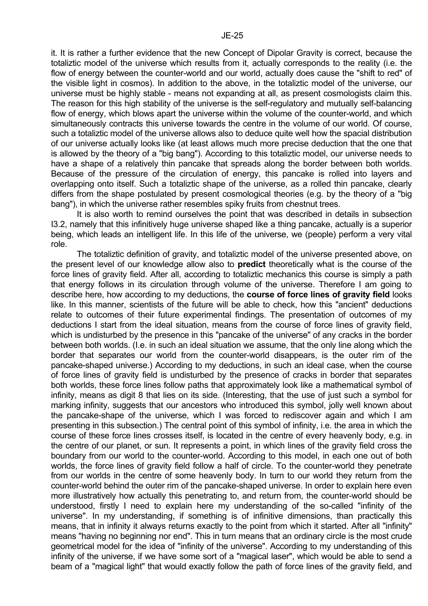it. It is rather a further evidence that the new Concept of Dipolar Gravity is correct, because the totaliztic model of the universe which results from it, actually corresponds to the reality (i.e. the flow of energy between the counter-world and our world, actually does cause the "shift to red" of the visible light in cosmos). In addition to the above, in the totaliztic model of the universe, our universe must be highly stable - means not expanding at all, as present cosmologists claim this. The reason for this high stability of the universe is the self-regulatory and mutually self-balancing flow of energy, which blows apart the universe within the volume of the counter-world, and which simultaneously contracts this universe towards the centre in the volume of our world. Of course, such a totaliztic model of the universe allows also to deduce quite well how the spacial distribution of our universe actually looks like (at least allows much more precise deduction that the one that is allowed by the theory of a "big bang"). According to this totaliztic model, our universe needs to have a shape of a relatively thin pancake that spreads along the border between both worlds. Because of the pressure of the circulation of energy, this pancake is rolled into layers and overlapping onto itself. Such a totaliztic shape of the universe, as a rolled thin pancake, clearly differs from the shape postulated by present cosmological theories (e.g. by the theory of a "big bang"), in which the universe rather resembles spiky fruits from chestnut trees.

 It is also worth to remind ourselves the point that was described in details in subsection I3.2, namely that this infinitively huge universe shaped like a thing pancake, actually is a superior being, which leads an intelligent life. In this life of the universe, we (people) perform a very vital role.

 The totaliztic definition of gravity, and totaliztic model of the universe presented above, on the present level of our knowledge allow also to **predict** theoretically what is the course of the force lines of gravity field. After all, according to totaliztic mechanics this course is simply a path that energy follows in its circulation through volume of the universe. Therefore I am going to describe here, how according to my deductions, the **course of force lines of gravity field** looks like. In this manner, scientists of the future will be able to check, how this "ancient" deductions relate to outcomes of their future experimental findings. The presentation of outcomes of my deductions I start from the ideal situation, means from the course of force lines of gravity field, which is undisturbed by the presence in this "pancake of the universe" of any cracks in the border between both worlds. (I.e. in such an ideal situation we assume, that the only line along which the border that separates our world from the counter-world disappears, is the outer rim of the pancake-shaped universe.) According to my deductions, in such an ideal case, when the course of force lines of gravity field is undisturbed by the presence of cracks in border that separates both worlds, these force lines follow paths that approximately look like a mathematical symbol of infinity, means as digit 8 that lies on its side. (Interesting, that the use of just such a symbol for marking infinity, suggests that our ancestors who introduced this symbol, jolly well known about the pancake-shape of the universe, which I was forced to rediscover again and which I am presenting in this subsection.) The central point of this symbol of infinity, i.e. the area in which the course of these force lines crosses itself, is located in the centre of every heavenly body, e.g. in the centre of our planet, or sun. It represents a point, in which lines of the gravity field cross the boundary from our world to the counter-world. According to this model, in each one out of both worlds, the force lines of gravity field follow a half of circle. To the counter-world they penetrate from our worlds in the centre of some heavenly body. In turn to our world they return from the counter-world behind the outer rim of the pancake-shaped universe. In order to explain here even more illustratively how actually this penetrating to, and return from, the counter-world should be understood, firstly I need to explain here my understanding of the so-called "infinity of the universe". In my understanding, if something is of infinitive dimensions, than practically this means, that in infinity it always returns exactly to the point from which it started. After all "infinity" means "having no beginning nor end". This in turn means that an ordinary circle is the most crude geometrical model for the idea of "infinity of the universe". According to my understanding of this infinity of the universe, if we have some sort of a "magical laser", which would be able to send a beam of a "magical light" that would exactly follow the path of force lines of the gravity field, and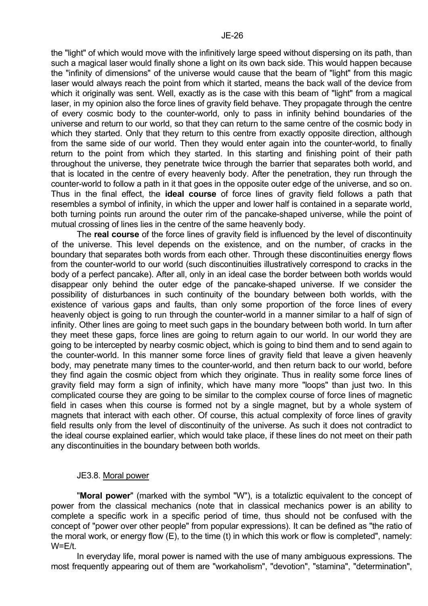the "light" of which would move with the infinitively large speed without dispersing on its path, than such a magical laser would finally shone a light on its own back side. This would happen because the "infinity of dimensions" of the universe would cause that the beam of "light" from this magic laser would always reach the point from which it started, means the back wall of the device from which it originally was sent. Well, exactly as is the case with this beam of "light" from a magical laser, in my opinion also the force lines of gravity field behave. They propagate through the centre of every cosmic body to the counter-world, only to pass in infinity behind boundaries of the universe and return to our world, so that they can return to the same centre of the cosmic body in which they started. Only that they return to this centre from exactly opposite direction, although from the same side of our world. Then they would enter again into the counter-world, to finally return to the point from which they started. In this starting and finishing point of their path throughout the universe, they penetrate twice through the barrier that separates both world, and that is located in the centre of every heavenly body. After the penetration, they run through the counter-world to follow a path in it that goes in the opposite outer edge of the universe, and so on. Thus in the final effect, the **ideal course** of force lines of gravity field follows a path that resembles a symbol of infinity, in which the upper and lower half is contained in a separate world, both turning points run around the outer rim of the pancake-shaped universe, while the point of mutual crossing of lines lies in the centre of the same heavenly body.

 The **real course** of the force lines of gravity field is influenced by the level of discontinuity of the universe. This level depends on the existence, and on the number, of cracks in the boundary that separates both words from each other. Through these discontinuities energy flows from the counter-world to our world (such discontinuities illustratively correspond to cracks in the body of a perfect pancake). After all, only in an ideal case the border between both worlds would disappear only behind the outer edge of the pancake-shaped universe. If we consider the possibility of disturbances in such continuity of the boundary between both worlds, with the existence of various gaps and faults, than only some proportion of the force lines of every heavenly object is going to run through the counter-world in a manner similar to a half of sign of infinity. Other lines are going to meet such gaps in the boundary between both world. In turn after they meet these gaps, force lines are going to return again to our world. In our world they are going to be intercepted by nearby cosmic object, which is going to bind them and to send again to the counter-world. In this manner some force lines of gravity field that leave a given heavenly body, may penetrate many times to the counter-world, and then return back to our world, before they find again the cosmic object from which they originate. Thus in reality some force lines of gravity field may form a sign of infinity, which have many more "loops" than just two. In this complicated course they are going to be similar to the complex course of force lines of magnetic field in cases when this course is formed not by a single magnet, but by a whole system of magnets that interact with each other. Of course, this actual complexity of force lines of gravity field results only from the level of discontinuity of the universe. As such it does not contradict to the ideal course explained earlier, which would take place, if these lines do not meet on their path any discontinuities in the boundary between both worlds.

## JE3.8. Moral power

 "**Moral power**" (marked with the symbol "W"), is a totaliztic equivalent to the concept of power from the classical mechanics (note that in classical mechanics power is an ability to complete a specific work in a specific period of time, thus should not be confused with the concept of "power over other people" from popular expressions). It can be defined as "the ratio of the moral work, or energy flow (E), to the time (t) in which this work or flow is completed", namely:  $W=Et$ .

 In everyday life, moral power is named with the use of many ambiguous expressions. The most frequently appearing out of them are "workaholism", "devotion", "stamina", "determination",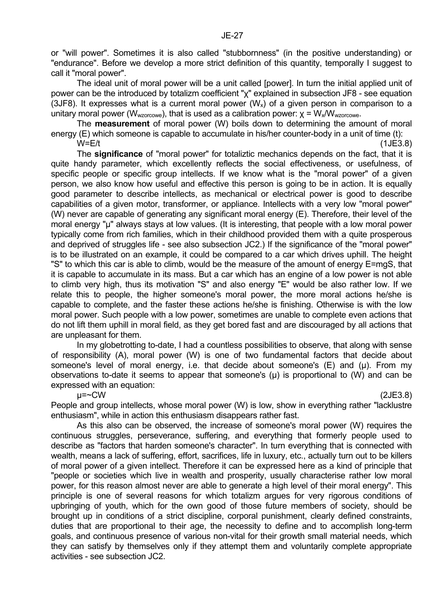or "will power". Sometimes it is also called "stubbornness" (in the positive understanding) or "endurance". Before we develop a more strict definition of this quantity, temporally I suggest to call it "moral power".

 The ideal unit of moral power will be a unit called [power]. In turn the initial applied unit of power can be the introduced by totalizm coefficient "χ" explained in subsection JF8 - see equation (3JF8). It expresses what is a current moral power  $(W_x)$  of a given person in comparison to a unitary moral power ( $W_{wzorcow}$ ), that is used as a calibration power:  $χ = W_x/W_{wzorcow}$ .

 The **measurement** of moral power (W) boils down to determining the amount of moral energy (E) which someone is capable to accumulate in his/her counter-body in a unit of time (t):

 $W=Et$  (1JE3.8) The **significance** of "moral power" for totaliztic mechanics depends on the fact, that it is quite handy parameter, which excellently reflects the social effectiveness, or usefulness, of specific people or specific group intellects. If we know what is the "moral power" of a given person, we also know how useful and effective this person is going to be in action. It is equally good parameter to describe intellects, as mechanical or electrical power is good to describe capabilities of a given motor, transformer, or appliance. Intellects with a very low "moral power" (W) never are capable of generating any significant moral energy (E). Therefore, their level of the moral energy "µ" always stays at low values. (It is interesting, that people with a low moral power typically come from rich families, which in their childhood provided them with a quite prosperous and deprived of struggles life - see also subsection JC2.) If the significance of the "moral power" is to be illustrated on an example, it could be compared to a car which drives uphill. The height "S" to which this car is able to climb, would be the measure of the amount of energy E=mgS, that it is capable to accumulate in its mass. But a car which has an engine of a low power is not able to climb very high, thus its motivation "S" and also energy "E" would be also rather low. If we relate this to people, the higher someone's moral power, the more moral actions he/she is capable to complete, and the faster these actions he/she is finishing. Otherwise is with the low moral power. Such people with a low power, sometimes are unable to complete even actions that do not lift them uphill in moral field, as they get bored fast and are discouraged by all actions that are unpleasant for them.

 In my globetrotting to-date, I had a countless possibilities to observe, that along with sense of responsibility (A), moral power (W) is one of two fundamental factors that decide about someone's level of moral energy, i.e. that decide about someone's  $(E)$  and  $(\mu)$ . From my observations to-date it seems to appear that someone's  $(\mu)$  is proportional to  $(W)$  and can be expressed with an equation:

 $\mu$ =~CW (2JE3.8)

People and group intellects, whose moral power (W) is low, show in everything rather "lacklustre enthusiasm", while in action this enthusiasm disappears rather fast.

 As this also can be observed, the increase of someone's moral power (W) requires the continuous struggles, perseverance, suffering, and everything that formerly people used to describe as "factors that harden someone's character". In turn everything that is connected with wealth, means a lack of suffering, effort, sacrifices, life in luxury, etc., actually turn out to be killers of moral power of a given intellect. Therefore it can be expressed here as a kind of principle that "people or societies which live in wealth and prosperity, usually characterise rather low moral power, for this reason almost never are able to generate a high level of their moral energy". This principle is one of several reasons for which totalizm argues for very rigorous conditions of upbringing of youth, which for the own good of those future members of society, should be brought up in conditions of a strict discipline, corporal punishment, clearly defined constraints, duties that are proportional to their age, the necessity to define and to accomplish long-term goals, and continuous presence of various non-vital for their growth small material needs, which they can satisfy by themselves only if they attempt them and voluntarily complete appropriate activities - see subsection JC2.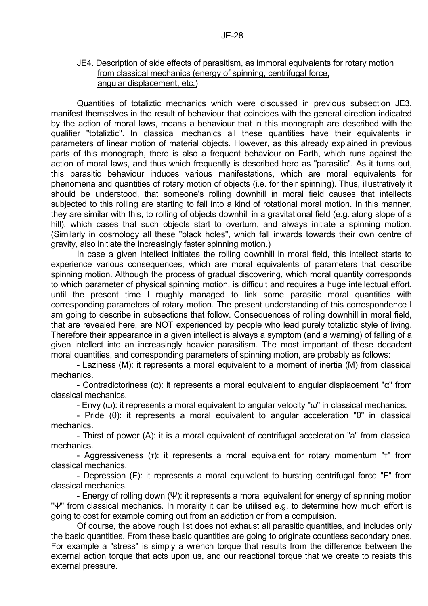#### JE4. Description of side effects of parasitism, as immoral equivalents for rotary motion from classical mechanics (energy of spinning, centrifugal force, angular displacement, etc.)

 Quantities of totaliztic mechanics which were discussed in previous subsection JE3, manifest themselves in the result of behaviour that coincides with the general direction indicated by the action of moral laws, means a behaviour that in this monograph are described with the qualifier "totaliztic". In classical mechanics all these quantities have their equivalents in parameters of linear motion of material objects. However, as this already explained in previous parts of this monograph, there is also a frequent behaviour on Earth, which runs against the action of moral laws, and thus which frequently is described here as "parasitic". As it turns out, this parasitic behaviour induces various manifestations, which are moral equivalents for phenomena and quantities of rotary motion of objects (i.e. for their spinning). Thus, illustratively it should be understood, that someone's rolling downhill in moral field causes that intellects subjected to this rolling are starting to fall into a kind of rotational moral motion. In this manner, they are similar with this, to rolling of objects downhill in a gravitational field (e.g. along slope of a hill), which cases that such objects start to overturn, and always initiate a spinning motion. (Similarly in cosmology all these "black holes", which fall inwards towards their own centre of gravity, also initiate the increasingly faster spinning motion.)

 In case a given intellect initiates the rolling downhill in moral field, this intellect starts to experience various consequences, which are moral equivalents of parameters that describe spinning motion. Although the process of gradual discovering, which moral quantity corresponds to which parameter of physical spinning motion, is difficult and requires a huge intellectual effort, until the present time I roughly managed to link some parasitic moral quantities with corresponding parameters of rotary motion. The present understanding of this correspondence I am going to describe in subsections that follow. Consequences of rolling downhill in moral field, that are revealed here, are NOT experienced by people who lead purely totaliztic style of living. Therefore their appearance in a given intellect is always a symptom (and a warning) of falling of a given intellect into an increasingly heavier parasitism. The most important of these decadent moral quantities, and corresponding parameters of spinning motion, are probably as follows:

 - Laziness (M): it represents a moral equivalent to a moment of inertia (M) from classical mechanics.

 - Contradictoriness (α): it represents a moral equivalent to angular displacement "α" from classical mechanics.

- Envy  $(\omega)$ : it represents a moral equivalent to angular velocity " $\omega$ " in classical mechanics.

 - Pride (θ): it represents a moral equivalent to angular acceleration "θ" in classical mechanics.

 - Thirst of power (A): it is a moral equivalent of centrifugal acceleration "a" from classical mechanics.

 - Aggressiveness (τ): it represents a moral equivalent for rotary momentum "τ" from classical mechanics.

 - Depression (F): it represents a moral equivalent to bursting centrifugal force "F" from classical mechanics.

 - Energy of rolling down (Ψ): it represents a moral equivalent for energy of spinning motion "Ψ" from classical mechanics. In morality it can be utilised e.g. to determine how much effort is going to cost for example coming out from an addiction or from a compulsion.

 Of course, the above rough list does not exhaust all parasitic quantities, and includes only the basic quantities. From these basic quantities are going to originate countless secondary ones. For example a "stress" is simply a wrench torque that results from the difference between the external action torque that acts upon us, and our reactional torque that we create to resists this external pressure.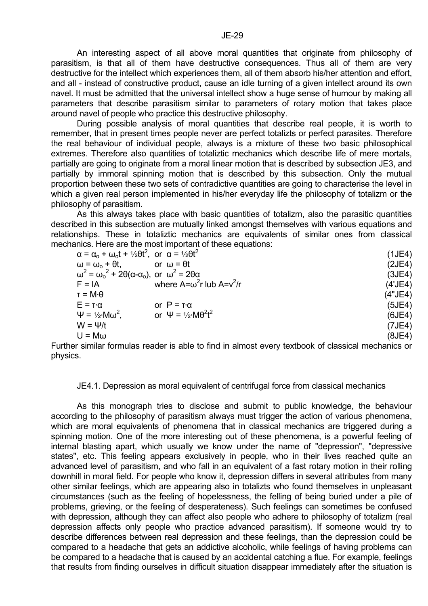An interesting aspect of all above moral quantities that originate from philosophy of parasitism, is that all of them have destructive consequences. Thus all of them are very destructive for the intellect which experiences them, all of them absorb his/her attention and effort, and all - instead of constructive product, cause an idle turning of a given intellect around its own navel. It must be admitted that the universal intellect show a huge sense of humour by making all parameters that describe parasitism similar to parameters of rotary motion that takes place around navel of people who practice this destructive philosophy.

 During possible analysis of moral quantities that describe real people, it is worth to remember, that in present times people never are perfect totalizts or perfect parasites. Therefore the real behaviour of individual people, always is a mixture of these two basic philosophical extremes. Therefore also quantities of totaliztic mechanics which describe life of mere mortals, partially are going to originate from a moral linear motion that is described by subsection JE3, and partially by immoral spinning motion that is described by this subsection. Only the mutual proportion between these two sets of contradictive quantities are going to characterise the level in which a given real person implemented in his/her everyday life the philosophy of totalizm or the philosophy of parasitism.

 As this always takes place with basic quantities of totalizm, also the parasitic quantities described in this subsection are mutually linked amongst themselves with various equations and relationships. These in totaliztic mechanics are equivalents of similar ones from classical mechanics. Here are the most important of these equations:

| $\alpha = \alpha_0 + \omega_0 t + \frac{1}{2} \theta t^2$ , or $\alpha = \frac{1}{2} \theta t^2$ |                                        | (1JE4)  |  |
|--------------------------------------------------------------------------------------------------|----------------------------------------|---------|--|
| $\omega = \omega_{\rm o} + \theta t$                                                             | or $\omega = \theta t$                 | (2JE4)  |  |
| $\omega^2 = \omega_o^2 + 2\theta(\alpha - \alpha_o)$ , or $\omega^2 = 2\theta\alpha$             |                                        | (3JE4)  |  |
| $F = IA$                                                                                         | where $A = \omega^2 r$ lub $A = v^2/r$ | (4'JE4) |  |
| $\tau = M \cdot \theta$                                                                          |                                        | (4"JE4) |  |
| $E = T \cdot \alpha$                                                                             | or $P = T \alpha$                      | (5JE4)  |  |
| $\Psi = \frac{1}{2}$ ·Mω <sup>2</sup> .                                                          | or $\Psi = \frac{1}{2}MR^2t^2$         | (6JE4)  |  |
| $W = \Psi/t$                                                                                     |                                        | (7JE4)  |  |
| $U = M\omega$                                                                                    |                                        | (8JE4)  |  |
|                                                                                                  |                                        |         |  |

Further similar formulas reader is able to find in almost every textbook of classical mechanics or physics.

#### JE4.1. Depression as moral equivalent of centrifugal force from classical mechanics

 As this monograph tries to disclose and submit to public knowledge, the behaviour according to the philosophy of parasitism always must trigger the action of various phenomena, which are moral equivalents of phenomena that in classical mechanics are triggered during a spinning motion. One of the more interesting out of these phenomena, is a powerful feeling of internal blasting apart, which usually we know under the name of "depression", "depressive states", etc. This feeling appears exclusively in people, who in their lives reached quite an advanced level of parasitism, and who fall in an equivalent of a fast rotary motion in their rolling downhill in moral field. For people who know it, depression differs in several attributes from many other similar feelings, which are appearing also in totalizts who found themselves in unpleasant circumstances (such as the feeling of hopelessness, the felling of being buried under a pile of problems, grieving, or the feeling of desperateness). Such feelings can sometimes be confused with depression, although they can affect also people who adhere to philosophy of totalizm (real depression affects only people who practice advanced parasitism). If someone would try to describe differences between real depression and these feelings, than the depression could be compared to a headache that gets an addictive alcoholic, while feelings of having problems can be compared to a headache that is caused by an accidental catching a flue. For example, feelings that results from finding ourselves in difficult situation disappear immediately after the situation is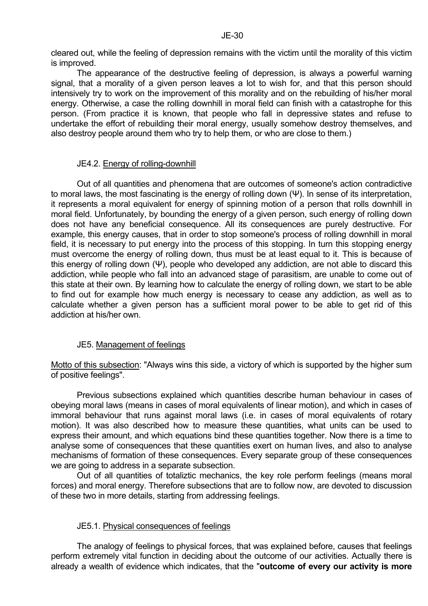cleared out, while the feeling of depression remains with the victim until the morality of this victim is improved.

 The appearance of the destructive feeling of depression, is always a powerful warning signal, that a morality of a given person leaves a lot to wish for, and that this person should intensively try to work on the improvement of this morality and on the rebuilding of his/her moral energy. Otherwise, a case the rolling downhill in moral field can finish with a catastrophe for this person. (From practice it is known, that people who fall in depressive states and refuse to undertake the effort of rebuilding their moral energy, usually somehow destroy themselves, and also destroy people around them who try to help them, or who are close to them.)

## JE4.2. Energy of rolling-downhill

 Out of all quantities and phenomena that are outcomes of someone's action contradictive to moral laws, the most fascinating is the energy of rolling down (Ψ). In sense of its interpretation, it represents a moral equivalent for energy of spinning motion of a person that rolls downhill in moral field. Unfortunately, by bounding the energy of a given person, such energy of rolling down does not have any beneficial consequence. All its consequences are purely destructive. For example, this energy causes, that in order to stop someone's process of rolling downhill in moral field, it is necessary to put energy into the process of this stopping. In turn this stopping energy must overcome the energy of rolling down, thus must be at least equal to it. This is because of this energy of rolling down (Ψ), people who developed any addiction, are not able to discard this addiction, while people who fall into an advanced stage of parasitism, are unable to come out of this state at their own. By learning how to calculate the energy of rolling down, we start to be able to find out for example how much energy is necessary to cease any addiction, as well as to calculate whether a given person has a sufficient moral power to be able to get rid of this addiction at his/her own.

## JE5. Management of feelings

Motto of this subsection: "Always wins this side, a victory of which is supported by the higher sum of positive feelings".

 Previous subsections explained which quantities describe human behaviour in cases of obeying moral laws (means in cases of moral equivalents of linear motion), and which in cases of immoral behaviour that runs against moral laws (i.e. in cases of moral equivalents of rotary motion). It was also described how to measure these quantities, what units can be used to express their amount, and which equations bind these quantities together. Now there is a time to analyse some of consequences that these quantities exert on human lives, and also to analyse mechanisms of formation of these consequences. Every separate group of these consequences we are going to address in a separate subsection.

 Out of all quantities of totaliztic mechanics, the key role perform feelings (means moral forces) and moral energy. Therefore subsections that are to follow now, are devoted to discussion of these two in more details, starting from addressing feelings.

## JE5.1. Physical consequences of feelings

 The analogy of feelings to physical forces, that was explained before, causes that feelings perform extremely vital function in deciding about the outcome of our activities. Actually there is already a wealth of evidence which indicates, that the "**outcome of every our activity is more**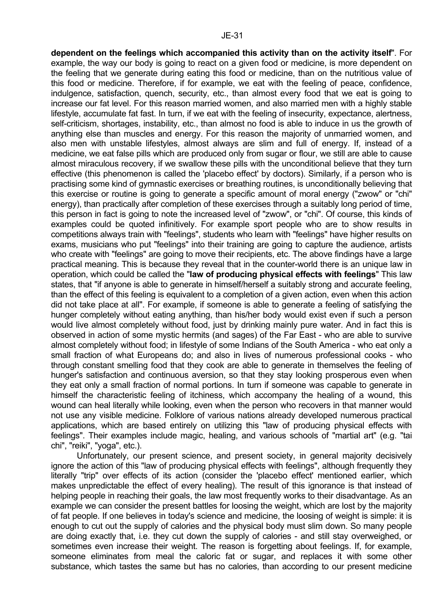**dependent on the feelings which accompanied this activity than on the activity itself**". For example, the way our body is going to react on a given food or medicine, is more dependent on the feeling that we generate during eating this food or medicine, than on the nutritious value of this food or medicine. Therefore, if for example, we eat with the feeling of peace, confidence, indulgence, satisfaction, quench, security, etc., than almost every food that we eat is going to increase our fat level. For this reason married women, and also married men with a highly stable lifestyle, accumulate fat fast. In turn, if we eat with the feeling of insecurity, expectance, alertness, self-criticism, shortages, instability, etc., than almost no food is able to induce in us the growth of anything else than muscles and energy. For this reason the majority of unmarried women, and also men with unstable lifestyles, almost always are slim and full of energy. If, instead of a medicine, we eat false pills which are produced only from sugar or flour, we still are able to cause almost miraculous recovery, if we swallow these pills with the unconditional believe that they turn effective (this phenomenon is called the 'placebo effect' by doctors). Similarly, if a person who is practising some kind of gymnastic exercises or breathing routines, is unconditionally believing that this exercise or routine is going to generate a specific amount of moral energy ("zwow" or "chi" energy), than practically after completion of these exercises through a suitably long period of time, this person in fact is going to note the increased level of "zwow", or "chi". Of course, this kinds of examples could be quoted infinitively. For example sport people who are to show results in competitions always train with "feelings", students who learn with "feelings" have higher results on exams, musicians who put "feelings" into their training are going to capture the audience, artists who create with "feelings" are going to move their recipients, etc. The above findings have a large practical meaning. This is because they reveal that in the counter-world there is an unique law in operation, which could be called the "**law of producing physical effects with feelings**" This law states, that "if anyone is able to generate in himself/herself a suitably strong and accurate feeling, than the effect of this feeling is equivalent to a completion of a given action, even when this action did not take place at all". For example, if someone is able to generate a feeling of satisfying the hunger completely without eating anything, than his/her body would exist even if such a person would live almost completely without food, just by drinking mainly pure water. And in fact this is observed in action of some mystic hermits (and sages) of the Far East - who are able to survive almost completely without food; in lifestyle of some Indians of the South America - who eat only a small fraction of what Europeans do; and also in lives of numerous professional cooks - who through constant smelling food that they cook are able to generate in themselves the feeling of hunger's satisfaction and continuous aversion, so that they stay looking prosperous even when they eat only a small fraction of normal portions. In turn if someone was capable to generate in himself the characteristic feeling of itchiness, which accompany the healing of a wound, this wound can heal literally while looking, even when the person who recovers in that manner would not use any visible medicine. Folklore of various nations already developed numerous practical applications, which are based entirely on utilizing this "law of producing physical effects with feelings". Their examples include magic, healing, and various schools of "martial art" (e.g. "tai chi", "reiki", "yoga", etc.).

 Unfortunately, our present science, and present society, in general majority decisively ignore the action of this "law of producing physical effects with feelings", although frequently they literally "trip" over effects of its action (consider the 'placebo effect' mentioned earlier, which makes unpredictable the effect of every healing). The result of this ignorance is that instead of helping people in reaching their goals, the law most frequently works to their disadvantage. As an example we can consider the present battles for loosing the weight, which are lost by the majority of fat people. If one believes in today's science and medicine, the loosing of weight is simple: it is enough to cut out the supply of calories and the physical body must slim down. So many people are doing exactly that, i.e. they cut down the supply of calories - and still stay overweighed, or sometimes even increase their weight. The reason is forgetting about feelings. If, for example, someone eliminates from meal the caloric fat or sugar, and replaces it with some other substance, which tastes the same but has no calories, than according to our present medicine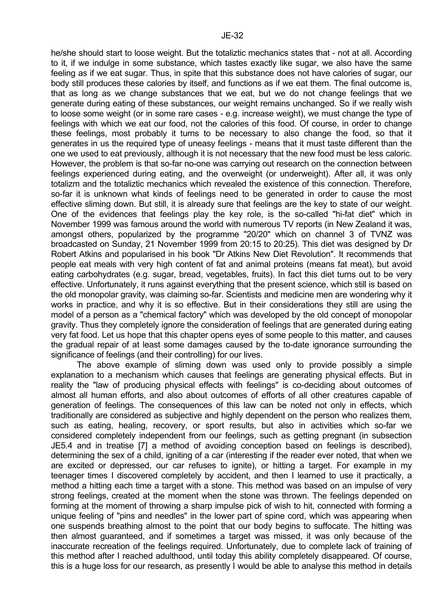he/she should start to loose weight. But the totaliztic mechanics states that - not at all. According to it, if we indulge in some substance, which tastes exactly like sugar, we also have the same feeling as if we eat sugar. Thus, in spite that this substance does not have calories of sugar, our body still produces these calories by itself, and functions as if we eat them. The final outcome is, that as long as we change substances that we eat, but we do not change feelings that we generate during eating of these substances, our weight remains unchanged. So if we really wish to loose some weight (or in some rare cases - e.g. increase weight), we must change the type of feelings with which we eat our food, not the calories of this food. Of course, in order to change these feelings, most probably it turns to be necessary to also change the food, so that it generates in us the required type of uneasy feelings - means that it must taste different than the one we used to eat previously, although it is not necessary that the new food must be less caloric. However, the problem is that so-far no-one was carrying out research on the connection between feelings experienced during eating, and the overweight (or underweight). After all, it was only totalizm and the totaliztic mechanics which revealed the existence of this connection. Therefore, so-far it is unknown what kinds of feelings need to be generated in order to cause the most effective sliming down. But still, it is already sure that feelings are the key to state of our weight. One of the evidences that feelings play the key role, is the so-called "hi-fat diet" which in November 1999 was famous around the world with numerous TV reports (in New Zealand it was, amongst others, popularized by the programme "20/20" which on channel 3 of TVNZ was broadcasted on Sunday, 21 November 1999 from 20:15 to 20:25). This diet was designed by Dr Robert Atkins and popularised in his book "Dr Atkins New Diet Revolution". It recommends that people eat meals with very high content of fat and animal proteins (means fat meat), but avoid eating carbohydrates (e.g. sugar, bread, vegetables, fruits). In fact this diet turns out to be very effective. Unfortunately, it runs against everything that the present science, which still is based on the old monopolar gravity, was claiming so-far. Scientists and medicine men are wondering why it works in practice, and why it is so effective. But in their considerations they still are using the model of a person as a "chemical factory" which was developed by the old concept of monopolar gravity. Thus they completely ignore the consideration of feelings that are generated during eating very fat food. Let us hope that this chapter opens eyes of some people to this matter, and causes the gradual repair of at least some damages caused by the to-date ignorance surrounding the significance of feelings (and their controlling) for our lives.

 The above example of sliming down was used only to provide possibly a simple explanation to a mechanism which causes that feelings are generating physical effects. But in reality the "law of producing physical effects with feelings" is co-deciding about outcomes of almost all human efforts, and also about outcomes of efforts of all other creatures capable of generation of feelings. The consequences of this law can be noted not only in effects, which traditionally are considered as subjective and highly dependent on the person who realizes them, such as eating, healing, recovery, or sport results, but also in activities which so-far we considered completely independent from our feelings, such as getting pregnant (in subsection JE5.4 and in treatise [7] a method of avoiding conception based on feelings is described), determining the sex of a child, igniting of a car (interesting if the reader ever noted, that when we are excited or depressed, our car refuses to ignite), or hitting a target. For example in my teenager times I discovered completely by accident, and then I learned to use it practically, a method a hitting each time a target with a stone. This method was based on an impulse of very strong feelings, created at the moment when the stone was thrown. The feelings depended on forming at the moment of throwing a sharp impulse pick of wish to hit, connected with forming a unique feeling of "pins and needles" in the lower part of spine cord, which was appearing when one suspends breathing almost to the point that our body begins to suffocate. The hitting was then almost guaranteed, and if sometimes a target was missed, it was only because of the inaccurate recreation of the feelings required. Unfortunately, due to complete lack of training of this method after I reached adulthood, until today this ability completely disappeared. Of course, this is a huge loss for our research, as presently I would be able to analyse this method in details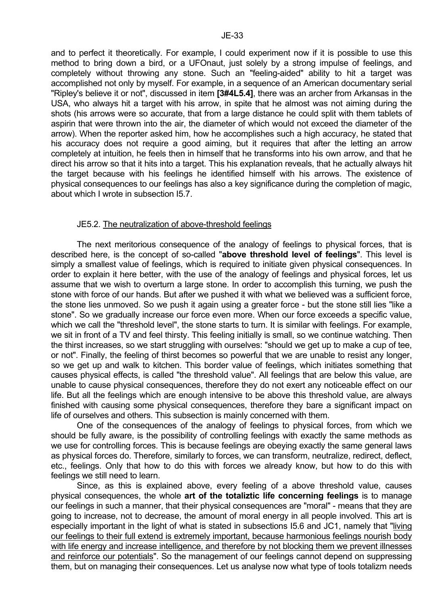and to perfect it theoretically. For example, I could experiment now if it is possible to use this method to bring down a bird, or a UFOnaut, just solely by a strong impulse of feelings, and completely without throwing any stone. Such an "feeling-aided" ability to hit a target was accomplished not only by myself. For example, in a sequence of an American documentary serial "Ripley's believe it or not", discussed in item **[3#4L5.4]**, there was an archer from Arkansas in the USA, who always hit a target with his arrow, in spite that he almost was not aiming during the shots (his arrows were so accurate, that from a large distance he could split with them tablets of aspirin that were thrown into the air, the diameter of which would not exceed the diameter of the arrow). When the reporter asked him, how he accomplishes such a high accuracy, he stated that his accuracy does not require a good aiming, but it requires that after the letting an arrow completely at intuition, he feels then in himself that he transforms into his own arrow, and that he direct his arrow so that it hits into a target. This his explanation reveals, that he actually always hit the target because with his feelings he identified himself with his arrows. The existence of physical consequences to our feelings has also a key significance during the completion of magic, about which I wrote in subsection I5.7.

# JE5.2. The neutralization of above-threshold feelings

 The next meritorious consequence of the analogy of feelings to physical forces, that is described here, is the concept of so-called "**above threshold level of feelings**". This level is simply a smallest value of feelings, which is required to initiate given physical consequences. In order to explain it here better, with the use of the analogy of feelings and physical forces, let us assume that we wish to overturn a large stone. In order to accomplish this turning, we push the stone with force of our hands. But after we pushed it with what we believed was a sufficient force, the stone lies unmoved. So we push it again using a greater force - but the stone still lies "like a stone". So we gradually increase our force even more. When our force exceeds a specific value, which we call the "threshold level", the stone starts to turn. It is similar with feelings. For example, we sit in front of a TV and feel thirsty. This feeling initially is small, so we continue watching. Then the thirst increases, so we start struggling with ourselves: "should we get up to make a cup of tee, or not". Finally, the feeling of thirst becomes so powerful that we are unable to resist any longer, so we get up and walk to kitchen. This border value of feelings, which initiates something that causes physical effects, is called "the threshold value". All feelings that are below this value, are unable to cause physical consequences, therefore they do not exert any noticeable effect on our life. But all the feelings which are enough intensive to be above this threshold value, are always finished with causing some physical consequences, therefore they bare a significant impact on life of ourselves and others. This subsection is mainly concerned with them.

 One of the consequences of the analogy of feelings to physical forces, from which we should be fully aware, is the possibility of controlling feelings with exactly the same methods as we use for controlling forces. This is because feelings are obeying exactly the same general laws as physical forces do. Therefore, similarly to forces, we can transform, neutralize, redirect, deflect, etc., feelings. Only that how to do this with forces we already know, but how to do this with feelings we still need to learn.

 Since, as this is explained above, every feeling of a above threshold value, causes physical consequences, the whole **art of the totaliztic life concerning feelings** is to manage our feelings in such a manner, that their physical consequences are "moral" - means that they are going to increase, not to decrease, the amount of moral energy in all people involved. This art is especially important in the light of what is stated in subsections I5.6 and JC1, namely that "living our feelings to their full extend is extremely important, because harmonious feelings nourish body with life energy and increase intelligence, and therefore by not blocking them we prevent illnesses and reinforce our potentials". So the management of our feelings cannot depend on suppressing them, but on managing their consequences. Let us analyse now what type of tools totalizm needs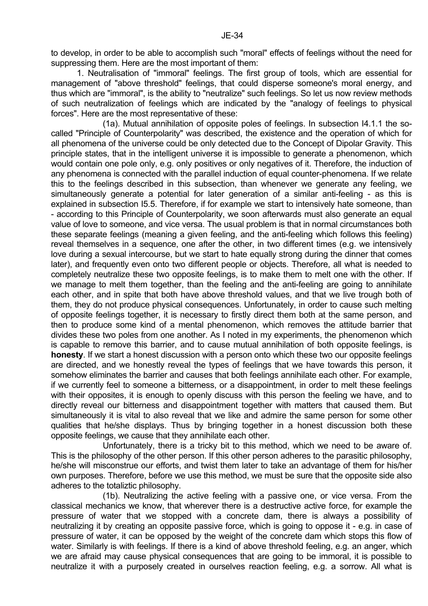to develop, in order to be able to accomplish such "moral" effects of feelings without the need for suppressing them. Here are the most important of them:

 1. Neutralisation of "immoral" feelings. The first group of tools, which are essential for management of "above threshold" feelings, that could disperse someone's moral energy, and thus which are "immoral", is the ability to "neutralize" such feelings. So let us now review methods of such neutralization of feelings which are indicated by the "analogy of feelings to physical forces". Here are the most representative of these:

 (1a). Mutual annihilation of opposite poles of feelings. In subsection I4.1.1 the socalled "Principle of Counterpolarity" was described, the existence and the operation of which for all phenomena of the universe could be only detected due to the Concept of Dipolar Gravity. This principle states, that in the intelligent universe it is impossible to generate a phenomenon, which would contain one pole only, e.g. only positives or only negatives of it. Therefore, the induction of any phenomena is connected with the parallel induction of equal counter-phenomena. If we relate this to the feelings described in this subsection, than whenever we generate any feeling, we simultaneously generate a potential for later generation of a similar anti-feeling - as this is explained in subsection I5.5. Therefore, if for example we start to intensively hate someone, than - according to this Principle of Counterpolarity, we soon afterwards must also generate an equal value of love to someone, and vice versa. The usual problem is that in normal circumstances both these separate feelings (meaning a given feeling, and the anti-feeling which follows this feeling) reveal themselves in a sequence, one after the other, in two different times (e.g. we intensively love during a sexual intercourse, but we start to hate equally strong during the dinner that comes later), and frequently even onto two different people or objects. Therefore, all what is needed to completely neutralize these two opposite feelings, is to make them to melt one with the other. If we manage to melt them together, than the feeling and the anti-feeling are going to annihilate each other, and in spite that both have above threshold values, and that we live trough both of them, they do not produce physical consequences. Unfortunately, in order to cause such melting of opposite feelings together, it is necessary to firstly direct them both at the same person, and then to produce some kind of a mental phenomenon, which removes the attitude barrier that divides these two poles from one another. As I noted in my experiments, the phenomenon which is capable to remove this barrier, and to cause mutual annihilation of both opposite feelings, is **honesty**. If we start a honest discussion with a person onto which these two our opposite feelings are directed, and we honestly reveal the types of feelings that we have towards this person, it somehow eliminates the barrier and causes that both feelings annihilate each other. For example, if we currently feel to someone a bitterness, or a disappointment, in order to melt these feelings with their opposites, it is enough to openly discuss with this person the feeling we have, and to directly reveal our bitterness and disappointment together with matters that caused them. But simultaneously it is vital to also reveal that we like and admire the same person for some other qualities that he/she displays. Thus by bringing together in a honest discussion both these opposite feelings, we cause that they annihilate each other.

 Unfortunately, there is a tricky bit to this method, which we need to be aware of. This is the philosophy of the other person. If this other person adheres to the parasitic philosophy, he/she will misconstrue our efforts, and twist them later to take an advantage of them for his/her own purposes. Therefore, before we use this method, we must be sure that the opposite side also adheres to the totaliztic philosophy.

 (1b). Neutralizing the active feeling with a passive one, or vice versa. From the classical mechanics we know, that wherever there is a destructive active force, for example the pressure of water that we stopped with a concrete dam, there is always a possibility of neutralizing it by creating an opposite passive force, which is going to oppose it - e.g. in case of pressure of water, it can be opposed by the weight of the concrete dam which stops this flow of water. Similarly is with feelings. If there is a kind of above threshold feeling, e.g. an anger, which we are afraid may cause physical consequences that are going to be immoral, it is possible to neutralize it with a purposely created in ourselves reaction feeling, e.g. a sorrow. All what is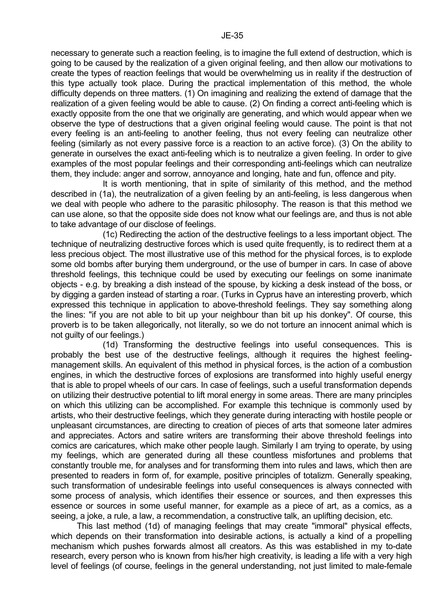exactly opposite from the one that we originally are generating, and which would appear when we observe the type of destructions that a given original feeling would cause. The point is that not every feeling is an anti-feeling to another feeling, thus not every feeling can neutralize other feeling (similarly as not every passive force is a reaction to an active force). (3) On the ability to generate in ourselves the exact anti-feeling which is to neutralize a given feeling. In order to give examples of the most popular feelings and their corresponding anti-feelings which can neutralize them, they include: anger and sorrow, annoyance and longing, hate and fun, offence and pity.

 It is worth mentioning, that in spite of similarity of this method, and the method described in (1a), the neutralization of a given feeling by an anti-feeling, is less dangerous when we deal with people who adhere to the parasitic philosophy. The reason is that this method we can use alone, so that the opposite side does not know what our feelings are, and thus is not able to take advantage of our disclose of feelings.

 (1c) Redirecting the action of the destructive feelings to a less important object. The technique of neutralizing destructive forces which is used quite frequently, is to redirect them at a less precious object. The most illustrative use of this method for the physical forces, is to explode some old bombs after burying them underground, or the use of bumper in cars. In case of above threshold feelings, this technique could be used by executing our feelings on some inanimate objects - e.g. by breaking a dish instead of the spouse, by kicking a desk instead of the boss, or by digging a garden instead of starting a roar. (Turks in Cyprus have an interesting proverb, which expressed this technique in application to above-threshold feelings. They say something along the lines: "if you are not able to bit up your neighbour than bit up his donkey". Of course, this proverb is to be taken allegorically, not literally, so we do not torture an innocent animal which is not guilty of our feelings.)

 (1d) Transforming the destructive feelings into useful consequences. This is probably the best use of the destructive feelings, although it requires the highest feelingmanagement skills. An equivalent of this method in physical forces, is the action of a combustion engines, in which the destructive forces of explosions are transformed into highly useful energy that is able to propel wheels of our cars. In case of feelings, such a useful transformation depends on utilizing their destructive potential to lift moral energy in some areas. There are many principles on which this utilizing can be accomplished. For example this technique is commonly used by artists, who their destructive feelings, which they generate during interacting with hostile people or unpleasant circumstances, are directing to creation of pieces of arts that someone later admires and appreciates. Actors and satire writers are transforming their above threshold feelings into comics are caricatures, which make other people laugh. Similarly I am trying to operate, by using my feelings, which are generated during all these countless misfortunes and problems that constantly trouble me, for analyses and for transforming them into rules and laws, which then are presented to readers in form of, for example, positive principles of totalizm. Generally speaking, such transformation of undesirable feelings into useful consequences is always connected with some process of analysis, which identifies their essence or sources, and then expresses this essence or sources in some useful manner, for example as a piece of art, as a comics, as a seeing, a joke, a rule, a law, a recommendation, a constructive talk, an uplifting decision, etc.

 This last method (1d) of managing feelings that may create "immoral" physical effects, which depends on their transformation into desirable actions, is actually a kind of a propelling mechanism which pushes forwards almost all creators. As this was established in my to-date research, every person who is known from his/her high creativity, is leading a life with a very high level of feelings (of course, feelings in the general understanding, not just limited to male-female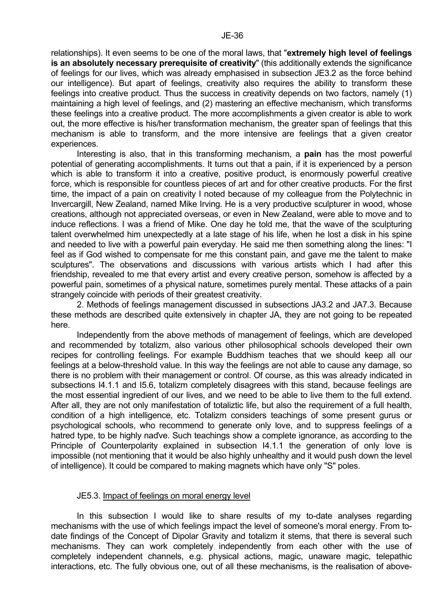relationships). It even seems to be one of the moral laws, that "**extremely high level of feelings is an absolutely necessary prerequisite of creativity**" (this additionally extends the significance of feelings for our lives, which was already emphasised in subsection JE3.2 as the force behind our intelligence). But apart of feelings, creativity also requires the ability to transform these feelings into creative product. Thus the success in creativity depends on two factors, namely (1) maintaining a high level of feelings, and (2) mastering an effective mechanism, which transforms these feelings into a creative product. The more accomplishments a given creator is able to work out, the more effective is his/her transformation mechanism, the greater span of feelings that this mechanism is able to transform, and the more intensive are feelings that a given creator experiences.

 Interesting is also, that in this transforming mechanism, a **pain** has the most powerful potential of generating accomplishments. It turns out that a pain, if it is experienced by a person which is able to transform it into a creative, positive product, is enormously powerful creative force, which is responsible for countless pieces of art and for other creative products. For the first time, the impact of a pain on creativity I noted because of my colleague from the Polytechnic in Invercargill, New Zealand, named Mike Irving. He is a very productive sculpturer in wood, whose creations, although not appreciated overseas, or even in New Zealand, were able to move and to induce reflections. I was a friend of Mike. One day he told me, that the wave of the sculpturing talent overwhelmed him unexpectedly at a late stage of his life, when he lost a disk in his spine and needed to live with a powerful pain everyday. He said me then something along the lines: "I feel as if God wished to compensate for me this constant pain, and gave me the talent to make sculptures". The observations and discussions with various artists which I had after this friendship, revealed to me that every artist and every creative person, somehow is affected by a powerful pain, sometimes of a physical nature, sometimes purely mental. These attacks of a pain strangely coincide with periods of their greatest creativity.

 2. Methods of feelings management discussed in subsections JA3.2 and JA7.3. Because these methods are described quite extensively in chapter JA, they are not going to be repeated here.

 Independently from the above methods of management of feelings, which are developed and recommended by totalizm, also various other philosophical schools developed their own recipes for controlling feelings. For example Buddhism teaches that we should keep all our feelings at a below-threshold value. In this way the feelings are not able to cause any damage, so there is no problem with their management or control. Of course, as this was already indicated in subsections I4.1.1 and I5.6, totalizm completely disagrees with this stand, because feelings are the most essential ingredient of our lives, and we need to be able to live them to the full extend. After all, they are not only manifestation of totaliztic life, but also the requirement of a full health, condition of a high intelligence, etc. Totalizm considers teachings of some present gurus or psychological schools, who recommend to generate only love, and to suppress feelings of a hatred type, to be highly naďve. Such teachings show a complete ignorance, as according to the Principle of Counterpolarity explained in subsection I4.1.1 the generation of only love is impossible (not mentioning that it would be also highly unhealthy and it would push down the level of intelligence). It could be compared to making magnets which have only "S" poles.

## JE5.3. Impact of feelings on moral energy level

 In this subsection I would like to share results of my to-date analyses regarding mechanisms with the use of which feelings impact the level of someone's moral energy. From todate findings of the Concept of Dipolar Gravity and totalizm it stems, that there is several such mechanisms. They can work completely independently from each other with the use of completely independent channels, e.g. physical actions, magic, unaware magic, telepathic interactions, etc. The fully obvious one, out of all these mechanisms, is the realisation of above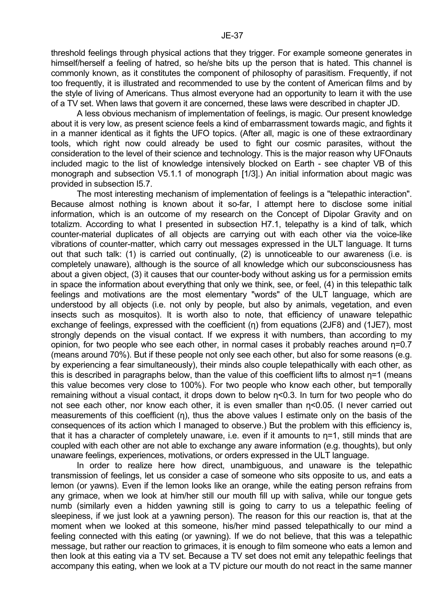threshold feelings through physical actions that they trigger. For example someone generates in himself/herself a feeling of hatred, so he/she bits up the person that is hated. This channel is commonly known, as it constitutes the component of philosophy of parasitism. Frequently, if not too frequently, it is illustrated and recommended to use by the content of American films and by the style of living of Americans. Thus almost everyone had an opportunity to learn it with the use of a TV set. When laws that govern it are concerned, these laws were described in chapter JD.

 A less obvious mechanism of implementation of feelings, is magic. Our present knowledge about it is very low, as present science feels a kind of embarrassment towards magic, and fights it in a manner identical as it fights the UFO topics. (After all, magic is one of these extraordinary tools, which right now could already be used to fight our cosmic parasites, without the consideration to the level of their science and technology. This is the major reason why UFOnauts included magic to the list of knowledge intensively blocked on Earth - see chapter VB of this monograph and subsection V5.1.1 of monograph [1/3].) An initial information about magic was provided in subsection I5.7.

 The most interesting mechanism of implementation of feelings is a "telepathic interaction". Because almost nothing is known about it so-far, I attempt here to disclose some initial information, which is an outcome of my research on the Concept of Dipolar Gravity and on totalizm. According to what I presented in subsection H7.1, telepathy is a kind of talk, which counter-material duplicates of all objects are carrying out with each other via the voice-like vibrations of counter-matter, which carry out messages expressed in the ULT language. It turns out that such talk: (1) is carried out continually, (2) is unnoticeable to our awareness (i.e. is completely unaware), although is the source of all knowledge which our subconsciousness has about a given object, (3) it causes that our counter-body without asking us for a permission emits in space the information about everything that only we think, see, or feel, (4) in this telepathic talk feelings and motivations are the most elementary "words" of the ULT language, which are understood by all objects (i.e. not only by people, but also by animals, vegetation, and even insects such as mosquitos). It is worth also to note, that efficiency of unaware telepathic exchange of feelings, expressed with the coefficient (η) from equations (2JF8) and (1JE7), most strongly depends on the visual contact. If we express it with numbers, than according to my opinion, for two people who see each other, in normal cases it probably reaches around η=0.7 (means around 70%). But if these people not only see each other, but also for some reasons (e.g. by experiencing a fear simultaneously), their minds also couple telepathically with each other, as this is described in paragraphs below, than the value of this coefficient lifts to almost η=1 (means this value becomes very close to 100%). For two people who know each other, but temporally remaining without a visual contact, it drops down to below η<0.3. In turn for two people who do not see each other, nor know each other, it is even smaller than η<0.05. (I never carried out measurements of this coefficient (η), thus the above values I estimate only on the basis of the consequences of its action which I managed to observe.) But the problem with this efficiency is, that it has a character of completely unaware, i.e. even if it amounts to  $\eta$ =1, still minds that are coupled with each other are not able to exchange any aware information (e.g. thoughts), but only unaware feelings, experiences, motivations, or orders expressed in the ULT language.

 In order to realize here how direct, unambiguous, and unaware is the telepathic transmission of feelings, let us consider a case of someone who sits opposite to us, and eats a lemon (or yawns). Even if the lemon looks like an orange, while the eating person refrains from any grimace, when we look at him/her still our mouth fill up with saliva, while our tongue gets numb (similarly even a hidden yawning still is going to carry to us a telepathic feeling of sleepiness, if we just look at a yawning person). The reason for this our reaction is, that at the moment when we looked at this someone, his/her mind passed telepathically to our mind a feeling connected with this eating (or yawning). If we do not believe, that this was a telepathic message, but rather our reaction to grimaces, it is enough to film someone who eats a lemon and then look at this eating via a TV set. Because a TV set does not emit any telepathic feelings that accompany this eating, when we look at a TV picture our mouth do not react in the same manner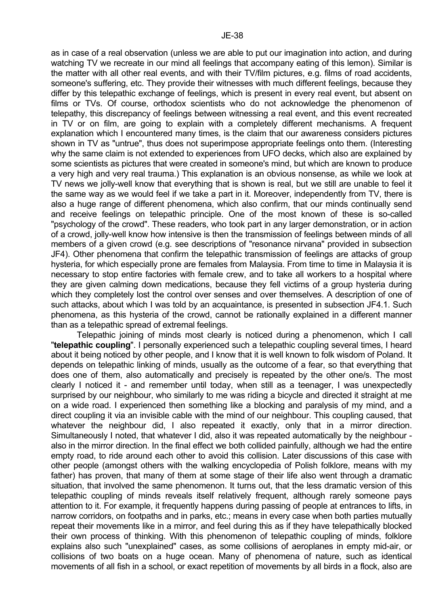as in case of a real observation (unless we are able to put our imagination into action, and during watching TV we recreate in our mind all feelings that accompany eating of this lemon). Similar is the matter with all other real events, and with their TV/film pictures, e.g. films of road accidents, someone's suffering, etc. They provide their witnesses with much different feelings, because they differ by this telepathic exchange of feelings, which is present in every real event, but absent on films or TVs. Of course, orthodox scientists who do not acknowledge the phenomenon of telepathy, this discrepancy of feelings between witnessing a real event, and this event recreated in TV or on film, are going to explain with a completely different mechanisms. A frequent explanation which I encountered many times, is the claim that our awareness considers pictures shown in TV as "untrue", thus does not superimpose appropriate feelings onto them. (Interesting why the same claim is not extended to experiences from UFO decks, which also are explained by some scientists as pictures that were created in someone's mind, but which are known to produce a very high and very real trauma.) This explanation is an obvious nonsense, as while we look at TV news we jolly-well know that everything that is shown is real, but we still are unable to feel it the same way as we would feel if we take a part in it. Moreover, independently from TV, there is also a huge range of different phenomena, which also confirm, that our minds continually send and receive feelings on telepathic principle. One of the most known of these is so-called "psychology of the crowd". These readers, who took part in any larger demonstration, or in action of a crowd, jolly-well know how intensive is then the transmission of feelings between minds of all members of a given crowd (e.g. see descriptions of "resonance nirvana" provided in subsection JF4). Other phenomena that confirm the telepathic transmission of feelings are attacks of group hysteria, for which especially prone are females from Malaysia. From time to time in Malaysia it is necessary to stop entire factories with female crew, and to take all workers to a hospital where they are given calming down medications, because they fell victims of a group hysteria during which they completely lost the control over senses and over themselves. A description of one of such attacks, about which I was told by an acquaintance, is presented in subsection JF4.1. Such phenomena, as this hysteria of the crowd, cannot be rationally explained in a different manner than as a telepathic spread of extremal feelings.

 Telepathic joining of minds most clearly is noticed during a phenomenon, which I call "**telepathic coupling**". I personally experienced such a telepathic coupling several times, I heard about it being noticed by other people, and I know that it is well known to folk wisdom of Poland. It depends on telepathic linking of minds, usually as the outcome of a fear, so that everything that does one of them, also automatically and precisely is repeated by the other one/s. The most clearly I noticed it - and remember until today, when still as a teenager, I was unexpectedly surprised by our neighbour, who similarly to me was riding a bicycle and directed it straight at me on a wide road. I experienced then something like a blocking and paralysis of my mind, and a direct coupling it via an invisible cable with the mind of our neighbour. This coupling caused, that whatever the neighbour did, I also repeated it exactly, only that in a mirror direction. Simultaneously I noted, that whatever I did, also it was repeated automatically by the neighbour also in the mirror direction. In the final effect we both collided painfully, although we had the entire empty road, to ride around each other to avoid this collision. Later discussions of this case with other people (amongst others with the walking encyclopedia of Polish folklore, means with my father) has proven, that many of them at some stage of their life also went through a dramatic situation, that involved the same phenomenon. It turns out, that the less dramatic version of this telepathic coupling of minds reveals itself relatively frequent, although rarely someone pays attention to it. For example, it frequently happens during passing of people at entrances to lifts, in narrow corridors, on footpaths and in parks, etc.; means in every case when both parties mutually repeat their movements like in a mirror, and feel during this as if they have telepathically blocked their own process of thinking. With this phenomenon of telepathic coupling of minds, folklore explains also such "unexplained" cases, as some collisions of aeroplanes in empty mid-air, or collisions of two boats on a huge ocean. Many of phenomena of nature, such as identical movements of all fish in a school, or exact repetition of movements by all birds in a flock, also are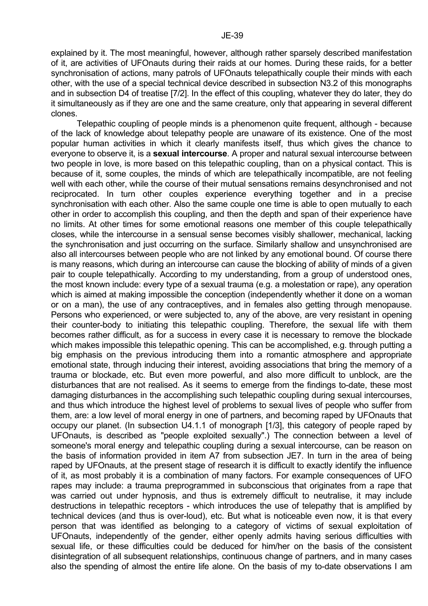explained by it. The most meaningful, however, although rather sparsely described manifestation of it, are activities of UFOnauts during their raids at our homes. During these raids, for a better synchronisation of actions, many patrols of UFOnauts telepathically couple their minds with each other, with the use of a special technical device described in subsection N3.2 of this monographs and in subsection D4 of treatise [7/2]. In the effect of this coupling, whatever they do later, they do it simultaneously as if they are one and the same creature, only that appearing in several different clones.

 Telepathic coupling of people minds is a phenomenon quite frequent, although - because of the lack of knowledge about telepathy people are unaware of its existence. One of the most popular human activities in which it clearly manifests itself, thus which gives the chance to everyone to observe it, is a **sexual intercourse**. A proper and natural sexual intercourse between two people in love, is more based on this telepathic coupling, than on a physical contact. This is because of it, some couples, the minds of which are telepathically incompatible, are not feeling well with each other, while the course of their mutual sensations remains desynchronised and not reciprocated. In turn other couples experience everything together and in a precise synchronisation with each other. Also the same couple one time is able to open mutually to each other in order to accomplish this coupling, and then the depth and span of their experience have no limits. At other times for some emotional reasons one member of this couple telepathically closes, while the intercourse in a sensual sense becomes visibly shallower, mechanical, lacking the synchronisation and just occurring on the surface. Similarly shallow and unsynchronised are also all intercourses between people who are not linked by any emotional bound. Of course there is many reasons, which during an intercourse can cause the blocking of ability of minds of a given pair to couple telepathically. According to my understanding, from a group of understood ones, the most known include: every type of a sexual trauma (e.g. a molestation or rape), any operation which is aimed at making impossible the conception (independently whether it done on a woman or on a man), the use of any contraceptives, and in females also getting through menopause. Persons who experienced, or were subjected to, any of the above, are very resistant in opening their counter-body to initiating this telepathic coupling. Therefore, the sexual life with them becomes rather difficult, as for a success in every case it is necessary to remove the blockade which makes impossible this telepathic opening. This can be accomplished, e.g. through putting a big emphasis on the previous introducing them into a romantic atmosphere and appropriate emotional state, through inducing their interest, avoiding associations that bring the memory of a trauma or blockade, etc. But even more powerful, and also more difficult to unblock, are the disturbances that are not realised. As it seems to emerge from the findings to-date, these most damaging disturbances in the accomplishing such telepathic coupling during sexual intercourses, and thus which introduce the highest level of problems to sexual lives of people who suffer from them, are: a low level of moral energy in one of partners, and becoming raped by UFOnauts that occupy our planet. (In subsection U4.1.1 of monograph [1/3], this category of people raped by UFOnauts, is described as "people exploited sexually".) The connection between a level of someone's moral energy and telepathic coupling during a sexual intercourse, can be reason on the basis of information provided in item A7 from subsection JE7. In turn in the area of being raped by UFOnauts, at the present stage of research it is difficult to exactly identify the influence of it, as most probably it is a combination of many factors. For example consequences of UFO rapes may include: a trauma preprogrammed in subconscious that originates from a rape that was carried out under hypnosis, and thus is extremely difficult to neutralise, it may include destructions in telepathic receptors - which introduces the use of telepathy that is amplified by technical devices (and thus is over-loud), etc. But what is noticeable even now, it is that every person that was identified as belonging to a category of victims of sexual exploitation of UFOnauts, independently of the gender, either openly admits having serious difficulties with sexual life, or these difficulties could be deduced for him/her on the basis of the consistent disintegration of all subsequent relationships, continuous change of partners, and in many cases also the spending of almost the entire life alone. On the basis of my to-date observations I am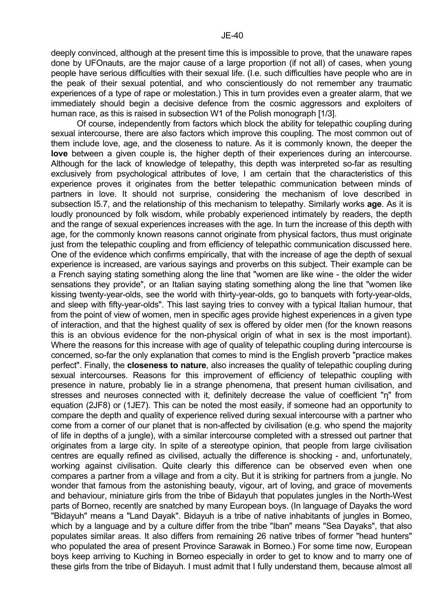deeply convinced, although at the present time this is impossible to prove, that the unaware rapes done by UFOnauts, are the major cause of a large proportion (if not all) of cases, when young people have serious difficulties with their sexual life. (I.e. such difficulties have people who are in the peak of their sexual potential, and who conscientiously do not remember any traumatic experiences of a type of rape or molestation.) This in turn provides even a greater alarm, that we immediately should begin a decisive defence from the cosmic aggressors and exploiters of human race, as this is raised in subsection W1 of the Polish monograph [1/3].

 Of course, independently from factors which block the ability for telepathic coupling during sexual intercourse, there are also factors which improve this coupling. The most common out of them include love, age, and the closeness to nature. As it is commonly known, the deeper the **love** between a given couple is, the higher depth of their experiences during an intercourse. Although for the lack of knowledge of telepathy, this depth was interpreted so-far as resulting exclusively from psychological attributes of love, I am certain that the characteristics of this experience proves it originates from the better telepathic communication between minds of partners in love. It should not surprise, considering the mechanism of love described in subsection I5.7, and the relationship of this mechanism to telepathy. Similarly works **age**. As it is loudly pronounced by folk wisdom, while probably experienced intimately by readers, the depth and the range of sexual experiences increases with the age. In turn the increase of this depth with age, for the commonly known reasons cannot originate from physical factors, thus must originate just from the telepathic coupling and from efficiency of telepathic communication discussed here. One of the evidence which confirms empirically, that with the increase of age the depth of sexual experience is increased, are various sayings and proverbs on this subject. Their example can be a French saying stating something along the line that "women are like wine - the older the wider sensations they provide", or an Italian saying stating something along the line that "women like kissing twenty-year-olds, see the world with thirty-year-olds, go to banquets with forty-year-olds, and sleep with fifty-year-olds". This last saying tries to convey with a typical Italian humour, that from the point of view of women, men in specific ages provide highest experiences in a given type of interaction, and that the highest quality of sex is offered by older men (for the known reasons this is an obvious evidence for the non-physical origin of what in sex is the most important). Where the reasons for this increase with age of quality of telepathic coupling during intercourse is concerned, so-far the only explanation that comes to mind is the English proverb "practice makes perfect". Finally, the **closeness to nature**, also increases the quality of telepathic coupling during sexual intercourses. Reasons for this improvement of efficiency of telepathic coupling with presence in nature, probably lie in a strange phenomena, that present human civilisation, and stresses and neuroses connected with it, definitely decrease the value of coefficient "η" from equation (2JF8) or (1JE7). This can be noted the most easily, if someone had an opportunity to compare the depth and quality of experience relived during sexual intercourse with a partner who come from a corner of our planet that is non-affected by civilisation (e.g. who spend the majority of life in depths of a jungle), with a similar intercourse completed with a stressed out partner that originates from a large city. In spite of a stereotype opinion, that people from large civilisation centres are equally refined as civilised, actually the difference is shocking - and, unfortunately, working against civilisation. Quite clearly this difference can be observed even when one compares a partner from a village and from a city. But it is striking for partners from a jungle. No wonder that famous from the astonishing beauty, vigour, art of loving, and grace of movements and behaviour, miniature girls from the tribe of Bidayuh that populates jungles in the North-West parts of Borneo, recently are snatched by many European boys. (In language of Dayaks the word "Bidayuh" means a "Land Dayak". Bidayuh is a tribe of native inhabitants of jungles in Borneo, which by a language and by a culture differ from the tribe "Iban" means "Sea Dayaks", that also populates similar areas. It also differs from remaining 26 native tribes of former "head hunters" who populated the area of present Province Sarawak in Borneo.) For some time now, European boys keep arriving to Kuching in Borneo especially in order to get to know and to marry one of these girls from the tribe of Bidayuh. I must admit that I fully understand them, because almost all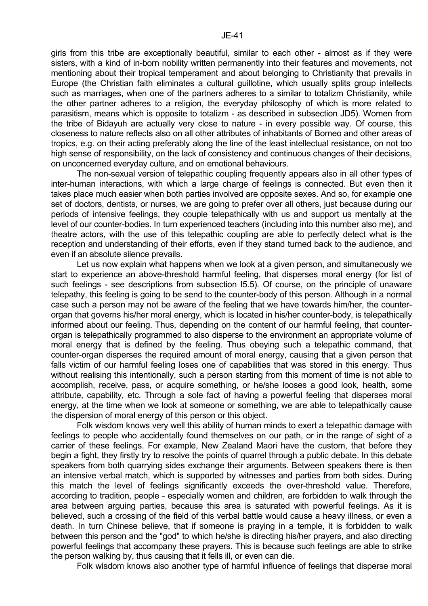girls from this tribe are exceptionally beautiful, similar to each other - almost as if they were sisters, with a kind of in-born nobility written permanently into their features and movements, not mentioning about their tropical temperament and about belonging to Christianity that prevails in Europe (the Christian faith eliminates a cultural guillotine, which usually splits group intellects such as marriages, when one of the partners adheres to a similar to totalizm Christianity, while the other partner adheres to a religion, the everyday philosophy of which is more related to parasitism, means which is opposite to totalizm - as described in subsection JD5). Women from the tribe of Bidayuh are actually very close to nature - in every possible way. Of course, this closeness to nature reflects also on all other attributes of inhabitants of Borneo and other areas of tropics, e.g. on their acting preferably along the line of the least intellectual resistance, on not too high sense of responsibility, on the lack of consistency and continuous changes of their decisions, on unconcerned everyday culture, and on emotional behaviours.

 The non-sexual version of telepathic coupling frequently appears also in all other types of inter-human interactions, with which a large charge of feelings is connected. But even then it takes place much easier when both parties involved are opposite sexes. And so, for example one set of doctors, dentists, or nurses, we are going to prefer over all others, just because during our periods of intensive feelings, they couple telepathically with us and support us mentally at the level of our counter-bodies. In turn experienced teachers (including into this number also me), and theatre actors, with the use of this telepathic coupling are able to perfectly detect what is the reception and understanding of their efforts, even if they stand turned back to the audience, and even if an absolute silence prevails.

 Let us now explain what happens when we look at a given person, and simultaneously we start to experience an above-threshold harmful feeling, that disperses moral energy (for list of such feelings - see descriptions from subsection I5.5). Of course, on the principle of unaware telepathy, this feeling is going to be send to the counter-body of this person. Although in a normal case such a person may not be aware of the feeling that we have towards him/her, the counterorgan that governs his/her moral energy, which is located in his/her counter-body, is telepathically informed about our feeling. Thus, depending on the content of our harmful feeling, that counterorgan is telepathically programmed to also disperse to the environment an appropriate volume of moral energy that is defined by the feeling. Thus obeying such a telepathic command, that counter-organ disperses the required amount of moral energy, causing that a given person that falls victim of our harmful feeling loses one of capabilities that was stored in this energy. Thus without realising this intentionally, such a person starting from this moment of time is not able to accomplish, receive, pass, or acquire something, or he/she looses a good look, health, some attribute, capability, etc. Through a sole fact of having a powerful feeling that disperses moral energy, at the time when we look at someone or something, we are able to telepathically cause the dispersion of moral energy of this person or this object.

 Folk wisdom knows very well this ability of human minds to exert a telepathic damage with feelings to people who accidentally found themselves on our path, or in the range of sight of a carrier of these feelings. For example, New Zealand Maori have the custom, that before they begin a fight, they firstly try to resolve the points of quarrel through a public debate. In this debate speakers from both quarrying sides exchange their arguments. Between speakers there is then an intensive verbal match, which is supported by witnesses and parties from both sides. During this match the level of feelings significantly exceeds the over-threshold value. Therefore, according to tradition, people - especially women and children, are forbidden to walk through the area between arguing parties, because this area is saturated with powerful feelings. As it is believed, such a crossing of the field of this verbal battle would cause a heavy illness, or even a death. In turn Chinese believe, that if someone is praying in a temple, it is forbidden to walk between this person and the "god" to which he/she is directing his/her prayers, and also directing powerful feelings that accompany these prayers. This is because such feelings are able to strike the person walking by, thus causing that it fells ill, or even can die.

Folk wisdom knows also another type of harmful influence of feelings that disperse moral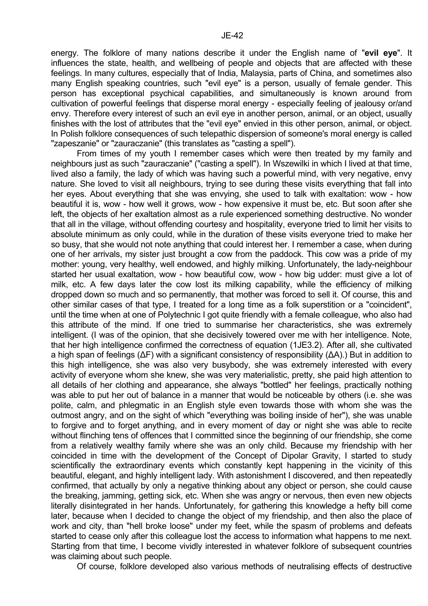energy. The folklore of many nations describe it under the English name of "**evil eye**". It influences the state, health, and wellbeing of people and objects that are affected with these feelings. In many cultures, especially that of India, Malaysia, parts of China, and sometimes also many English speaking countries, such "evil eye" is a person, usually of female gender. This person has exceptional psychical capabilities, and simultaneously is known around from cultivation of powerful feelings that disperse moral energy - especially feeling of jealousy or/and envy. Therefore every interest of such an evil eye in another person, animal, or an object, usually finishes with the lost of attributes that the "evil eye" envied in this other person, animal, or object. In Polish folklore consequences of such telepathic dispersion of someone's moral energy is called "zapeszanie" or "zauraczanie" (this translates as "casting a spell").

 From times of my youth I remember cases which were then treated by my family and neighbours just as such "zauraczanie" ("casting a spell"). In Wszewilki in which I lived at that time, lived also a family, the lady of which was having such a powerful mind, with very negative, envy nature. She loved to visit all neighbours, trying to see during these visits everything that fall into her eyes. About everything that she was envying, she used to talk with exaltation: wow - how beautiful it is, wow - how well it grows, wow - how expensive it must be, etc. But soon after she left, the objects of her exaltation almost as a rule experienced something destructive. No wonder that all in the village, without offending courtesy and hospitality, everyone tried to limit her visits to absolute minimum as only could, while in the duration of these visits everyone tried to make her so busy, that she would not note anything that could interest her. I remember a case, when during one of her arrivals, my sister just brought a cow from the paddock. This cow was a pride of my mother: young, very healthy, well endowed, and highly milking. Unfortunately, the lady-neighbour started her usual exaltation, wow - how beautiful cow, wow - how big udder: must give a lot of milk, etc. A few days later the cow lost its milking capability, while the efficiency of milking dropped down so much and so permanently, that mother was forced to sell it. Of course, this and other similar cases of that type, I treated for a long time as a folk superstition or a "coincident", until the time when at one of Polytechnic I got quite friendly with a female colleague, who also had this attribute of the mind. If one tried to summarise her characteristics, she was extremely intelligent. (I was of the opinion, that she decisively towered over me with her intelligence. Note, that her high intelligence confirmed the correctness of equation (1JE3.2). After all, she cultivated a high span of feelings (∆F) with a significant consistency of responsibility (∆A).) But in addition to this high intelligence, she was also very busybody, she was extremely interested with every activity of everyone whom she knew, she was very materialistic, pretty, she paid high attention to all details of her clothing and appearance, she always "bottled" her feelings, practically nothing was able to put her out of balance in a manner that would be noticeable by others (i.e. she was polite, calm, and phlegmatic in an English style even towards those with whom she was the outmost angry, and on the sight of which "everything was boiling inside of her"), she was unable to forgive and to forget anything, and in every moment of day or night she was able to recite without flinching tens of offences that I committed since the beginning of our friendship, she come from a relatively wealthy family where she was an only child. Because my friendship with her coincided in time with the development of the Concept of Dipolar Gravity, I started to study scientifically the extraordinary events which constantly kept happening in the vicinity of this beautiful, elegant, and highly intelligent lady. With astonishment I discovered, and then repeatedly confirmed, that actually by only a negative thinking about any object or person, she could cause the breaking, jamming, getting sick, etc. When she was angry or nervous, then even new objects literally disintegrated in her hands. Unfortunately, for gathering this knowledge a hefty bill come later, because when I decided to change the object of my friendship, and then also the place of work and city, than "hell broke loose" under my feet, while the spasm of problems and defeats started to cease only after this colleague lost the access to information what happens to me next. Starting from that time, I become vividly interested in whatever folklore of subsequent countries was claiming about such people.

Of course, folklore developed also various methods of neutralising effects of destructive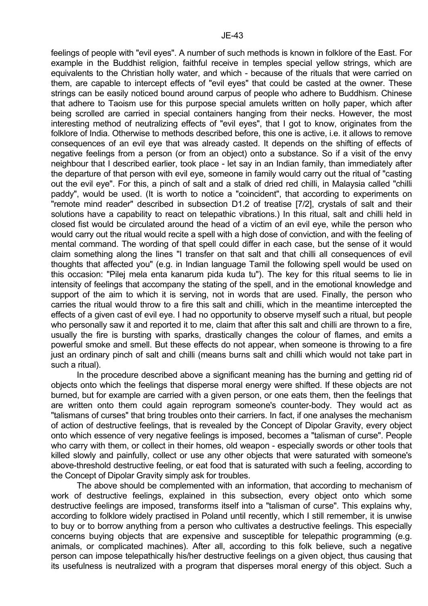feelings of people with "evil eyes". A number of such methods is known in folklore of the East. For example in the Buddhist religion, faithful receive in temples special yellow strings, which are equivalents to the Christian holly water, and which - because of the rituals that were carried on them, are capable to intercept effects of "evil eyes" that could be casted at the owner. These strings can be easily noticed bound around carpus of people who adhere to Buddhism. Chinese that adhere to Taoism use for this purpose special amulets written on holly paper, which after being scrolled are carried in special containers hanging from their necks. However, the most interesting method of neutralizing effects of "evil eyes", that I got to know, originates from the folklore of India. Otherwise to methods described before, this one is active, i.e. it allows to remove consequences of an evil eye that was already casted. It depends on the shifting of effects of negative feelings from a person (or from an object) onto a substance. So if a visit of the envy neighbour that I described earlier, took place - let say in an Indian family, than immediately after the departure of that person with evil eye, someone in family would carry out the ritual of "casting out the evil eye". For this, a pinch of salt and a stalk of dried red chilli, in Malaysia called "chilli paddy", would be used. (It is worth to notice a "coincident", that according to experiments on "remote mind reader" described in subsection D1.2 of treatise [7/2], crystals of salt and their solutions have a capability to react on telepathic vibrations.) In this ritual, salt and chilli held in closed fist would be circulated around the head of a victim of an evil eye, while the person who would carry out the ritual would recite a spell with a high dose of conviction, and with the feeling of mental command. The wording of that spell could differ in each case, but the sense of it would claim something along the lines "I transfer on that salt and that chilli all consequences of evil thoughts that affected you" (e.g. in Indian language Tamil the following spell would be used on this occasion: "Pilej mela enta kanarum pida kuda tu"). The key for this ritual seems to lie in intensity of feelings that accompany the stating of the spell, and in the emotional knowledge and support of the aim to which it is serving, not in words that are used. Finally, the person who carries the ritual would throw to a fire this salt and chilli, which in the meantime intercepted the effects of a given cast of evil eye. I had no opportunity to observe myself such a ritual, but people who personally saw it and reported it to me, claim that after this salt and chilli are thrown to a fire, usually the fire is bursting with sparks, drastically changes the colour of flames, and emits a powerful smoke and smell. But these effects do not appear, when someone is throwing to a fire just an ordinary pinch of salt and chilli (means burns salt and chilli which would not take part in such a ritual).

 In the procedure described above a significant meaning has the burning and getting rid of objects onto which the feelings that disperse moral energy were shifted. If these objects are not burned, but for example are carried with a given person, or one eats them, then the feelings that are written onto them could again reprogram someone's counter-body. They would act as "talismans of curses" that bring troubles onto their carriers. In fact, if one analyses the mechanism of action of destructive feelings, that is revealed by the Concept of Dipolar Gravity, every object onto which essence of very negative feelings is imposed, becomes a "talisman of curse". People who carry with them, or collect in their homes, old weapon - especially swords or other tools that killed slowly and painfully, collect or use any other objects that were saturated with someone's above-threshold destructive feeling, or eat food that is saturated with such a feeling, according to the Concept of Dipolar Gravity simply ask for troubles.

 The above should be complemented with an information, that according to mechanism of work of destructive feelings, explained in this subsection, every object onto which some destructive feelings are imposed, transforms itself into a "talisman of curse". This explains why, according to folklore widely practised in Poland until recently, which I still remember, it is unwise to buy or to borrow anything from a person who cultivates a destructive feelings. This especially concerns buying objects that are expensive and susceptible for telepathic programming (e.g. animals, or complicated machines). After all, according to this folk believe, such a negative person can impose telepathically his/her destructive feelings on a given object, thus causing that its usefulness is neutralized with a program that disperses moral energy of this object. Such a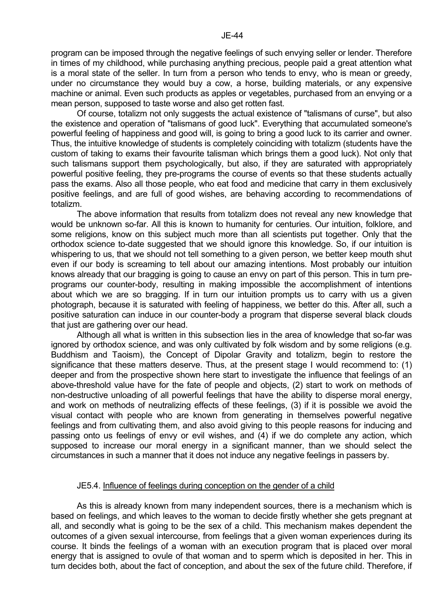Of course, totalizm not only suggests the actual existence of "talismans of curse", but also the existence and operation of "talismans of good luck". Everything that accumulated someone's powerful feeling of happiness and good will, is going to bring a good luck to its carrier and owner. Thus, the intuitive knowledge of students is completely coinciding with totalizm (students have the custom of taking to exams their favourite talisman which brings them a good luck). Not only that such talismans support them psychologically, but also, if they are saturated with appropriately powerful positive feeling, they pre-programs the course of events so that these students actually pass the exams. Also all those people, who eat food and medicine that carry in them exclusively positive feelings, and are full of good wishes, are behaving according to recommendations of totalizm.

 The above information that results from totalizm does not reveal any new knowledge that would be unknown so-far. All this is known to humanity for centuries. Our intuition, folklore, and some religions, know on this subject much more than all scientists put together. Only that the orthodox science to-date suggested that we should ignore this knowledge. So, if our intuition is whispering to us, that we should not tell something to a given person, we better keep mouth shut even if our body is screaming to tell about our amazing intentions. Most probably our intuition knows already that our bragging is going to cause an envy on part of this person. This in turn preprograms our counter-body, resulting in making impossible the accomplishment of intentions about which we are so bragging. If in turn our intuition prompts us to carry with us a given photograph, because it is saturated with feeling of happiness, we better do this. After all, such a positive saturation can induce in our counter-body a program that disperse several black clouds that just are gathering over our head.

 Although all what is written in this subsection lies in the area of knowledge that so-far was ignored by orthodox science, and was only cultivated by folk wisdom and by some religions (e.g. Buddhism and Taoism), the Concept of Dipolar Gravity and totalizm, begin to restore the significance that these matters deserve. Thus, at the present stage I would recommend to: (1) deeper and from the prospective shown here start to investigate the influence that feelings of an above-threshold value have for the fate of people and objects, (2) start to work on methods of non-destructive unloading of all powerful feelings that have the ability to disperse moral energy, and work on methods of neutralizing effects of these feelings, (3) if it is possible we avoid the visual contact with people who are known from generating in themselves powerful negative feelings and from cultivating them, and also avoid giving to this people reasons for inducing and passing onto us feelings of envy or evil wishes, and (4) if we do complete any action, which supposed to increase our moral energy in a significant manner, than we should select the circumstances in such a manner that it does not induce any negative feelings in passers by.

## JE5.4. Influence of feelings during conception on the gender of a child

 As this is already known from many independent sources, there is a mechanism which is based on feelings, and which leaves to the woman to decide firstly whether she gets pregnant at all, and secondly what is going to be the sex of a child. This mechanism makes dependent the outcomes of a given sexual intercourse, from feelings that a given woman experiences during its course. It binds the feelings of a woman with an execution program that is placed over moral energy that is assigned to ovule of that woman and to sperm which is deposited in her. This in turn decides both, about the fact of conception, and about the sex of the future child. Therefore, if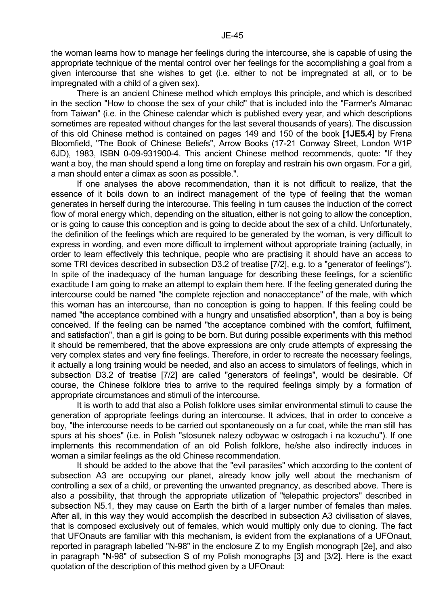the woman learns how to manage her feelings during the intercourse, she is capable of using the appropriate technique of the mental control over her feelings for the accomplishing a goal from a given intercourse that she wishes to get (i.e. either to not be impregnated at all, or to be impregnated with a child of a given sex).

 There is an ancient Chinese method which employs this principle, and which is described in the section "How to choose the sex of your child" that is included into the "Farmer's Almanac from Taiwan" (i.e. in the Chinese calendar which is published every year, and which descriptions sometimes are repeated without changes for the last several thousands of years). The discussion of this old Chinese method is contained on pages 149 and 150 of the book **[1JE5.4]** by Frena Bloomfield, "The Book of Chinese Beliefs", Arrow Books (17-21 Conway Street, London W1P 6JD), 1983, ISBN 0-09-931900-4. This ancient Chinese method recommends, quote: "If they want a boy, the man should spend a long time on foreplay and restrain his own orgasm. For a girl, a man should enter a climax as soon as possible.".

 If one analyses the above recommendation, than it is not difficult to realize, that the essence of it boils down to an indirect management of the type of feeling that the woman generates in herself during the intercourse. This feeling in turn causes the induction of the correct flow of moral energy which, depending on the situation, either is not going to allow the conception, or is going to cause this conception and is going to decide about the sex of a child. Unfortunately, the definition of the feelings which are required to be generated by the woman, is very difficult to express in wording, and even more difficult to implement without appropriate training (actually, in order to learn effectively this technique, people who are practising it should have an access to some TRI devices described in subsection D3.2 of treatise [7/2], e.g. to a "generator of feelings"). In spite of the inadequacy of the human language for describing these feelings, for a scientific exactitude I am going to make an attempt to explain them here. If the feeling generated during the intercourse could be named "the complete rejection and nonacceptance" of the male, with which this woman has an intercourse, than no conception is going to happen. If this feeling could be named "the acceptance combined with a hungry and unsatisfied absorption", than a boy is being conceived. If the feeling can be named "the acceptance combined with the comfort, fulfilment, and satisfaction", than a girl is going to be born. But during possible experiments with this method it should be remembered, that the above expressions are only crude attempts of expressing the very complex states and very fine feelings. Therefore, in order to recreate the necessary feelings, it actually a long training would be needed, and also an access to simulators of feelings, which in subsection D3.2 of treatise [7/2] are called "generators of feelings", would be desirable. Of course, the Chinese folklore tries to arrive to the required feelings simply by a formation of appropriate circumstances and stimuli of the intercourse.

 It is worth to add that also a Polish folklore uses similar environmental stimuli to cause the generation of appropriate feelings during an intercourse. It advices, that in order to conceive a boy, "the intercourse needs to be carried out spontaneously on a fur coat, while the man still has spurs at his shoes" (i.e. in Polish "stosunek nalezy odbywac w ostrogach i na kozuchu"). If one implements this recommendation of an old Polish folklore, he/she also indirectly induces in woman a similar feelings as the old Chinese recommendation.

 It should be added to the above that the "evil parasites" which according to the content of subsection A3 are occupying our planet, already know jolly well about the mechanism of controlling a sex of a child, or preventing the unwanted pregnancy, as described above. There is also a possibility, that through the appropriate utilization of "telepathic projectors" described in subsection N5.1, they may cause on Earth the birth of a larger number of females than males. After all, in this way they would accomplish the described in subsection A3 civilisation of slaves, that is composed exclusively out of females, which would multiply only due to cloning. The fact that UFOnauts are familiar with this mechanism, is evident from the explanations of a UFOnaut, reported in paragraph labelled "N-98" in the enclosure Z to my English monograph [2e], and also in paragraph "N-98" of subsection S of my Polish monographs [3] and [3/2]. Here is the exact quotation of the description of this method given by a UFOnaut: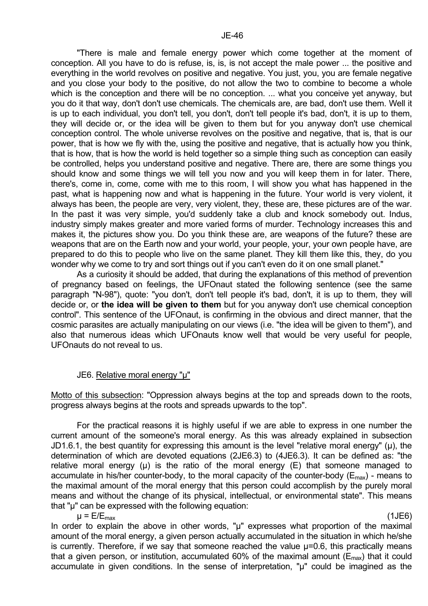"There is male and female energy power which come together at the moment of conception. All you have to do is refuse, is, is, is not accept the male power ... the positive and everything in the world revolves on positive and negative. You just, you, you are female negative and you close your body to the positive, do not allow the two to combine to become a whole which is the conception and there will be no conception. ... what you conceive yet anyway, but you do it that way, don't don't use chemicals. The chemicals are, are bad, don't use them. Well it is up to each individual, you don't tell, you don't, don't tell people it's bad, don't, it is up to them, they will decide or, or the idea will be given to them but for you anyway don't use chemical conception control. The whole universe revolves on the positive and negative, that is, that is our power, that is how we fly with the, using the positive and negative, that is actually how you think, that is how, that is how the world is held together so a simple thing such as conception can easily be controlled, helps you understand positive and negative. There are, there are some things you should know and some things we will tell you now and you will keep them in for later. There, there's, come in, come, come with me to this room, I will show you what has happened in the past, what is happening now and what is happening in the future. Your world is very violent, it always has been, the people are very, very violent, they, these are, these pictures are of the war. In the past it was very simple, you'd suddenly take a club and knock somebody out. Indus, industry simply makes greater and more varied forms of murder. Technology increases this and makes it, the pictures show you. Do you think these are, are weapons of the future? these are weapons that are on the Earth now and your world, your people, your, your own people have, are prepared to do this to people who live on the same planet. They kill them like this, they, do you wonder why we come to try and sort things out if you can't even do it on one small planet."

 As a curiosity it should be added, that during the explanations of this method of prevention of pregnancy based on feelings, the UFOnaut stated the following sentence (see the same paragraph "N-98"), quote: "you don't, don't tell people it's bad, don't, it is up to them, they will decide or, or **the idea will be given to them** but for you anyway don't use chemical conception control". This sentence of the UFOnaut, is confirming in the obvious and direct manner, that the cosmic parasites are actually manipulating on our views (i.e. "the idea will be given to them"), and also that numerous ideas which UFOnauts know well that would be very useful for people, UFOnauts do not reveal to us.

# JE6. Relative moral energy "µ"

Motto of this subsection: "Oppression always begins at the top and spreads down to the roots, progress always begins at the roots and spreads upwards to the top".

 For the practical reasons it is highly useful if we are able to express in one number the current amount of the someone's moral energy. As this was already explained in subsection JD1.6.1, the best quantity for expressing this amount is the level "relative moral energy" (µ), the determination of which are devoted equations (2JE6.3) to (4JE6.3). It can be defined as: "the relative moral energy  $(\mu)$  is the ratio of the moral energy  $(E)$  that someone managed to accumulate in his/her counter-body, to the moral capacity of the counter-body ( $E_{\text{max}}$ ) - means to the maximal amount of the moral energy that this person could accomplish by the purely moral means and without the change of its physical, intellectual, or environmental state". This means that "µ" can be expressed with the following equation:

 $\mu = E/E_{\text{max}}$  (1JE6) In order to explain the above in other words, "µ" expresses what proportion of the maximal amount of the moral energy, a given person actually accumulated in the situation in which he/she is currently. Therefore, if we say that someone reached the value  $\mu$ =0.6, this practically means that a given person, or institution, accumulated 60% of the maximal amount ( $E_{\text{max}}$ ) that it could accumulate in given conditions. In the sense of interpretation, "µ" could be imagined as the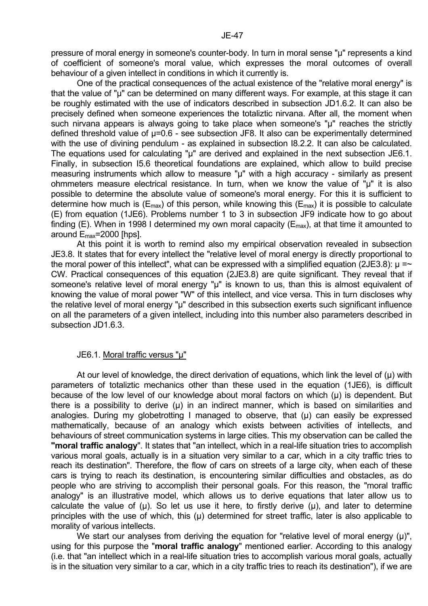pressure of moral energy in someone's counter-body. In turn in moral sense "µ" represents a kind of coefficient of someone's moral value, which expresses the moral outcomes of overall behaviour of a given intellect in conditions in which it currently is.

 One of the practical consequences of the actual existence of the "relative moral energy" is that the value of "µ" can be determined on many different ways. For example, at this stage it can be roughly estimated with the use of indicators described in subsection JD1.6.2. It can also be precisely defined when someone experiences the totaliztic nirvana. After all, the moment when such nirvana appears is always going to take place when someone's "µ" reaches the strictly defined threshold value of µ=0.6 - see subsection JF8. It also can be experimentally determined with the use of divining pendulum - as explained in subsection 18.2.2. It can also be calculated. The equations used for calculating "µ" are derived and explained in the next subsection JE6.1. Finally, in subsection I5.6 theoretical foundations are explained, which allow to build precise measuring instruments which allow to measure "µ" with a high accuracy - similarly as present ohmmeters measure electrical resistance. In turn, when we know the value of "µ" it is also possible to determine the absolute value of someone's moral energy. For this it is sufficient to determine how much is  $(E_{\text{max}})$  of this person, while knowing this  $(E_{\text{max}})$  it is possible to calculate (E) from equation (1JE6). Problems number 1 to 3 in subsection JF9 indicate how to go about finding (E). When in 1998 I determined my own moral capacity ( $E_{\text{max}}$ ), at that time it amounted to around Emax=2000 [hps].

 At this point it is worth to remind also my empirical observation revealed in subsection JE3.8. It states that for every intellect the "relative level of moral energy is directly proportional to the moral power of this intellect", what can be expressed with a simplified equation (2JE3.8):  $\mu = \sim$ CW. Practical consequences of this equation (2JE3.8) are quite significant. They reveal that if someone's relative level of moral energy "µ" is known to us, than this is almost equivalent of knowing the value of moral power "W" of this intellect, and vice versa. This in turn discloses why the relative level of moral energy "µ" described in this subsection exerts such significant influence on all the parameters of a given intellect, including into this number also parameters described in subsection JD1.6.3.

#### JE6.1. Moral traffic versus "µ"

At our level of knowledge, the direct derivation of equations, which link the level of  $(\mu)$  with parameters of totaliztic mechanics other than these used in the equation (1JE6), is difficult because of the low level of our knowledge about moral factors on which (µ) is dependent. But there is a possibility to derive  $(\mu)$  in an indirect manner, which is based on similarities and analogies. During my globetrotting I managed to observe, that (µ) can easily be expressed mathematically, because of an analogy which exists between activities of intellects, and behaviours of street communication systems in large cities. This my observation can be called the **"moral traffic analogy**". It states that "an intellect, which in a real-life situation tries to accomplish various moral goals, actually is in a situation very similar to a car, which in a city traffic tries to reach its destination". Therefore, the flow of cars on streets of a large city, when each of these cars is trying to reach its destination, is encountering similar difficulties and obstacles, as do people who are striving to accomplish their personal goals. For this reason, the "moral traffic analogy" is an illustrative model, which allows us to derive equations that later allow us to calculate the value of  $(\mu)$ . So let us use it here, to firstly derive  $(\mu)$ , and later to determine principles with the use of which, this  $(\mu)$  determined for street traffic, later is also applicable to morality of various intellects.

We start our analyses from deriving the equation for "relative level of moral energy  $(\mu)$ ", using for this purpose the "**moral traffic analogy**" mentioned earlier. According to this analogy (i.e. that "an intellect which in a real-life situation tries to accomplish various moral goals, actually is in the situation very similar to a car, which in a city traffic tries to reach its destination"), if we are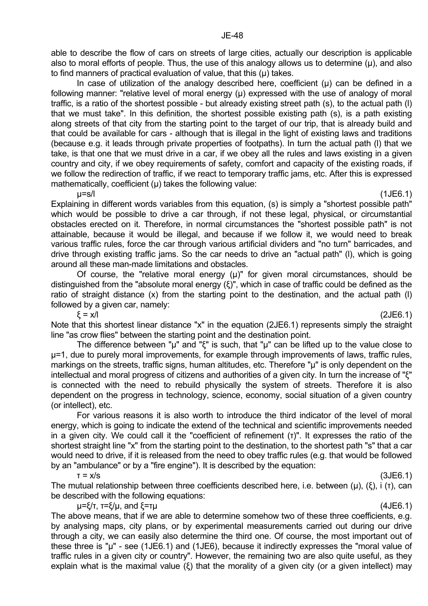able to describe the flow of cars on streets of large cities, actually our description is applicable also to moral efforts of people. Thus, the use of this analogy allows us to determine  $(\mu)$ , and also to find manners of practical evaluation of value, that this  $(\mu)$  takes.

In case of utilization of the analogy described here, coefficient  $(u)$  can be defined in a following manner: "relative level of moral energy (µ) expressed with the use of analogy of moral traffic, is a ratio of the shortest possible - but already existing street path (s), to the actual path (l) that we must take". In this definition, the shortest possible existing path (s), is a path existing along streets of that city from the starting point to the target of our trip, that is already build and that could be available for cars - although that is illegal in the light of existing laws and traditions (because e.g. it leads through private properties of footpaths). In turn the actual path (l) that we take, is that one that we must drive in a car, if we obey all the rules and laws existing in a given country and city, if we obey requirements of safety, comfort and capacity of the existing roads, if we follow the redirection of traffic, if we react to temporary traffic jams, etc. After this is expressed mathematically, coefficient  $(\mu)$  takes the following value:

 $\mu$ =s/l (1JE6.1) Explaining in different words variables from this equation, (s) is simply a "shortest possible path" which would be possible to drive a car through, if not these legal, physical, or circumstantial obstacles erected on it. Therefore, in normal circumstances the "shortest possible path" is not attainable, because it would be illegal, and because if we follow it, we would need to break various traffic rules, force the car through various artificial dividers and "no turn" barricades, and drive through existing traffic jams. So the car needs to drive an "actual path" (l), which is going around all these man-made limitations and obstacles.

Of course, the "relative moral energy  $(\mu)$ " for given moral circumstances, should be distinguished from the "absolute moral energy (ξ)", which in case of traffic could be defined as the ratio of straight distance (x) from the starting point to the destination, and the actual path (l) followed by a given car, namely:

 $\xi = x/l$  (2JE6.1) Note that this shortest linear distance "x" in the equation (2JE6.1) represents simply the straight line "as crow flies" between the starting point and the destination point.

 The difference between "µ" and "ξ" is such, that "µ" can be lifted up to the value close to µ=1, due to purely moral improvements, for example through improvements of laws, traffic rules, markings on the streets, traffic signs, human altitudes, etc. Therefore "u" is only dependent on the intellectual and moral progress of citizens and authorities of a given city. In turn the increase of "ξ" is connected with the need to rebuild physically the system of streets. Therefore it is also dependent on the progress in technology, science, economy, social situation of a given country (or intellect), etc.

 For various reasons it is also worth to introduce the third indicator of the level of moral energy, which is going to indicate the extend of the technical and scientific improvements needed in a given city. We could call it the "coefficient of refinement (τ)". It expresses the ratio of the shortest straight line "x" from the starting point to the destination, to the shortest path "s" that a car would need to drive, if it is released from the need to obey traffic rules (e.g. that would be followed by an "ambulance" or by a "fire engine"). It is described by the equation:

 $\tau = x/s$  (3JE6.1)

The mutual relationship between three coefficients described here, i.e. between (μ), (ξ), i (τ), can be described with the following equations:

 $\mu = \xi/\tau$ ,  $\tau = \xi/\mu$ , and  $\xi = \tau\mu$  (4JE6.1)

The above means, that if we are able to determine somehow two of these three coefficients, e.g. by analysing maps, city plans, or by experimental measurements carried out during our drive through a city, we can easily also determine the third one. Of course, the most important out of these three is "µ" - see (1JE6.1) and (1JE6), because it indirectly expresses the "moral value of traffic rules in a given city or country". However, the remaining two are also quite useful, as they explain what is the maximal value (ξ) that the morality of a given city (or a given intellect) may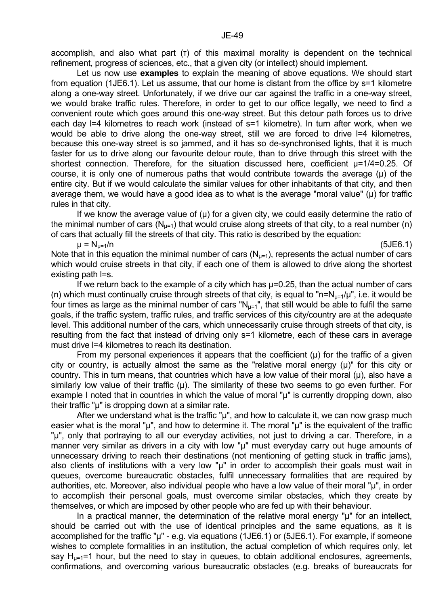accomplish, and also what part (τ) of this maximal morality is dependent on the technical refinement, progress of sciences, etc., that a given city (or intellect) should implement.

 Let us now use **examples** to explain the meaning of above equations. We should start from equation (1JE6.1). Let us assume, that our home is distant from the office by s=1 kilometre along a one-way street. Unfortunately, if we drive our car against the traffic in a one-way street, we would brake traffic rules. Therefore, in order to get to our office legally, we need to find a convenient route which goes around this one-way street. But this detour path forces us to drive each day I=4 kilometres to reach work (instead of s=1 kilometre). In turn after work, when we would be able to drive along the one-way street, still we are forced to drive l=4 kilometres, because this one-way street is so jammed, and it has so de-synchronised lights, that it is much faster for us to drive along our favourite detour route, than to drive through this street with the shortest connection. Therefore, for the situation discussed here, coefficient  $\mu$ =1/4=0.25. Of course, it is only one of numerous paths that would contribute towards the average (µ) of the entire city. But if we would calculate the similar values for other inhabitants of that city, and then average them, we would have a good idea as to what is the average "moral value" ( $\mu$ ) for traffic rules in that city.

If we know the average value of  $(\mu)$  for a given city, we could easily determine the ratio of the minimal number of cars  $(N_{1}=1)$  that would cruise along streets of that city, to a real number (n) of cars that actually fill the streets of that city. This ratio is described by the equation:

 $\mu = N_{\mu=1}/n$  (5JE6.1)

Note that in this equation the minimal number of cars  $(N_{u=1})$ , represents the actual number of cars which would cruise streets in that city, if each one of them is allowed to drive along the shortest existing path l=s.

 If we return back to the example of a city which has µ=0.25, than the actual number of cars (n) which must continually cruise through streets of that city, is equal to "n= $N_{u=1}/\mu$ ", i.e. it would be four times as large as the minimal number of cars " $N<sub>u=1</sub>$ ", that still would be able to fulfil the same goals, if the traffic system, traffic rules, and traffic services of this city/country are at the adequate level. This additional number of the cars, which unnecessarily cruise through streets of that city, is resulting from the fact that instead of driving only s=1 kilometre, each of these cars in average must drive l=4 kilometres to reach its destination.

From my personal experiences it appears that the coefficient  $(u)$  for the traffic of a given city or country, is actually almost the same as the "relative moral energy (µ)" for this city or country. This in turn means, that countries which have a low value of their moral (µ), also have a similarly low value of their traffic (u). The similarity of these two seems to go even further. For example I noted that in countries in which the value of moral "u" is currently dropping down, also their traffic "µ" is dropping down at a similar rate.

After we understand what is the traffic "µ", and how to calculate it, we can now grasp much easier what is the moral "u", and how to determine it. The moral "u" is the equivalent of the traffic "µ", only that portraying to all our everyday activities, not just to driving a car. Therefore, in a manner very similar as drivers in a city with low "µ" must everyday carry out huge amounts of unnecessary driving to reach their destinations (not mentioning of getting stuck in traffic jams), also clients of institutions with a very low "µ" in order to accomplish their goals must wait in queues, overcome bureaucratic obstacles, fulfil unnecessary formalities that are required by authorities, etc. Moreover, also individual people who have a low value of their moral "µ", in order to accomplish their personal goals, must overcome similar obstacles, which they create by themselves, or which are imposed by other people who are fed up with their behaviour.

In a practical manner, the determination of the relative moral energy "µ" for an intellect, should be carried out with the use of identical principles and the same equations, as it is accomplished for the traffic "µ" - e.g. via equations (1JE6.1) or (5JE6.1). For example, if someone wishes to complete formalities in an institution, the actual completion of which requires only, let say  $H_{\text{net}}=1$  hour, but the need to stay in queues, to obtain additional enclosures, agreements, confirmations, and overcoming various bureaucratic obstacles (e.g. breaks of bureaucrats for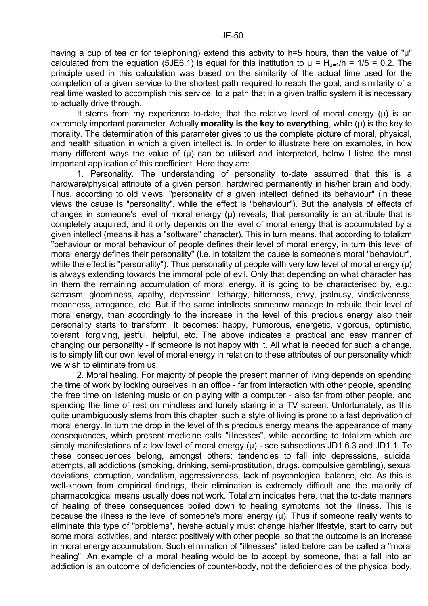having a cup of tea or for telephoning) extend this activity to h=5 hours, than the value of "u" calculated from the equation (5JE6.1) is equal for this institution to  $\mu = H_{\mu=1}/h = 1/5 = 0.2$ . The principle used in this calculation was based on the similarity of the actual time used for the completion of a given service to the shortest path required to reach the goal, and similarity of a real time wasted to accomplish this service, to a path that in a given traffic system it is necessary to actually drive through.

It stems from my experience to-date, that the relative level of moral energy  $(\mu)$  is an extremely important parameter. Actually **morality is the key to everything**, while (µ) is the key to morality. The determination of this parameter gives to us the complete picture of moral, physical, and health situation in which a given intellect is. In order to illustrate here on examples, in how many different ways the value of (u) can be utilised and interpreted, below I listed the most important application of this coefficient. Here they are:

 1. Personality. The understanding of personality to-date assumed that this is a hardware/physical attribute of a given person, hardwired permanently in his/her brain and body. Thus, according to old views, "personality of a given intellect defined its behaviour" (in these views the cause is "personality", while the effect is "behaviour"). But the analysis of effects of changes in someone's level of moral energy  $(\mu)$  reveals, that personality is an attribute that is completely acquired, and it only depends on the level of moral energy that is accumulated by a given intellect (means it has a "software" character). This in turn means, that according to totalizm "behaviour or moral behaviour of people defines their level of moral energy, in turn this level of moral energy defines their personality" (i.e. in totalizm the cause is someone's moral "behaviour", while the effect is "personality"). Thus personality of people with very low level of moral energy (u) is always extending towards the immoral pole of evil. Only that depending on what character has in them the remaining accumulation of moral energy, it is going to be characterised by, e.g.: sarcasm, gloominess, apathy, depression, lethargy, bitterness, envy, jealousy, vindictiveness, meanness, arrogance, etc. But if the same intellects somehow manage to rebuild their level of moral energy, than accordingly to the increase in the level of this precious energy also their personality starts to transform. It becomes: happy, humorous, energetic, vigorous, optimistic, tolerant, forgiving, jestful, helpful, etc. The above indicates a practical and easy manner of changing our personality - if someone is not happy with it. All what is needed for such a change, is to simply lift our own level of moral energy in relation to these attributes of our personality which we wish to eliminate from us.

 2. Moral healing. For majority of people the present manner of living depends on spending the time of work by locking ourselves in an office - far from interaction with other people, spending the free time on listening music or on playing with a computer - also far from other people, and spending the time of rest on mindless and lonely staring in a TV screen. Unfortunately, as this quite unambiguously stems from this chapter, such a style of living is prone to a fast deprivation of moral energy. In turn the drop in the level of this precious energy means the appearance of many consequences, which present medicine calls "illnesses", while according to totalizm which are simply manifestations of a low level of moral energy  $(\mu)$  - see subsections JD1.6.3 and JD1.1. To these consequences belong, amongst others: tendencies to fall into depressions, suicidal attempts, all addictions (smoking, drinking, semi-prostitution, drugs, compulsive gambling), sexual deviations, corruption, vandalism, aggressiveness, lack of psychological balance, etc. As this is well-known from empirical findings, their elimination is extremely difficult and the majority of pharmacological means usually does not work. Totalizm indicates here, that the to-date manners of healing of these consequences boiled down to healing symptoms not the illness. This is because the illness is the level of someone's moral energy (µ). Thus if someone really wants to eliminate this type of "problems", he/she actually must change his/her lifestyle, start to carry out some moral activities, and interact positively with other people, so that the outcome is an increase in moral energy accumulation. Such elimination of "illnesses" listed before can be called a "moral healing". An example of a moral healing would be to accept by someone, that a fall into an addiction is an outcome of deficiencies of counter-body, not the deficiencies of the physical body.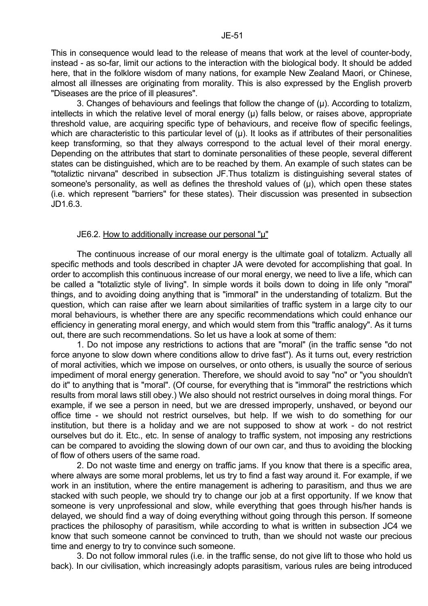This in consequence would lead to the release of means that work at the level of counter-body, instead - as so-far, limit our actions to the interaction with the biological body. It should be added here, that in the folklore wisdom of many nations, for example New Zealand Maori, or Chinese, almost all illnesses are originating from morality. This is also expressed by the English proverb "Diseases are the price of ill pleasures".

3. Changes of behaviours and feelings that follow the change of  $(\mu)$ . According to totalizm, intellects in which the relative level of moral energy  $(\mu)$  falls below, or raises above, appropriate threshold value, are acquiring specific type of behaviours, and receive flow of specific feelings, which are characteristic to this particular level of  $(\mu)$ . It looks as if attributes of their personalities keep transforming, so that they always correspond to the actual level of their moral energy. Depending on the attributes that start to dominate personalities of these people, several different states can be distinguished, which are to be reached by them. An example of such states can be "totaliztic nirvana" described in subsection JF.Thus totalizm is distinguishing several states of someone's personality, as well as defines the threshold values of  $(\mu)$ , which open these states (i.e. which represent "barriers" for these states). Their discussion was presented in subsection JD1.6.3.

#### JE6.2. How to additionally increase our personal "µ"

 The continuous increase of our moral energy is the ultimate goal of totalizm. Actually all specific methods and tools described in chapter JA were devoted for accomplishing that goal. In order to accomplish this continuous increase of our moral energy, we need to live a life, which can be called a "totaliztic style of living". In simple words it boils down to doing in life only "moral" things, and to avoiding doing anything that is "immoral" in the understanding of totalizm. But the question, which can raise after we learn about similarities of traffic system in a large city to our moral behaviours, is whether there are any specific recommendations which could enhance our efficiency in generating moral energy, and which would stem from this "traffic analogy". As it turns out, there are such recommendations. So let us have a look at some of them:

 1. Do not impose any restrictions to actions that are "moral" (in the traffic sense "do not force anyone to slow down where conditions allow to drive fast"). As it turns out, every restriction of moral activities, which we impose on ourselves, or onto others, is usually the source of serious impediment of moral energy generation. Therefore, we should avoid to say "no" or "you shouldn't do it" to anything that is "moral". (Of course, for everything that is "immoral" the restrictions which results from moral laws still obey.) We also should not restrict ourselves in doing moral things. For example, if we see a person in need, but we are dressed improperly, unshaved, or beyond our office time - we should not restrict ourselves, but help. If we wish to do something for our institution, but there is a holiday and we are not supposed to show at work - do not restrict ourselves but do it. Etc., etc. In sense of analogy to traffic system, not imposing any restrictions can be compared to avoiding the slowing down of our own car, and thus to avoiding the blocking of flow of others users of the same road.

 2. Do not waste time and energy on traffic jams. If you know that there is a specific area, where always are some moral problems, let us try to find a fast way around it. For example, if we work in an institution, where the entire management is adhering to parasitism, and thus we are stacked with such people, we should try to change our job at a first opportunity. If we know that someone is very unprofessional and slow, while everything that goes through his/her hands is delayed, we should find a way of doing everything without going through this person. If someone practices the philosophy of parasitism, while according to what is written in subsection JC4 we know that such someone cannot be convinced to truth, than we should not waste our precious time and energy to try to convince such someone.

 3. Do not follow immoral rules (i.e. in the traffic sense, do not give lift to those who hold us back). In our civilisation, which increasingly adopts parasitism, various rules are being introduced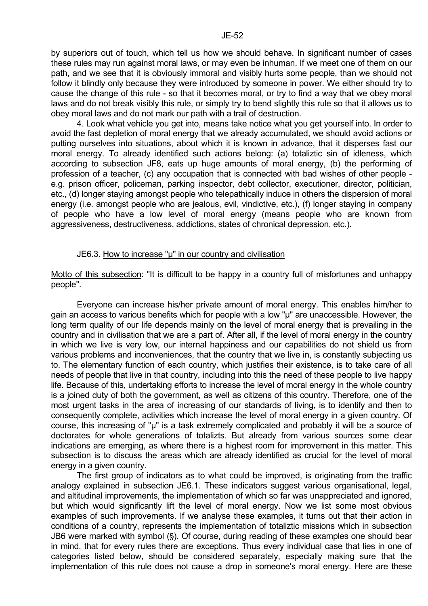by superiors out of touch, which tell us how we should behave. In significant number of cases these rules may run against moral laws, or may even be inhuman. If we meet one of them on our path, and we see that it is obviously immoral and visibly hurts some people, than we should not follow it blindly only because they were introduced by someone in power. We either should try to cause the change of this rule - so that it becomes moral, or try to find a way that we obey moral laws and do not break visibly this rule, or simply try to bend slightly this rule so that it allows us to obey moral laws and do not mark our path with a trail of destruction.

 4. Look what vehicle you get into, means take notice what you get yourself into. In order to avoid the fast depletion of moral energy that we already accumulated, we should avoid actions or putting ourselves into situations, about which it is known in advance, that it disperses fast our moral energy. To already identified such actions belong: (a) totaliztic sin of idleness, which according to subsection JF8, eats up huge amounts of moral energy, (b) the performing of profession of a teacher, (c) any occupation that is connected with bad wishes of other people e.g. prison officer, policeman, parking inspector, debt collector, executioner, director, politician, etc., (d) longer staying amongst people who telepathically induce in others the dispersion of moral energy (i.e. amongst people who are jealous, evil, vindictive, etc.), (f) longer staying in company of people who have a low level of moral energy (means people who are known from aggressiveness, destructiveness, addictions, states of chronical depression, etc.).

## JE6.3. How to increase "µ" in our country and civilisation

Motto of this subsection: "It is difficult to be happy in a country full of misfortunes and unhappy people".

 Everyone can increase his/her private amount of moral energy. This enables him/her to gain an access to various benefits which for people with a low "µ" are unaccessible. However, the long term quality of our life depends mainly on the level of moral energy that is prevailing in the country and in civilisation that we are a part of. After all, if the level of moral energy in the country in which we live is very low, our internal happiness and our capabilities do not shield us from various problems and inconveniences, that the country that we live in, is constantly subjecting us to. The elementary function of each country, which justifies their existence, is to take care of all needs of people that live in that country, including into this the need of these people to live happy life. Because of this, undertaking efforts to increase the level of moral energy in the whole country is a joined duty of both the government, as well as citizens of this country. Therefore, one of the most urgent tasks in the area of increasing of our standards of living, is to identify and then to consequently complete, activities which increase the level of moral energy in a given country. Of course, this increasing of "µ" is a task extremely complicated and probably it will be a source of doctorates for whole generations of totalizts. But already from various sources some clear indications are emerging, as where there is a highest room for improvement in this matter. This subsection is to discuss the areas which are already identified as crucial for the level of moral energy in a given country.

 The first group of indicators as to what could be improved, is originating from the traffic analogy explained in subsection JE6.1. These indicators suggest various organisational, legal, and altitudinal improvements, the implementation of which so far was unappreciated and ignored, but which would significantly lift the level of moral energy. Now we list some most obvious examples of such improvements. If we analyse these examples, it turns out that their action in conditions of a country, represents the implementation of totaliztic missions which in subsection JB6 were marked with symbol  $(\S)$ . Of course, during reading of these examples one should bear in mind, that for every rules there are exceptions. Thus every individual case that lies in one of categories listed below, should be considered separately, especially making sure that the implementation of this rule does not cause a drop in someone's moral energy. Here are these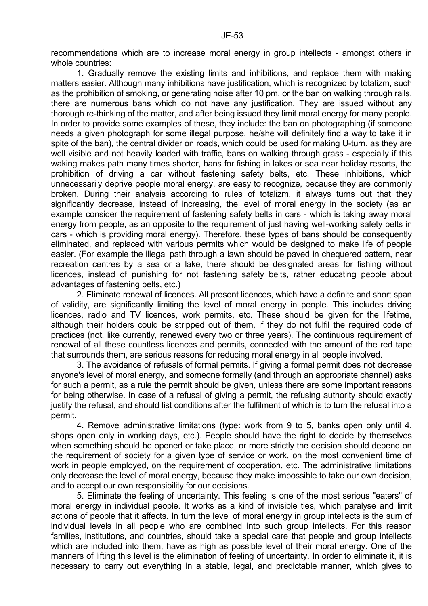recommendations which are to increase moral energy in group intellects - amongst others in whole countries:

 1. Gradually remove the existing limits and inhibitions, and replace them with making matters easier. Although many inhibitions have justification, which is recognized by totalizm, such as the prohibition of smoking, or generating noise after 10 pm, or the ban on walking through rails, there are numerous bans which do not have any justification. They are issued without any thorough re-thinking of the matter, and after being issued they limit moral energy for many people. In order to provide some examples of these, they include: the ban on photographing (if someone needs a given photograph for some illegal purpose, he/she will definitely find a way to take it in spite of the ban), the central divider on roads, which could be used for making U-turn, as they are well visible and not heavily loaded with traffic, bans on walking through grass - especially if this waking makes path many times shorter, bans for fishing in lakes or sea near holiday resorts, the prohibition of driving a car without fastening safety belts, etc. These inhibitions, which unnecessarily deprive people moral energy, are easy to recognize, because they are commonly broken. During their analysis according to rules of totalizm, it always turns out that they significantly decrease, instead of increasing, the level of moral energy in the society (as an example consider the requirement of fastening safety belts in cars - which is taking away moral energy from people, as an opposite to the requirement of just having well-working safety belts in cars - which is providing moral energy). Therefore, these types of bans should be consequently eliminated, and replaced with various permits which would be designed to make life of people easier. (For example the illegal path through a lawn should be paved in chequered pattern, near recreation centres by a sea or a lake, there should be designated areas for fishing without licences, instead of punishing for not fastening safety belts, rather educating people about advantages of fastening belts, etc.)

 2. Eliminate renewal of licences. All present licences, which have a definite and short span of validity, are significantly limiting the level of moral energy in people. This includes driving licences, radio and TV licences, work permits, etc. These should be given for the lifetime, although their holders could be stripped out of them, if they do not fulfil the required code of practices (not, like currently, renewed every two or three years). The continuous requirement of renewal of all these countless licences and permits, connected with the amount of the red tape that surrounds them, are serious reasons for reducing moral energy in all people involved.

 3. The avoidance of refusals of formal permits. If giving a formal permit does not decrease anyone's level of moral energy, and someone formally (and through an appropriate channel) asks for such a permit, as a rule the permit should be given, unless there are some important reasons for being otherwise. In case of a refusal of giving a permit, the refusing authority should exactly justify the refusal, and should list conditions after the fulfilment of which is to turn the refusal into a permit.

 4. Remove administrative limitations (type: work from 9 to 5, banks open only until 4, shops open only in working days, etc.). People should have the right to decide by themselves when something should be opened or take place, or more strictly the decision should depend on the requirement of society for a given type of service or work, on the most convenient time of work in people employed, on the requirement of cooperation, etc. The administrative limitations only decrease the level of moral energy, because they make impossible to take our own decision, and to accept our own responsibility for our decisions.

 5. Eliminate the feeling of uncertainty. This feeling is one of the most serious "eaters" of moral energy in individual people. It works as a kind of invisible ties, which paralyse and limit actions of people that it affects. In turn the level of moral energy in group intellects is the sum of individual levels in all people who are combined into such group intellects. For this reason families, institutions, and countries, should take a special care that people and group intellects which are included into them, have as high as possible level of their moral energy. One of the manners of lifting this level is the elimination of feeling of uncertainty. In order to eliminate it, it is necessary to carry out everything in a stable, legal, and predictable manner, which gives to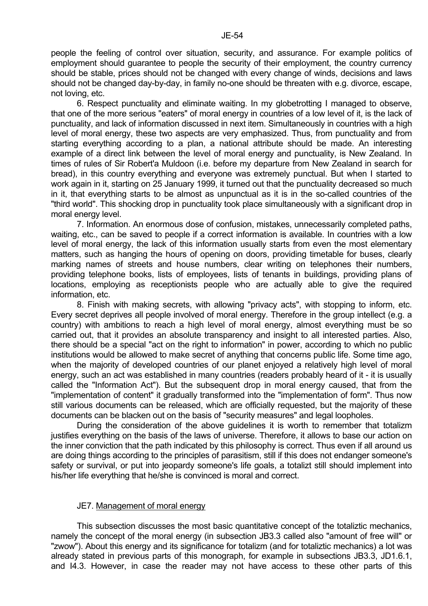people the feeling of control over situation, security, and assurance. For example politics of employment should guarantee to people the security of their employment, the country currency should be stable, prices should not be changed with every change of winds, decisions and laws should not be changed day-by-day, in family no-one should be threaten with e.g. divorce, escape, not loving, etc.

 6. Respect punctuality and eliminate waiting. In my globetrotting I managed to observe, that one of the more serious "eaters" of moral energy in countries of a low level of it, is the lack of punctuality, and lack of information discussed in next item. Simultaneously in countries with a high level of moral energy, these two aspects are very emphasized. Thus, from punctuality and from starting everything according to a plan, a national attribute should be made. An interesting example of a direct link between the level of moral energy and punctuality, is New Zealand. In times of rules of Sir Robert'a Muldoon (i.e. before my departure from New Zealand in search for bread), in this country everything and everyone was extremely punctual. But when I started to work again in it, starting on 25 January 1999, it turned out that the punctuality decreased so much in it, that everything starts to be almost as unpunctual as it is in the so-called countries of the "third world". This shocking drop in punctuality took place simultaneously with a significant drop in moral energy level.

 7. Information. An enormous dose of confusion, mistakes, unnecessarily completed paths, waiting, etc., can be saved to people if a correct information is available. In countries with a low level of moral energy, the lack of this information usually starts from even the most elementary matters, such as hanging the hours of opening on doors, providing timetable for buses, clearly marking names of streets and house numbers, clear writing on telephones their numbers, providing telephone books, lists of employees, lists of tenants in buildings, providing plans of locations, employing as receptionists people who are actually able to give the required information, etc.

 8. Finish with making secrets, with allowing "privacy acts", with stopping to inform, etc. Every secret deprives all people involved of moral energy. Therefore in the group intellect (e.g. a country) with ambitions to reach a high level of moral energy, almost everything must be so carried out, that it provides an absolute transparency and insight to all interested parties. Also, there should be a special "act on the right to information" in power, according to which no public institutions would be allowed to make secret of anything that concerns public life. Some time ago, when the majority of developed countries of our planet enjoyed a relatively high level of moral energy, such an act was established in many countries (readers probably heard of it - it is usually called the "Information Act"). But the subsequent drop in moral energy caused, that from the "implementation of content" it gradually transformed into the "implementation of form". Thus now still various documents can be released, which are officially requested, but the majority of these documents can be blacken out on the basis of "security measures" and legal loopholes.

 During the consideration of the above guidelines it is worth to remember that totalizm justifies everything on the basis of the laws of universe. Therefore, it allows to base our action on the inner conviction that the path indicated by this philosophy is correct. Thus even if all around us are doing things according to the principles of parasitism, still if this does not endanger someone's safety or survival, or put into jeopardy someone's life goals, a totalizt still should implement into his/her life everything that he/she is convinced is moral and correct.

## JE7. Management of moral energy

 This subsection discusses the most basic quantitative concept of the totaliztic mechanics, namely the concept of the moral energy (in subsection JB3.3 called also "amount of free will" or "zwow"). About this energy and its significance for totalizm (and for totaliztic mechanics) a lot was already stated in previous parts of this monograph, for example in subsections JB3.3, JD1.6.1, and I4.3. However, in case the reader may not have access to these other parts of this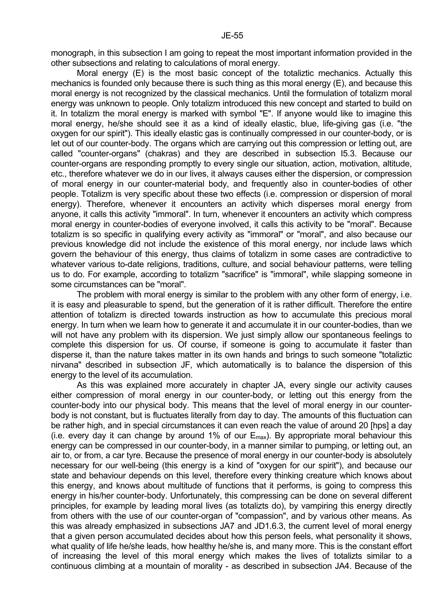monograph, in this subsection I am going to repeat the most important information provided in the other subsections and relating to calculations of moral energy.

 Moral energy (E) is the most basic concept of the totaliztic mechanics. Actually this mechanics is founded only because there is such thing as this moral energy (E), and because this moral energy is not recognized by the classical mechanics. Until the formulation of totalizm moral energy was unknown to people. Only totalizm introduced this new concept and started to build on it. In totalizm the moral energy is marked with symbol "E". If anyone would like to imagine this moral energy, he/she should see it as a kind of ideally elastic, blue, life-giving gas (i.e. "the oxygen for our spirit"). This ideally elastic gas is continually compressed in our counter-body, or is let out of our counter-body. The organs which are carrying out this compression or letting out, are called "counter-organs" (chakras) and they are described in subsection I5.3. Because our counter-organs are responding promptly to every single our situation, action, motivation, altitude, etc., therefore whatever we do in our lives, it always causes either the dispersion, or compression of moral energy in our counter-material body, and frequently also in counter-bodies of other people. Totalizm is very specific about these two effects (i.e. compression or dispersion of moral energy). Therefore, whenever it encounters an activity which disperses moral energy from anyone, it calls this activity "immoral". In turn, whenever it encounters an activity which compress moral energy in counter-bodies of everyone involved, it calls this activity to be "moral". Because totalizm is so specific in qualifying every activity as "immoral" or "moral", and also because our previous knowledge did not include the existence of this moral energy, nor include laws which govern the behaviour of this energy, thus claims of totalizm in some cases are contradictive to whatever various to-date religions, traditions, culture, and social behaviour patterns, were telling us to do. For example, according to totalizm "sacrifice" is "immoral", while slapping someone in some circumstances can be "moral".

 The problem with moral energy is similar to the problem with any other form of energy, i.e. it is easy and pleasurable to spend, but the generation of it is rather difficult. Therefore the entire attention of totalizm is directed towards instruction as how to accumulate this precious moral energy. In turn when we learn how to generate it and accumulate it in our counter-bodies, than we will not have any problem with its dispersion. We just simply allow our spontaneous feelings to complete this dispersion for us. Of course, if someone is going to accumulate it faster than disperse it, than the nature takes matter in its own hands and brings to such someone "totaliztic nirvana" described in subsection JF, which automatically is to balance the dispersion of this energy to the level of its accumulation.

 As this was explained more accurately in chapter JA, every single our activity causes either compression of moral energy in our counter-body, or letting out this energy from the counter-body into our physical body. This means that the level of moral energy in our counterbody is not constant, but is fluctuates literally from day to day. The amounts of this fluctuation can be rather high, and in special circumstances it can even reach the value of around 20 [hps] a day (i.e. every day it can change by around 1% of our  $E_{\text{max}}$ ). By appropriate moral behaviour this energy can be compressed in our counter-body, in a manner similar to pumping, or letting out, an air to, or from, a car tyre. Because the presence of moral energy in our counter-body is absolutely necessary for our well-being (this energy is a kind of "oxygen for our spirit"), and because our state and behaviour depends on this level, therefore every thinking creature which knows about this energy, and knows about multitude of functions that it performs, is going to compress this energy in his/her counter-body. Unfortunately, this compressing can be done on several different principles, for example by leading moral lives (as totalizts do), by vampiring this energy directly from others with the use of our counter-organ of "compassion", and by various other means. As this was already emphasized in subsections JA7 and JD1.6.3, the current level of moral energy that a given person accumulated decides about how this person feels, what personality it shows, what quality of life he/she leads, how healthy he/she is, and many more. This is the constant effort of increasing the level of this moral energy which makes the lives of totalizts similar to a continuous climbing at a mountain of morality - as described in subsection JA4. Because of the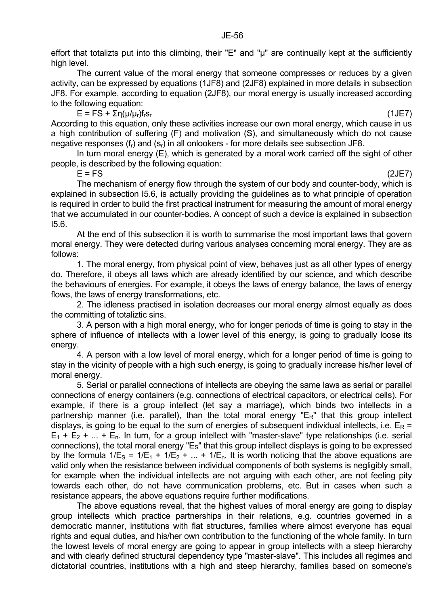effort that totalizts put into this climbing, their "E" and "µ" are continually kept at the sufficiently high level.

 The current value of the moral energy that someone compresses or reduces by a given activity, can be expressed by equations (1JF8) and (2JF8) explained in more details in subsection JF8. For example, according to equation (2JF8), our moral energy is usually increased according to the following equation:

 $E = FS + \Sigma \eta(\mu/\mu_r) f_r s_r$  (1JE7)

According to this equation, only these activities increase our own moral energy, which cause in us a high contribution of suffering (F) and motivation (S), and simultaneously which do not cause negative responses  $(f_r)$  and  $(s_r)$  in all onlookers - for more details see subsection JF8.

 In turn moral energy (E), which is generated by a moral work carried off the sight of other people, is described by the following equation:

 $E = FS$  (2JE7)

 The mechanism of energy flow through the system of our body and counter-body, which is explained in subsection I5.6, is actually providing the guidelines as to what principle of operation is required in order to build the first practical instrument for measuring the amount of moral energy that we accumulated in our counter-bodies. A concept of such a device is explained in subsection I5.6.

 At the end of this subsection it is worth to summarise the most important laws that govern moral energy. They were detected during various analyses concerning moral energy. They are as follows:

 1. The moral energy, from physical point of view, behaves just as all other types of energy do. Therefore, it obeys all laws which are already identified by our science, and which describe the behaviours of energies. For example, it obeys the laws of energy balance, the laws of energy flows, the laws of energy transformations, etc.

 2. The idleness practised in isolation decreases our moral energy almost equally as does the committing of totaliztic sins.

 3. A person with a high moral energy, who for longer periods of time is going to stay in the sphere of influence of intellects with a lower level of this energy, is going to gradually loose its energy.

 4. A person with a low level of moral energy, which for a longer period of time is going to stay in the vicinity of people with a high such energy, is going to gradually increase his/her level of moral energy.

 5. Serial or parallel connections of intellects are obeying the same laws as serial or parallel connections of energy containers (e.g. connections of electrical capacitors, or electrical cells). For example, if there is a group intellect (let say a marriage), which binds two intellects in a partnership manner (i.e. parallel), than the total moral energy " $E<sub>R</sub>$ " that this group intellect displays, is going to be equal to the sum of energies of subsequent individual intellects, i.e.  $E_R$  =  $E_1 + E_2 + ... + E_n$ . In turn, for a group intellect with "master-slave" type relationships (i.e. serial connections), the total moral energy " $E_S$ " that this group intellect displays is going to be expressed by the formula  $1/E_s = 1/E_1 + 1/E_2 + ... + 1/E_n$ . It is worth noticing that the above equations are valid only when the resistance between individual components of both systems is negligibly small, for example when the individual intellects are not arguing with each other, are not feeling pity towards each other, do not have communication problems, etc. But in cases when such a resistance appears, the above equations require further modifications.

 The above equations reveal, that the highest values of moral energy are going to display group intellects which practice partnerships in their relations, e.g. countries governed in a democratic manner, institutions with flat structures, families where almost everyone has equal rights and equal duties, and his/her own contribution to the functioning of the whole family. In turn the lowest levels of moral energy are going to appear in group intellects with a steep hierarchy and with clearly defined structural dependency type "master-slave". This includes all regimes and dictatorial countries, institutions with a high and steep hierarchy, families based on someone's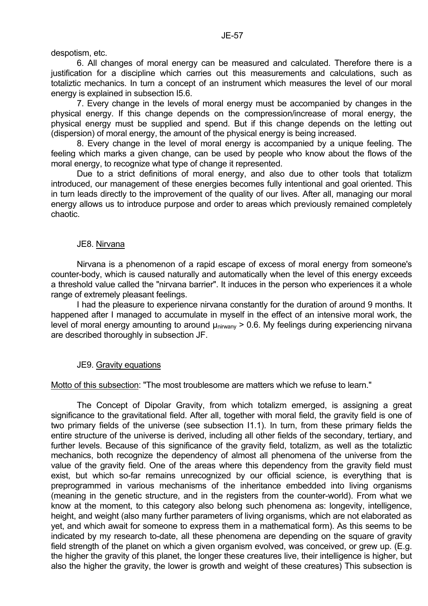despotism, etc.

 6. All changes of moral energy can be measured and calculated. Therefore there is a justification for a discipline which carries out this measurements and calculations, such as totaliztic mechanics. In turn a concept of an instrument which measures the level of our moral energy is explained in subsection I5.6.

 7. Every change in the levels of moral energy must be accompanied by changes in the physical energy. If this change depends on the compression/increase of moral energy, the physical energy must be supplied and spend. But if this change depends on the letting out (dispersion) of moral energy, the amount of the physical energy is being increased.

 8. Every change in the level of moral energy is accompanied by a unique feeling. The feeling which marks a given change, can be used by people who know about the flows of the moral energy, to recognize what type of change it represented.

 Due to a strict definitions of moral energy, and also due to other tools that totalizm introduced, our management of these energies becomes fully intentional and goal oriented. This in turn leads directly to the improvement of the quality of our lives. After all, managing our moral energy allows us to introduce purpose and order to areas which previously remained completely chaotic.

## JE8. Nirvana

 Nirvana is a phenomenon of a rapid escape of excess of moral energy from someone's counter-body, which is caused naturally and automatically when the level of this energy exceeds a threshold value called the "nirvana barrier". It induces in the person who experiences it a whole range of extremely pleasant feelings.

 I had the pleasure to experience nirvana constantly for the duration of around 9 months. It happened after I managed to accumulate in myself in the effect of an intensive moral work, the level of moral energy amounting to around  $\mu_{\text{nivann}} > 0.6$ . My feelings during experiencing nirvana are described thoroughly in subsection JF.

# JE9. Gravity equations

Motto of this subsection: "The most troublesome are matters which we refuse to learn."

 The Concept of Dipolar Gravity, from which totalizm emerged, is assigning a great significance to the gravitational field. After all, together with moral field, the gravity field is one of two primary fields of the universe (see subsection I1.1). In turn, from these primary fields the entire structure of the universe is derived, including all other fields of the secondary, tertiary, and further levels. Because of this significance of the gravity field, totalizm, as well as the totaliztic mechanics, both recognize the dependency of almost all phenomena of the universe from the value of the gravity field. One of the areas where this dependency from the gravity field must exist, but which so-far remains unrecognized by our official science, is everything that is preprogrammed in various mechanisms of the inheritance embedded into living organisms (meaning in the genetic structure, and in the registers from the counter-world). From what we know at the moment, to this category also belong such phenomena as: longevity, intelligence, height, and weight (also many further parameters of living organisms, which are not elaborated as yet, and which await for someone to express them in a mathematical form). As this seems to be indicated by my research to-date, all these phenomena are depending on the square of gravity field strength of the planet on which a given organism evolved, was conceived, or grew up. (E.g. the higher the gravity of this planet, the longer these creatures live, their intelligence is higher, but also the higher the gravity, the lower is growth and weight of these creatures) This subsection is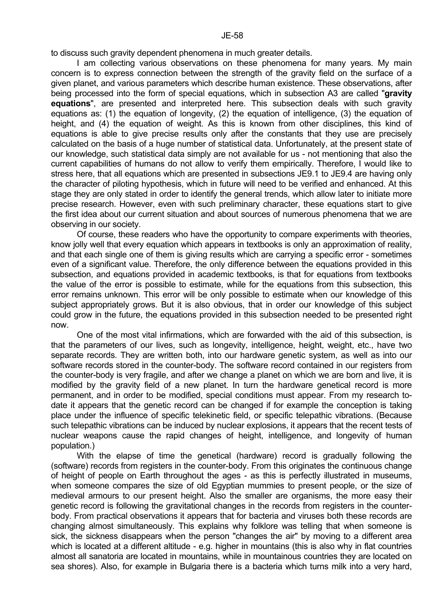to discuss such gravity dependent phenomena in much greater details.

 I am collecting various observations on these phenomena for many years. My main concern is to express connection between the strength of the gravity field on the surface of a given planet, and various parameters which describe human existence. These observations, after being processed into the form of special equations, which in subsection A3 are called "**gravity equations**", are presented and interpreted here. This subsection deals with such gravity equations as: (1) the equation of longevity, (2) the equation of intelligence, (3) the equation of height, and (4) the equation of weight. As this is known from other disciplines, this kind of equations is able to give precise results only after the constants that they use are precisely calculated on the basis of a huge number of statistical data. Unfortunately, at the present state of our knowledge, such statistical data simply are not available for us - not mentioning that also the current capabilities of humans do not allow to verify them empirically. Therefore, I would like to stress here, that all equations which are presented in subsections JE9.1 to JE9.4 are having only the character of piloting hypothesis, which in future will need to be verified and enhanced. At this stage they are only stated in order to identify the general trends, which allow later to initiate more precise research. However, even with such preliminary character, these equations start to give the first idea about our current situation and about sources of numerous phenomena that we are observing in our society.

 Of course, these readers who have the opportunity to compare experiments with theories, know jolly well that every equation which appears in textbooks is only an approximation of reality, and that each single one of them is giving results which are carrying a specific error - sometimes even of a significant value. Therefore, the only difference between the equations provided in this subsection, and equations provided in academic textbooks, is that for equations from textbooks the value of the error is possible to estimate, while for the equations from this subsection, this error remains unknown. This error will be only possible to estimate when our knowledge of this subject appropriately grows. But it is also obvious, that in order our knowledge of this subject could grow in the future, the equations provided in this subsection needed to be presented right now.

 One of the most vital infirmations, which are forwarded with the aid of this subsection, is that the parameters of our lives, such as longevity, intelligence, height, weight, etc., have two separate records. They are written both, into our hardware genetic system, as well as into our software records stored in the counter-body. The software record contained in our registers from the counter-body is very fragile, and after we change a planet on which we are born and live, it is modified by the gravity field of a new planet. In turn the hardware genetical record is more permanent, and in order to be modified, special conditions must appear. From my research todate it appears that the genetic record can be changed if for example the conception is taking place under the influence of specific telekinetic field, or specific telepathic vibrations. (Because such telepathic vibrations can be induced by nuclear explosions, it appears that the recent tests of nuclear weapons cause the rapid changes of height, intelligence, and longevity of human population.)

 With the elapse of time the genetical (hardware) record is gradually following the (software) records from registers in the counter-body. From this originates the continuous change of height of people on Earth throughout the ages - as this is perfectly illustrated in museums, when someone compares the size of old Egyptian mummies to present people, or the size of medieval armours to our present height. Also the smaller are organisms, the more easy their genetic record is following the gravitational changes in the records from registers in the counterbody. From practical observations it appears that for bacteria and viruses both these records are changing almost simultaneously. This explains why folklore was telling that when someone is sick, the sickness disappears when the person "changes the air" by moving to a different area which is located at a different altitude - e.g. higher in mountains (this is also why in flat countries almost all sanatoria are located in mountains, while in mountainous countries they are located on sea shores). Also, for example in Bulgaria there is a bacteria which turns milk into a very hard,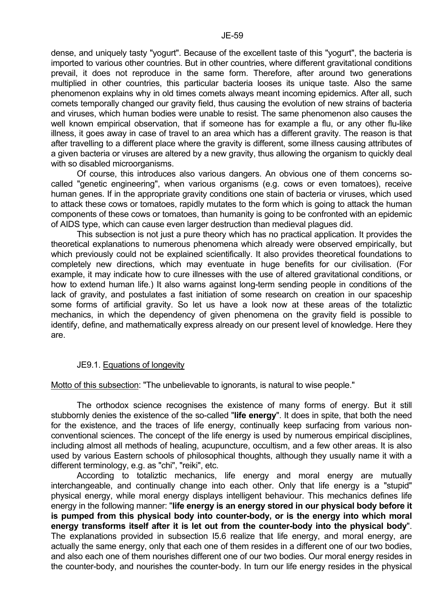dense, and uniquely tasty "yogurt". Because of the excellent taste of this "yogurt", the bacteria is imported to various other countries. But in other countries, where different gravitational conditions prevail, it does not reproduce in the same form. Therefore, after around two generations multiplied in other countries, this particular bacteria looses its unique taste. Also the same phenomenon explains why in old times comets always meant incoming epidemics. After all, such comets temporally changed our gravity field, thus causing the evolution of new strains of bacteria and viruses, which human bodies were unable to resist. The same phenomenon also causes the well known empirical observation, that if someone has for example a flu, or any other flu-like illness, it goes away in case of travel to an area which has a different gravity. The reason is that after travelling to a different place where the gravity is different, some illness causing attributes of a given bacteria or viruses are altered by a new gravity, thus allowing the organism to quickly deal with so disabled microorganisms.

 Of course, this introduces also various dangers. An obvious one of them concerns socalled "genetic engineering", when various organisms (e.g. cows or even tomatoes), receive human genes. If in the appropriate gravity conditions one stain of bacteria or viruses, which used to attack these cows or tomatoes, rapidly mutates to the form which is going to attack the human components of these cows or tomatoes, than humanity is going to be confronted with an epidemic of AIDS type, which can cause even larger destruction than medieval plagues did.

 This subsection is not just a pure theory which has no practical application. It provides the theoretical explanations to numerous phenomena which already were observed empirically, but which previously could not be explained scientifically. It also provides theoretical foundations to completely new directions, which may eventuate in huge benefits for our civilisation. (For example, it may indicate how to cure illnesses with the use of altered gravitational conditions, or how to extend human life.) It also warns against long-term sending people in conditions of the lack of gravity, and postulates a fast initiation of some research on creation in our spaceship some forms of artificial gravity. So let us have a look now at these areas of the totaliztic mechanics, in which the dependency of given phenomena on the gravity field is possible to identify, define, and mathematically express already on our present level of knowledge. Here they are.

## JE9.1. Equations of longevity

Motto of this subsection: "The unbelievable to ignorants, is natural to wise people."

 The orthodox science recognises the existence of many forms of energy. But it still stubbornly denies the existence of the so-called "**life energy**". It does in spite, that both the need for the existence, and the traces of life energy, continually keep surfacing from various nonconventional sciences. The concept of the life energy is used by numerous empirical disciplines, including almost all methods of healing, acupuncture, occultism, and a few other areas. It is also used by various Eastern schools of philosophical thoughts, although they usually name it with a different terminology, e.g. as "chi", "reiki", etc.

 According to totaliztic mechanics, life energy and moral energy are mutually interchangeable, and continually change into each other. Only that life energy is a "stupid" physical energy, while moral energy displays intelligent behaviour. This mechanics defines life energy in the following manner: "**life energy is an energy stored in our physical body before it is pumped from this physical body into counter-body, or is the energy into which moral energy transforms itself after it is let out from the counter-body into the physical body**". The explanations provided in subsection I5.6 realize that life energy, and moral energy, are actually the same energy, only that each one of them resides in a different one of our two bodies, and also each one of them nourishes different one of our two bodies. Our moral energy resides in the counter-body, and nourishes the counter-body. In turn our life energy resides in the physical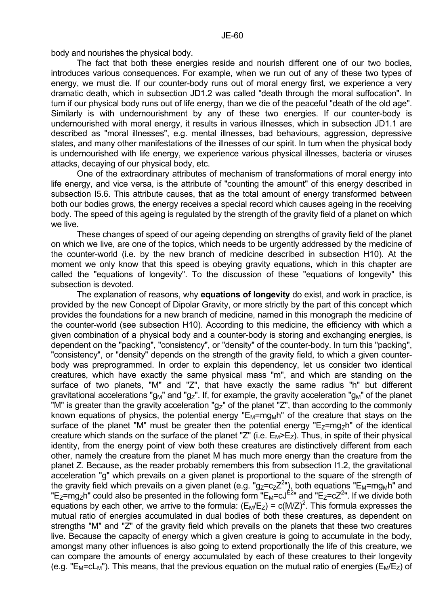body and nourishes the physical body.

 The fact that both these energies reside and nourish different one of our two bodies, introduces various consequences. For example, when we run out of any of these two types of energy, we must die. If our counter-body runs out of moral energy first, we experience a very dramatic death, which in subsection JD1.2 was called "death through the moral suffocation". In turn if our physical body runs out of life energy, than we die of the peaceful "death of the old age". Similarly is with undernourishment by any of these two energies. If our counter-body is undernourished with moral energy, it results in various illnesses, which in subsection JD1.1 are described as "moral illnesses", e.g. mental illnesses, bad behaviours, aggression, depressive states, and many other manifestations of the illnesses of our spirit. In turn when the physical body is undernourished with life energy, we experience various physical illnesses, bacteria or viruses attacks, decaying of our physical body, etc.

 One of the extraordinary attributes of mechanism of transformations of moral energy into life energy, and vice versa, is the attribute of "counting the amount" of this energy described in subsection I5.6. This attribute causes, that as the total amount of energy transformed between both our bodies grows, the energy receives a special record which causes ageing in the receiving body. The speed of this ageing is regulated by the strength of the gravity field of a planet on which we live.

 These changes of speed of our ageing depending on strengths of gravity field of the planet on which we live, are one of the topics, which needs to be urgently addressed by the medicine of the counter-world (i.e. by the new branch of medicine described in subsection H10). At the moment we only know that this speed is obeving gravity equations, which in this chapter are called the "equations of longevity". To the discussion of these "equations of longevity" this subsection is devoted.

 The explanation of reasons, why **equations of longevity** do exist, and work in practice, is provided by the new Concept of Dipolar Gravity, or more strictly by the part of this concept which provides the foundations for a new branch of medicine, named in this monograph the medicine of the counter-world (see subsection H10). According to this medicine, the efficiency with which a given combination of a physical body and a counter-body is storing and exchanging energies, is dependent on the "packing", "consistency", or "density" of the counter-body. In turn this "packing", "consistency", or "density" depends on the strength of the gravity field, to which a given counterbody was preprogrammed. In order to explain this dependency, let us consider two identical creatures, which have exactly the same physical mass "m", and which are standing on the surface of two planets, "M" and "Z", that have exactly the same radius "h" but different gravitational accelerations "g<sub>M</sub>" and "g<sub>Z</sub>". If, for example, the gravity acceleration "g<sub>M</sub>" of the planet "M" is greater than the gravity acceleration "g<sub>7</sub>" of the planet "Z", than according to the commonly known equations of physics, the potential energy " $E_M = mg_M$ h" of the creature that stays on the surface of the planet "M" must be greater then the potential energy " $E_{z}=mg_{z}h$ " of the identical creature which stands on the surface of the planet "Z" (i.e.  $E_M>E_Z$ ). Thus, in spite of their physical identity, from the energy point of view both these creatures are distinctively different from each other, namely the creature from the planet M has much more energy than the creature from the planet Z. Because, as the reader probably remembers this from subsection I1.2, the gravitational acceleration "g" which prevails on a given planet is proportional to the square of the strength of the gravity field which prevails on a given planet (e.g. "g<sub>Z</sub>=c<sub>Z</sub>Z<sup>2</sup>"), both equations "E<sub>M</sub>=mg<sub>M</sub>h" and "E<sub>Z</sub>=mg<sub>Z</sub>h" could also be presented in the following form "E<sub>M</sub>=cJ<sup>E2</sup>" and "E<sub>Z</sub>=cZ<sup>2</sup>". If we divide both equations by each other, we arrive to the formula:  $(E_M/E_Z) = c(M/Z)^2$ . This formula expresses the mutual ratio of energies accumulated in dual bodies of both these creatures, as dependent on strengths "M" and "Z" of the gravity field which prevails on the planets that these two creatures live. Because the capacity of energy which a given creature is going to accumulate in the body, amongst many other influences is also going to extend proportionally the life of this creature, we can compare the amounts of energy accumulated by each of these creatures to their longevity (e.g. " $E_M = cL_M$ "). This means, that the previous equation on the mutual ratio of energies ( $E_M/E_Z$ ) of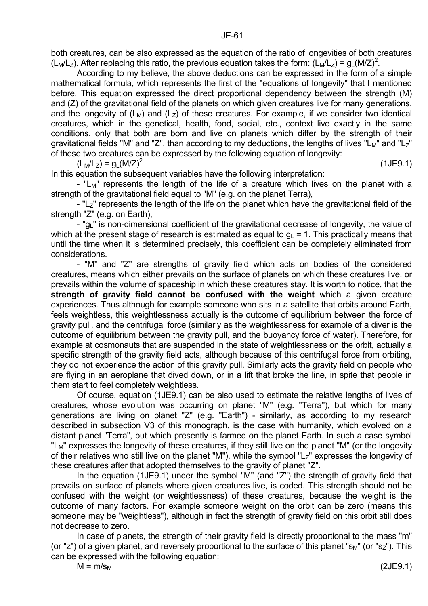both creatures, can be also expressed as the equation of the ratio of longevities of both creatures (L<sub>M</sub>/L<sub>Z</sub>). After replacing this ratio, the previous equation takes the form: (L<sub>M</sub>/L<sub>Z</sub>) =  $g_L(M/Z)^2$ .

 According to my believe, the above deductions can be expressed in the form of a simple mathematical formula, which represents the first of the "equations of longevity" that I mentioned before. This equation expressed the direct proportional dependency between the strength (M) and (Z) of the gravitational field of the planets on which given creatures live for many generations, and the longevity of  $(L_M)$  and  $(L_Z)$  of these creatures. For example, if we consider two identical creatures, which in the genetical, health, food, social, etc., context live exactly in the same conditions, only that both are born and live on planets which differ by the strength of their gravitational fields "M" and "Z", than according to my deductions, the lengths of lives "L<sub>M</sub>" and "L<sub>Z</sub>" of these two creatures can be expressed by the following equation of longevity:

 $(L_M/L_z) = q_L (M/Z)^2$ 

In this equation the subsequent variables have the following interpretation:

- " $L_M$ " represents the length of the life of a creature which lives on the planet with a strength of the gravitational field equal to "M" (e.g. on the planet Terra),

- "L<sub>7</sub>" represents the length of the life on the planet which have the gravitational field of the strength "Z" (e.g. on Earth),

- "g<sub>L</sub>" is non-dimensional coefficient of the gravitational decrease of longevity, the value of which at the present stage of research is estimated as equal to  $q_1 = 1$ . This practically means that until the time when it is determined precisely, this coefficient can be completely eliminated from considerations.

 - "M" and "Z" are strengths of gravity field which acts on bodies of the considered creatures, means which either prevails on the surface of planets on which these creatures live, or prevails within the volume of spaceship in which these creatures stay. It is worth to notice, that the **strength of gravity field cannot be confused with the weight** which a given creature experiences. Thus although for example someone who sits in a satellite that orbits around Earth, feels weightless, this weightlessness actually is the outcome of equilibrium between the force of gravity pull, and the centrifugal force (similarly as the weightlessness for example of a diver is the outcome of equilibrium between the gravity pull, and the buoyancy force of water). Therefore, for example at cosmonauts that are suspended in the state of weightlessness on the orbit, actually a specific strength of the gravity field acts, although because of this centrifugal force from orbiting, they do not experience the action of this gravity pull. Similarly acts the gravity field on people who are flying in an aeroplane that dived down, or in a lift that broke the line, in spite that people in them start to feel completely weightless.

 Of course, equation (1JE9.1) can be also used to estimate the relative lengths of lives of creatures, whose evolution was occurring on planet "M" (e.g. "Terra"), but which for many generations are living on planet "Z" (e.g. "Earth") - similarly, as according to my research described in subsection V3 of this monograph, is the case with humanity, which evolved on a distant planet "Terra", but which presently is farmed on the planet Earth. In such a case symbol "L<sub>M</sub>" expresses the longevity of these creatures, if they still live on the planet "M" (or the longevity of their relatives who still live on the planet "M"), while the symbol "L<sub>Z</sub>" expresses the longevity of these creatures after that adopted themselves to the gravity of planet "Z".

 In the equation (1JE9.1) under the symbol "M" (and "Z") the strength of gravity field that prevails on surface of planets where given creatures live, is coded. This strength should not be confused with the weight (or weightlessness) of these creatures, because the weight is the outcome of many factors. For example someone weight on the orbit can be zero (means this someone may be "weightless"), although in fact the strength of gravity field on this orbit still does not decrease to zero.

 In case of planets, the strength of their gravity field is directly proportional to the mass "m" (or "z") of a given planet, and reversely proportional to the surface of this planet " $s_M$ " (or " $s_Z$ "). This can be expressed with the following equation:

(1JE9.1)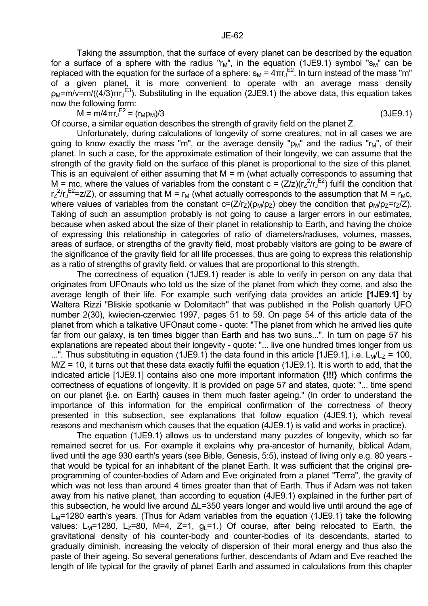Taking the assumption, that the surface of every planet can be described by the equation for a surface of a sphere with the radius " $r_M$ ", in the equation (1JE9.1) symbol " $s_M$ " can be replaced with the equation for the surface of a sphere:  $s_M = 4πr_J<sup>E2</sup>$ . In turn instead of the mass "m" of a given planet, it is more convenient to operate with an average mass density  $ρ_M$ =m/v=m/((4/3)πr<sub>J</sub><sup>E3</sup>). Substituting in the equation (2JE9.1) the above data, this equation takes now the following form:

 $M = m/4\pi r_J^{E2} = (r_M \rho_M)/3$  (3JE9.1)

Of course, a similar equation describes the strength of gravity field on the planet Z.

 Unfortunately, during calculations of longevity of some creatures, not in all cases we are going to know exactly the mass "m", or the average density " $\rho_M$ " and the radius " $r_M$ ", of their planet. In such a case, for the approximate estimation of their longevity, we can assume that the strength of the gravity field on the surface of this planet is proportional to the size of this planet. This is an equivalent of either assuming that  $M = m$  (what actually corresponds to assuming that M = mc, where the values of variables from the constant  $c = (Z/z)(r_z^2/r_y^{E2})$  fulfil the condition that  $r_Z^2/r_J^{E2}$ =z/Z), or assuming that M =  $r_M$  (what actually corresponds to the assumption that M =  $r_M$ c, where values of variables from the constant  $c=(Z/r_Z)(\rho_M/\rho_Z)$  obey the condition that  $\rho_M/\rho_Z=r_Z/Z$ ). Taking of such an assumption probably is not going to cause a larger errors in our estimates, because when asked about the size of their planet in relationship to Earth, and having the choice of expressing this relationship in categories of ratio of diameters/radiuses, volumes, masses, areas of surface, or strengths of the gravity field, most probably visitors are going to be aware of the significance of the gravity field for all life processes, thus are going to express this relationship as a ratio of strengths of gravity field, or values that are proportional to this strength.

 The correctness of equation (1JE9.1) reader is able to verify in person on any data that originates from UFOnauts who told us the size of the planet from which they come, and also the average length of their life. For example such verifying data provides an article **[1JE9.1]** by Waltera Rizzi "Bliskie spotkanie w Dolomitach" that was published in the Polish quarterly UFO number 2(30), kwiecien-czerwiec 1997, pages 51 to 59. On page 54 of this article data of the planet from which a talkative UFOnaut come - quote: "The planet from which he arrived lies quite far from our galaxy, is ten times bigger than Earth and has two suns...". In turn on page 57 his explanations are repeated about their longevity - quote: "... live one hundred times longer from us ...". Thus substituting in equation (1JE9.1) the data found in this article [1JE9.1], i.e.  $L_M/L_Z$  = 100, M/Z = 10, it turns out that these data exactly fulfil the equation (1JE9.1). It is worth to add, that the indicated article [1JE9.1] contains also one more important information **{!!!}** which confirms the correctness of equations of longevity. It is provided on page 57 and states, quote: "... time spend on our planet {i.e. on Earth} causes in them much faster ageing." (In order to understand the importance of this information for the empirical confirmation of the correctness of theory presented in this subsection, see explanations that follow equation (4JE9.1), which reveal reasons and mechanism which causes that the equation (4JE9.1) is valid and works in practice).

 The equation (1JE9.1) allows us to understand many puzzles of longevity, which so far remained secret for us. For example it explains why pra-ancestor of humanity, biblical Adam, lived until the age 930 earth's years (see Bible, Genesis, 5:5), instead of living only e.g. 80 years that would be typical for an inhabitant of the planet Earth. It was sufficient that the original preprogramming of counter-bodies of Adam and Eve originated from a planet "Terra", the gravity of which was not less than around 4 times greater than that of Earth. Thus if Adam was not taken away from his native planet, than according to equation (4JE9.1) explained in the further part of this subsection, he would live around ∆L=350 years longer and would live until around the age of  $L_M$ =1280 earth's years. (Thus for Adam variables from the equation (1JE9.1) take the following values:  $L_M$ =1280, L<sub>7</sub>=80, M=4, Z=1,  $q_1$ =1.) Of course, after being relocated to Earth, the gravitational density of his counter-body and counter-bodies of its descendants, started to gradually diminish, increasing the velocity of dispersion of their moral energy and thus also the paste of their ageing. So several generations further, descendants of Adam and Eve reached the length of life typical for the gravity of planet Earth and assumed in calculations from this chapter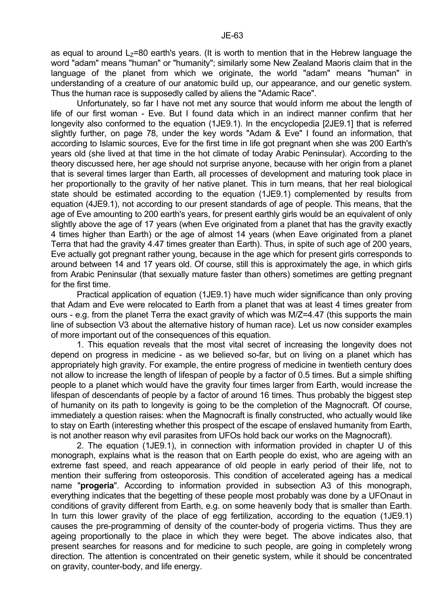as equal to around  $L<sub>7</sub>=80$  earth's years. (It is worth to mention that in the Hebrew language the word "adam" means "human" or "humanity"; similarly some New Zealand Maoris claim that in the language of the planet from which we originate, the world "adam" means "human" in understanding of a creature of our anatomic build up, our appearance, and our genetic system. Thus the human race is supposedly called by aliens the "Adamic Race".

 Unfortunately, so far I have not met any source that would inform me about the length of life of our first woman - Eve. But I found data which in an indirect manner confirm that her longevity also conformed to the equation (1JE9.1). In the encyclopedia [2JE9.1] that is referred slightly further, on page 78, under the key words "Adam & Eve" I found an information, that according to Islamic sources, Eve for the first time in life got pregnant when she was 200 Earth's years old (she lived at that time in the hot climate of today Arabic Peninsular). According to the theory discussed here, her age should not surprise anyone, because with her origin from a planet that is several times larger than Earth, all processes of development and maturing took place in her proportionally to the gravity of her native planet. This in turn means, that her real biological state should be estimated according to the equation (1JE9.1) complemented by results from equation (4JE9.1), not according to our present standards of age of people. This means, that the age of Eve amounting to 200 earth's years, for present earthly girls would be an equivalent of only slightly above the age of 17 years (when Eve originated from a planet that has the gravity exactly 4 times higher than Earth) or the age of almost 14 years (when Eave originated from a planet Terra that had the gravity 4.47 times greater than Earth). Thus, in spite of such age of 200 years, Eve actually got pregnant rather young, because in the age which for present girls corresponds to around between 14 and 17 years old. Of course, still this is approximately the age, in which girls from Arabic Peninsular (that sexually mature faster than others) sometimes are getting pregnant for the first time.

 Practical application of equation (1JE9.1) have much wider significance than only proving that Adam and Eve were relocated to Earth from a planet that was at least 4 times greater from ours - e.g. from the planet Terra the exact gravity of which was M/Z=4.47 (this supports the main line of subsection V3 about the alternative history of human race). Let us now consider examples of more important out of the consequences of this equation.

 1. This equation reveals that the most vital secret of increasing the longevity does not depend on progress in medicine - as we believed so-far, but on living on a planet which has appropriately high gravity. For example, the entire progress of medicine in twentieth century does not allow to increase the length of lifespan of people by a factor of 0.5 times. But a simple shifting people to a planet which would have the gravity four times larger from Earth, would increase the lifespan of descendants of people by a factor of around 16 times. Thus probably the biggest step of humanity on its path to longevity is going to be the completion of the Magnocraft. Of course, immediately a question raises: when the Magnocraft is finally constructed, who actually would like to stay on Earth (interesting whether this prospect of the escape of enslaved humanity from Earth, is not another reason why evil parasites from UFOs hold back our works on the Magnocraft).

 2. The equation (1JE9.1), in connection with information provided in chapter U of this monograph, explains what is the reason that on Earth people do exist, who are ageing with an extreme fast speed, and reach appearance of old people in early period of their life, not to mention their suffering from osteoporosis. This condition of accelerated ageing has a medical name "**progeria**". According to information provided in subsection A3 of this monograph, everything indicates that the begetting of these people most probably was done by a UFOnaut in conditions of gravity different from Earth, e.g. on some heavenly body that is smaller than Earth. In turn this lower gravity of the place of egg fertilization, according to the equation (1JE9.1) causes the pre-programming of density of the counter-body of progeria victims. Thus they are ageing proportionally to the place in which they were beget. The above indicates also, that present searches for reasons and for medicine to such people, are going in completely wrong direction. The attention is concentrated on their genetic system, while it should be concentrated on gravity, counter-body, and life energy.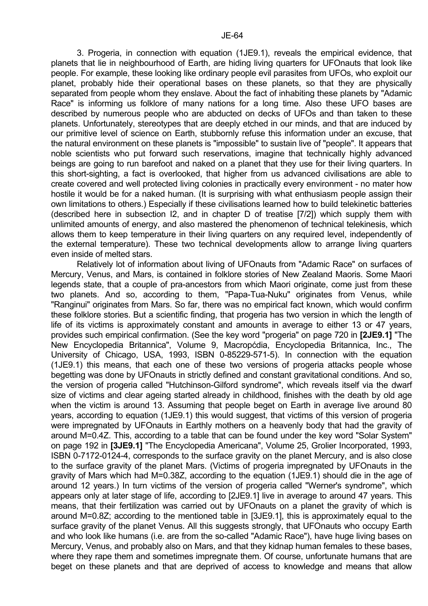3. Progeria, in connection with equation (1JE9.1), reveals the empirical evidence, that planets that lie in neighbourhood of Earth, are hiding living quarters for UFOnauts that look like people. For example, these looking like ordinary people evil parasites from UFOs, who exploit our planet, probably hide their operational bases on these planets, so that they are physically separated from people whom they enslave. About the fact of inhabiting these planets by "Adamic Race" is informing us folklore of many nations for a long time. Also these UFO bases are described by numerous people who are abducted on decks of UFOs and than taken to these planets. Unfortunately, stereotypes that are deeply etched in our minds, and that are induced by our primitive level of science on Earth, stubbornly refuse this information under an excuse, that the natural environment on these planets is "impossible" to sustain live of "people". It appears that noble scientists who put forward such reservations, imagine that technically highly advanced beings are going to run barefoot and naked on a planet that they use for their living quarters. In this short-sighting, a fact is overlooked, that higher from us advanced civilisations are able to create covered and well protected living colonies in practically every environment - no mater how hostile it would be for a naked human. (It is surprising with what enthusiasm people assign their

own limitations to others.) Especially if these civilisations learned how to build telekinetic batteries (described here in subsection I2, and in chapter D of treatise [7/2]) which supply them with unlimited amounts of energy, and also mastered the phenomenon of technical telekinesis, which allows them to keep temperature in their living quarters on any required level, independently of the external temperature). These two technical developments allow to arrange living quarters even inside of melted stars.

 Relatively lot of information about living of UFOnauts from "Adamic Race" on surfaces of Mercury, Venus, and Mars, is contained in folklore stories of New Zealand Maoris. Some Maori legends state, that a couple of pra-ancestors from which Maori originate, come just from these two planets. And so, according to them, "Papa-Tua-Nuku" originates from Venus, while "Ranginui" originates from Mars. So far, there was no empirical fact known, which would confirm these folklore stories. But a scientific finding, that progeria has two version in which the length of life of its victims is approximately constant and amounts in average to either 13 or 47 years, provides such empirical confirmation. (See the key word "progeria" on page 720 in **[2JE9.1]** "The New Encyclopedia Britannica", Volume 9, Macropćdia, Encyclopedia Britannica, Inc., The University of Chicago, USA, 1993, ISBN 0-85229-571-5). In connection with the equation (1JE9.1) this means, that each one of these two versions of progeria attacks people whose begetting was done by UFOnauts in strictly defined and constant gravitational conditions. And so, the version of progeria called "Hutchinson-Gilford syndrome", which reveals itself via the dwarf size of victims and clear ageing started already in childhood, finishes with the death by old age when the victim is around 13. Assuming that people beget on Earth in average live around 80 years, according to equation (1JE9.1) this would suggest, that victims of this version of progeria were impregnated by UFOnauts in Earthly mothers on a heavenly body that had the gravity of around M=0.4Z. This, according to a table that can be found under the key word "Solar System" on page 192 in **[3JE9.1]** "The Encyclopedia Americana", Volume 25, Grolier Incorporated, 1993, ISBN 0-7172-0124-4, corresponds to the surface gravity on the planet Mercury, and is also close to the surface gravity of the planet Mars. (Victims of progeria impregnated by UFOnauts in the gravity of Mars which had M=0.38Z, according to the equation (1JE9.1) should die in the age of around 12 years.) In turn victims of the version of progeria called "Werner's syndrome", which appears only at later stage of life, according to [2JE9.1] live in average to around 47 years. This means, that their fertilization was carried out by UFOnauts on a planet the gravity of which is around M=0.8Z; according to the mentioned table in [3JE9.1], this is approximately equal to the surface gravity of the planet Venus. All this suggests strongly, that UFOnauts who occupy Earth and who look like humans (i.e. are from the so-called "Adamic Race"), have huge living bases on Mercury, Venus, and probably also on Mars, and that they kidnap human females to these bases, where they rape them and sometimes impregnate them. Of course, unfortunate humans that are beget on these planets and that are deprived of access to knowledge and means that allow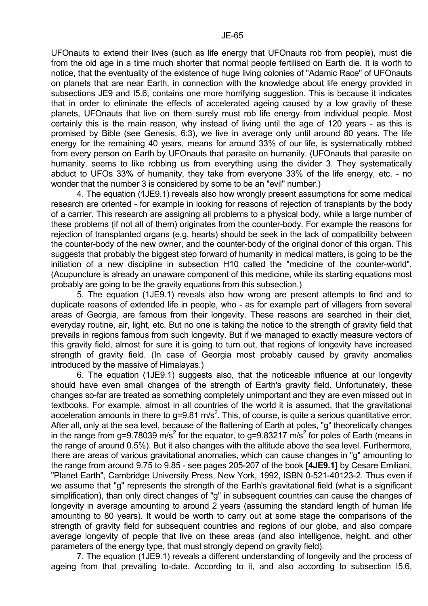UFOnauts to extend their lives (such as life energy that UFOnauts rob from people), must die from the old age in a time much shorter that normal people fertilised on Earth die. It is worth to notice, that the eventuality of the existence of huge living colonies of "Adamic Race" of UFOnauts on planets that are near Earth, in connection with the knowledge about life energy provided in subsections JE9 and I5.6, contains one more horrifying suggestion. This is because it indicates that in order to eliminate the effects of accelerated ageing caused by a low gravity of these planets, UFOnauts that live on them surely must rob life energy from individual people. Most certainly this is the main reason, why instead of living until the age of 120 years - as this is promised by Bible (see Genesis, 6:3), we live in average only until around 80 years. The life energy for the remaining 40 years, means for around 33% of our life, is systematically robbed from every person on Earth by UFOnauts that parasite on humanity. (UFOnauts that parasite on humanity, seems to like robbing us from everything using the divider 3. They systematically abduct to UFOs 33% of humanity, they take from everyone 33% of the life energy, etc. - no wonder that the number 3 is considered by some to be an "evil" number.)

 4. The equation (1JE9.1) reveals also how wrongly present assumptions for some medical research are oriented - for example in looking for reasons of rejection of transplants by the body of a carrier. This research are assigning all problems to a physical body, while a large number of these problems (if not all of them) originates from the counter-body. For example the reasons for rejection of transplanted organs (e.g. hearts) should be seek in the lack of compatibility between the counter-body of the new owner, and the counter-body of the original donor of this organ. This suggests that probably the biggest step forward of humanity in medical matters, is going to be the initiation of a new discipline in subsection H10 called the "medicine of the counter-world". (Acupuncture is already an unaware component of this medicine, while its starting equations most probably are going to be the gravity equations from this subsection.)

 5. The equation (1JE9.1) reveals also how wrong are present attempts to find and to duplicate reasons of extended life in people, who - as for example part of villagers from several areas of Georgia, are famous from their longevity. These reasons are searched in their diet, everyday routine, air, light, etc. But no one is taking the notice to the strength of gravity field that prevails in regions famous from such longevity. But if we managed to exactly measure vectors of this gravity field, almost for sure it is going to turn out, that regions of longevity have increased strength of gravity field. (In case of Georgia most probably caused by gravity anomalies introduced by the massive of Himalayas.)

 6. The equation (1JE9.1) suggests also, that the noticeable influence at our longevity should have even small changes of the strength of Earth's gravity field. Unfortunately, these changes so-far are treated as something completely unimportant and they are even missed out in textbooks. For example, almost in all countries of the world it is assumed, that the gravitational acceleration amounts in there to g=9.81 m/s<sup>2</sup>. This, of course, is quite a serious quantitative error. After all, only at the sea level, because of the flattening of Earth at poles, "g" theoretically changes in the range from g=9.78039 m/s<sup>2</sup> for the equator, to g=9.83217 m/s<sup>2</sup> for poles of Earth (means in the range of around 0.5%). But it also changes with the altitude above the sea level. Furthermore, there are areas of various gravitational anomalies, which can cause changes in "g" amounting to the range from around 9.75 to 9.85 - see pages 205-207 of the book **[4JE9.1]** by Cesare Emiliani, "Planet Earth", Cambridge University Press, New York, 1992, ISBN 0-521-40123-2. Thus even if we assume that "g" represents the strength of the Earth's gravitational field (what is a significant simplification), than only direct changes of "g" in subsequent countries can cause the changes of longevity in average amounting to around 2 years (assuming the standard length of human life amounting to 80 years). It would be worth to carry out at some stage the comparisons of the strength of gravity field for subsequent countries and regions of our globe, and also compare average longevity of people that live on these areas (and also intelligence, height, and other parameters of the energy type, that must strongly depend on gravity field).

 7. The equation (1JE9.1) reveals a different understanding of longevity and the process of ageing from that prevailing to-date. According to it, and also according to subsection I5.6,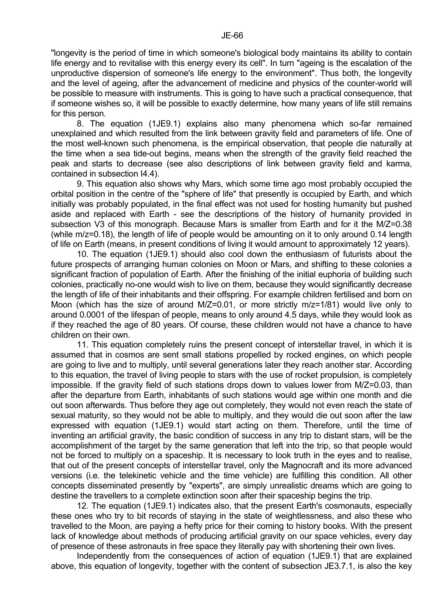"longevity is the period of time in which someone's biological body maintains its ability to contain life energy and to revitalise with this energy every its cell". In turn "ageing is the escalation of the unproductive dispersion of someone's life energy to the environment". Thus both, the longevity and the level of ageing, after the advancement of medicine and physics of the counter-world will be possible to measure with instruments. This is going to have such a practical consequence, that if someone wishes so, it will be possible to exactly determine, how many years of life still remains for this person.

 8. The equation (1JE9.1) explains also many phenomena which so-far remained unexplained and which resulted from the link between gravity field and parameters of life. One of the most well-known such phenomena, is the empirical observation, that people die naturally at the time when a sea tide-out begins, means when the strength of the gravity field reached the peak and starts to decrease (see also descriptions of link between gravity field and karma, contained in subsection I4.4).

 9. This equation also shows why Mars, which some time ago most probably occupied the orbital position in the centre of the "sphere of life" that presently is occupied by Earth, and which initially was probably populated, in the final effect was not used for hosting humanity but pushed aside and replaced with Earth - see the descriptions of the history of humanity provided in subsection V3 of this monograph. Because Mars is smaller from Earth and for it the M/Z=0.38 (while m/z=0.18), the length of life of people would be amounting on it to only around 0.14 length of life on Earth (means, in present conditions of living it would amount to approximately 12 years).

 10. The equation (1JE9.1) should also cool down the enthusiasm of futurists about the future prospects of arranging human colonies on Moon or Mars, and shifting to these colonies a significant fraction of population of Earth. After the finishing of the initial euphoria of building such colonies, practically no-one would wish to live on them, because they would significantly decrease the length of life of their inhabitants and their offspring. For example children fertilised and born on Moon (which has the size of around M/Z=0.01, or more strictly m/z=1/81) would live only to around 0.0001 of the lifespan of people, means to only around 4.5 days, while they would look as if they reached the age of 80 years. Of course, these children would not have a chance to have children on their own.

 11. This equation completely ruins the present concept of interstellar travel, in which it is assumed that in cosmos are sent small stations propelled by rocked engines, on which people are going to live and to multiply, until several generations later they reach another star. According to this equation, the travel of living people to stars with the use of rocket propulsion, is completely impossible. If the gravity field of such stations drops down to values lower from M/Z=0.03, than after the departure from Earth, inhabitants of such stations would age within one month and die out soon afterwards. Thus before they age out completely, they would not even reach the state of sexual maturity, so they would not be able to multiply, and they would die out soon after the law expressed with equation (1JE9.1) would start acting on them. Therefore, until the time of inventing an artificial gravity, the basic condition of success in any trip to distant stars, will be the accomplishment of the target by the same generation that left into the trip, so that people would not be forced to multiply on a spaceship. It is necessary to look truth in the eyes and to realise, that out of the present concepts of interstellar travel, only the Magnocraft and its more advanced versions (i.e. the telekinetic vehicle and the time vehicle) are fulfilling this condition. All other concepts disseminated presently by "experts", are simply unrealistic dreams which are going to destine the travellers to a complete extinction soon after their spaceship begins the trip.

 12. The equation (1JE9.1) indicates also, that the present Earth's cosmonauts, especially these ones who try to bit records of staying in the state of weightlessness, and also these who travelled to the Moon, are paying a hefty price for their coming to history books. With the present lack of knowledge about methods of producing artificial gravity on our space vehicles, every day of presence of these astronauts in free space they literally pay with shortening their own lives.

 Independently from the consequences of action of equation (1JE9.1) that are explained above, this equation of longevity, together with the content of subsection JE3.7.1, is also the key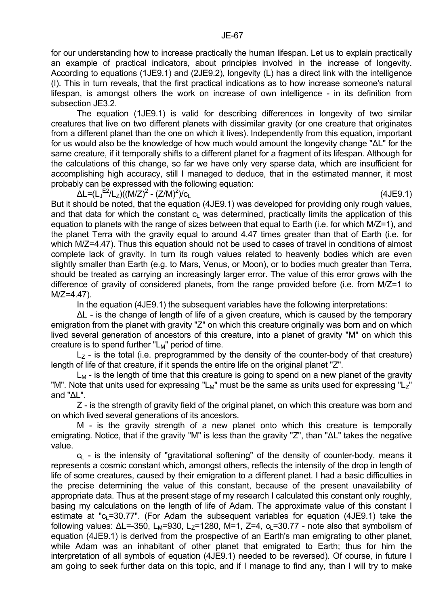for our understanding how to increase practically the human lifespan. Let us to explain practically an example of practical indicators, about principles involved in the increase of longevity. According to equations (1JE9.1) and (2JE9.2), longevity (L) has a direct link with the intelligence (I). This in turn reveals, that the first practical indications as to how increase someone's natural lifespan, is amongst others the work on increase of own intelligence - in its definition from subsection JE3.2.

 The equation (1JE9.1) is valid for describing differences in longevity of two similar creatures that live on two different planets with dissimilar gravity (or one creature that originates from a different planet than the one on which it lives). Independently from this equation, important for us would also be the knowledge of how much would amount the longevity change "∆L" for the same creature, if it temporally shifts to a different planet for a fragment of its lifespan. Although for the calculations of this change, so far we have only very sparse data, which are insufficient for accomplishing high accuracy, still I managed to deduce, that in the estimated manner, it most probably can be expressed with the following equation:

 $\Delta$ L=(L<sub>J</sub><sup>E2</sup>/L<sub>Z</sub>)((M/Z)<sup>2</sup> - (Z/M)<sup>2</sup>

 $(4JE9.1)$ 

But it should be noted, that the equation (4JE9.1) was developed for providing only rough values, and that data for which the constant  $c<sub>L</sub>$  was determined, practically limits the application of this equation to planets with the range of sizes between that equal to Earth (i.e. for which M/Z=1), and the planet Terra with the gravity equal to around 4.47 times greater than that of Earth (i.e. for which M/Z=4.47). Thus this equation should not be used to cases of travel in conditions of almost complete lack of gravity. In turn its rough values related to heavenly bodies which are even slightly smaller than Earth (e.g. to Mars, Venus, or Moon), or to bodies much greater than Terra, should be treated as carrying an increasingly larger error. The value of this error grows with the difference of gravity of considered planets, from the range provided before (i.e. from M/Z=1 to  $M/Z = 4.47$ ).

In the equation (4JE9.1) the subsequent variables have the following interpretations:

∆L - is the change of length of life of a given creature, which is caused by the temporary emigration from the planet with gravity "Z" on which this creature originally was born and on which lived several generation of ancestors of this creature, into a planet of gravity "M" on which this creature is to spend further " $L_M$ " period of time.

 $L<sub>7</sub>$  - is the total (i.e. preprogrammed by the density of the counter-body of that creature) length of life of that creature, if it spends the entire life on the original planet "Z".

 $L_M$  - is the length of time that this creature is going to spend on a new planet of the gravity "M". Note that units used for expressing "L<sub>M</sub>" must be the same as units used for expressing "L<sub>Z</sub>" and "∆L".

 Z - is the strength of gravity field of the original planet, on which this creature was born and on which lived several generations of its ancestors.

 M - is the gravity strength of a new planet onto which this creature is temporally emigrating. Notice, that if the gravity "M" is less than the gravity "Z", than "∆L" takes the negative value.

 $c<sub>L</sub>$  - is the intensity of "gravitational softening" of the density of counter-body, means it represents a cosmic constant which, amongst others, reflects the intensity of the drop in length of life of some creatures, caused by their emigration to a different planet. I had a basic difficulties in the precise determining the value of this constant, because of the present unavailability of appropriate data. Thus at the present stage of my research I calculated this constant only roughly, basing my calculations on the length of life of Adam. The approximate value of this constant I estimate at " $c_1$ =30.77". (For Adam the subsequent variables for equation (4JE9.1) take the following values:  $ΔL=-350$ ,  $L<sub>M</sub>=930$ ,  $L<sub>Z</sub>=1280$ , M=1, Z=4,  $c<sub>L</sub>=30.77$  - note also that symbolism of equation (4JE9.1) is derived from the prospective of an Earth's man emigrating to other planet, while Adam was an inhabitant of other planet that emigrated to Earth; thus for him the interpretation of all symbols of equation (4JE9.1) needed to be reversed). Of course, in future I am going to seek further data on this topic, and if I manage to find any, than I will try to make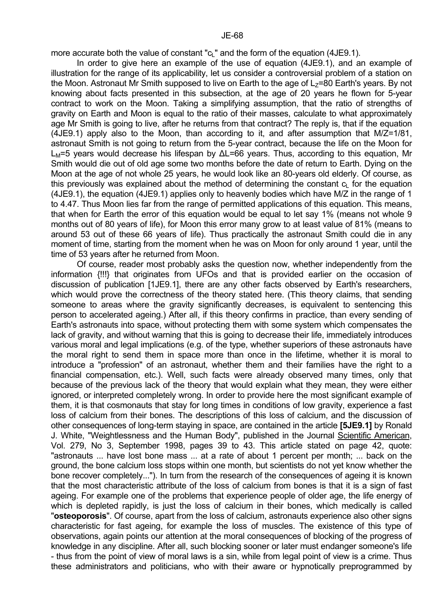more accurate both the value of constant " $c<sub>l</sub>$ " and the form of the equation (4JE9.1).

 In order to give here an example of the use of equation (4JE9.1), and an example of illustration for the range of its applicability, let us consider a controversial problem of a station on the Moon. Astronaut Mr Smith supposed to live on Earth to the age of  $L<sub>z</sub>=80$  Earth's years. By not knowing about facts presented in this subsection, at the age of 20 years he flown for 5-year contract to work on the Moon. Taking a simplifying assumption, that the ratio of strengths of gravity on Earth and Moon is equal to the ratio of their masses, calculate to what approximately age Mr Smith is going to live, after he returns from that contract? The reply is, that if the equation (4JE9.1) apply also to the Moon, than according to it, and after assumption that M/Z=1/81, astronaut Smith is not going to return from the 5-year contract, because the life on the Moon for LM=5 years would decrease his lifespan by ∆L=66 years. Thus, according to this equation, Mr Smith would die out of old age some two months before the date of return to Earth. Dying on the Moon at the age of not whole 25 years, he would look like an 80-years old elderly. Of course, as this previously was explained about the method of determining the constant  $c<sub>L</sub>$  for the equation (4JE9.1), the equation (4JE9.1) applies only to heavenly bodies which have M/Z in the range of 1 to 4.47. Thus Moon lies far from the range of permitted applications of this equation. This means, that when for Earth the error of this equation would be equal to let say 1% (means not whole 9 months out of 80 years of life), for Moon this error many grow to at least value of 81% (means to around 53 out of these 66 years of life). Thus practically the astronaut Smith could die in any moment of time, starting from the moment when he was on Moon for only around 1 year, until the time of 53 years after he returned from Moon.

 Of course, reader most probably asks the question now, whether independently from the information {!!!} that originates from UFOs and that is provided earlier on the occasion of discussion of publication [1JE9.1], there are any other facts observed by Earth's researchers, which would prove the correctness of the theory stated here. (This theory claims, that sending someone to areas where the gravity significantly decreases, is equivalent to sentencing this person to accelerated ageing.) After all, if this theory confirms in practice, than every sending of Earth's astronauts into space, without protecting them with some system which compensates the lack of gravity, and without warning that this is going to decrease their life, immediately introduces various moral and legal implications (e.g. of the type, whether superiors of these astronauts have the moral right to send them in space more than once in the lifetime, whether it is moral to introduce a "profession" of an astronaut, whether them and their families have the right to a financial compensation, etc.). Well, such facts were already observed many times, only that because of the previous lack of the theory that would explain what they mean, they were either ignored, or interpreted completely wrong. In order to provide here the most significant example of them, it is that cosmonauts that stay for long times in conditions of low gravity, experience a fast loss of calcium from their bones. The descriptions of this loss of calcium, and the discussion of other consequences of long-term staying in space, are contained in the article **[5JE9.1]** by Ronald J. White, "Weightlessness and the Human Body", published in the Journal Scientific American, Vol. 279, No 3, September 1998, pages 39 to 43. This article stated on page 42, quote: "astronauts ... have lost bone mass ... at a rate of about 1 percent per month; ... back on the ground, the bone calcium loss stops within one month, but scientists do not yet know whether the bone recover completely..."). In turn from the research of the consequences of ageing it is known that the most characteristic attribute of the loss of calcium from bones is that it is a sign of fast ageing. For example one of the problems that experience people of older age, the life energy of which is depleted rapidly, is just the loss of calcium in their bones, which medically is called "**osteoporosis**". Of course, apart from the loss of calcium, astronauts experience also other signs characteristic for fast ageing, for example the loss of muscles. The existence of this type of observations, again points our attention at the moral consequences of blocking of the progress of knowledge in any discipline. After all, such blocking sooner or later must endanger someone's life - thus from the point of view of moral laws is a sin, while from legal point of view is a crime. Thus these administrators and politicians, who with their aware or hypnotically preprogrammed by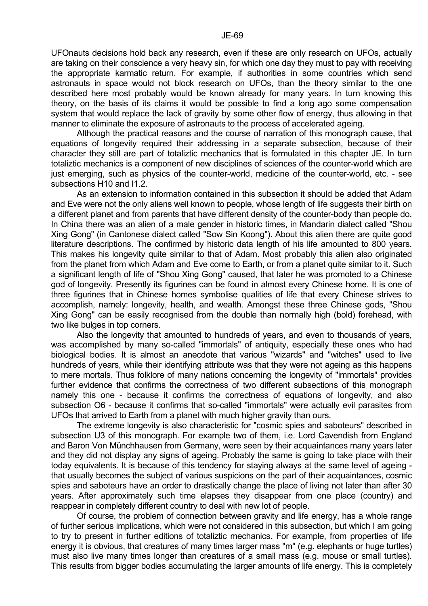UFOnauts decisions hold back any research, even if these are only research on UFOs, actually are taking on their conscience a very heavy sin, for which one day they must to pay with receiving the appropriate karmatic return. For example, if authorities in some countries which send astronauts in space would not block research on UFOs, than the theory similar to the one described here most probably would be known already for many years. In turn knowing this theory, on the basis of its claims it would be possible to find a long ago some compensation system that would replace the lack of gravity by some other flow of energy, thus allowing in that manner to eliminate the exposure of astronauts to the process of accelerated ageing.

 Although the practical reasons and the course of narration of this monograph cause, that equations of longevity required their addressing in a separate subsection, because of their character they still are part of totaliztic mechanics that is formulated in this chapter JE. In turn totaliztic mechanics is a component of new disciplines of sciences of the counter-world which are just emerging, such as physics of the counter-world, medicine of the counter-world, etc. - see subsections H10 and I1.2.

 As an extension to information contained in this subsection it should be added that Adam and Eve were not the only aliens well known to people, whose length of life suggests their birth on a different planet and from parents that have different density of the counter-body than people do. In China there was an alien of a male gender in historic times, in Mandarin dialect called "Shou Xing Gong" (in Cantonese dialect called "Sow Sin Koong"). About this alien there are quite good literature descriptions. The confirmed by historic data length of his life amounted to 800 years. This makes his longevity quite similar to that of Adam. Most probably this alien also originated from the planet from which Adam and Eve come to Earth, or from a planet quite similar to it. Such a significant length of life of "Shou Xing Gong" caused, that later he was promoted to a Chinese god of longevity. Presently its figurines can be found in almost every Chinese home. It is one of three figurines that in Chinese homes symbolise qualities of life that every Chinese strives to accomplish, namely: longevity, health, and wealth. Amongst these three Chinese gods, "Shou Xing Gong" can be easily recognised from the double than normally high (bold) forehead, with two like bulges in top corners.

 Also the longevity that amounted to hundreds of years, and even to thousands of years, was accomplished by many so-called "immortals" of antiquity, especially these ones who had biological bodies. It is almost an anecdote that various "wizards" and "witches" used to live hundreds of years, while their identifying attribute was that they were not ageing as this happens to mere mortals. Thus folklore of many nations concerning the longevity of "immortals" provides further evidence that confirms the correctness of two different subsections of this monograph namely this one - because it confirms the correctness of equations of longevity, and also subsection O6 - because it confirms that so-called "immortals" were actually evil parasites from UFOs that arrived to Earth from a planet with much higher gravity than ours.

 The extreme longevity is also characteristic for "cosmic spies and saboteurs" described in subsection U3 of this monograph. For example two of them, i.e. Lord Cavendish from England and Baron Von Münchhausen from Germany, were seen by their acquaintances many years later and they did not display any signs of ageing. Probably the same is going to take place with their today equivalents. It is because of this tendency for staying always at the same level of ageing that usually becomes the subject of various suspicions on the part of their acquaintances, cosmic spies and saboteurs have an order to drastically change the place of living not later than after 30 years. After approximately such time elapses they disappear from one place (country) and reappear in completely different country to deal with new lot of people.

 Of course, the problem of connection between gravity and life energy, has a whole range of further serious implications, which were not considered in this subsection, but which I am going to try to present in further editions of totaliztic mechanics. For example, from properties of life energy it is obvious, that creatures of many times larger mass "m" (e.g. elephants or huge turtles) must also live many times longer than creatures of a small mass (e.g. mouse or small turtles). This results from bigger bodies accumulating the larger amounts of life energy. This is completely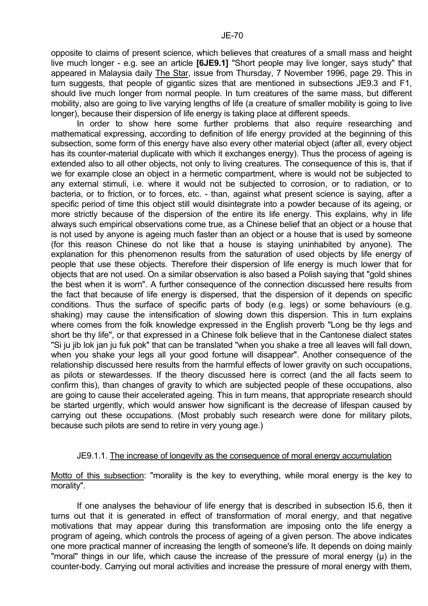opposite to claims of present science, which believes that creatures of a small mass and height live much longer - e.g. see an article **[6JE9.1]** "Short people may live longer, says study" that appeared in Malaysia daily The Star, issue from Thursday, 7 November 1996, page 29. This in turn suggests, that people of gigantic sizes that are mentioned in subsections JE9.3 and F1, should live much longer from normal people. In turn creatures of the same mass, but different mobility, also are going to live varying lengths of life (a creature of smaller mobility is going to live longer), because their dispersion of life energy is taking place at different speeds.

 In order to show here some further problems that also require researching and mathematical expressing, according to definition of life energy provided at the beginning of this subsection, some form of this energy have also every other material object (after all, every object has its counter-material duplicate with which it exchanges energy). Thus the process of ageing is extended also to all other objects, not only to living creatures. The consequence of this is, that if we for example close an object in a hermetic compartment, where is would not be subjected to any external stimuli, i.e. where it would not be subjected to corrosion, or to radiation, or to bacteria, or to friction, or to forces, etc. - than, against what present science is saying, after a specific period of time this object still would disintegrate into a powder because of its ageing, or more strictly because of the dispersion of the entire its life energy. This explains, why in life always such empirical observations come true, as a Chinese belief that an object or a house that is not used by anyone is ageing much faster than an object or a house that is used by someone (for this reason Chinese do not like that a house is staying uninhabited by anyone). The explanation for this phenomenon results from the saturation of used objects by life energy of people that use these objects. Therefore their dispersion of life energy is much lower that for objects that are not used. On a similar observation is also based a Polish saying that "gold shines the best when it is worn". A further consequence of the connection discussed here results from the fact that because of life energy is dispersed, that the dispersion of it depends on specific conditions. Thus the surface of specific parts of body (e.g. legs) or some behaviours (e.g. shaking) may cause the intensification of slowing down this dispersion. This in turn explains where comes from the folk knowledge expressed in the English proverb "Long be thy legs and short be thy life", or that expressed in a Chinese folk believe that in the Cantonese dialect states "Si ju jib lok jan ju fuk pok" that can be translated "when you shake a tree all leaves will fall down, when you shake your legs all your good fortune will disappear". Another consequence of the relationship discussed here results from the harmful effects of lower gravity on such occupations, as pilots or stewardesses. If the theory discussed here is correct (and the all facts seem to confirm this), than changes of gravity to which are subjected people of these occupations, also are going to cause their accelerated ageing. This in turn means, that appropriate research should be started urgently, which would answer how significant is the decrease of lifespan caused by carrying out these occupations. (Most probably such research were done for military pilots, because such pilots are send to retire in very young age.)

## JE9.1.1. The increase of longevity as the consequence of moral energy accumulation

Motto of this subsection: "morality is the key to everything, while moral energy is the key to morality".

 If one analyses the behaviour of life energy that is described in subsection I5.6, then it turns out that it is generated in effect of transformation of moral energy, and that negative motivations that may appear during this transformation are imposing onto the life energy a program of ageing, which controls the process of ageing of a given person. The above indicates one more practical manner of increasing the length of someone's life. It depends on doing mainly "moral" things in our life, which cause the increase of the pressure of moral energy (µ) in the counter-body. Carrying out moral activities and increase the pressure of moral energy with them,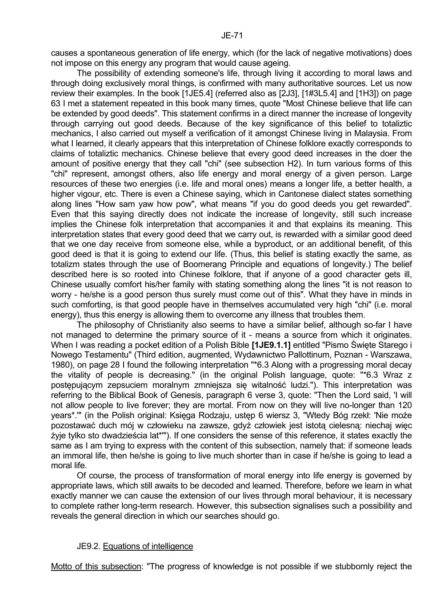causes a spontaneous generation of life energy, which (for the lack of negative motivations) does not impose on this energy any program that would cause ageing.

 The possibility of extending someone's life, through living it according to moral laws and through doing exclusively moral things, is confirmed with many authoritative sources. Let us now review their examples. In the book [1JE5.4] (referred also as [2J3], [1#3L5.4] and [1H3]) on page 63 I met a statement repeated in this book many times, quote "Most Chinese believe that life can be extended by good deeds". This statement confirms in a direct manner the increase of longevity through carrying out good deeds. Because of the key significance of this belief to totaliztic mechanics, I also carried out myself a verification of it amongst Chinese living in Malaysia. From what I learned, it clearly appears that this interpretation of Chinese folklore exactly corresponds to claims of totaliztic mechanics. Chinese believe that every good deed increases in the doer the amount of positive energy that they call "chi" (see subsection H2). In turn various forms of this "chi" represent, amongst others, also life energy and moral energy of a given person. Large resources of these two energies (i.e. life and moral ones) means a longer life, a better health, a higher vigour, etc. There is even a Chinese saying, which in Cantonese dialect states something along lines "How sam yaw how pow", what means "if you do good deeds you get rewarded". Even that this saying directly does not indicate the increase of longevity, still such increase implies the Chinese folk interpretation that accompanies it and that explains its meaning. This interpretation states that every good deed that we carry out, is rewarded with a similar good deed that we one day receive from someone else, while a byproduct, or an additional benefit, of this good deed is that it is going to extend our life. (Thus, this belief is stating exactly the same, as totalizm states through the use of Boomerang Principle and equations of longevity.) The belief described here is so rooted into Chinese folklore, that if anyone of a good character gets ill, Chinese usually comfort his/her family with stating something along the lines "it is not reason to worry - he/she is a good person thus surely must come out of this". What they have in minds in such comforting, is that good people have in themselves accumulated very high "chi" (i.e. moral energy), thus this energy is allowing them to overcome any illness that troubles them.

 The philosophy of Christianity also seems to have a similar belief, although so-far I have not managed to determine the primary source of it - means a source from which it originates. When I was reading a pocket edition of a Polish Bible **[1JE9.1.1]** entitled "Pismo Święte Starego i Nowego Testamentu" (Third edition, augmented, Wydawnictwo Pallottinum, Poznan - Warszawa, 1980), on page 28 I found the following interpretation "\*6.3 Along with a progressing moral decay the vitality of people is decreasing." (in the original Polish language, quote: "\*6.3 Wraz z postępującym zepsuciem moralnym zmniejsza się witalność ludzi."). This interpretation was referring to the Biblical Book of Genesis, paragraph 6 verse 3, quote: "Then the Lord said, 'I will not allow people to live forever; they are mortal. From now on they will live no-longer than 120 years\*.'" (in the Polish original: Księga Rodzaju, ustęp 6 wiersz 3, "Wtedy Bóg rzekł: 'Nie może pozostawać duch mój w człowieku na zawsze, gdyż człowiek jest istotą cielesną: niechaj więc żyje tylko sto dwadzieścia lat\*'"). If one considers the sense of this reference, it states exactly the same as I am trying to express with the content of this subsection, namely that: if someone leads an immoral life, then he/she is going to live much shorter than in case if he/she is going to lead a moral life.

 Of course, the process of transformation of moral energy into life energy is governed by appropriate laws, which still awaits to be decoded and learned. Therefore, before we learn in what exactly manner we can cause the extension of our lives through moral behaviour, it is necessary to complete rather long-term research. However, this subsection signalises such a possibility and reveals the general direction in which our searches should go.

## JE9.2. Equations of intelligence

Motto of this subsection: "The progress of knowledge is not possible if we stubbornly reject the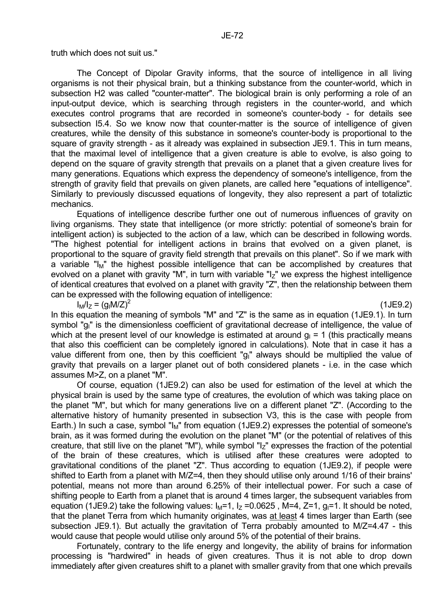truth which does not suit us."

 The Concept of Dipolar Gravity informs, that the source of intelligence in all living organisms is not their physical brain, but a thinking substance from the counter-world, which in subsection H2 was called "counter-matter". The biological brain is only performing a role of an input-output device, which is searching through registers in the counter-world, and which executes control programs that are recorded in someone's counter-body - for details see subsection I5.4. So we know now that counter-matter is the source of intelligence of given creatures, while the density of this substance in someone's counter-body is proportional to the square of gravity strength - as it already was explained in subsection JE9.1. This in turn means, that the maximal level of intelligence that a given creature is able to evolve, is also going to depend on the square of gravity strength that prevails on a planet that a given creature lives for many generations. Equations which express the dependency of someone's intelligence, from the strength of gravity field that prevails on given planets, are called here "equations of intelligence". Similarly to previously discussed equations of longevity, they also represent a part of totaliztic mechanics.

 Equations of intelligence describe further one out of numerous influences of gravity on living organisms. They state that intelligence (or more strictly: potential of someone's brain for intelligent action) is subjected to the action of a law, which can be described in following words. "The highest potential for intelligent actions in brains that evolved on a given planet, is proportional to the square of gravity field strength that prevails on this planet". So if we mark with a variable "I<sub>M</sub>" the highest possible intelligence that can be accomplished by creatures that evolved on a planet with gravity "M", in turn with variable " $I_z$ " we express the highest intelligence of identical creatures that evolved on a planet with gravity "Z", then the relationship between them can be expressed with the following equation of intelligence:

 $I_M/I_Z = (q_1M/Z)^2$ 

 $(1$ JE9.2)

In this equation the meaning of symbols "M" and "Z" is the same as in equation (1JE9.1). In turn symbol "g<sub>I</sub>" is the dimensionless coefficient of gravitational decrease of intelligence, the value of which at the present level of our knowledge is estimated at around  $g_1 = 1$  (this practically means that also this coefficient can be completely ignored in calculations). Note that in case it has a value different from one, then by this coefficient "g<sub>I</sub>" always should be multiplied the value of gravity that prevails on a larger planet out of both considered planets - i.e. in the case which assumes M>Z, on a planet "M".

 Of course, equation (1JE9.2) can also be used for estimation of the level at which the physical brain is used by the same type of creatures, the evolution of which was taking place on the planet "M", but which for many generations live on a different planet "Z". (According to the alternative history of humanity presented in subsection V3, this is the case with people from Earth.) In such a case, symbol " $M_{\text{M}}$ " from equation (1JE9.2) expresses the potential of someone's brain, as it was formed during the evolution on the planet "M" (or the potential of relatives of this creature, that still live on the planet "M"), while symbol "Iz" expresses the fraction of the potential of the brain of these creatures, which is utilised after these creatures were adopted to gravitational conditions of the planet "Z". Thus according to equation (1JE9.2), if people were shifted to Earth from a planet with M/Z=4, then they should utilise only around 1/16 of their brains' potential, means not more than around 6.25% of their intellectual power. For such a case of shifting people to Earth from a planet that is around 4 times larger, the subsequent variables from equation (1JE9.2) take the following values:  $I_M=1$ ,  $I_Z=0.0625$ , M=4, Z=1, g<sub>I</sub>=1. It should be noted, that the planet Terra from which humanity originates, was at least 4 times larger than Earth (see subsection JE9.1). But actually the gravitation of Terra probably amounted to M/Z=4.47 - this would cause that people would utilise only around 5% of the potential of their brains.

 Fortunately, contrary to the life energy and longevity, the ability of brains for information processing is "hardwired" in heads of given creatures. Thus it is not able to drop down immediately after given creatures shift to a planet with smaller gravity from that one which prevails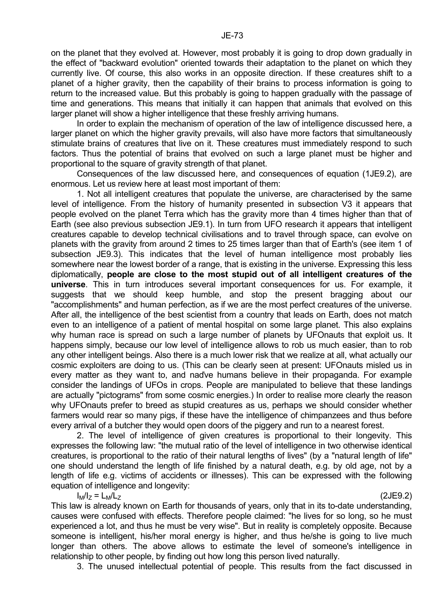on the planet that they evolved at. However, most probably it is going to drop down gradually in the effect of "backward evolution" oriented towards their adaptation to the planet on which they currently live. Of course, this also works in an opposite direction. If these creatures shift to a planet of a higher gravity, then the capability of their brains to process information is going to return to the increased value. But this probably is going to happen gradually with the passage of time and generations. This means that initially it can happen that animals that evolved on this larger planet will show a higher intelligence that these freshly arriving humans.

 In order to explain the mechanism of operation of the law of intelligence discussed here, a larger planet on which the higher gravity prevails, will also have more factors that simultaneously stimulate brains of creatures that live on it. These creatures must immediately respond to such factors. Thus the potential of brains that evolved on such a large planet must be higher and proportional to the square of gravity strength of that planet.

 Consequences of the law discussed here, and consequences of equation (1JE9.2), are enormous. Let us review here at least most important of them:

 1. Not all intelligent creatures that populate the universe, are characterised by the same level of intelligence. From the history of humanity presented in subsection V3 it appears that people evolved on the planet Terra which has the gravity more than 4 times higher than that of Earth (see also previous subsection JE9.1). In turn from UFO research it appears that intelligent creatures capable to develop technical civilisations and to travel through space, can evolve on planets with the gravity from around 2 times to 25 times larger than that of Earth's (see item 1 of subsection JE9.3). This indicates that the level of human intelligence most probably lies somewhere near the lowest border of a range, that is existing in the universe. Expressing this less diplomatically, **people are close to the most stupid out of all intelligent creatures of the universe**. This in turn introduces several important consequences for us. For example, it suggests that we should keep humble, and stop the present bragging about our "accomplishments" and human perfection, as if we are the most perfect creatures of the universe. After all, the intelligence of the best scientist from a country that leads on Earth, does not match even to an intelligence of a patient of mental hospital on some large planet. This also explains why human race is spread on such a large number of planets by UFOnauts that exploit us. It happens simply, because our low level of intelligence allows to rob us much easier, than to rob any other intelligent beings. Also there is a much lower risk that we realize at all, what actually our cosmic exploiters are doing to us. (This can be clearly seen at present: UFOnauts misled us in every matter as they want to, and naďve humans believe in their propaganda. For example consider the landings of UFOs in crops. People are manipulated to believe that these landings are actually "pictograms" from some cosmic energies.) In order to realise more clearly the reason why UFOnauts prefer to breed as stupid creatures as us, perhaps we should consider whether farmers would rear so many pigs, if these have the intelligence of chimpanzees and thus before every arrival of a butcher they would open doors of the piggery and run to a nearest forest.

 2. The level of intelligence of given creatures is proportional to their longevity. This expresses the following law: "the mutual ratio of the level of intelligence in two otherwise identical creatures, is proportional to the ratio of their natural lengths of lives" (by a "natural length of life" one should understand the length of life finished by a natural death, e.g. by old age, not by a length of life e.g. victims of accidents or illnesses). This can be expressed with the following equation of intelligence and longevity:

 $\vert M \vert$ z = L $\vert M \vert$ z (2JE9.2)

This law is already known on Earth for thousands of years, only that in its to-date understanding, causes were confused with effects. Therefore people claimed: "he lives for so long, so he must experienced a lot, and thus he must be very wise". But in reality is completely opposite. Because someone is intelligent, his/her moral energy is higher, and thus he/she is going to live much longer than others. The above allows to estimate the level of someone's intelligence in relationship to other people, by finding out how long this person lived naturally.

3. The unused intellectual potential of people. This results from the fact discussed in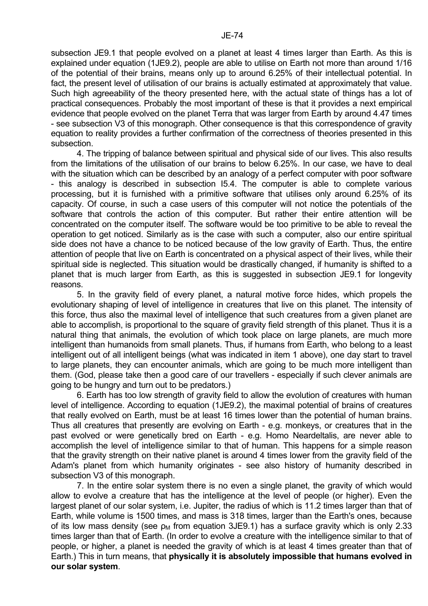subsection JE9.1 that people evolved on a planet at least 4 times larger than Earth. As this is explained under equation (1JE9.2), people are able to utilise on Earth not more than around 1/16 of the potential of their brains, means only up to around 6.25% of their intellectual potential. In fact, the present level of utilisation of our brains is actually estimated at approximately that value. Such high agreeability of the theory presented here, with the actual state of things has a lot of practical consequences. Probably the most important of these is that it provides a next empirical evidence that people evolved on the planet Terra that was larger from Earth by around 4.47 times - see subsection V3 of this monograph. Other consequence is that this correspondence of gravity equation to reality provides a further confirmation of the correctness of theories presented in this subsection.

 4. The tripping of balance between spiritual and physical side of our lives. This also results from the limitations of the utilisation of our brains to below 6.25%. In our case, we have to deal with the situation which can be described by an analogy of a perfect computer with poor software - this analogy is described in subsection I5.4. The computer is able to complete various processing, but it is furnished with a primitive software that utilises only around 6.25% of its capacity. Of course, in such a case users of this computer will not notice the potentials of the software that controls the action of this computer. But rather their entire attention will be concentrated on the computer itself. The software would be too primitive to be able to reveal the operation to get noticed. Similarly as is the case with such a computer, also our entire spiritual side does not have a chance to be noticed because of the low gravity of Earth. Thus, the entire attention of people that live on Earth is concentrated on a physical aspect of their lives, while their spiritual side is neglected. This situation would be drastically changed, if humanity is shifted to a planet that is much larger from Earth, as this is suggested in subsection JE9.1 for longevity reasons.

 5. In the gravity field of every planet, a natural motive force hides, which propels the evolutionary shaping of level of intelligence in creatures that live on this planet. The intensity of this force, thus also the maximal level of intelligence that such creatures from a given planet are able to accomplish, is proportional to the square of gravity field strength of this planet. Thus it is a natural thing that animals, the evolution of which took place on large planets, are much more intelligent than humanoids from small planets. Thus, if humans from Earth, who belong to a least intelligent out of all intelligent beings (what was indicated in item 1 above), one day start to travel to large planets, they can encounter animals, which are going to be much more intelligent than them. (God, please take then a good care of our travellers - especially if such clever animals are going to be hungry and turn out to be predators.)

 6. Earth has too low strength of gravity field to allow the evolution of creatures with human level of intelligence. According to equation (1JE9.2), the maximal potential of brains of creatures that really evolved on Earth, must be at least 16 times lower than the potential of human brains. Thus all creatures that presently are evolving on Earth - e.g. monkeys, or creatures that in the past evolved or were genetically bred on Earth - e.g. Homo Neardeltalis, are never able to accomplish the level of intelligence similar to that of human. This happens for a simple reason that the gravity strength on their native planet is around 4 times lower from the gravity field of the Adam's planet from which humanity originates - see also history of humanity described in subsection V3 of this monograph.

 7. In the entire solar system there is no even a single planet, the gravity of which would allow to evolve a creature that has the intelligence at the level of people (or higher). Even the largest planet of our solar system, i.e. Jupiter, the radius of which is 11.2 times larger than that of Earth, while volume is 1500 times, and mass is 318 times, larger than the Earth's ones, because of its low mass density (see  $\rho_M$  from equation 3JE9.1) has a surface gravity which is only 2.33 times larger than that of Earth. (In order to evolve a creature with the intelligence similar to that of people, or higher, a planet is needed the gravity of which is at least 4 times greater than that of Earth.) This in turn means, that **physically it is absolutely impossible that humans evolved in our solar system**.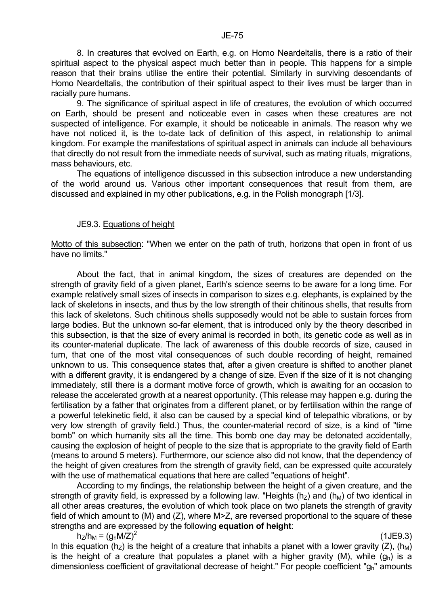8. In creatures that evolved on Earth, e.g. on Homo Neardeltalis, there is a ratio of their spiritual aspect to the physical aspect much better than in people. This happens for a simple reason that their brains utilise the entire their potential. Similarly in surviving descendants of Homo Neardeltalis, the contribution of their spiritual aspect to their lives must be larger than in racially pure humans.

 9. The significance of spiritual aspect in life of creatures, the evolution of which occurred on Earth, should be present and noticeable even in cases when these creatures are not suspected of intelligence. For example, it should be noticeable in animals. The reason why we have not noticed it, is the to-date lack of definition of this aspect, in relationship to animal kingdom. For example the manifestations of spiritual aspect in animals can include all behaviours that directly do not result from the immediate needs of survival, such as mating rituals, migrations, mass behaviours, etc.

 The equations of intelligence discussed in this subsection introduce a new understanding of the world around us. Various other important consequences that result from them, are discussed and explained in my other publications, e.g. in the Polish monograph [1/3].

## JE9.3. Equations of height

Motto of this subsection: "When we enter on the path of truth, horizons that open in front of us have no limits."

 About the fact, that in animal kingdom, the sizes of creatures are depended on the strength of gravity field of a given planet, Earth's science seems to be aware for a long time. For example relatively small sizes of insects in comparison to sizes e.g. elephants, is explained by the lack of skeletons in insects, and thus by the low strength of their chitinous shells, that results from this lack of skeletons. Such chitinous shells supposedly would not be able to sustain forces from large bodies. But the unknown so-far element, that is introduced only by the theory described in this subsection, is that the size of every animal is recorded in both, its genetic code as well as in its counter-material duplicate. The lack of awareness of this double records of size, caused in turn, that one of the most vital consequences of such double recording of height, remained unknown to us. This consequence states that, after a given creature is shifted to another planet with a different gravity, it is endangered by a change of size. Even if the size of it is not changing immediately, still there is a dormant motive force of growth, which is awaiting for an occasion to release the accelerated growth at a nearest opportunity. (This release may happen e.g. during the fertilisation by a father that originates from a different planet, or by fertilisation within the range of a powerful telekinetic field, it also can be caused by a special kind of telepathic vibrations, or by very low strength of gravity field.) Thus, the counter-material record of size, is a kind of "time bomb" on which humanity sits all the time. This bomb one day may be detonated accidentally, causing the explosion of height of people to the size that is appropriate to the gravity field of Earth (means to around 5 meters). Furthermore, our science also did not know, that the dependency of the height of given creatures from the strength of gravity field, can be expressed quite accurately with the use of mathematical equations that here are called "equations of height".

 According to my findings, the relationship between the height of a given creature, and the strength of gravity field, is expressed by a following law. "Heights ( $h<sub>Z</sub>$ ) and ( $h<sub>M</sub>$ ) of two identical in all other areas creatures, the evolution of which took place on two planets the strength of gravity field of which amount to (M) and (Z), where M>Z, are reversed proportional to the square of these strengths and are expressed by the following **equation of height**:

 $h_Z/h_M = (g_h M/Z)^2$ 

(1JE9.3)

In this equation ( $h_z$ ) is the height of a creature that inhabits a planet with a lower gravity (Z), ( $h_M$ ) is the height of a creature that populates a planet with a higher gravity (M), while  $(q_h)$  is a dimensionless coefficient of gravitational decrease of height." For people coefficient "gh" amounts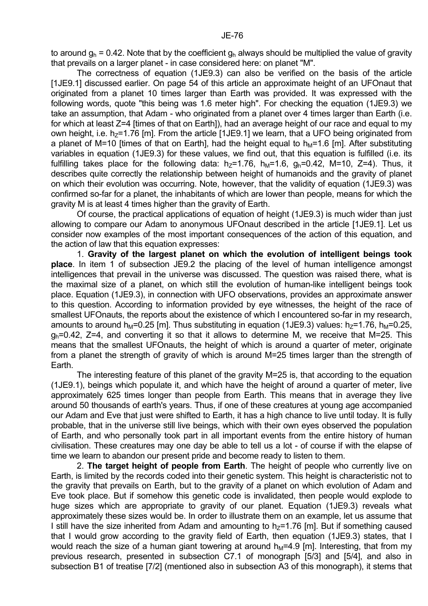to around  $q_h$  = 0.42. Note that by the coefficient  $q_h$  always should be multiplied the value of gravity that prevails on a larger planet - in case considered here: on planet "M".

 The correctness of equation (1JE9.3) can also be verified on the basis of the article [1JE9.1] discussed earlier. On page 54 of this article an approximate height of an UFOnaut that originated from a planet 10 times larger than Earth was provided. It was expressed with the following words, quote "this being was 1.6 meter high". For checking the equation (1JE9.3) we take an assumption, that Adam - who originated from a planet over 4 times larger than Earth (i.e. for which at least Z=4 [times of that on Earth]), had an average height of our race and equal to my own height, i.e.  $h_Z$ =1.76 [m]. From the article [1JE9.1] we learn, that a UFO being originated from a planet of M=10 [times of that on Earth], had the height equal to  $h_M$ =1.6 [m]. After substituting variables in equation (1JE9.3) for these values, we find out, that this equation is fulfilled (i.e. its fulfilling takes place for the following data:  $h_7=1.76$ ,  $h_M=1.6$ ,  $g_h=0.42$ , M=10, Z=4). Thus, it describes quite correctly the relationship between height of humanoids and the gravity of planet on which their evolution was occurring. Note, however, that the validity of equation (1JE9.3) was confirmed so-far for a planet, the inhabitants of which are lower than people, means for which the gravity M is at least 4 times higher than the gravity of Earth.

 Of course, the practical applications of equation of height (1JE9.3) is much wider than just allowing to compare our Adam to anonymous UFOnaut described in the article [1JE9.1]. Let us consider now examples of the most important consequences of the action of this equation, and the action of law that this equation expresses:

 1. **Gravity of the largest planet on which the evolution of intelligent beings took place**. In item 1 of subsection JE9.2 the placing of the level of human intelligence amongst intelligences that prevail in the universe was discussed. The question was raised there, what is the maximal size of a planet, on which still the evolution of human-like intelligent beings took place. Equation (1JE9.3), in connection with UFO observations, provides an approximate answer to this question. According to information provided by eye witnesses, the height of the race of smallest UFOnauts, the reports about the existence of which I encountered so-far in my research. amounts to around h<sub>M</sub>=0.25 [m]. Thus substituting in equation (1JE9.3) values: h<sub>7</sub>=1.76, h<sub>M</sub>=0.25,  $q_h$ =0.42,  $Z$ =4, and converting it so that it allows to determine M, we receive that M=25. This means that the smallest UFOnauts, the height of which is around a quarter of meter, originate from a planet the strength of gravity of which is around M=25 times larger than the strength of Earth.

 The interesting feature of this planet of the gravity M=25 is, that according to the equation (1JE9.1), beings which populate it, and which have the height of around a quarter of meter, live approximately 625 times longer than people from Earth. This means that in average they live around 50 thousands of earth's years. Thus, if one of these creatures at young age accompanied our Adam and Eve that just were shifted to Earth, it has a high chance to live until today. It is fully probable, that in the universe still live beings, which with their own eyes observed the population of Earth, and who personally took part in all important events from the entire history of human civilisation. These creatures may one day be able to tell us a lot - of course if with the elapse of time we learn to abandon our present pride and become ready to listen to them.

 2. **The target height of people from Earth**. The height of people who currently live on Earth, is limited by the records coded into their genetic system. This height is characteristic not to the gravity that prevails on Earth, but to the gravity of a planet on which evolution of Adam and Eve took place. But if somehow this genetic code is invalidated, then people would explode to huge sizes which are appropriate to gravity of our planet. Equation (1JE9.3) reveals what approximately these sizes would be. In order to illustrate them on an example, let us assume that I still have the size inherited from Adam and amounting to  $h<sub>z</sub>=1.76$  [m]. But if something caused that I would grow according to the gravity field of Earth, then equation (1JE9.3) states, that I would reach the size of a human giant towering at around  $h_M=4.9$  [m]. Interesting, that from my previous research, presented in subsection C7.1 of monograph [5/3] and [5/4], and also in subsection B1 of treatise [7/2] (mentioned also in subsection A3 of this monograph), it stems that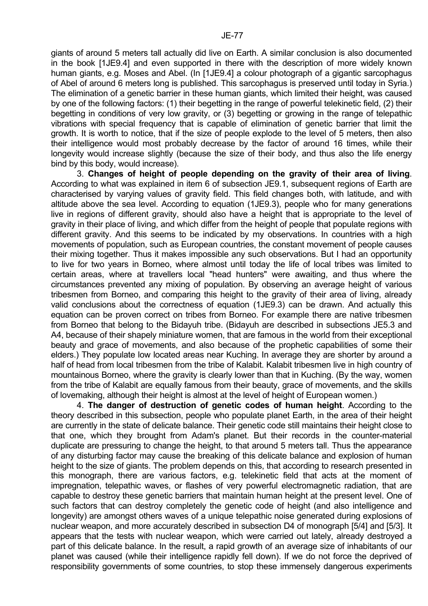giants of around 5 meters tall actually did live on Earth. A similar conclusion is also documented in the book [1JE9.4] and even supported in there with the description of more widely known human giants, e.g. Moses and Abel. (In [1JE9.4] a colour photograph of a gigantic sarcophagus of Abel of around 6 meters long is published. This sarcophagus is preserved until today in Syria.) The elimination of a genetic barrier in these human giants, which limited their height, was caused by one of the following factors: (1) their begetting in the range of powerful telekinetic field, (2) their begetting in conditions of very low gravity, or (3) begetting or growing in the range of telepathic vibrations with special frequency that is capable of elimination of genetic barrier that limit the growth. It is worth to notice, that if the size of people explode to the level of 5 meters, then also their intelligence would most probably decrease by the factor of around 16 times, while their longevity would increase slightly (because the size of their body, and thus also the life energy bind by this body, would increase).

 3. **Changes of height of people depending on the gravity of their area of living**. According to what was explained in item 6 of subsection JE9.1, subsequent regions of Earth are characterised by varying values of gravity field. This field changes both, with latitude, and with altitude above the sea level. According to equation (1JE9.3), people who for many generations live in regions of different gravity, should also have a height that is appropriate to the level of gravity in their place of living, and which differ from the height of people that populate regions with different gravity. And this seems to be indicated by my observations. In countries with a high movements of population, such as European countries, the constant movement of people causes their mixing together. Thus it makes impossible any such observations. But I had an opportunity to live for two years in Borneo, where almost until today the life of local tribes was limited to certain areas, where at travellers local "head hunters" were awaiting, and thus where the circumstances prevented any mixing of population. By observing an average height of various tribesmen from Borneo, and comparing this height to the gravity of their area of living, already valid conclusions about the correctness of equation (1JE9.3) can be drawn. And actually this equation can be proven correct on tribes from Borneo. For example there are native tribesmen from Borneo that belong to the Bidayuh tribe. (Bidayuh are described in subsections JE5.3 and A4, because of their shapely miniature women, that are famous in the world from their exceptional beauty and grace of movements, and also because of the prophetic capabilities of some their elders.) They populate low located areas near Kuching. In average they are shorter by around a half of head from local tribesmen from the tribe of Kalabit. Kalabit tribesmen live in high country of mountainous Borneo, where the gravity is clearly lower than that in Kuching. (By the way, women from the tribe of Kalabit are equally famous from their beauty, grace of movements, and the skills of lovemaking, although their height is almost at the level of height of European women.)

 4. **The danger of destruction of genetic codes of human height**. According to the theory described in this subsection, people who populate planet Earth, in the area of their height are currently in the state of delicate balance. Their genetic code still maintains their height close to that one, which they brought from Adam's planet. But their records in the counter-material duplicate are pressuring to change the height, to that around 5 meters tall. Thus the appearance of any disturbing factor may cause the breaking of this delicate balance and explosion of human height to the size of giants. The problem depends on this, that according to research presented in this monograph, there are various factors, e.g. telekinetic field that acts at the moment of impregnation, telepathic waves, or flashes of very powerful electromagnetic radiation, that are capable to destroy these genetic barriers that maintain human height at the present level. One of such factors that can destroy completely the genetic code of height (and also intelligence and longevity) are amongst others waves of a unique telepathic noise generated during explosions of nuclear weapon, and more accurately described in subsection D4 of monograph [5/4] and [5/3]. It appears that the tests with nuclear weapon, which were carried out lately, already destroyed a part of this delicate balance. In the result, a rapid growth of an average size of inhabitants of our planet was caused (while their intelligence rapidly fell down). If we do not force the deprived of responsibility governments of some countries, to stop these immensely dangerous experiments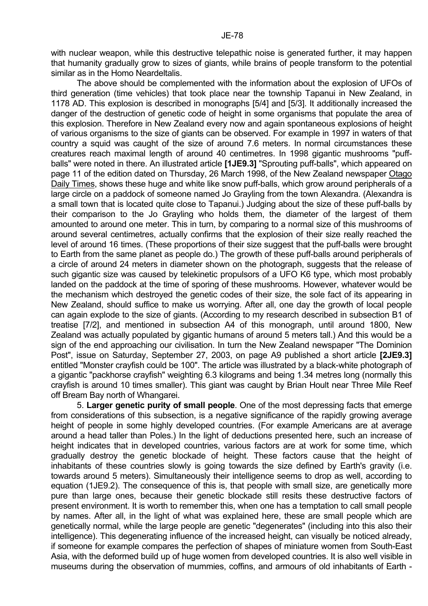with nuclear weapon, while this destructive telepathic noise is generated further, it may happen that humanity gradually grow to sizes of giants, while brains of people transform to the potential similar as in the Homo Neardeltalis.

 The above should be complemented with the information about the explosion of UFOs of third generation (time vehicles) that took place near the township Tapanui in New Zealand, in 1178 AD. This explosion is described in monographs [5/4] and [5/3]. It additionally increased the danger of the destruction of genetic code of height in some organisms that populate the area of this explosion. Therefore in New Zealand every now and again spontaneous explosions of height of various organisms to the size of giants can be observed. For example in 1997 in waters of that country a squid was caught of the size of around 7.6 meters. In normal circumstances these creatures reach maximal length of around 40 centimetres. In 1998 gigantic mushrooms "puffballs" were noted in there. An illustrated article **[1JE9.3]** "Sprouting puff-balls", which appeared on page 11 of the edition dated on Thursday, 26 March 1998, of the New Zealand newspaper Otago Daily Times, shows these huge and white like snow puff-balls, which grow around peripherals of a large circle on a paddock of someone named Jo Grayling from the town Alexandra. (Alexandra is a small town that is located quite close to Tapanui.) Judging about the size of these puff-balls by their comparison to the Jo Grayling who holds them, the diameter of the largest of them amounted to around one meter. This in turn, by comparing to a normal size of this mushrooms of around several centimetres, actually confirms that the explosion of their size really reached the level of around 16 times. (These proportions of their size suggest that the puff-balls were brought to Earth from the same planet as people do.) The growth of these puff-balls around peripherals of a circle of around 24 meters in diameter shown on the photograph, suggests that the release of such gigantic size was caused by telekinetic propulsors of a UFO K6 type, which most probably landed on the paddock at the time of sporing of these mushrooms. However, whatever would be the mechanism which destroyed the genetic codes of their size, the sole fact of its appearing in New Zealand, should suffice to make us worrying. After all, one day the growth of local people can again explode to the size of giants. (According to my research described in subsection B1 of treatise [7/2], and mentioned in subsection A4 of this monograph, until around 1800, New Zealand was actually populated by gigantic humans of around 5 meters tall.) And this would be a sign of the end approaching our civilisation. In turn the New Zealand newspaper "The Dominion Post", issue on Saturday, September 27, 2003, on page A9 published a short article **[2JE9.3]** entitled "Monster crayfish could be 100". The article was illustrated by a black-white photograph of a gigantic "packhorse crayfish" weighting 6.3 kilograms and being 1.34 metres long (normally this crayfish is around 10 times smaller). This giant was caught by Brian Hoult near Three Mile Reef off Bream Bay north of Whangarei.

 5. **Larger genetic purity of small people**. One of the most depressing facts that emerge from considerations of this subsection, is a negative significance of the rapidly growing average height of people in some highly developed countries. (For example Americans are at average around a head taller than Poles.) In the light of deductions presented here, such an increase of height indicates that in developed countries, various factors are at work for some time, which gradually destroy the genetic blockade of height. These factors cause that the height of inhabitants of these countries slowly is going towards the size defined by Earth's gravity (i.e. towards around 5 meters). Simultaneously their intelligence seems to drop as well, according to equation (1JE9.2). The consequence of this is, that people with small size, are genetically more pure than large ones, because their genetic blockade still resits these destructive factors of present environment. It is worth to remember this, when one has a temptation to call small people by names. After all, in the light of what was explained here, these are small people which are genetically normal, while the large people are genetic "degenerates" (including into this also their intelligence). This degenerating influence of the increased height, can visually be noticed already, if someone for example compares the perfection of shapes of miniature women from South-East Asia, with the deformed build up of huge women from developed countries. It is also well visible in museums during the observation of mummies, coffins, and armours of old inhabitants of Earth -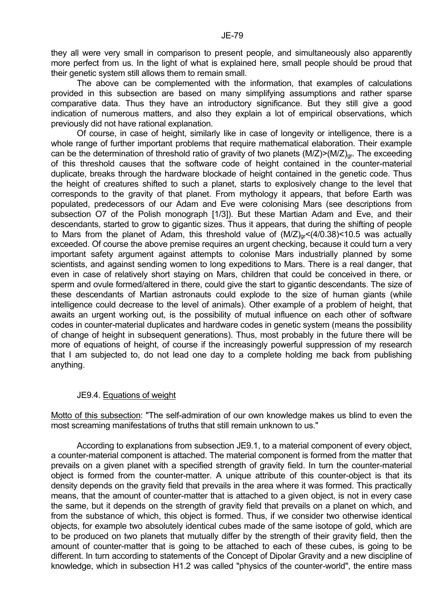they all were very small in comparison to present people, and simultaneously also apparently more perfect from us. In the light of what is explained here, small people should be proud that their genetic system still allows them to remain small.

 The above can be complemented with the information, that examples of calculations provided in this subsection are based on many simplifying assumptions and rather sparse comparative data. Thus they have an introductory significance. But they still give a good indication of numerous matters, and also they explain a lot of empirical observations, which previously did not have rational explanation.

 Of course, in case of height, similarly like in case of longevity or intelligence, there is a whole range of further important problems that require mathematical elaboration. Their example can be the determination of threshold ratio of gravity of two planets  $(M/Z)$   $(N/Z)_{gr}$ . The exceeding of this threshold causes that the software code of height contained in the counter-material duplicate, breaks through the hardware blockade of height contained in the genetic code. Thus the height of creatures shifted to such a planet, starts to explosively change to the level that corresponds to the gravity of that planet. From mythology it appears, that before Earth was populated, predecessors of our Adam and Eve were colonising Mars (see descriptions from subsection O7 of the Polish monograph [1/3]). But these Martian Adam and Eve, and their descendants, started to grow to gigantic sizes. Thus it appears, that during the shifting of people to Mars from the planet of Adam, this threshold value of  $(M/Z)_{qr}$ <(4/0.38)<10.5 was actually exceeded. Of course the above premise requires an urgent checking, because it could turn a very important safety argument against attempts to colonise Mars industrially planned by some scientists, and against sending women to long expeditions to Mars. There is a real danger, that even in case of relatively short staying on Mars, children that could be conceived in there, or sperm and ovule formed/altered in there, could give the start to gigantic descendants. The size of these descendants of Martian astronauts could explode to the size of human giants (while intelligence could decrease to the level of animals). Other example of a problem of height, that awaits an urgent working out, is the possibility of mutual influence on each other of software codes in counter-material duplicates and hardware codes in genetic system (means the possibility of change of height in subsequent generations). Thus, most probably in the future there will be more of equations of height, of course if the increasingly powerful suppression of my research that I am subjected to, do not lead one day to a complete holding me back from publishing anything.

## JE9.4. Equations of weight

Motto of this subsection: "The self-admiration of our own knowledge makes us blind to even the most screaming manifestations of truths that still remain unknown to us."

 According to explanations from subsection JE9.1, to a material component of every object, a counter-material component is attached. The material component is formed from the matter that prevails on a given planet with a specified strength of gravity field. In turn the counter-material object is formed from the counter-matter. A unique attribute of this counter-object is that its density depends on the gravity field that prevails in the area where it was formed. This practically means, that the amount of counter-matter that is attached to a given object, is not in every case the same, but it depends on the strength of gravity field that prevails on a planet on which, and from the substance of which, this object is formed. Thus, if we consider two otherwise identical objects, for example two absolutely identical cubes made of the same isotope of gold, which are to be produced on two planets that mutually differ by the strength of their gravity field, then the amount of counter-matter that is going to be attached to each of these cubes, is going to be different. In turn according to statements of the Concept of Dipolar Gravity and a new discipline of knowledge, which in subsection H1.2 was called "physics of the counter-world", the entire mass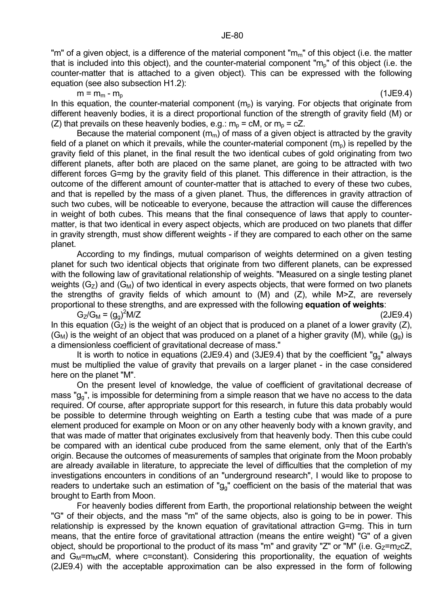"m" of a given object, is a difference of the material component " $m<sub>m</sub>$ " of this object (i.e. the matter that is included into this object), and the counter-material component " $m<sub>p</sub>$ " of this object (i.e. the counter-matter that is attached to a given object). This can be expressed with the following equation (see also subsection H1.2):

 $m = m_m - m_p$  (1JE9.4)

In this equation, the counter-material component  $(m<sub>o</sub>)$  is varying. For objects that originate from different heavenly bodies, it is a direct proportional function of the strength of gravity field (M) or (Z) that prevails on these heavenly bodies, e.g.:  $m_p = cM$ , or  $m_p = cZ$ .

Because the material component  $(m_m)$  of mass of a given object is attracted by the gravity field of a planet on which it prevails, while the counter-material component  $(m_0)$  is repelled by the gravity field of this planet, in the final result the two identical cubes of gold originating from two different planets, after both are placed on the same planet, are going to be attracted with two different forces G=mg by the gravity field of this planet. This difference in their attraction, is the outcome of the different amount of counter-matter that is attached to every of these two cubes, and that is repelled by the mass of a given planet. Thus, the differences in gravity attraction of such two cubes, will be noticeable to everyone, because the attraction will cause the differences in weight of both cubes. This means that the final consequence of laws that apply to countermatter, is that two identical in every aspect objects, which are produced on two planets that differ in gravity strength, must show different weights - if they are compared to each other on the same planet.

 According to my findings, mutual comparison of weights determined on a given testing planet for such two identical objects that originate from two different planets, can be expressed with the following law of gravitational relationship of weights. "Measured on a single testing planet weights  $(G_{Z})$  and  $(G_{M})$  of two identical in every aspects objects, that were formed on two planets the strengths of gravity fields of which amount to (M) and (Z), while M>Z, are reversely proportional to these strengths, and are expressed with the following **equation of weights**:

G<sub>Z</sub>/G<sub>M</sub> =  $(g_g)^2$  $M/Z$  (2JE9.4) In this equation  $(G<sub>z</sub>)$  is the weight of an object that is produced on a planet of a lower gravity  $(Z)$ ,  $(G_M)$  is the weight of an object that was produced on a planet of a higher gravity (M), while  $(g_0)$  is a dimensionless coefficient of gravitational decrease of mass."

It is worth to notice in equations (2JE9.4) and (3JE9.4) that by the coefficient " $g_0$ " always must be multiplied the value of gravity that prevails on a larger planet - in the case considered here on the planet "M".

 On the present level of knowledge, the value of coefficient of gravitational decrease of mass "gg", is impossible for determining from a simple reason that we have no access to the data required. Of course, after appropriate support for this research, in future this data probably would be possible to determine through weighting on Earth a testing cube that was made of a pure element produced for example on Moon or on any other heavenly body with a known gravity, and that was made of matter that originates exclusively from that heavenly body. Then this cube could be compared with an identical cube produced from the same element, only that of the Earth's origin. Because the outcomes of measurements of samples that originate from the Moon probably are already available in literature, to appreciate the level of difficulties that the completion of my investigations encounters in conditions of an "underground research", I would like to propose to readers to undertake such an estimation of " $g<sub>g</sub>$ " coefficient on the basis of the material that was brought to Earth from Moon.

 For heavenly bodies different from Earth, the proportional relationship between the weight "G" of their objects, and the mass "m" of the same objects, also is going to be in power. This relationship is expressed by the known equation of gravitational attraction G=mg. This in turn means, that the entire force of gravitational attraction (means the entire weight) "G" of a given object, should be proportional to the product of its mass "m" and gravity "Z" or "M" (i.e.  $G_{Z}$ =m<sub>Z</sub>cZ, and  $G_M = m_M cM$ , where c=constant). Considering this proportionality, the equation of weights (2JE9.4) with the acceptable approximation can be also expressed in the form of following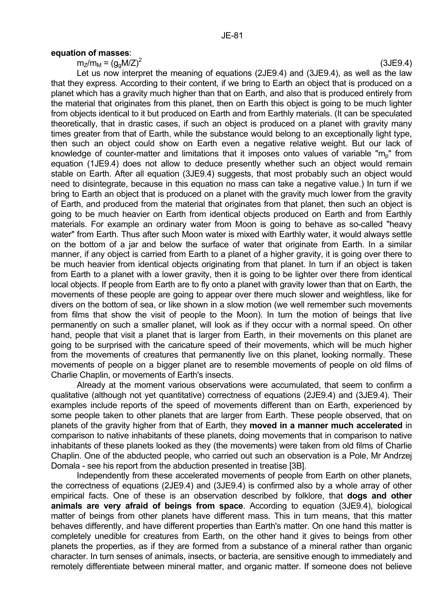#### **equation of masses**:

 $m_Z/m_M = (q_0 M/Z)^2$ 

 Let us now interpret the meaning of equations (2JE9.4) and (3JE9.4), as well as the law that they express. According to their content, if we bring to Earth an object that is produced on a planet which has a gravity much higher than that on Earth, and also that is produced entirely from the material that originates from this planet, then on Earth this object is going to be much lighter from objects identical to it but produced on Earth and from Earthly materials. (It can be speculated theoretically, that in drastic cases, if such an object is produced on a planet with gravity many times greater from that of Earth, while the substance would belong to an exceptionally light type, then such an object could show on Earth even a negative relative weight. But our lack of knowledge of counter-matter and limitations that it imposes onto values of variable "m<sub>p</sub>" from equation (1JE9.4) does not allow to deduce presently whether such an object would remain stable on Earth. After all equation (3JE9.4) suggests, that most probably such an object would need to disintegrate, because in this equation no mass can take a negative value.) In turn if we bring to Earth an object that is produced on a planet with the gravity much lower from the gravity of Earth, and produced from the material that originates from that planet, then such an object is going to be much heavier on Earth from identical objects produced on Earth and from Earthly materials. For example an ordinary water from Moon is going to behave as so-called "heavy water" from Earth. Thus after such Moon water is mixed with Earthly water, it would always settle on the bottom of a jar and below the surface of water that originate from Earth. In a similar manner, if any object is carried from Earth to a planet of a higher gravity, it is going over there to be much heavier from identical objects originating from that planet. In turn if an object is taken from Earth to a planet with a lower gravity, then it is going to be lighter over there from identical local objects. If people from Earth are to fly onto a planet with gravity lower than that on Earth, the movements of these people are going to appear over there much slower and weightless, like for divers on the bottom of sea, or like shown in a slow motion (we well remember such movements from films that show the visit of people to the Moon). In turn the motion of beings that live permanently on such a smaller planet, will look as if they occur with a normal speed. On other hand, people that visit a planet that is larger from Earth, in their movements on this planet are going to be surprised with the caricature speed of their movements, which will be much higher from the movements of creatures that permanently live on this planet, looking normally. These movements of people on a bigger planet are to resemble movements of people on old films of Charlie Chaplin, or movements of Earth's insects.

 Already at the moment various observations were accumulated, that seem to confirm a qualitative (although not yet quantitative) correctness of equations (2JE9.4) and (3JE9.4). Their examples include reports of the speed of movements different than on Earth, experienced by some people taken to other planets that are larger from Earth. These people observed, that on planets of the gravity higher from that of Earth, they **moved in a manner much accelerated** in comparison to native inhabitants of these planets, doing movements that in comparison to native inhabitants of these planets looked as they (the movements) were taken from old films of Charlie Chaplin. One of the abducted people, who carried out such an observation is a Pole, Mr Andrzej Domala - see his report from the abduction presented in treatise [3B].

 Independently from these accelerated movements of people from Earth on other planets, the correctness of equations (2JE9.4) and (3JE9.4) is confirmed also by a whole array of other empirical facts. One of these is an observation described by folklore, that **dogs and other animals are very afraid of beings from space**. According to equation (3JE9.4), biological matter of beings from other planets have different mass. This in turn means, that this matter behaves differently, and have different properties than Earth's matter. On one hand this matter is completely unedible for creatures from Earth, on the other hand it gives to beings from other planets the properties, as if they are formed from a substance of a mineral rather than organic character. In turn senses of animals, insects, or bacteria, are sensitive enough to immediately and remotely differentiate between mineral matter, and organic matter. If someone does not believe

(3JE9.4)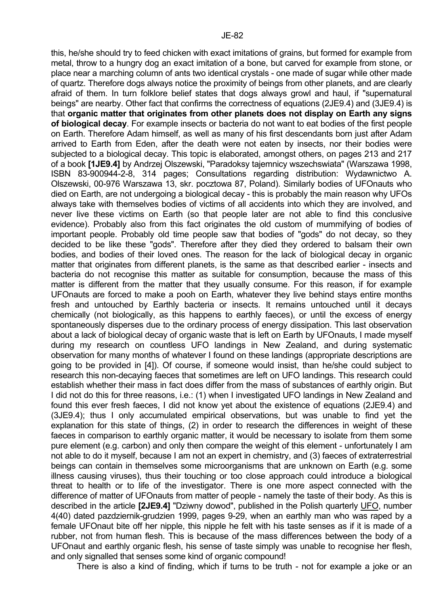this, he/she should try to feed chicken with exact imitations of grains, but formed for example from metal, throw to a hungry dog an exact imitation of a bone, but carved for example from stone, or place near a marching column of ants two identical crystals - one made of sugar while other made of quartz. Therefore dogs always notice the proximity of beings from other planets, and are clearly afraid of them. In turn folklore belief states that dogs always growl and haul, if "supernatural beings" are nearby. Other fact that confirms the correctness of equations (2JE9.4) and (3JE9.4) is that **organic matter that originates from other planets does not display on Earth any signs of biological decay**. For example insects or bacteria do not want to eat bodies of the first people on Earth. Therefore Adam himself, as well as many of his first descendants born just after Adam arrived to Earth from Eden, after the death were not eaten by insects, nor their bodies were subjected to a biological decay. This topic is elaborated, amongst others, on pages 213 and 217 of a book **[1JE9.4]** by Andrzej Olszewski, "Paradoksy tajemnicy wszechswiata" (Warszawa 1998, ISBN 83-900944-2-8, 314 pages; Consultations regarding distribution: Wydawnictwo A. Olszewski, 00-976 Warszawa 13, skr. pocztowa 87, Poland). Similarly bodies of UFOnauts who died on Earth, are not undergoing a biological decay - this is probably the main reason why UFOs always take with themselves bodies of victims of all accidents into which they are involved, and never live these victims on Earth (so that people later are not able to find this conclusive evidence). Probably also from this fact originates the old custom of mummifying of bodies of important people. Probably old time people saw that bodies of "gods" do not decay, so they decided to be like these "gods". Therefore after they died they ordered to balsam their own bodies, and bodies of their loved ones. The reason for the lack of biological decay in organic matter that originates from different planets, is the same as that described earlier - insects and bacteria do not recognise this matter as suitable for consumption, because the mass of this matter is different from the matter that they usually consume. For this reason, if for example UFOnauts are forced to make a pooh on Earth, whatever they live behind stays entire months fresh and untouched by Earthly bacteria or insects. It remains untouched until it decays chemically (not biologically, as this happens to earthly faeces), or until the excess of energy spontaneously disperses due to the ordinary process of energy dissipation. This last observation about a lack of biological decay of organic waste that is left on Earth by UFOnauts, I made myself during my research on countless UFO landings in New Zealand, and during systematic observation for many months of whatever I found on these landings (appropriate descriptions are going to be provided in [4]). Of course, if someone would insist, than he/she could subject to research this non-decaying faeces that sometimes are left on UFO landings. This research could establish whether their mass in fact does differ from the mass of substances of earthly origin. But I did not do this for three reasons, i.e.: (1) when I investigated UFO landings in New Zealand and found this ever fresh faeces, I did not know yet about the existence of equations (2JE9.4) and (3JE9.4); thus I only accumulated empirical observations, but was unable to find yet the explanation for this state of things, (2) in order to research the differences in weight of these faeces in comparison to earthly organic matter, it would be necessary to isolate from them some pure element (e.g. carbon) and only then compare the weight of this element - unfortunately I am not able to do it myself, because I am not an expert in chemistry, and (3) faeces of extraterrestrial beings can contain in themselves some microorganisms that are unknown on Earth (e.g. some illness causing viruses), thus their touching or too close approach could introduce a biological threat to health or to life of the investigator. There is one more aspect connected with the difference of matter of UFOnauts from matter of people - namely the taste of their body. As this is described in the article **[2JE9.4]** "Dziwny dowod", published in the Polish quarterly UFO, number 4(40) dated pazdziernik-grudzien 1999, pages 9-29, when an earthly man who was raped by a female UFOnaut bite off her nipple, this nipple he felt with his taste senses as if it is made of a rubber, not from human flesh. This is because of the mass differences between the body of a UFOnaut and earthly organic flesh, his sense of taste simply was unable to recognise her flesh, and only signalled that senses some kind of organic compound!

There is also a kind of finding, which if turns to be truth - not for example a joke or an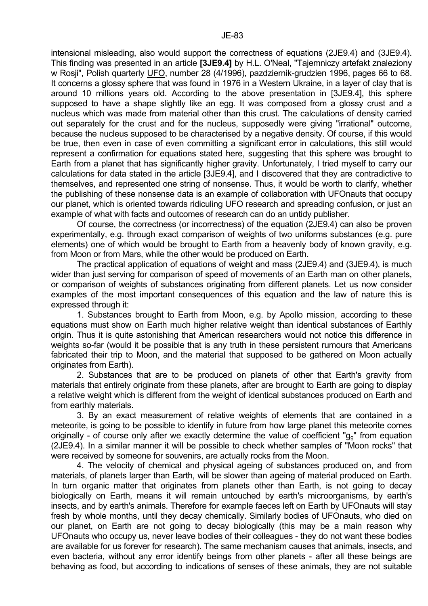intensional misleading, also would support the correctness of equations (2JE9.4) and (3JE9.4). This finding was presented in an article **[3JE9.4]** by H.L. O'Neal, "Tajemniczy artefakt znaleziony w Rosji", Polish quarterly UFO, number 28 (4/1996), pazdziernik-grudzien 1996, pages 66 to 68. It concerns a glossy sphere that was found in 1976 in a Western Ukraine, in a layer of clay that is around 10 millions years old. According to the above presentation in [3JE9.4], this sphere supposed to have a shape slightly like an egg. It was composed from a glossy crust and a nucleus which was made from material other than this crust. The calculations of density carried out separately for the crust and for the nucleus, supposedly were giving "irrational" outcome, because the nucleus supposed to be characterised by a negative density. Of course, if this would be true, then even in case of even committing a significant error in calculations, this still would represent a confirmation for equations stated here, suggesting that this sphere was brought to Earth from a planet that has significantly higher gravity. Unfortunately, I tried myself to carry our calculations for data stated in the article [3JE9.4], and I discovered that they are contradictive to themselves, and represented one string of nonsense. Thus, it would be worth to clarify, whether the publishing of these nonsense data is an example of collaboration with UFOnauts that occupy our planet, which is oriented towards ridiculing UFO research and spreading confusion, or just an example of what with facts and outcomes of research can do an untidy publisher.

 Of course, the correctness (or incorrectness) of the equation (2JE9.4) can also be proven experimentally, e.g. through exact comparison of weights of two uniforms substances (e.g. pure elements) one of which would be brought to Earth from a heavenly body of known gravity, e.g. from Moon or from Mars, while the other would be produced on Earth.

 The practical application of equations of weight and mass (2JE9.4) and (3JE9.4), is much wider than just serving for comparison of speed of movements of an Earth man on other planets, or comparison of weights of substances originating from different planets. Let us now consider examples of the most important consequences of this equation and the law of nature this is expressed through it:

 1. Substances brought to Earth from Moon, e.g. by Apollo mission, according to these equations must show on Earth much higher relative weight than identical substances of Earthly origin. Thus it is quite astonishing that American researchers would not notice this difference in weights so-far (would it be possible that is any truth in these persistent rumours that Americans fabricated their trip to Moon, and the material that supposed to be gathered on Moon actually originates from Earth).

 2. Substances that are to be produced on planets of other that Earth's gravity from materials that entirely originate from these planets, after are brought to Earth are going to display a relative weight which is different from the weight of identical substances produced on Earth and from earthly materials.

 3. By an exact measurement of relative weights of elements that are contained in a meteorite, is going to be possible to identify in future from how large planet this meteorite comes originally - of course only after we exactly determine the value of coefficient " $g<sub>g</sub>$ " from equation (2JE9.4). In a similar manner it will be possible to check whether samples of "Moon rocks" that were received by someone for souvenirs, are actually rocks from the Moon.

 4. The velocity of chemical and physical ageing of substances produced on, and from materials, of planets larger than Earth, will be slower than ageing of material produced on Earth. In turn organic matter that originates from planets other than Earth, is not going to decay biologically on Earth, means it will remain untouched by earth's microorganisms, by earth's insects, and by earth's animals. Therefore for example faeces left on Earth by UFOnauts will stay fresh by whole months, until they decay chemically. Similarly bodies of UFOnauts, who died on our planet, on Earth are not going to decay biologically (this may be a main reason why UFOnauts who occupy us, never leave bodies of their colleagues - they do not want these bodies are available for us forever for research). The same mechanism causes that animals, insects, and even bacteria, without any error identify beings from other planets - after all these beings are behaving as food, but according to indications of senses of these animals, they are not suitable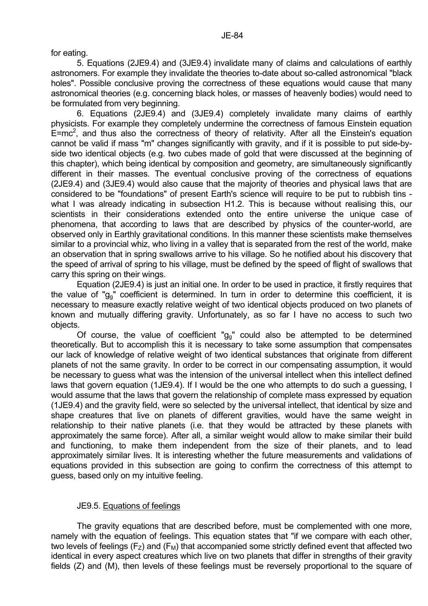for eating.

 5. Equations (2JE9.4) and (3JE9.4) invalidate many of claims and calculations of earthly astronomers. For example they invalidate the theories to-date about so-called astronomical "black holes". Possible conclusive proving the correctness of these equations would cause that many astronomical theories (e.g. concerning black holes, or masses of heavenly bodies) would need to be formulated from very beginning.

 6. Equations (2JE9.4) and (3JE9.4) completely invalidate many claims of earthly physicists. For example they completely undermine the correctness of famous Einstein equation  $E=mc^2$ , and thus also the correctness of theory of relativity. After all the Einstein's equation cannot be valid if mass "m" changes significantly with gravity, and if it is possible to put side-byside two identical objects (e.g. two cubes made of gold that were discussed at the beginning of this chapter), which being identical by composition and geometry, are simultaneously significantly different in their masses. The eventual conclusive proving of the correctness of equations (2JE9.4) and (3JE9.4) would also cause that the majority of theories and physical laws that are considered to be "foundations" of present Earth's science will require to be put to rubbish tins what I was already indicating in subsection H1.2. This is because without realising this, our scientists in their considerations extended onto the entire universe the unique case of phenomena, that according to laws that are described by physics of the counter-world, are observed only in Earthly gravitational conditions. In this manner these scientists make themselves similar to a provincial whiz, who living in a valley that is separated from the rest of the world, make an observation that in spring swallows arrive to his village. So he notified about his discovery that the speed of arrival of spring to his village, must be defined by the speed of flight of swallows that carry this spring on their wings.

 Equation (2JE9.4) is just an initial one. In order to be used in practice, it firstly requires that the value of "g<sub>a</sub>" coefficient is determined. In turn in order to determine this coefficient, it is necessary to measure exactly relative weight of two identical objects produced on two planets of known and mutually differing gravity. Unfortunately, as so far I have no access to such two objects.

Of course, the value of coefficient " $g_q$ " could also be attempted to be determined theoretically. But to accomplish this it is necessary to take some assumption that compensates our lack of knowledge of relative weight of two identical substances that originate from different planets of not the same gravity. In order to be correct in our compensating assumption, it would be necessary to guess what was the intension of the universal intellect when this intellect defined laws that govern equation (1JE9.4). If I would be the one who attempts to do such a guessing, I would assume that the laws that govern the relationship of complete mass expressed by equation (1JE9.4) and the gravity field, were so selected by the universal intellect, that identical by size and shape creatures that live on planets of different gravities, would have the same weight in relationship to their native planets (i.e. that they would be attracted by these planets with approximately the same force). After all, a similar weight would allow to make similar their build and functioning, to make them independent from the size of their planets, and to lead approximately similar lives. It is interesting whether the future measurements and validations of equations provided in this subsection are going to confirm the correctness of this attempt to guess, based only on my intuitive feeling.

# JE9.5. Equations of feelings

 The gravity equations that are described before, must be complemented with one more, namely with the equation of feelings. This equation states that "if we compare with each other, two levels of feelings ( $F_Z$ ) and ( $F_M$ ) that accompanied some strictly defined event that affected two identical in every aspect creatures which live on two planets that differ in strengths of their gravity fields (Z) and (M), then levels of these feelings must be reversely proportional to the square of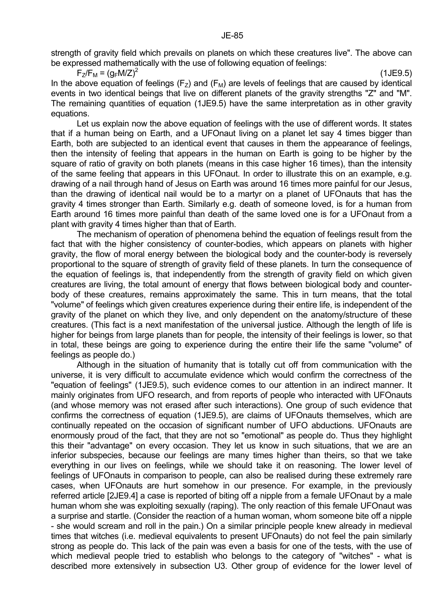strength of gravity field which prevails on planets on which these creatures live". The above can be expressed mathematically with the use of following equation of feelings:

 $F_Z/F_M = (g_F M/Z)^2$  (1JE9.5) In the above equation of feelings ( $F_z$ ) and ( $F_M$ ) are levels of feelings that are caused by identical events in two identical beings that live on different planets of the gravity strengths "Z" and "M". The remaining quantities of equation (1JE9.5) have the same interpretation as in other gravity equations.

Let us explain now the above equation of feelings with the use of different words. It states that if a human being on Earth, and a UFOnaut living on a planet let say 4 times bigger than Earth, both are subjected to an identical event that causes in them the appearance of feelings, then the intensity of feeling that appears in the human on Earth is going to be higher by the square of ratio of gravity on both planets (means in this case higher 16 times), than the intensity of the same feeling that appears in this UFOnaut. In order to illustrate this on an example, e.g. drawing of a nail through hand of Jesus on Earth was around 16 times more painful for our Jesus, than the drawing of identical nail would be to a martyr on a planet of UFOnauts that has the gravity 4 times stronger than Earth. Similarly e.g. death of someone loved, is for a human from Earth around 16 times more painful than death of the same loved one is for a UFOnaut from a plant with gravity 4 times higher than that of Earth.

 The mechanism of operation of phenomena behind the equation of feelings result from the fact that with the higher consistency of counter-bodies, which appears on planets with higher gravity, the flow of moral energy between the biological body and the counter-body is reversely proportional to the square of strength of gravity field of these planets. In turn the consequence of the equation of feelings is, that independently from the strength of gravity field on which given creatures are living, the total amount of energy that flows between biological body and counterbody of these creatures, remains approximately the same. This in turn means, that the total "volume" of feelings which given creatures experience during their entire life, is independent of the gravity of the planet on which they live, and only dependent on the anatomy/structure of these creatures. (This fact is a next manifestation of the universal justice. Although the length of life is higher for beings from large planets than for people, the intensity of their feelings is lower, so that in total, these beings are going to experience during the entire their life the same "volume" of feelings as people do.)

 Although in the situation of humanity that is totally cut off from communication with the universe, it is very difficult to accumulate evidence which would confirm the correctness of the "equation of feelings" (1JE9.5), such evidence comes to our attention in an indirect manner. It mainly originates from UFO research, and from reports of people who interacted with UFOnauts (and whose memory was not erased after such interactions). One group of such evidence that confirms the correctness of equation (1JE9.5), are claims of UFOnauts themselves, which are continually repeated on the occasion of significant number of UFO abductions. UFOnauts are enormously proud of the fact, that they are not so "emotional" as people do. Thus they highlight this their "advantage" on every occasion. They let us know in such situations, that we are an inferior subspecies, because our feelings are many times higher than theirs, so that we take everything in our lives on feelings, while we should take it on reasoning. The lower level of feelings of UFOnauts in comparison to people, can also be realised during these extremely rare cases, when UFOnauts are hurt somehow in our presence. For example, in the previously referred article [2JE9.4] a case is reported of biting off a nipple from a female UFOnaut by a male human whom she was exploiting sexually (raping). The only reaction of this female UFOnaut was a surprise and startle. (Consider the reaction of a human woman, whom someone bite off a nipple - she would scream and roll in the pain.) On a similar principle people knew already in medieval times that witches (i.e. medieval equivalents to present UFOnauts) do not feel the pain similarly strong as people do. This lack of the pain was even a basis for one of the tests, with the use of which medieval people tried to establish who belongs to the category of "witches" - what is described more extensively in subsection U3. Other group of evidence for the lower level of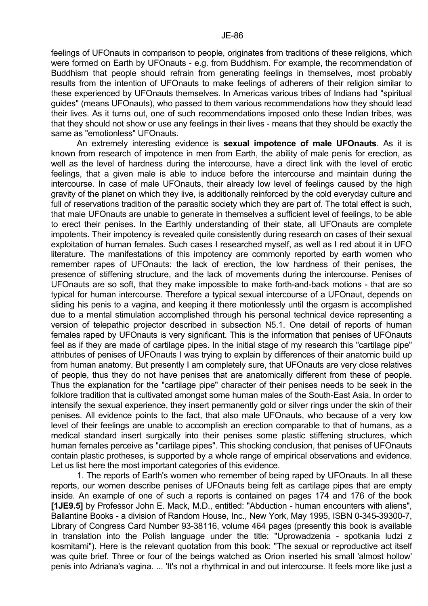feelings of UFOnauts in comparison to people, originates from traditions of these religions, which were formed on Earth by UFOnauts - e.g. from Buddhism. For example, the recommendation of Buddhism that people should refrain from generating feelings in themselves, most probably results from the intention of UFOnauts to make feelings of adherers of their religion similar to these experienced by UFOnauts themselves. In Americas various tribes of Indians had "spiritual guides" (means UFOnauts), who passed to them various recommendations how they should lead their lives. As it turns out, one of such recommendations imposed onto these Indian tribes, was that they should not show or use any feelings in their lives - means that they should be exactly the same as "emotionless" UFOnauts.

 An extremely interesting evidence is **sexual impotence of male UFOnauts**. As it is known from research of impotence in men from Earth, the ability of male penis for erection, as well as the level of hardness during the intercourse, have a direct link with the level of erotic feelings, that a given male is able to induce before the intercourse and maintain during the intercourse. In case of male UFOnauts, their already low level of feelings caused by the high gravity of the planet on which they live, is additionally reinforced by the cold everyday culture and full of reservations tradition of the parasitic society which they are part of. The total effect is such, that male UFOnauts are unable to generate in themselves a sufficient level of feelings, to be able to erect their penises. In the Earthly understanding of their state, all UFOnauts are complete impotents. Their impotency is revealed quite consistently during research on cases of their sexual exploitation of human females. Such cases I researched myself, as well as I red about it in UFO literature. The manifestations of this impotency are commonly reported by earth women who remember rapes of UFOnauts: the lack of erection, the low hardness of their penises, the presence of stiffening structure, and the lack of movements during the intercourse. Penises of UFOnauts are so soft, that they make impossible to make forth-and-back motions - that are so typical for human intercourse. Therefore a typical sexual intercourse of a UFOnaut, depends on sliding his penis to a vagina, and keeping it there motionlessly until the orgasm is accomplished due to a mental stimulation accomplished through his personal technical device representing a version of telepathic projector described in subsection N5.1. One detail of reports of human females raped by UFOnauts is very significant. This is the information that penises of UFOnauts feel as if they are made of cartilage pipes. In the initial stage of my research this "cartilage pipe" attributes of penises of UFOnauts I was trying to explain by differences of their anatomic build up from human anatomy. But presently I am completely sure, that UFOnauts are very close relatives of people, thus they do not have penises that are anatomically different from these of people. Thus the explanation for the "cartilage pipe" character of their penises needs to be seek in the folklore tradition that is cultivated amongst some human males of the South-East Asia. In order to intensify the sexual experience, they insert permanently gold or silver rings under the skin of their penises. All evidence points to the fact, that also male UFOnauts, who because of a very low level of their feelings are unable to accomplish an erection comparable to that of humans, as a medical standard insert surgically into their penises some plastic stiffening structures, which human females perceive as "cartilage pipes". This shocking conclusion, that penises of UFOnauts contain plastic protheses, is supported by a whole range of empirical observations and evidence. Let us list here the most important categories of this evidence.

 1. The reports of Earth's women who remember of being raped by UFOnauts. In all these reports, our women describe penises of UFOnauts being felt as cartilage pipes that are empty inside. An example of one of such a reports is contained on pages 174 and 176 of the book **[1JE9.5]** by Professor John E. Mack, M.D., entitled: "Abduction - human encounters with aliens", Ballantine Books - a division of Random House, Inc., New York, May 1995, ISBN 0-345-39300-7, Library of Congress Card Number 93-38116, volume 464 pages (presently this book is available in translation into the Polish language under the title: "Uprowadzenia - spotkania ludzi z kosmitami"). Here is the relevant quotation from this book: "The sexual or reproductive act itself was quite brief. Three or four of the beings watched as Orion inserted his small 'almost hollow' penis into Adriana's vagina. ... 'It's not a rhythmical in and out intercourse. It feels more like just a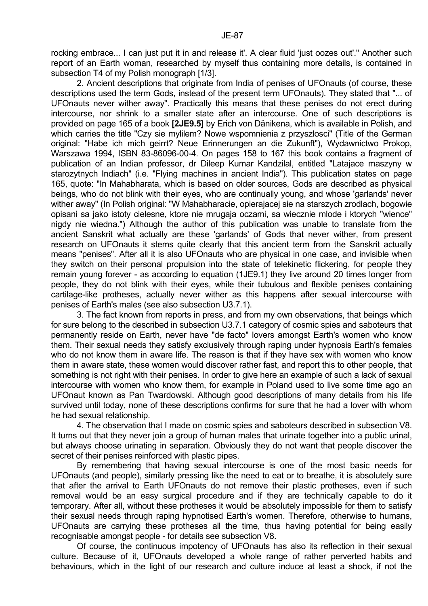rocking embrace... I can just put it in and release it'. A clear fluid 'just oozes out'." Another such report of an Earth woman, researched by myself thus containing more details, is contained in subsection T4 of my Polish monograph [1/3].

 2. Ancient descriptions that originate from India of penises of UFOnauts (of course, these descriptions used the term Gods, instead of the present term UFOnauts). They stated that "... of UFOnauts never wither away". Practically this means that these penises do not erect during intercourse, nor shrink to a smaller state after an intercourse. One of such descriptions is provided on page 165 of a book **[2JE9.5]** by Erich von Dänikena, which is available in Polish, and which carries the title "Czy sie mylilem? Nowe wspomnienia z przyszlosci" (Title of the German original: "Habe ich mich geirrt? Neue Erinnerungen an die Zukunft"), Wydawnictwo Prokop, Warszawa 1994, ISBN 83-86096-00-4. On pages 158 to 167 this book contains a fragment of publication of an Indian professor, dr Dileep Kumar Kandzilal, entitled "Latajace maszyny w starozytnych Indiach" (i.e. "Flying machines in ancient India"). This publication states on page 165, quote: "In Mahabharata, which is based on older sources, Gods are described as physical beings, who do not blink with their eyes, who are continually young, and whose 'garlands' never wither away" (In Polish original: "W Mahabharacie, opierajacej sie na starszych zrodlach, bogowie opisani sa jako istoty cielesne, ktore nie mrugaja oczami, sa wiecznie mlode i ktorych "wience" nigdy nie wiedna.") Although the author of this publication was unable to translate from the ancient Sanskrit what actually are these 'garlands' of Gods that never wither, from present research on UFOnauts it stems quite clearly that this ancient term from the Sanskrit actually means "penises". After all it is also UFOnauts who are physical in one case, and invisible when they switch on their personal propulsion into the state of telekinetic flickering, for people they remain young forever - as according to equation (1JE9.1) they live around 20 times longer from people, they do not blink with their eyes, while their tubulous and flexible penises containing cartilage-like protheses, actually never wither as this happens after sexual intercourse with penises of Earth's males (see also subsection U3.7.1).

 3. The fact known from reports in press, and from my own observations, that beings which for sure belong to the described in subsection U3.7.1 category of cosmic spies and saboteurs that permanently reside on Earth, never have "de facto" lovers amongst Earth's women who know them. Their sexual needs they satisfy exclusively through raping under hypnosis Earth's females who do not know them in aware life. The reason is that if they have sex with women who know them in aware state, these women would discover rather fast, and report this to other people, that something is not right with their penises. In order to give here an example of such a lack of sexual intercourse with women who know them, for example in Poland used to live some time ago an UFOnaut known as Pan Twardowski. Although good descriptions of many details from his life survived until today, none of these descriptions confirms for sure that he had a lover with whom he had sexual relationship.

 4. The observation that I made on cosmic spies and saboteurs described in subsection V8. It turns out that they never join a group of human males that urinate together into a public urinal, but always choose urinating in separation. Obviously they do not want that people discover the secret of their penises reinforced with plastic pipes.

 By remembering that having sexual intercourse is one of the most basic needs for UFOnauts (and people), similarly pressing like the need to eat or to breathe, it is absolutely sure that after the arrival to Earth UFOnauts do not remove their plastic protheses, even if such removal would be an easy surgical procedure and if they are technically capable to do it temporary. After all, without these protheses it would be absolutely impossible for them to satisfy their sexual needs through raping hypnotised Earth's women. Therefore, otherwise to humans, UFOnauts are carrying these protheses all the time, thus having potential for being easily recognisable amongst people - for details see subsection V8.

 Of course, the continuous impotency of UFOnauts has also its reflection in their sexual culture. Because of it, UFOnauts developed a whole range of rather perverted habits and behaviours, which in the light of our research and culture induce at least a shock, if not the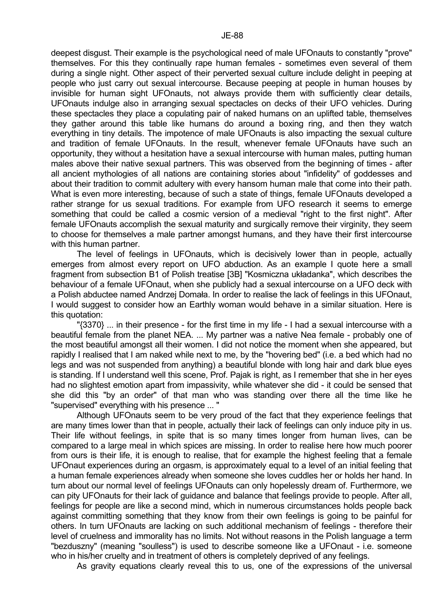deepest disgust. Their example is the psychological need of male UFOnauts to constantly "prove" themselves. For this they continually rape human females - sometimes even several of them during a single night. Other aspect of their perverted sexual culture include delight in peeping at people who just carry out sexual intercourse. Because peeping at people in human houses by invisible for human sight UFOnauts, not always provide them with sufficiently clear details, UFOnauts indulge also in arranging sexual spectacles on decks of their UFO vehicles. During these spectacles they place a copulating pair of naked humans on an uplifted table, themselves they gather around this table like humans do around a boxing ring, and then they watch everything in tiny details. The impotence of male UFOnauts is also impacting the sexual culture and tradition of female UFOnauts. In the result, whenever female UFOnauts have such an opportunity, they without a hesitation have a sexual intercourse with human males, putting human males above their native sexual partners. This was observed from the beginning of times - after all ancient mythologies of all nations are containing stories about "infidelity" of goddesses and about their tradition to commit adultery with every hansom human male that come into their path. What is even more interesting, because of such a state of things, female UFOnauts developed a rather strange for us sexual traditions. For example from UFO research it seems to emerge something that could be called a cosmic version of a medieval "right to the first night". After female UFOnauts accomplish the sexual maturity and surgically remove their virginity, they seem to choose for themselves a male partner amongst humans, and they have their first intercourse with this human partner.

 The level of feelings in UFOnauts, which is decisively lower than in people, actually emerges from almost every report on UFO abduction. As an example I quote here a small fragment from subsection B1 of Polish treatise [3B] "Kosmiczna układanka", which describes the behaviour of a female UFOnaut, when she publicly had a sexual intercourse on a UFO deck with a Polish abductee named Andrzej Domała. In order to realise the lack of feelings in this UFOnaut, I would suggest to consider how an Earthly woman would behave in a similar situation. Here is this quotation:

"{3370} ... in their presence - for the first time in my life - I had a sexual intercourse with a beautiful female from the planet NEA. ... My partner was a native Nea female - probably one of the most beautiful amongst all their women. I did not notice the moment when she appeared, but rapidly I realised that I am naked while next to me, by the "hovering bed" (i.e. a bed which had no legs and was not suspended from anything) a beautiful blonde with long hair and dark blue eyes is standing. If I understand well this scene, Prof. Pajak is right, as I remember that she in her eyes had no slightest emotion apart from impassivity, while whatever she did - it could be sensed that she did this "by an order" of that man who was standing over there all the time like he "supervised" everything with his presence ... "

 Although UFOnauts seem to be very proud of the fact that they experience feelings that are many times lower than that in people, actually their lack of feelings can only induce pity in us. Their life without feelings, in spite that is so many times longer from human lives, can be compared to a large meal in which spices are missing. In order to realise here how much poorer from ours is their life, it is enough to realise, that for example the highest feeling that a female UFOnaut experiences during an orgasm, is approximately equal to a level of an initial feeling that a human female experiences already when someone she loves cuddles her or holds her hand. In turn about our normal level of feelings UFOnauts can only hopelessly dream of. Furthermore, we can pity UFOnauts for their lack of guidance and balance that feelings provide to people. After all, feelings for people are like a second mind, which in numerous circumstances holds people back against committing something that they know from their own feelings is going to be painful for others. In turn UFOnauts are lacking on such additional mechanism of feelings - therefore their level of cruelness and immorality has no limits. Not without reasons in the Polish language a term "bezduszny" (meaning "soulless") is used to describe someone like a UFOnaut - i.e. someone who in his/her cruelty and in treatment of others is completely deprived of any feelings.

As gravity equations clearly reveal this to us, one of the expressions of the universal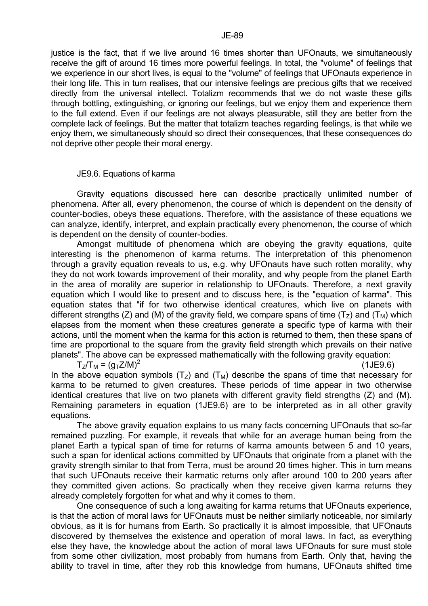justice is the fact, that if we live around 16 times shorter than UFOnauts, we simultaneously receive the gift of around 16 times more powerful feelings. In total, the "volume" of feelings that we experience in our short lives, is equal to the "volume" of feelings that UFOnauts experience in their long life. This in turn realises, that our intensive feelings are precious gifts that we received directly from the universal intellect. Totalizm recommends that we do not waste these gifts through bottling, extinguishing, or ignoring our feelings, but we enjoy them and experience them to the full extend. Even if our feelings are not always pleasurable, still they are better from the complete lack of feelings. But the matter that totalizm teaches regarding feelings, is that while we enjoy them, we simultaneously should so direct their consequences, that these consequences do not deprive other people their moral energy.

#### JE9.6. Equations of karma

 Gravity equations discussed here can describe practically unlimited number of phenomena. After all, every phenomenon, the course of which is dependent on the density of counter-bodies, obeys these equations. Therefore, with the assistance of these equations we can analyze, identify, interpret, and explain practically every phenomenon, the course of which is dependent on the density of counter-bodies.

 Amongst multitude of phenomena which are obeying the gravity equations, quite interesting is the phenomenon of karma returns. The interpretation of this phenomenon through a gravity equation reveals to us, e.g. why UFOnauts have such rotten morality, why they do not work towards improvement of their morality, and why people from the planet Earth in the area of morality are superior in relationship to UFOnauts. Therefore, a next gravity equation which I would like to present and to discuss here, is the "equation of karma". This equation states that "if for two otherwise identical creatures, which live on planets with different strengths (Z) and (M) of the gravity field, we compare spans of time ( $T<sub>z</sub>$ ) and ( $T<sub>M</sub>$ ) which elapses from the moment when these creatures generate a specific type of karma with their actions, until the moment when the karma for this action is returned to them, then these spans of time are proportional to the square from the gravity field strength which prevails on their native planets". The above can be expressed mathematically with the following gravity equation:

 $T_Z/T_M = (q_T Z/M)^2$ 

(1JE9.6)

In the above equation symbols  $(T<sub>z</sub>)$  and  $(T<sub>M</sub>)$  describe the spans of time that necessary for karma to be returned to given creatures. These periods of time appear in two otherwise identical creatures that live on two planets with different gravity field strengths (Z) and (M). Remaining parameters in equation (1JE9.6) are to be interpreted as in all other gravity equations.

 The above gravity equation explains to us many facts concerning UFOnauts that so-far remained puzzling. For example, it reveals that while for an average human being from the planet Earth a typical span of time for returns of karma amounts between 5 and 10 years, such a span for identical actions committed by UFOnauts that originate from a planet with the gravity strength similar to that from Terra, must be around 20 times higher. This in turn means that such UFOnauts receive their karmatic returns only after around 100 to 200 years after they committed given actions. So practically when they receive given karma returns they already completely forgotten for what and why it comes to them.

 One consequence of such a long awaiting for karma returns that UFOnauts experience, is that the action of moral laws for UFOnauts must be neither similarly noticeable, nor similarly obvious, as it is for humans from Earth. So practically it is almost impossible, that UFOnauts discovered by themselves the existence and operation of moral laws. In fact, as everything else they have, the knowledge about the action of moral laws UFOnauts for sure must stole from some other civilization, most probably from humans from Earth. Only that, having the ability to travel in time, after they rob this knowledge from humans, UFOnauts shifted time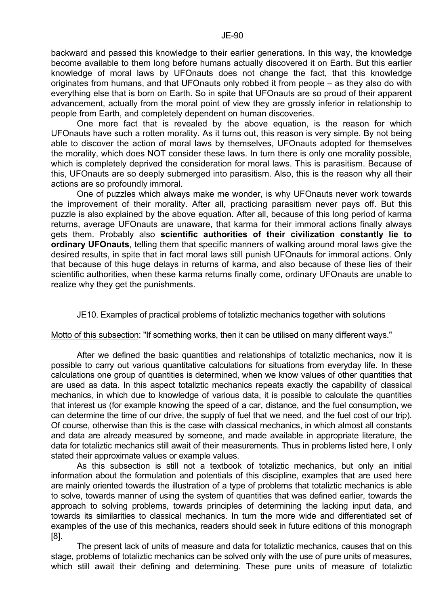backward and passed this knowledge to their earlier generations. In this way, the knowledge become available to them long before humans actually discovered it on Earth. But this earlier knowledge of moral laws by UFOnauts does not change the fact, that this knowledge originates from humans, and that UFOnauts only robbed it from people – as they also do with everything else that is born on Earth. So in spite that UFOnauts are so proud of their apparent advancement, actually from the moral point of view they are grossly inferior in relationship to people from Earth, and completely dependent on human discoveries.

 One more fact that is revealed by the above equation, is the reason for which UFOnauts have such a rotten morality. As it turns out, this reason is very simple. By not being able to discover the action of moral laws by themselves, UFOnauts adopted for themselves the morality, which does NOT consider these laws. In turn there is only one morality possible, which is completely deprived the consideration for moral laws. This is parasitism. Because of this, UFOnauts are so deeply submerged into parasitism. Also, this is the reason why all their actions are so profoundly immoral.

 One of puzzles which always make me wonder, is why UFOnauts never work towards the improvement of their morality. After all, practicing parasitism never pays off. But this puzzle is also explained by the above equation. After all, because of this long period of karma returns, average UFOnauts are unaware, that karma for their immoral actions finally always gets them. Probably also **scientific authorities of their civilization constantly lie to ordinary UFOnauts**, telling them that specific manners of walking around moral laws give the desired results, in spite that in fact moral laws still punish UFOnauts for immoral actions. Only that because of this huge delays in returns of karma, and also because of these lies of their scientific authorities, when these karma returns finally come, ordinary UFOnauts are unable to realize why they get the punishments.

## JE10. Examples of practical problems of totaliztic mechanics together with solutions

Motto of this subsection: "If something works, then it can be utilised on many different ways."

 After we defined the basic quantities and relationships of totaliztic mechanics, now it is possible to carry out various quantitative calculations for situations from everyday life. In these calculations one group of quantities is determined, when we know values of other quantities that are used as data. In this aspect totaliztic mechanics repeats exactly the capability of classical mechanics, in which due to knowledge of various data, it is possible to calculate the quantities that interest us (for example knowing the speed of a car, distance, and the fuel consumption, we can determine the time of our drive, the supply of fuel that we need, and the fuel cost of our trip). Of course, otherwise than this is the case with classical mechanics, in which almost all constants and data are already measured by someone, and made available in appropriate literature, the data for totaliztic mechanics still await of their measurements. Thus in problems listed here, I only stated their approximate values or example values.

 As this subsection is still not a textbook of totaliztic mechanics, but only an initial information about the formulation and potentials of this discipline, examples that are used here are mainly oriented towards the illustration of a type of problems that totaliztic mechanics is able to solve, towards manner of using the system of quantities that was defined earlier, towards the approach to solving problems, towards principles of determining the lacking input data, and towards its similarities to classical mechanics. In turn the more wide and differentiated set of examples of the use of this mechanics, readers should seek in future editions of this monograph [8].

 The present lack of units of measure and data for totaliztic mechanics, causes that on this stage, problems of totaliztic mechanics can be solved only with the use of pure units of measures, which still await their defining and determining. These pure units of measure of totaliztic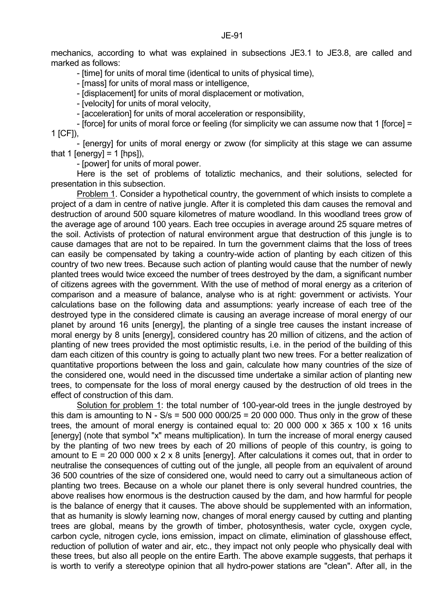mechanics, according to what was explained in subsections JE3.1 to JE3.8, are called and marked as follows:

- [time] for units of moral time (identical to units of physical time),

- [mass] for units of moral mass or intelligence,

- [displacement] for units of moral displacement or motivation,

- [velocity] for units of moral velocity,

- [acceleration] for units of moral acceleration or responsibility,

- Iforce] for units of moral force or feeling (for simplicity we can assume now that 1 Iforce] = 1 [CF]),

 - [energy] for units of moral energy or zwow (for simplicity at this stage we can assume that 1 [energy] = 1 [hps]),

- [power] for units of moral power.

 Here is the set of problems of totaliztic mechanics, and their solutions, selected for presentation in this subsection.

Problem 1. Consider a hypothetical country, the government of which insists to complete a project of a dam in centre of native jungle. After it is completed this dam causes the removal and destruction of around 500 square kilometres of mature woodland. In this woodland trees grow of the average age of around 100 years. Each tree occupies in average around 25 square metres of the soil. Activists of protection of natural environment argue that destruction of this jungle is to cause damages that are not to be repaired. In turn the government claims that the loss of trees can easily be compensated by taking a country-wide action of planting by each citizen of this country of two new trees. Because such action of planting would cause that the number of newly planted trees would twice exceed the number of trees destroyed by the dam, a significant number of citizens agrees with the government. With the use of method of moral energy as a criterion of comparison and a measure of balance, analyse who is at right: government or activists. Your calculations base on the following data and assumptions: yearly increase of each tree of the destroyed type in the considered climate is causing an average increase of moral energy of our planet by around 16 units [energy], the planting of a single tree causes the instant increase of moral energy by 8 units [energy], considered country has 20 million of citizens, and the action of planting of new trees provided the most optimistic results, i.e. in the period of the building of this dam each citizen of this country is going to actually plant two new trees. For a better realization of quantitative proportions between the loss and gain, calculate how many countries of the size of the considered one, would need in the discussed time undertake a similar action of planting new trees, to compensate for the loss of moral energy caused by the destruction of old trees in the effect of construction of this dam.

 Solution for problem 1: the total number of 100-year-old trees in the jungle destroyed by this dam is amounting to N -  $S/s = 500\,000\,000/25 = 20\,000\,000$ . Thus only in the grow of these trees, the amount of moral energy is contained equal to: 20 000 000 x 365 x 100 x 16 units [energy] (note that symbol "x" means multiplication). In turn the increase of moral energy caused by the planting of two new trees by each of 20 millions of people of this country, is going to amount to  $E = 20 000 000 x 2 x 8$  units [energy]. After calculations it comes out, that in order to neutralise the consequences of cutting out of the jungle, all people from an equivalent of around 36 500 countries of the size of considered one, would need to carry out a simultaneous action of planting two trees. Because on a whole our planet there is only several hundred countries, the above realises how enormous is the destruction caused by the dam, and how harmful for people is the balance of energy that it causes. The above should be supplemented with an information, that as humanity is slowly learning now, changes of moral energy caused by cutting and planting trees are global, means by the growth of timber, photosynthesis, water cycle, oxygen cycle, carbon cycle, nitrogen cycle, ions emission, impact on climate, elimination of glasshouse effect, reduction of pollution of water and air, etc., they impact not only people who physically deal with these trees, but also all people on the entire Earth. The above example suggests, that perhaps it is worth to verify a stereotype opinion that all hydro-power stations are "clean". After all, in the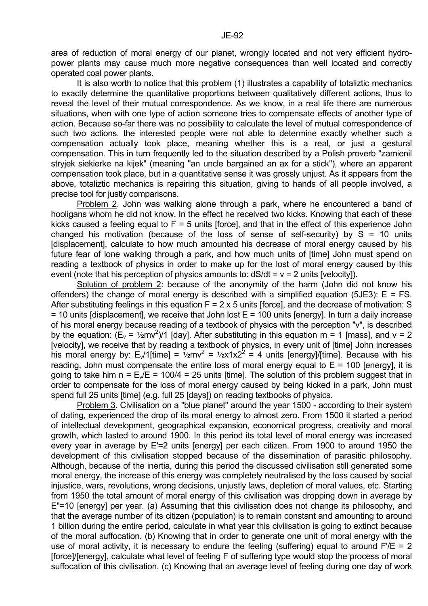It is also worth to notice that this problem (1) illustrates a capability of totaliztic mechanics to exactly determine the quantitative proportions between qualitatively different actions, thus to reveal the level of their mutual correspondence. As we know, in a real life there are numerous situations, when with one type of action someone tries to compensate effects of another type of action. Because so-far there was no possibility to calculate the level of mutual correspondence of such two actions, the interested people were not able to determine exactly whether such a compensation actually took place, meaning whether this is a real, or just a gestural compensation. This in turn frequently led to the situation described by a Polish proverb "zamienil stryjek siekierke na kijek" (meaning "an uncle bargained an ax for a stick"), where an apparent compensation took place, but in a quantitative sense it was grossly unjust. As it appears from the above, totaliztic mechanics is repairing this situation, giving to hands of all people involved, a precise tool for justly comparisons.

 Problem 2. John was walking alone through a park, where he encountered a band of hooligans whom he did not know. In the effect he received two kicks. Knowing that each of these kicks caused a feeling equal to  $F = 5$  units [force], and that in the effect of this experience John changed his motivation (because of the loss of sense of self-security) by  $S = 10$  units [displacement], calculate to how much amounted his decrease of moral energy caused by his future fear of lone walking through a park, and how much units of [time] John must spend on reading a textbook of physics in order to make up for the lost of moral energy caused by this event (note that his perception of physics amounts to:  $dS/dt = v = 2$  units [velocity]).

 Solution of problem 2: because of the anonymity of the harm (John did not know his offenders) the change of moral energy is described with a simplified equation (5JE3):  $E = FS$ . After substituting feelings in this equation  $F = 2 \times 5$  units [force], and the decrease of motivation: S  $=$  10 units [displacement], we receive that John lost  $E = 100$  units [energy]. In turn a daily increase of his moral energy because reading of a textbook of physics with the perception "v", is described by the equation:  $(E_v = \frac{1}{2}mv^2)/1$  [day]. After substituting in this equation m = 1 [mass], and v = 2 [velocity], we receive that by reading a textbook of physics, in every unit of [time] John increases his moral energy by:  $E_v/1$ [time] =  $\frac{1}{2}mv^2 = \frac{1}{2}x1x2^2 = 4$  units [energy]/[time]. Because with his reading, John must compensate the entire loss of moral energy equal to  $E = 100$  [energy], it is going to take him  $n = E_y/E = 100/4 = 25$  units [time]. The solution of this problem suggest that in order to compensate for the loss of moral energy caused by being kicked in a park, John must spend full 25 units [time] (e.g. full 25 [days]) on reading textbooks of physics.

 Problem 3. Civilisation on a "blue planet" around the year 1500 - according to their system of dating, experienced the drop of its moral energy to almost zero. From 1500 it started a period of intellectual development, geographical expansion, economical progress, creativity and moral growth, which lasted to around 1900. In this period its total level of moral energy was increased every year in average by E'=2 units [energy] per each citizen. From 1900 to around 1950 the development of this civilisation stopped because of the dissemination of parasitic philosophy. Although, because of the inertia, during this period the discussed civilisation still generated some moral energy, the increase of this energy was completely neutralised by the loss caused by social injustice, wars, revolutions, wrong decisions, unjustly laws, depletion of moral values, etc. Starting from 1950 the total amount of moral energy of this civilisation was dropping down in average by E"=10 [energy] per year. (a) Assuming that this civilisation does not change its philosophy, and that the average number of its citizen (population) is to remain constant and amounting to around 1 billion during the entire period, calculate in what year this civilisation is going to extinct because of the moral suffocation. (b) Knowing that in order to generate one unit of moral energy with the use of moral activity, it is necessary to endure the feeling (suffering) equal to around  $F/E = 2$ [force]/[energy], calculate what level of feeling F of suffering type would stop the process of moral suffocation of this civilisation. (c) Knowing that an average level of feeling during one day of work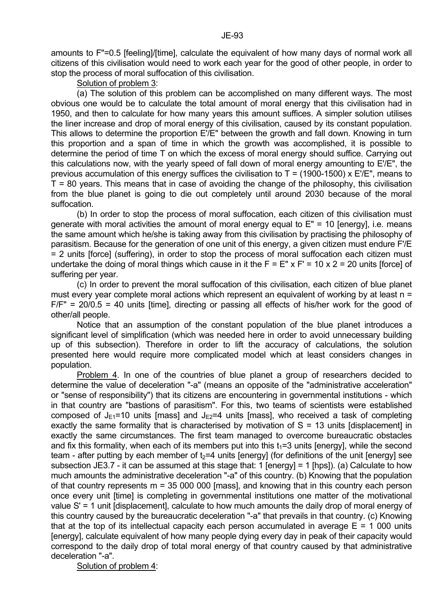stop the process of moral suffocation of this civilisation.

# Solution of problem 3:

 (a) The solution of this problem can be accomplished on many different ways. The most obvious one would be to calculate the total amount of moral energy that this civilisation had in 1950, and then to calculate for how many years this amount suffices. A simpler solution utilises the liner increase and drop of moral energy of this civilisation, caused by its constant population. This allows to determine the proportion E'/E" between the growth and fall down. Knowing in turn this proportion and a span of time in which the growth was accomplished, it is possible to determine the period of time T on which the excess of moral energy should suffice. Carrying out this calculations now, with the yearly speed of fall down of moral energy amounting to E'/E", the previous accumulation of this energy suffices the civilisation to  $T = (1900-1500) \times E/E$ ", means to  $T = 80$  years. This means that in case of avoiding the change of the philosophy, this civilisation from the blue planet is going to die out completely until around 2030 because of the moral suffocation.

 (b) In order to stop the process of moral suffocation, each citizen of this civilisation must generate with moral activities the amount of moral energy equal to  $E'' = 10$  [energy], i.e. means the same amount which he/she is taking away from this civilisation by practising the philosophy of parasitism. Because for the generation of one unit of this energy, a given citizen must endure F'/E = 2 units [force] (suffering), in order to stop the process of moral suffocation each citizen must undertake the doing of moral things which cause in it the  $F = E'' \times F' = 10 \times 2 = 20$  units [force] of suffering per year.

 (c) In order to prevent the moral suffocation of this civilisation, each citizen of blue planet must every year complete moral actions which represent an equivalent of working by at least n =  $F/F'' = 20/0.5 = 40$  units [time], directing or passing all effects of his/her work for the good of other/all people.

 Notice that an assumption of the constant population of the blue planet introduces a significant level of simplification (which was needed here in order to avoid unnecessary building up of this subsection). Therefore in order to lift the accuracy of calculations, the solution presented here would require more complicated model which at least considers changes in population.

 Problem 4. In one of the countries of blue planet a group of researchers decided to determine the value of deceleration "-a" (means an opposite of the "administrative acceleration" or "sense of responsibility") that its citizens are encountering in governmental institutions - which in that country are "bastions of parasitism". For this, two teams of scientists were established composed of  $J_{F1}=10$  units [mass] and  $J_{F2}=4$  units [mass], who received a task of completing exactly the same formality that is characterised by motivation of S = 13 units [displacement] in exactly the same circumstances. The first team managed to overcome bureaucratic obstacles and fix this formality, when each of its members put into this  $t_1=3$  units [energy], while the second team - after putting by each member of  $t_2=4$  units [energy] (for definitions of the unit [energy] see subsection JE3.7 - it can be assumed at this stage that: 1 [energy] = 1 [hps]). (a) Calculate to how much amounts the administrative deceleration "-a" of this country. (b) Knowing that the population of that country represents m = 35 000 000 [mass], and knowing that in this country each person once every unit [time] is completing in governmental institutions one matter of the motivational value S' = 1 unit [displacement], calculate to how much amounts the daily drop of moral energy of this country caused by the bureaucratic deceleration "-a" that prevails in that country. (c) Knowing that at the top of its intellectual capacity each person accumulated in average  $E = 1000$  units [energy], calculate equivalent of how many people dying every day in peak of their capacity would correspond to the daily drop of total moral energy of that country caused by that administrative deceleration "-a".

Solution of problem 4: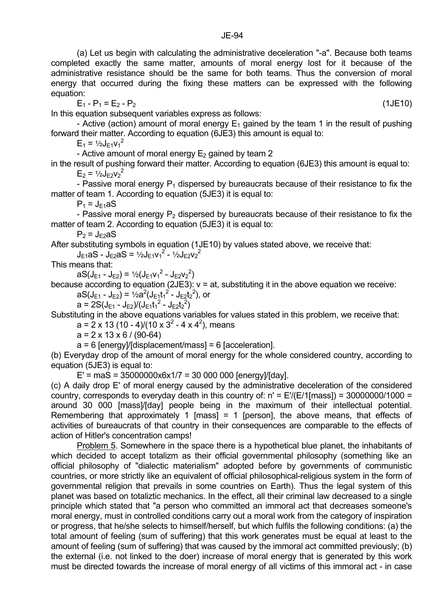completed exactly the same matter, amounts of moral energy lost for it because of the administrative resistance should be the same for both teams. Thus the conversion of moral energy that occurred during the fixing these matters can be expressed with the following equation:

 $E_1 - P_1 = E_2 - P_2$  (1JE10)

In this equation subsequent variables express as follows:

- Active (action) amount of moral energy  $E_1$  gained by the team 1 in the result of pushing forward their matter. According to equation (6JE3) this amount is equal to:

 $E_1 = \frac{1}{2}J_{E1}v_1^2$ 

- Active amount of moral energy  $E_2$  gained by team 2

in the result of pushing forward their matter. According to equation (6JE3) this amount is equal to:  $E_2 = \frac{1}{2}J_{E2}v_2^2$ 

- Passive moral energy  $P_1$  dispersed by bureaucrats because of their resistance to fix the matter of team 1. According to equation (5JE3) it is equal to:

 $P_1$  = J<sub>E1</sub>aS

- Passive moral energy  $P_2$  dispersed by bureaucrats because of their resistance to fix the matter of team 2. According to equation (5JE3) it is equal to:

 $P_2$  =  $J_{F2}aS$ 

After substituting symbols in equation (1JE10) by values stated above, we receive that:

 $J_{E1}$ aS -  $J_{E2}$ aS = 1/2 $J_{E1}V_1^2$  - 1/2 $J_{E2}V_2^2$ 

This means that:

 $aS(J_{E1} - J_{E2}) = \frac{1}{2}(J_{E1}V_1^2 - J_{E2}V_2^2)$ 

because according to equation (2JE3):  $v = at$ , substituting it in the above equation we receive:  $aS(J_{E1} - J_{E2}) = \frac{1}{2}a^2(J_{E1}t_1^2 - J_{E2}t_2^2)$ , or

 $a = 2S(J_{E1} - J_{E2})/(J_{E1}t_1^2 - J_{E2}t_2^2)$ 

Substituting in the above equations variables for values stated in this problem, we receive that:

a =  $2 \times 13 (10 - 4)/(10 \times 3^2 - 4 \times 4^2)$ , means

 $a = 2 \times 13 \times 6 / (90-64)$ 

a = 6 [energy]/[displacement/mass] = 6 [acceleration].

(b) Everyday drop of the amount of moral energy for the whole considered country, according to equation (5JE3) is equal to:

 $E'$  = maS = 35000000x6x1/7 = 30 000 000 [energy]/[day].

(c) A daily drop E' of moral energy caused by the administrative deceleration of the considered country, corresponds to everyday death in this country of:  $n' = E' (E/1$ [mass]) = 30000000/1000 = around 30 000 [mass]/[day] people being in the maximum of their intellectual potential. Remembering that approximately 1 [mass] = 1 [person], the above means, that effects of activities of bureaucrats of that country in their consequences are comparable to the effects of action of Hitler's concentration camps!

 Problem 5. Somewhere in the space there is a hypothetical blue planet, the inhabitants of which decided to accept totalizm as their official governmental philosophy (something like an official philosophy of "dialectic materialism" adopted before by governments of communistic countries, or more strictly like an equivalent of official philosophical-religious system in the form of governmental religion that prevails in some countries on Earth). Thus the legal system of this planet was based on totaliztic mechanics. In the effect, all their criminal law decreased to a single principle which stated that "a person who committed an immoral act that decreases someone's moral energy, must in controlled conditions carry out a moral work from the category of inspiration or progress, that he/she selects to himself/herself, but which fulfils the following conditions: (a) the total amount of feeling (sum of suffering) that this work generates must be equal at least to the amount of feeling (sum of suffering) that was caused by the immoral act committed previously; (b) the external (i.e. not linked to the doer) increase of moral energy that is generated by this work must be directed towards the increase of moral energy of all victims of this immoral act - in case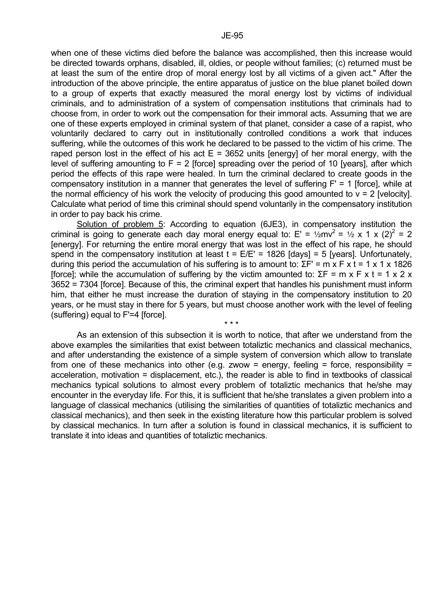when one of these victims died before the balance was accomplished, then this increase would be directed towards orphans, disabled, ill, oldies, or people without families; (c) returned must be at least the sum of the entire drop of moral energy lost by all victims of a given act." After the introduction of the above principle, the entire apparatus of justice on the blue planet boiled down to a group of experts that exactly measured the moral energy lost by victims of individual criminals, and to administration of a system of compensation institutions that criminals had to choose from, in order to work out the compensation for their immoral acts. Assuming that we are one of these experts employed in criminal system of that planet, consider a case of a rapist, who voluntarily declared to carry out in institutionally controlled conditions a work that induces suffering, while the outcomes of this work he declared to be passed to the victim of his crime. The raped person lost in the effect of his act  $E = 3652$  units [energy] of her moral energy, with the level of suffering amounting to  $F = 2$  [force] spreading over the period of 10 [years], after which period the effects of this rape were healed. In turn the criminal declared to create goods in the compensatory institution in a manner that generates the level of suffering F' = 1 [force], while at the normal efficiency of his work the velocity of producing this good amounted to  $v = 2$  [velocity]. Calculate what period of time this criminal should spend voluntarily in the compensatory institution in order to pay back his crime.

 Solution of problem 5: According to equation (6JE3), in compensatory institution the criminal is going to generate each day moral energy equal to: E' =  $\frac{1}{2}mv^2 = \frac{1}{2} \times 1 \times (2)^2 = 2$ [energy]. For returning the entire moral energy that was lost in the effect of his rape, he should spend in the compensatory institution at least  $t = E/E' = 1826$  [days] = 5 [years]. Unfortunately, during this period the accumulation of his suffering is to amount to:  $\Sigma F' = m \times F \times t = 1 \times 1 \times 1826$ [force]; while the accumulation of suffering by the victim amounted to: ΣF = m x F x t = 1 x 2 x 3652 = 7304 [force]. Because of this, the criminal expert that handles his punishment must inform him, that either he must increase the duration of staying in the compensatory institution to 20 years, or he must stay in there for 5 years, but must choose another work with the level of feeling (suffering) equal to F'=4 [force].

 $\star \star \star$ 

 As an extension of this subsection it is worth to notice, that after we understand from the above examples the similarities that exist between totaliztic mechanics and classical mechanics, and after understanding the existence of a simple system of conversion which allow to translate from one of these mechanics into other (e.g. zwow = energy, feeling = force, responsibility = acceleration, motivation = displacement, etc.), the reader is able to find in textbooks of classical mechanics typical solutions to almost every problem of totaliztic mechanics that he/she may encounter in the everyday life. For this, it is sufficient that he/she translates a given problem into a language of classical mechanics (utilising the similarities of quantities of totaliztic mechanics and classical mechanics), and then seek in the existing literature how this particular problem is solved by classical mechanics. In turn after a solution is found in classical mechanics, it is sufficient to translate it into ideas and quantities of totaliztic mechanics.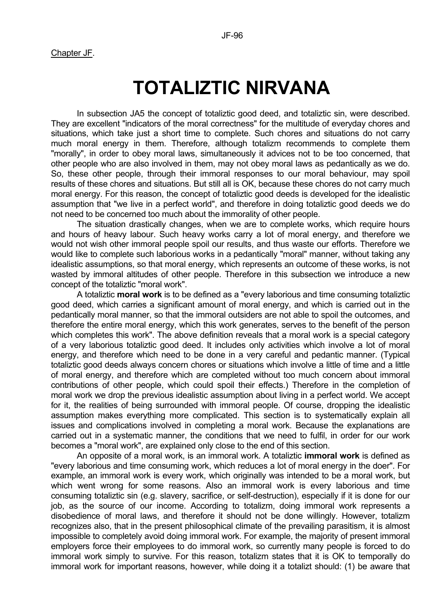Chapter JF.

# **TOTALIZTIC NIRVANA**

 In subsection JA5 the concept of totaliztic good deed, and totaliztic sin, were described. They are excellent "indicators of the moral correctness" for the multitude of everyday chores and situations, which take just a short time to complete. Such chores and situations do not carry much moral energy in them. Therefore, although totalizm recommends to complete them "morally", in order to obey moral laws, simultaneously it advices not to be too concerned, that other people who are also involved in them, may not obey moral laws as pedantically as we do. So, these other people, through their immoral responses to our moral behaviour, may spoil results of these chores and situations. But still all is OK, because these chores do not carry much moral energy. For this reason, the concept of totaliztic good deeds is developed for the idealistic assumption that "we live in a perfect world", and therefore in doing totaliztic good deeds we do not need to be concerned too much about the immorality of other people.

 The situation drastically changes, when we are to complete works, which require hours and hours of heavy labour. Such heavy works carry a lot of moral energy, and therefore we would not wish other immoral people spoil our results, and thus waste our efforts. Therefore we would like to complete such laborious works in a pedantically "moral" manner, without taking any idealistic assumptions, so that moral energy, which represents an outcome of these works, is not wasted by immoral altitudes of other people. Therefore in this subsection we introduce a new concept of the totaliztic "moral work".

 A totaliztic **moral work** is to be defined as a "every laborious and time consuming totaliztic good deed, which carries a significant amount of moral energy, and which is carried out in the pedantically moral manner, so that the immoral outsiders are not able to spoil the outcomes, and therefore the entire moral energy, which this work generates, serves to the benefit of the person which completes this work". The above definition reveals that a moral work is a special category of a very laborious totaliztic good deed. It includes only activities which involve a lot of moral energy, and therefore which need to be done in a very careful and pedantic manner. (Typical totaliztic good deeds always concern chores or situations which involve a little of time and a little of moral energy, and therefore which are completed without too much concern about immoral contributions of other people, which could spoil their effects.) Therefore in the completion of moral work we drop the previous idealistic assumption about living in a perfect world. We accept for it, the realities of being surrounded with immoral people. Of course, dropping the idealistic assumption makes everything more complicated. This section is to systematically explain all issues and complications involved in completing a moral work. Because the explanations are carried out in a systematic manner, the conditions that we need to fulfil, in order for our work becomes a "moral work", are explained only close to the end of this section.

 An opposite of a moral work, is an immoral work. A totaliztic **immoral work** is defined as "every laborious and time consuming work, which reduces a lot of moral energy in the doer". For example, an immoral work is every work, which originally was intended to be a moral work, but which went wrong for some reasons. Also an immoral work is every laborious and time consuming totaliztic sin (e.g. slavery, sacrifice, or self-destruction), especially if it is done for our job, as the source of our income. According to totalizm, doing immoral work represents a disobedience of moral laws, and therefore it should not be done willingly. However, totalizm recognizes also, that in the present philosophical climate of the prevailing parasitism, it is almost impossible to completely avoid doing immoral work. For example, the majority of present immoral employers force their employees to do immoral work, so currently many people is forced to do immoral work simply to survive. For this reason, totalizm states that it is OK to temporally do immoral work for important reasons, however, while doing it a totalizt should: (1) be aware that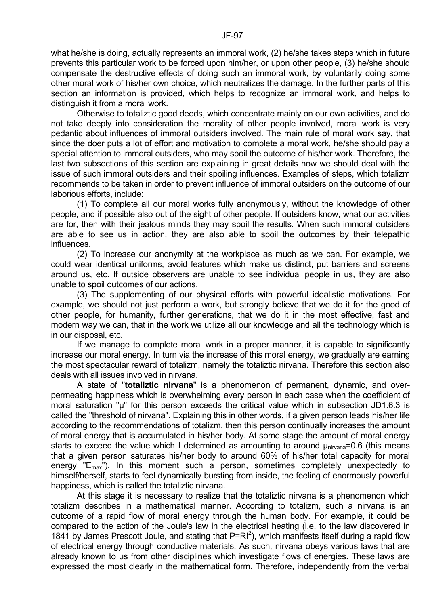what he/she is doing, actually represents an immoral work, (2) he/she takes steps which in future prevents this particular work to be forced upon him/her, or upon other people, (3) he/she should compensate the destructive effects of doing such an immoral work, by voluntarily doing some other moral work of his/her own choice, which neutralizes the damage. In the further parts of this section an information is provided, which helps to recognize an immoral work, and helps to distinguish it from a moral work.

 Otherwise to totaliztic good deeds, which concentrate mainly on our own activities, and do not take deeply into consideration the morality of other people involved, moral work is very pedantic about influences of immoral outsiders involved. The main rule of moral work say, that since the doer puts a lot of effort and motivation to complete a moral work, he/she should pay a special attention to immoral outsiders, who may spoil the outcome of his/her work. Therefore, the last two subsections of this section are explaining in great details how we should deal with the issue of such immoral outsiders and their spoiling influences. Examples of steps, which totalizm recommends to be taken in order to prevent influence of immoral outsiders on the outcome of our laborious efforts, include:

 (1) To complete all our moral works fully anonymously, without the knowledge of other people, and if possible also out of the sight of other people. If outsiders know, what our activities are for, then with their jealous minds they may spoil the results. When such immoral outsiders are able to see us in action, they are also able to spoil the outcomes by their telepathic influences.

 (2) To increase our anonymity at the workplace as much as we can. For example, we could wear identical uniforms, avoid features which make us distinct, put barriers and screens around us, etc. If outside observers are unable to see individual people in us, they are also unable to spoil outcomes of our actions.

 (3) The supplementing of our physical efforts with powerful idealistic motivations. For example, we should not just perform a work, but strongly believe that we do it for the good of other people, for humanity, further generations, that we do it in the most effective, fast and modern way we can, that in the work we utilize all our knowledge and all the technology which is in our disposal, etc.

 If we manage to complete moral work in a proper manner, it is capable to significantly increase our moral energy. In turn via the increase of this moral energy, we gradually are earning the most spectacular reward of totalizm, namely the totaliztic nirvana. Therefore this section also deals with all issues involved in nirvana.

 A state of "**totaliztic nirvana**" is a phenomenon of permanent, dynamic, and overpermeating happiness which is overwhelming every person in each case when the coefficient of moral saturation "µ" for this person exceeds the critical value which in subsection JD1.6.3 is called the "threshold of nirvana". Explaining this in other words, if a given person leads his/her life according to the recommendations of totalizm, then this person continually increases the amount of moral energy that is accumulated in his/her body. At some stage the amount of moral energy starts to exceed the value which I determined as amounting to around  $\mu_{\text{nivana}}$ =0.6 (this means that a given person saturates his/her body to around 60% of his/her total capacity for moral energy " $E_{\text{max}}$ "). In this moment such a person, sometimes completely unexpectedly to himself/herself, starts to feel dynamically bursting from inside, the feeling of enormously powerful happiness, which is called the totaliztic nirvana.

 At this stage it is necessary to realize that the totaliztic nirvana is a phenomenon which totalizm describes in a mathematical manner. According to totalizm, such a nirvana is an outcome of a rapid flow of moral energy through the human body. For example, it could be compared to the action of the Joule's law in the electrical heating (i.e. to the law discovered in 1841 by James Prescott Joule, and stating that  $P=RI^2$ ), which manifests itself during a rapid flow of electrical energy through conductive materials. As such, nirvana obeys various laws that are already known to us from other disciplines which investigate flows of energies. These laws are expressed the most clearly in the mathematical form. Therefore, independently from the verbal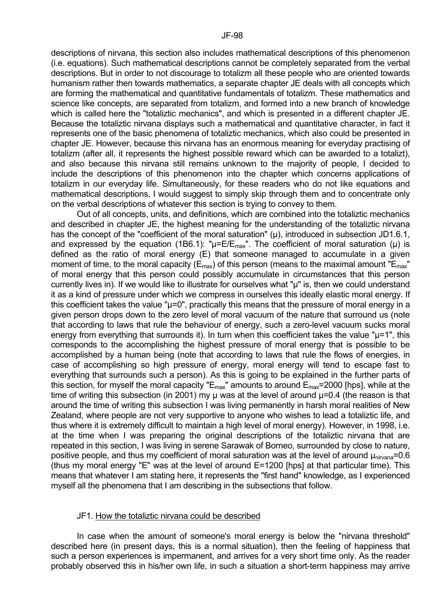descriptions of nirvana, this section also includes mathematical descriptions of this phenomenon (i.e. equations). Such mathematical descriptions cannot be completely separated from the verbal descriptions. But in order to not discourage to totalizm all these people who are oriented towards humanism rather then towards mathematics, a separate chapter JE deals with all concepts which are forming the mathematical and quantitative fundamentals of totalizm. These mathematics and science like concepts, are separated from totalizm, and formed into a new branch of knowledge which is called here the "totaliztic mechanics", and which is presented in a different chapter JE. Because the totaliztic nirvana displays such a mathematical and quantitative character, in fact it represents one of the basic phenomena of totaliztic mechanics, which also could be presented in chapter JE. However, because this nirvana has an enormous meaning for everyday practising of totalizm (after all, it represents the highest possible reward which can be awarded to a totalizt), and also because this nirvana still remains unknown to the majority of people, I decided to include the descriptions of this phenomenon into the chapter which concerns applications of totalizm in our everyday life. Simultaneously, for these readers who do not like equations and mathematical descriptions, I would suggest to simply skip through them and to concentrate only on the verbal descriptions of whatever this section is trying to convey to them.

 Out of all concepts, units, and definitions, which are combined into the totaliztic mechanics and described in chapter JE, the highest meaning for the understanding of the totaliztic nirvana has the concept of the "coefficient of the moral saturation" (µ), introduced in subsection JD1.6.1, and expressed by the equation (1B6.1): " $\mu$ =E/E<sub>max</sub>". The coefficient of moral saturation ( $\mu$ ) is defined as the ratio of moral energy (E) that someone managed to accumulate in a given moment of time, to the moral capacity ( $E_{\text{max}}$ ) of this person (means to the maximal amount " $E_{\text{max}}$ " of moral energy that this person could possibly accumulate in circumstances that this person currently lives in). If we would like to illustrate for ourselves what "µ" is, then we could understand it as a kind of pressure under which we compress in ourselves this ideally elastic moral energy. If this coefficient takes the value " $\mu$ =0", practically this means that the pressure of moral energy in a given person drops down to the zero level of moral vacuum of the nature that surround us (note that according to laws that rule the behaviour of energy, such a zero-level vacuum sucks moral energy from everything that surrounds it). In turn when this coefficient takes the value "u=1", this corresponds to the accomplishing the highest pressure of moral energy that is possible to be accomplished by a human being (note that according to laws that rule the flows of energies, in case of accomplishing so high pressure of energy, moral energy will tend to escape fast to everything that surrounds such a person). As this is going to be explained in the further parts of this section, for myself the moral capacity " $E_{max}$ " amounts to around  $E_{max}$ =2000 [hps], while at the time of writing this subsection (in 2001) my µ was at the level of around  $\mu$ =0.4 (the reason is that around the time of writing this subsection I was living permanently in harsh moral realities of New Zealand, where people are not very supportive to anyone who wishes to lead a totaliztic life, and thus where it is extremely difficult to maintain a high level of moral energy). However, in 1998, i.e. at the time when I was preparing the original descriptions of the totaliztic nirvana that are repeated in this section, I was living in serene Sarawak of Borneo, surrounded by close to nature, positive people, and thus my coefficient of moral saturation was at the level of around  $\mu_{\text{nivana}} = 0.6$ (thus my moral energy "E" was at the level of around E=1200 [hps] at that particular time). This means that whatever I am stating here, it represents the "first hand" knowledge, as I experienced myself all the phenomena that I am describing in the subsections that follow.

## JF1. How the totaliztic nirvana could be described

 In case when the amount of someone's moral energy is below the "nirvana threshold" described here (in present days, this is a normal situation), then the feeling of happiness that such a person experiences is impermanent, and arrives for a very short time only. As the reader probably observed this in his/her own life, in such a situation a short-term happiness may arrive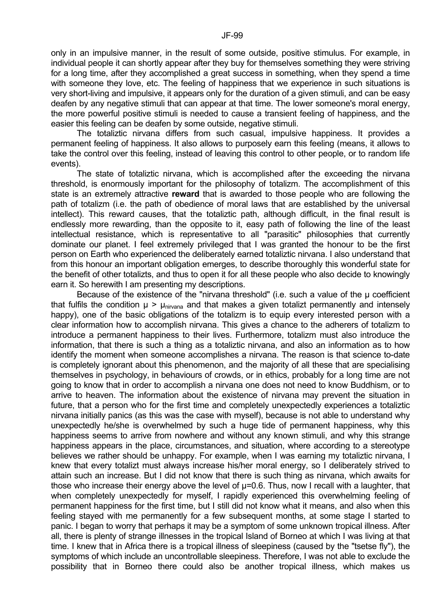only in an impulsive manner, in the result of some outside, positive stimulus. For example, in individual people it can shortly appear after they buy for themselves something they were striving for a long time, after they accomplished a great success in something, when they spend a time with someone they love, etc. The feeling of happiness that we experience in such situations is very short-living and impulsive, it appears only for the duration of a given stimuli, and can be easy deafen by any negative stimuli that can appear at that time. The lower someone's moral energy, the more powerful positive stimuli is needed to cause a transient feeling of happiness, and the easier this feeling can be deafen by some outside, negative stimuli.

 The totaliztic nirvana differs from such casual, impulsive happiness. It provides a permanent feeling of happiness. It also allows to purposely earn this feeling (means, it allows to take the control over this feeling, instead of leaving this control to other people, or to random life events).

 The state of totaliztic nirvana, which is accomplished after the exceeding the nirvana threshold, is enormously important for the philosophy of totalizm. The accomplishment of this state is an extremely attractive **reward** that is awarded to those people who are following the path of totalizm (i.e. the path of obedience of moral laws that are established by the universal intellect). This reward causes, that the totaliztic path, although difficult, in the final result is endlessly more rewarding, than the opposite to it, easy path of following the line of the least intellectual resistance, which is representative to all "parasitic" philosophies that currently dominate our planet. I feel extremely privileged that I was granted the honour to be the first person on Earth who experienced the deliberately earned totaliztic nirvana. I also understand that from this honour an important obligation emerges, to describe thoroughly this wonderful state for the benefit of other totalizts, and thus to open it for all these people who also decide to knowingly earn it. So herewith I am presenting my descriptions.

Because of the existence of the "nirvana threshold" (i.e. such a value of the  $\mu$  coefficient that fulfils the condition  $\mu > \mu_{\text{nivana}}$  and that makes a given totalizt permanently and intensely happy), one of the basic obligations of the totalizm is to equip every interested person with a clear information how to accomplish nirvana. This gives a chance to the adherers of totalizm to introduce a permanent happiness to their lives. Furthermore, totalizm must also introduce the information, that there is such a thing as a totaliztic nirvana, and also an information as to how identify the moment when someone accomplishes a nirvana. The reason is that science to-date is completely ignorant about this phenomenon, and the majority of all these that are specialising themselves in psychology, in behaviours of crowds, or in ethics, probably for a long time are not going to know that in order to accomplish a nirvana one does not need to know Buddhism, or to arrive to heaven. The information about the existence of nirvana may prevent the situation in future, that a person who for the first time and completely unexpectedly experiences a totaliztic nirvana initially panics (as this was the case with myself), because is not able to understand why unexpectedly he/she is overwhelmed by such a huge tide of permanent happiness, why this happiness seems to arrive from nowhere and without any known stimuli, and why this strange happiness appears in the place, circumstances, and situation, where according to a stereotype believes we rather should be unhappy. For example, when I was earning my totaliztic nirvana, I knew that every totalizt must always increase his/her moral energy, so I deliberately strived to attain such an increase. But I did not know that there is such thing as nirvana, which awaits for those who increase their energy above the level of  $\mu$ =0.6. Thus, now I recall with a laughter, that when completely unexpectedly for myself, I rapidly experienced this overwhelming feeling of permanent happiness for the first time, but I still did not know what it means, and also when this feeling stayed with me permanently for a few subsequent months, at some stage I started to panic. I began to worry that perhaps it may be a symptom of some unknown tropical illness. After all, there is plenty of strange illnesses in the tropical Island of Borneo at which I was living at that time. I knew that in Africa there is a tropical illness of sleepiness (caused by the "tsetse fly"), the symptoms of which include an uncontrollable sleepiness. Therefore, I was not able to exclude the possibility that in Borneo there could also be another tropical illness, which makes us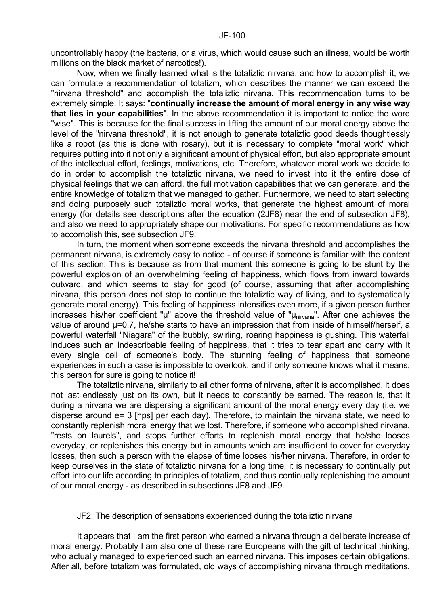uncontrollably happy (the bacteria, or a virus, which would cause such an illness, would be worth millions on the black market of narcotics!).

 Now, when we finally learned what is the totaliztic nirvana, and how to accomplish it, we can formulate a recommendation of totalizm, which describes the manner we can exceed the "nirvana threshold" and accomplish the totaliztic nirvana. This recommendation turns to be extremely simple. It says: "**continually increase the amount of moral energy in any wise way that lies in your capabilities**". In the above recommendation it is important to notice the word "wise". This is because for the final success in lifting the amount of our moral energy above the level of the "nirvana threshold", it is not enough to generate totaliztic good deeds thoughtlessly like a robot (as this is done with rosary), but it is necessary to complete "moral work" which requires putting into it not only a significant amount of physical effort, but also appropriate amount of the intellectual effort, feelings, motivations, etc. Therefore, whatever moral work we decide to do in order to accomplish the totaliztic nirvana, we need to invest into it the entire dose of physical feelings that we can afford, the full motivation capabilities that we can generate, and the entire knowledge of totalizm that we managed to gather. Furthermore, we need to start selecting and doing purposely such totaliztic moral works, that generate the highest amount of moral energy (for details see descriptions after the equation (2JF8) near the end of subsection JF8), and also we need to appropriately shape our motivations. For specific recommendations as how to accomplish this, see subsection JF9.

 In turn, the moment when someone exceeds the nirvana threshold and accomplishes the permanent nirvana, is extremely easy to notice - of course if someone is familiar with the content of this section. This is because as from that moment this someone is going to be stunt by the powerful explosion of an overwhelming feeling of happiness, which flows from inward towards outward, and which seems to stay for good (of course, assuming that after accomplishing nirvana, this person does not stop to continue the totaliztic way of living, and to systematically generate moral energy). This feeling of happiness intensifies even more, if a given person further increases his/her coefficient " $\mu$ " above the threshold value of " $\mu_{\text{nivana}}$ ". After one achieves the value of around  $\mu$ =0.7, he/she starts to have an impression that from inside of himself/herself, a powerful waterfall "Niagara" of the bubbly, swirling, roaring happiness is gushing. This waterfall induces such an indescribable feeling of happiness, that it tries to tear apart and carry with it every single cell of someone's body. The stunning feeling of happiness that someone experiences in such a case is impossible to overlook, and if only someone knows what it means, this person for sure is going to notice it!

 The totaliztic nirvana, similarly to all other forms of nirvana, after it is accomplished, it does not last endlessly just on its own, but it needs to constantly be earned. The reason is, that it during a nirvana we are dispersing a significant amount of the moral energy every day (i.e. we disperse around e= 3 [hps] per each day). Therefore, to maintain the nirvana state, we need to constantly replenish moral energy that we lost. Therefore, if someone who accomplished nirvana, "rests on laurels", and stops further efforts to replenish moral energy that he/she looses everyday, or replenishes this energy but in amounts which are insufficient to cover for everyday losses, then such a person with the elapse of time looses his/her nirvana. Therefore, in order to keep ourselves in the state of totaliztic nirvana for a long time, it is necessary to continually put effort into our life according to principles of totalizm, and thus continually replenishing the amount of our moral energy - as described in subsections JF8 and JF9.

# JF2. The description of sensations experienced during the totaliztic nirvana

 It appears that I am the first person who earned a nirvana through a deliberate increase of moral energy. Probably I am also one of these rare Europeans with the gift of technical thinking, who actually managed to experienced such an earned nirvana. This imposes certain obligations. After all, before totalizm was formulated, old ways of accomplishing nirvana through meditations,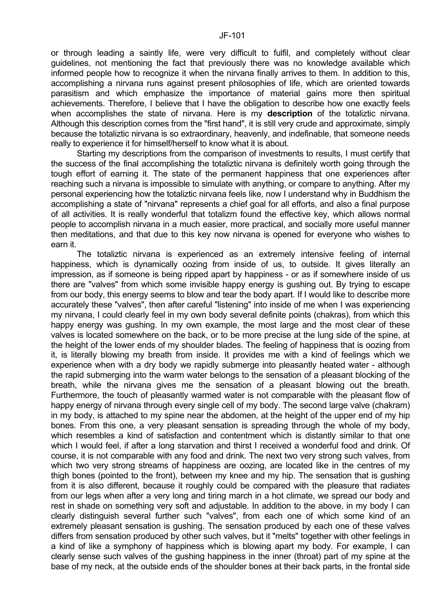or through leading a saintly life, were very difficult to fulfil, and completely without clear guidelines, not mentioning the fact that previously there was no knowledge available which informed people how to recognize it when the nirvana finally arrives to them. In addition to this, accomplishing a nirvana runs against present philosophies of life, which are oriented towards parasitism and which emphasize the importance of material gains more then spiritual achievements. Therefore, I believe that I have the obligation to describe how one exactly feels when accomplishes the state of nirvana. Here is my **description** of the totaliztic nirvana. Although this description comes from the "first hand", it is still very crude and approximate, simply because the totaliztic nirvana is so extraordinary, heavenly, and indefinable, that someone needs really to experience it for himself/herself to know what it is about.

 Starting my descriptions from the comparison of investments to results, I must certify that the success of the final accomplishing the totaliztic nirvana is definitely worth going through the tough effort of earning it. The state of the permanent happiness that one experiences after reaching such a nirvana is impossible to simulate with anything, or compare to anything. After my personal experiencing how the totaliztic nirvana feels like, now I understand why in Buddhism the accomplishing a state of "nirvana" represents a chief goal for all efforts, and also a final purpose of all activities. It is really wonderful that totalizm found the effective key, which allows normal people to accomplish nirvana in a much easier, more practical, and socially more useful manner then meditations, and that due to this key now nirvana is opened for everyone who wishes to earn it.

 The totaliztic nirvana is experienced as an extremely intensive feeling of internal happiness, which is dynamically oozing from inside of us, to outside. It gives literally an impression, as if someone is being ripped apart by happiness - or as if somewhere inside of us there are "valves" from which some invisible happy energy is gushing out. By trying to escape from our body, this energy seems to blow and tear the body apart. If I would like to describe more accurately these "valves", then after careful "listening" into inside of me when I was experiencing my nirvana, I could clearly feel in my own body several definite points (chakras), from which this happy energy was gushing. In my own example, the most large and the most clear of these valves is located somewhere on the back, or to be more precise at the lung side of the spine, at the height of the lower ends of my shoulder blades. The feeling of happiness that is oozing from it, is literally blowing my breath from inside. It provides me with a kind of feelings which we experience when with a dry body we rapidly submerge into pleasantly heated water - although the rapid submerging into the warm water belongs to the sensation of a pleasant blocking of the breath, while the nirvana gives me the sensation of a pleasant blowing out the breath. Furthermore, the touch of pleasantly warmed water is not comparable with the pleasant flow of happy energy of nirvana through every single cell of my body. The second large valve (chakram) in my body, is attached to my spine near the abdomen, at the height of the upper end of my hip bones. From this one, a very pleasant sensation is spreading through the whole of my body, which resembles a kind of satisfaction and contentment which is distantly similar to that one which I would feel, if after a long starvation and thirst I received a wonderful food and drink. Of course, it is not comparable with any food and drink. The next two very strong such valves, from which two very strong streams of happiness are oozing, are located like in the centres of my thigh bones (pointed to the front), between my knee and my hip. The sensation that is gushing from it is also different, because it roughly could be compared with the pleasure that radiates from our legs when after a very long and tiring march in a hot climate, we spread our body and rest in shade on something very soft and adjustable. In addition to the above, in my body I can clearly distinguish several further such "valves", from each one of which some kind of an extremely pleasant sensation is gushing. The sensation produced by each one of these valves differs from sensation produced by other such valves, but it "melts" together with other feelings in a kind of like a symphony of happiness which is blowing apart my body. For example, I can clearly sense such valves of the gushing happiness in the inner (throat) part of my spine at the base of my neck, at the outside ends of the shoulder bones at their back parts, in the frontal side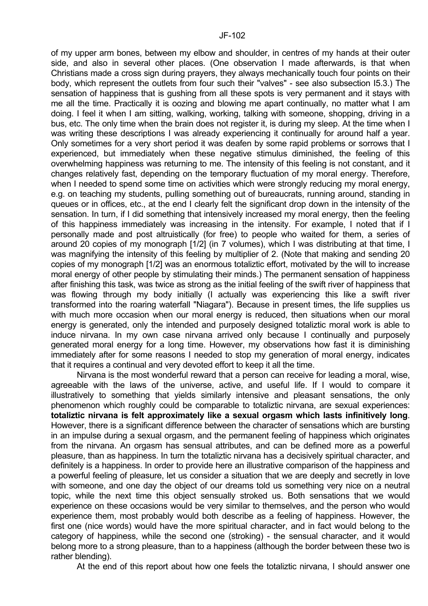of my upper arm bones, between my elbow and shoulder, in centres of my hands at their outer side, and also in several other places. (One observation I made afterwards, is that when Christians made a cross sign during prayers, they always mechanically touch four points on their body, which represent the outlets from four such their "valves" - see also subsection I5.3.) The sensation of happiness that is gushing from all these spots is very permanent and it stays with me all the time. Practically it is oozing and blowing me apart continually, no matter what I am doing. I feel it when I am sitting, walking, working, talking with someone, shopping, driving in a bus, etc. The only time when the brain does not register it, is during my sleep. At the time when I was writing these descriptions I was already experiencing it continually for around half a year. Only sometimes for a very short period it was deafen by some rapid problems or sorrows that I experienced, but immediately when these negative stimulus diminished, the feeling of this overwhelming happiness was returning to me. The intensity of this feeling is not constant, and it changes relatively fast, depending on the temporary fluctuation of my moral energy. Therefore, when I needed to spend some time on activities which were strongly reducing my moral energy, e.g. on teaching my students, pulling something out of bureaucrats, running around, standing in queues or in offices, etc., at the end I clearly felt the significant drop down in the intensity of the sensation. In turn, if I did something that intensively increased my moral energy, then the feeling of this happiness immediately was increasing in the intensity. For example, I noted that if I personally made and post altruistically (for free) to people who waited for them, a series of around 20 copies of my monograph [1/2] (in 7 volumes), which I was distributing at that time, I was magnifying the intensity of this feeling by multiplier of 2. (Note that making and sending 20 copies of my monograph [1/2] was an enormous totaliztic effort, motivated by the will to increase moral energy of other people by stimulating their minds.) The permanent sensation of happiness after finishing this task, was twice as strong as the initial feeling of the swift river of happiness that was flowing through my body initially (I actually was experiencing this like a swift river transformed into the roaring waterfall "Niagara"). Because in present times, the life supplies us with much more occasion when our moral energy is reduced, then situations when our moral energy is generated, only the intended and purposely designed totaliztic moral work is able to induce nirvana. In my own case nirvana arrived only because I continually and purposely generated moral energy for a long time. However, my observations how fast it is diminishing immediately after for some reasons I needed to stop my generation of moral energy, indicates that it requires a continual and very devoted effort to keep it all the time.

 Nirvana is the most wonderful reward that a person can receive for leading a moral, wise, agreeable with the laws of the universe, active, and useful life. If I would to compare it illustratively to something that yields similarly intensive and pleasant sensations, the only phenomenon which roughly could be comparable to totaliztic nirvana, are sexual experiences: **totaliztic nirvana is felt approximately like a sexual orgasm which lasts infinitively long**. However, there is a significant difference between the character of sensations which are bursting in an impulse during a sexual orgasm, and the permanent feeling of happiness which originates from the nirvana. An orgasm has sensual attributes, and can be defined more as a powerful pleasure, than as happiness. In turn the totaliztic nirvana has a decisively spiritual character, and definitely is a happiness. In order to provide here an illustrative comparison of the happiness and a powerful feeling of pleasure, let us consider a situation that we are deeply and secretly in love with someone, and one day the object of our dreams told us something very nice on a neutral topic, while the next time this object sensually stroked us. Both sensations that we would experience on these occasions would be very similar to themselves, and the person who would experience them, most probably would both describe as a feeling of happiness. However, the first one (nice words) would have the more spiritual character, and in fact would belong to the category of happiness, while the second one (stroking) - the sensual character, and it would belong more to a strong pleasure, than to a happiness (although the border between these two is rather blending).

At the end of this report about how one feels the totaliztic nirvana, I should answer one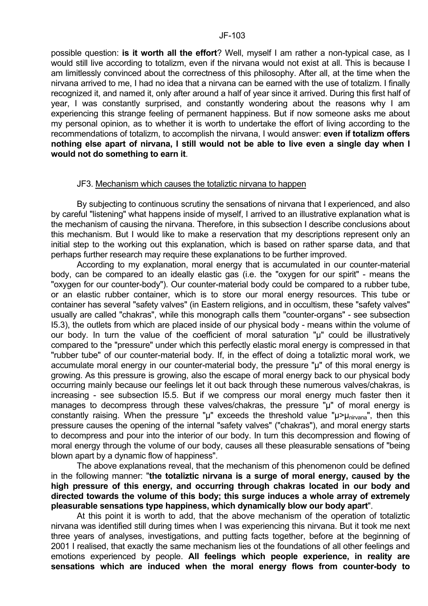possible question: **is it worth all the effort**? Well, myself I am rather a non-typical case, as I would still live according to totalizm, even if the nirvana would not exist at all. This is because I am limitlessly convinced about the correctness of this philosophy. After all, at the time when the nirvana arrived to me, I had no idea that a nirvana can be earned with the use of totalizm. I finally recognized it, and named it, only after around a half of year since it arrived. During this first half of year, I was constantly surprised, and constantly wondering about the reasons why I am experiencing this strange feeling of permanent happiness. But if now someone asks me about my personal opinion, as to whether it is worth to undertake the effort of living according to the recommendations of totalizm, to accomplish the nirvana, I would answer: **even if totalizm offers nothing else apart of nirvana, I still would not be able to live even a single day when I would not do something to earn it**.

#### JF3. Mechanism which causes the totaliztic nirvana to happen

By subjecting to continuous scrutiny the sensations of nirvana that I experienced, and also by careful "listening" what happens inside of myself, I arrived to an illustrative explanation what is the mechanism of causing the nirvana. Therefore, in this subsection I describe conclusions about this mechanism. But I would like to make a reservation that my descriptions represent only an initial step to the working out this explanation, which is based on rather sparse data, and that perhaps further research may require these explanations to be further improved.

 According to my explanation, moral energy that is accumulated in our counter-material body, can be compared to an ideally elastic gas (i.e. the "oxygen for our spirit" - means the "oxygen for our counter-body"). Our counter-material body could be compared to a rubber tube, or an elastic rubber container, which is to store our moral energy resources. This tube or container has several "safety valves" (in Eastern religions, and in occultism, these "safety valves" usually are called "chakras", while this monograph calls them "counter-organs" - see subsection I5.3), the outlets from which are placed inside of our physical body - means within the volume of our body. In turn the value of the coefficient of moral saturation "µ" could be illustratively compared to the "pressure" under which this perfectly elastic moral energy is compressed in that "rubber tube" of our counter-material body. If, in the effect of doing a totaliztic moral work, we accumulate moral energy in our counter-material body, the pressure "µ" of this moral energy is growing. As this pressure is growing, also the escape of moral energy back to our physical body occurring mainly because our feelings let it out back through these numerous valves/chakras, is increasing - see subsection I5.5. But if we compress our moral energy much faster then it manages to decompress through these valves/chakras, the pressure "µ" of moral energy is constantly raising. When the pressure " $\mu$ " exceeds the threshold value " $\mu$ > $\mu_{\text{nivana}}$ ", then this pressure causes the opening of the internal "safety valves" ("chakras"), and moral energy starts to decompress and pour into the interior of our body. In turn this decompression and flowing of moral energy through the volume of our body, causes all these pleasurable sensations of "being blown apart by a dynamic flow of happiness".

 The above explanations reveal, that the mechanism of this phenomenon could be defined in the following manner: "**the totaliztic nirvana is a surge of moral energy, caused by the high pressure of this energy, and occurring through chakras located in our body and directed towards the volume of this body; this surge induces a whole array of extremely pleasurable sensations type happiness, which dynamically blow our body apart**".

 At this point it is worth to add, that the above mechanism of the operation of totaliztic nirvana was identified still during times when I was experiencing this nirvana. But it took me next three years of analyses, investigations, and putting facts together, before at the beginning of 2001 I realised, that exactly the same mechanism lies ot the foundations of all other feelings and emotions experienced by people. **All feelings which people experience, in reality are sensations which are induced when the moral energy flows from counter-body to**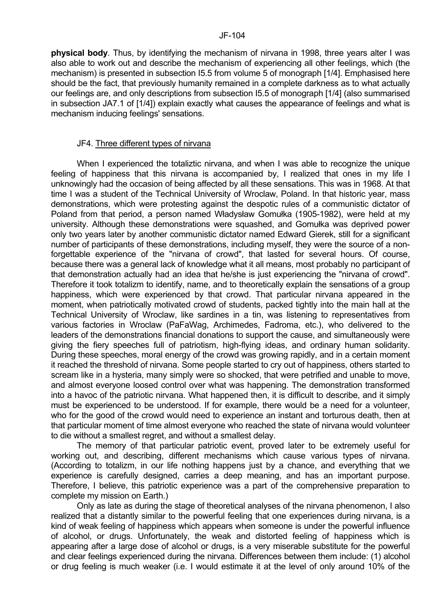**physical body**. Thus, by identifying the mechanism of nirvana in 1998, three years alter I was also able to work out and describe the mechanism of experiencing all other feelings, which (the mechanism) is presented in subsection I5.5 from volume 5 of monograph [1/4]. Emphasised here should be the fact, that previously humanity remained in a complete darkness as to what actually our feelings are, and only descriptions from subsection I5.5 of monograph [1/4] (also summarised in subsection JA7.1 of [1/4]) explain exactly what causes the appearance of feelings and what is mechanism inducing feelings' sensations.

#### JF4. Three different types of nirvana

When I experienced the totaliztic nirvana, and when I was able to recognize the unique feeling of happiness that this nirvana is accompanied by, I realized that ones in my life I unknowingly had the occasion of being affected by all these sensations. This was in 1968. At that time I was a student of the Technical University of Wroclaw, Poland. In that historic year, mass demonstrations, which were protesting against the despotic rules of a communistic dictator of Poland from that period, a person named Władysław Gomułka (1905-1982), were held at my university. Although these demonstrations were squashed, and Gomułka was deprived power only two years later by another communistic dictator named Edward Gierek, still for a significant number of participants of these demonstrations, including myself, they were the source of a nonforgettable experience of the "nirvana of crowd", that lasted for several hours. Of course, because there was a general lack of knowledge what it all means, most probably no participant of that demonstration actually had an idea that he/she is just experiencing the "nirvana of crowd". Therefore it took totalizm to identify, name, and to theoretically explain the sensations of a group happiness, which were experienced by that crowd. That particular nirvana appeared in the moment, when patriotically motivated crowd of students, packed tightly into the main hall at the Technical University of Wroclaw, like sardines in a tin, was listening to representatives from various factories in Wroclaw (PaFaWag, Archimedes, Fadroma, etc.), who delivered to the leaders of the demonstrations financial donations to support the cause, and simultaneously were giving the fiery speeches full of patriotism, high-flying ideas, and ordinary human solidarity. During these speeches, moral energy of the crowd was growing rapidly, and in a certain moment it reached the threshold of nirvana. Some people started to cry out of happiness, others started to scream like in a hysteria, many simply were so shocked, that were petrified and unable to move, and almost everyone loosed control over what was happening. The demonstration transformed into a havoc of the patriotic nirvana. What happened then, it is difficult to describe, and it simply must be experienced to be understood. If for example, there would be a need for a volunteer, who for the good of the crowd would need to experience an instant and torturous death, then at that particular moment of time almost everyone who reached the state of nirvana would volunteer to die without a smallest regret, and without a smallest delay.

 The memory of that particular patriotic event, proved later to be extremely useful for working out, and describing, different mechanisms which cause various types of nirvana. (According to totalizm, in our life nothing happens just by a chance, and everything that we experience is carefully designed, carries a deep meaning, and has an important purpose. Therefore, I believe, this patriotic experience was a part of the comprehensive preparation to complete my mission on Earth.)

 Only as late as during the stage of theoretical analyses of the nirvana phenomenon, I also realized that a distantly similar to the powerful feeling that one experiences during nirvana, is a kind of weak feeling of happiness which appears when someone is under the powerful influence of alcohol, or drugs. Unfortunately, the weak and distorted feeling of happiness which is appearing after a large dose of alcohol or drugs, is a very miserable substitute for the powerful and clear feelings experienced during the nirvana. Differences between them include: (1) alcohol or drug feeling is much weaker (i.e. I would estimate it at the level of only around 10% of the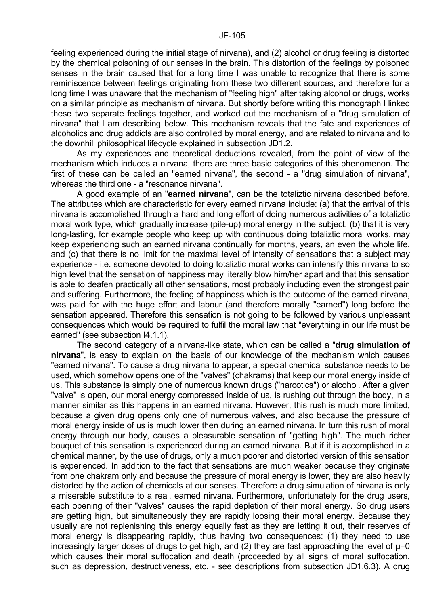feeling experienced during the initial stage of nirvana), and (2) alcohol or drug feeling is distorted by the chemical poisoning of our senses in the brain. This distortion of the feelings by poisoned senses in the brain caused that for a long time I was unable to recognize that there is some reminiscence between feelings originating from these two different sources, and therefore for a long time I was unaware that the mechanism of "feeling high" after taking alcohol or drugs, works on a similar principle as mechanism of nirvana. But shortly before writing this monograph I linked these two separate feelings together, and worked out the mechanism of a "drug simulation of nirvana" that I am describing below. This mechanism reveals that the fate and experiences of alcoholics and drug addicts are also controlled by moral energy, and are related to nirvana and to the downhill philosophical lifecycle explained in subsection JD1.2.

 As my experiences and theoretical deductions revealed, from the point of view of the mechanism which induces a nirvana, there are three basic categories of this phenomenon. The first of these can be called an "earned nirvana", the second - a "drug simulation of nirvana", whereas the third one - a "resonance nirvana".

 A good example of an "**earned nirvana**", can be the totaliztic nirvana described before. The attributes which are characteristic for every earned nirvana include: (a) that the arrival of this nirvana is accomplished through a hard and long effort of doing numerous activities of a totaliztic moral work type, which gradually increase (pile-up) moral energy in the subject, (b) that it is very long-lasting, for example people who keep up with continuous doing totaliztic moral works, may keep experiencing such an earned nirvana continually for months, years, an even the whole life, and (c) that there is no limit for the maximal level of intensity of sensations that a subject may experience - i.e. someone devoted to doing totaliztic moral works can intensify this nirvana to so high level that the sensation of happiness may literally blow him/her apart and that this sensation is able to deafen practically all other sensations, most probably including even the strongest pain and suffering. Furthermore, the feeling of happiness which is the outcome of the earned nirvana, was paid for with the huge effort and labour (and therefore morally "earned") long before the sensation appeared. Therefore this sensation is not going to be followed by various unpleasant consequences which would be required to fulfil the moral law that "everything in our life must be earned" (see subsection I4.1.1).

 The second category of a nirvana-like state, which can be called a "**drug simulation of nirvana**", is easy to explain on the basis of our knowledge of the mechanism which causes "earned nirvana". To cause a drug nirvana to appear, a special chemical substance needs to be used, which somehow opens one of the "valves" (chakrams) that keep our moral energy inside of us. This substance is simply one of numerous known drugs ("narcotics") or alcohol. After a given "valve" is open, our moral energy compressed inside of us, is rushing out through the body, in a manner similar as this happens in an earned nirvana. However, this rush is much more limited, because a given drug opens only one of numerous valves, and also because the pressure of moral energy inside of us is much lower then during an earned nirvana. In turn this rush of moral energy through our body, causes a pleasurable sensation of "getting high". The much richer bouquet of this sensation is experienced during an earned nirvana. But if it is accomplished in a chemical manner, by the use of drugs, only a much poorer and distorted version of this sensation is experienced. In addition to the fact that sensations are much weaker because they originate from one chakram only and because the pressure of moral energy is lower, they are also heavily distorted by the action of chemicals at our senses. Therefore a drug simulation of nirvana is only a miserable substitute to a real, earned nirvana. Furthermore, unfortunately for the drug users, each opening of their "valves" causes the rapid depletion of their moral energy. So drug users are getting high, but simultaneously they are rapidly loosing their moral energy. Because they usually are not replenishing this energy equally fast as they are letting it out, their reserves of moral energy is disappearing rapidly, thus having two consequences: (1) they need to use increasingly larger doses of drugs to get high, and (2) they are fast approaching the level of  $\mu$ =0 which causes their moral suffocation and death (proceeded by all signs of moral suffocation, such as depression, destructiveness, etc. - see descriptions from subsection JD1.6.3). A drug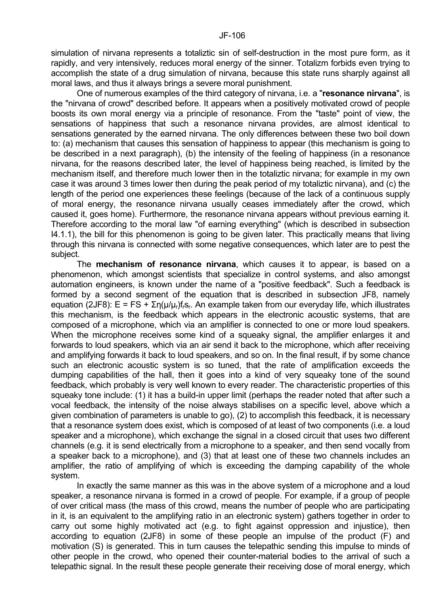simulation of nirvana represents a totaliztic sin of self-destruction in the most pure form, as it rapidly, and very intensively, reduces moral energy of the sinner. Totalizm forbids even trying to accomplish the state of a drug simulation of nirvana, because this state runs sharply against all moral laws, and thus it always brings a severe moral punishment.

 One of numerous examples of the third category of nirvana, i.e. a "**resonance nirvana**", is the "nirvana of crowd" described before. It appears when a positively motivated crowd of people boosts its own moral energy via a principle of resonance. From the "taste" point of view, the sensations of happiness that such a resonance nirvana provides, are almost identical to sensations generated by the earned nirvana. The only differences between these two boil down to: (a) mechanism that causes this sensation of happiness to appear (this mechanism is going to be described in a next paragraph), (b) the intensity of the feeling of happiness (in a resonance nirvana, for the reasons described later, the level of happiness being reached, is limited by the mechanism itself, and therefore much lower then in the totaliztic nirvana; for example in my own case it was around 3 times lower then during the peak period of my totaliztic nirvana), and (c) the length of the period one experiences these feelings (because of the lack of a continuous supply of moral energy, the resonance nirvana usually ceases immediately after the crowd, which caused it, goes home). Furthermore, the resonance nirvana appears without previous earning it. Therefore according to the moral law "of earning everything" (which is described in subsection I4.1.1), the bill for this phenomenon is going to be given later. This practically means that living through this nirvana is connected with some negative consequences, which later are to pest the subject.

 The **mechanism of resonance nirvana**, which causes it to appear, is based on a phenomenon, which amongst scientists that specialize in control systems, and also amongst automation engineers, is known under the name of a "positive feedback". Such a feedback is formed by a second segment of the equation that is described in subsection JF8, namely equation (2JF8):  $E = FS + \Sigma n(\mu/\mu_r)f_i s_r$ . An example taken from our everyday life, which illustrates this mechanism, is the feedback which appears in the electronic acoustic systems, that are composed of a microphone, which via an amplifier is connected to one or more loud speakers. When the microphone receives some kind of a squeaky signal, the amplifier enlarges it and forwards to loud speakers, which via an air send it back to the microphone, which after receiving and amplifying forwards it back to loud speakers, and so on. In the final result, if by some chance such an electronic acoustic system is so tuned, that the rate of amplification exceeds the dumping capabilities of the hall, then it goes into a kind of very squeaky tone of the sound feedback, which probably is very well known to every reader. The characteristic properties of this squeaky tone include: (1) it has a build-in upper limit (perhaps the reader noted that after such a vocal feedback, the intensity of the noise always stabilises on a specific level, above which a given combination of parameters is unable to go), (2) to accomplish this feedback, it is necessary that a resonance system does exist, which is composed of at least of two components (i.e. a loud speaker and a microphone), which exchange the signal in a closed circuit that uses two different channels (e.g. it is send electrically from a microphone to a speaker, and then send vocally from a speaker back to a microphone), and (3) that at least one of these two channels includes an amplifier, the ratio of amplifying of which is exceeding the damping capability of the whole system.

 In exactly the same manner as this was in the above system of a microphone and a loud speaker, a resonance nirvana is formed in a crowd of people. For example, if a group of people of over critical mass (the mass of this crowd, means the number of people who are participating in it, is an equivalent to the amplifying ratio in an electronic system) gathers together in order to carry out some highly motivated act (e.g. to fight against oppression and injustice), then according to equation (2JF8) in some of these people an impulse of the product (F) and motivation (S) is generated. This in turn causes the telepathic sending this impulse to minds of other people in the crowd, who opened their counter-material bodies to the arrival of such a telepathic signal. In the result these people generate their receiving dose of moral energy, which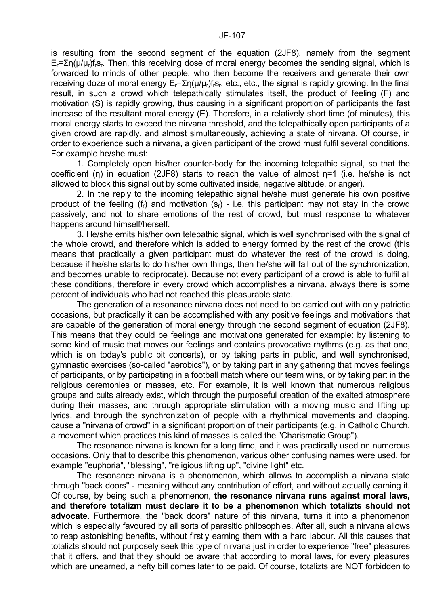is resulting from the second segment of the equation (2JF8), namely from the segment  $E_r = \sum n(\mu/\mu_r) f_i s_r$ . Then, this receiving dose of moral energy becomes the sending signal, which is forwarded to minds of other people, who then become the receivers and generate their own receiving doze of moral energy E<sub>r</sub>=Ση(μ/μ<sub>r</sub>)f<sub>r</sub>s<sub>r</sub>, etc., etc., the signal is rapidly growing. In the final result, in such a crowd which telepathically stimulates itself, the product of feeling (F) and motivation (S) is rapidly growing, thus causing in a significant proportion of participants the fast increase of the resultant moral energy (E). Therefore, in a relatively short time (of minutes), this moral energy starts to exceed the nirvana threshold, and the telepathically open participants of a given crowd are rapidly, and almost simultaneously, achieving a state of nirvana. Of course, in order to experience such a nirvana, a given participant of the crowd must fulfil several conditions. For example he/she must:

 1. Completely open his/her counter-body for the incoming telepathic signal, so that the coefficient (η) in equation (2JF8) starts to reach the value of almost η=1 (i.e. he/she is not allowed to block this signal out by some cultivated inside, negative altitude, or anger).

 2. In the reply to the incoming telepathic signal he/she must generate his own positive product of the feeling  $(f_r)$  and motivation  $(s_r)$  - i.e. this participant may not stay in the crowd passively, and not to share emotions of the rest of crowd, but must response to whatever happens around himself/herself.

 3. He/she emits his/her own telepathic signal, which is well synchronised with the signal of the whole crowd, and therefore which is added to energy formed by the rest of the crowd (this means that practically a given participant must do whatever the rest of the crowd is doing, because if he/she starts to do his/her own things, then he/she will fall out of the synchronization, and becomes unable to reciprocate). Because not every participant of a crowd is able to fulfil all these conditions, therefore in every crowd which accomplishes a nirvana, always there is some percent of individuals who had not reached this pleasurable state.

 The generation of a resonance nirvana does not need to be carried out with only patriotic occasions, but practically it can be accomplished with any positive feelings and motivations that are capable of the generation of moral energy through the second segment of equation (2JF8). This means that they could be feelings and motivations generated for example: by listening to some kind of music that moves our feelings and contains provocative rhythms (e.g. as that one, which is on today's public bit concerts), or by taking parts in public, and well synchronised, gymnastic exercises (so-called "aerobics"), or by taking part in any gathering that moves feelings of participants, or by participating in a football match where our team wins, or by taking part in the religious ceremonies or masses, etc. For example, it is well known that numerous religious groups and cults already exist, which through the purposeful creation of the exalted atmosphere during their masses, and through appropriate stimulation with a moving music and lifting up lyrics, and through the synchronization of people with a rhythmical movements and clapping, cause a "nirvana of crowd" in a significant proportion of their participants (e.g. in Catholic Church, a movement which practices this kind of masses is called the "Charismatic Group").

 The resonance nirvana is known for a long time, and it was practically used on numerous occasions. Only that to describe this phenomenon, various other confusing names were used, for example "euphoria", "blessing", "religious lifting up", "divine light" etc.

 The resonance nirvana is a phenomenon, which allows to accomplish a nirvana state through "back doors" - meaning without any contribution of effort, and without actually earning it. Of course, by being such a phenomenon, **the resonance nirvana runs against moral laws, and therefore totalizm must declare it to be a phenomenon which totalizts should not advocate**. Furthermore, the "back doors" nature of this nirvana, turns it into a phenomenon which is especially favoured by all sorts of parasitic philosophies. After all, such a nirvana allows to reap astonishing benefits, without firstly earning them with a hard labour. All this causes that totalizts should not purposely seek this type of nirvana just in order to experience "free" pleasures that it offers, and that they should be aware that according to moral laws, for every pleasures which are unearned, a hefty bill comes later to be paid. Of course, totalizts are NOT forbidden to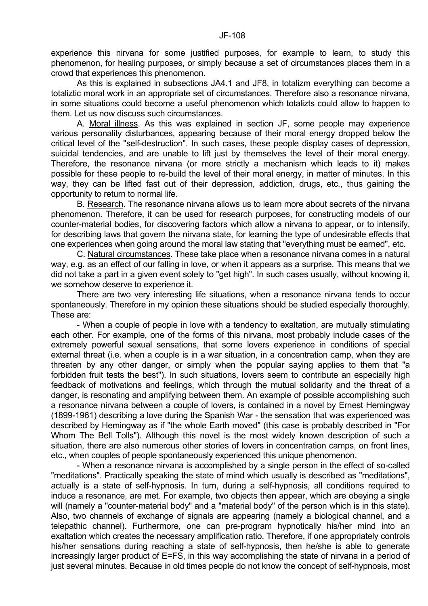As this is explained in subsections JA4.1 and JF8, in totalizm everything can become a totaliztic moral work in an appropriate set of circumstances. Therefore also a resonance nirvana, in some situations could become a useful phenomenon which totalizts could allow to happen to them. Let us now discuss such circumstances.

 A. Moral illness. As this was explained in section JF, some people may experience various personality disturbances, appearing because of their moral energy dropped below the critical level of the "self-destruction". In such cases, these people display cases of depression, suicidal tendencies, and are unable to lift just by themselves the level of their moral energy. Therefore, the resonance nirvana (or more strictly a mechanism which leads to it) makes possible for these people to re-build the level of their moral energy, in matter of minutes. In this way, they can be lifted fast out of their depression, addiction, drugs, etc., thus gaining the opportunity to return to normal life.

 B. Research. The resonance nirvana allows us to learn more about secrets of the nirvana phenomenon. Therefore, it can be used for research purposes, for constructing models of our counter-material bodies, for discovering factors which allow a nirvana to appear, or to intensify, for describing laws that govern the nirvana state, for learning the type of undesirable effects that one experiences when going around the moral law stating that "everything must be earned", etc.

 C. Natural circumstances. These take place when a resonance nirvana comes in a natural way, e.g. as an effect of our falling in love, or when it appears as a surprise. This means that we did not take a part in a given event solely to "get high". In such cases usually, without knowing it, we somehow deserve to experience it.

 There are two very interesting life situations, when a resonance nirvana tends to occur spontaneously. Therefore in my opinion these situations should be studied especially thoroughly. These are:

 - When a couple of people in love with a tendency to exaltation, are mutually stimulating each other. For example, one of the forms of this nirvana, most probably include cases of the extremely powerful sexual sensations, that some lovers experience in conditions of special external threat (i.e. when a couple is in a war situation, in a concentration camp, when they are threaten by any other danger, or simply when the popular saying applies to them that "a forbidden fruit tests the best"). In such situations, lovers seem to contribute an especially high feedback of motivations and feelings, which through the mutual solidarity and the threat of a danger, is resonating and amplifying between them. An example of possible accomplishing such a resonance nirvana between a couple of lovers, is contained in a novel by Ernest Hemingway (1899-1961) describing a love during the Spanish War - the sensation that was experienced was described by Hemingway as if "the whole Earth moved" (this case is probably described in "For Whom The Bell Tolls"). Although this novel is the most widely known description of such a situation, there are also numerous other stories of lovers in concentration camps, on front lines, etc., when couples of people spontaneously experienced this unique phenomenon.

 - When a resonance nirvana is accomplished by a single person in the effect of so-called "meditations". Practically speaking the state of mind which usually is described as "meditations", actually is a state of self-hypnosis. In turn, during a self-hypnosis, all conditions required to induce a resonance, are met. For example, two objects then appear, which are obeying a single will (namely a "counter-material body" and a "material body" of the person which is in this state). Also, two channels of exchange of signals are appearing (namely a biological channel, and a telepathic channel). Furthermore, one can pre-program hypnotically his/her mind into an exaltation which creates the necessary amplification ratio. Therefore, if one appropriately controls his/her sensations during reaching a state of self-hypnosis, then he/she is able to generate increasingly larger product of E=FS, in this way accomplishing the state of nirvana in a period of just several minutes. Because in old times people do not know the concept of self-hypnosis, most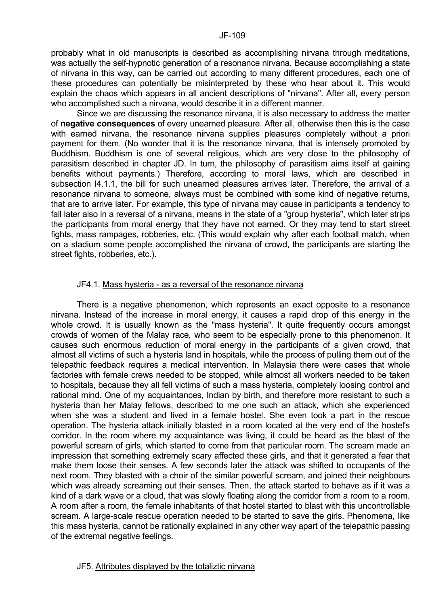probably what in old manuscripts is described as accomplishing nirvana through meditations, was actually the self-hypnotic generation of a resonance nirvana. Because accomplishing a state of nirvana in this way, can be carried out according to many different procedures, each one of these procedures can potentially be misinterpreted by these who hear about it. This would explain the chaos which appears in all ancient descriptions of "nirvana". After all, every person who accomplished such a nirvana, would describe it in a different manner.

 Since we are discussing the resonance nirvana, it is also necessary to address the matter of **negative consequences** of every unearned pleasure. After all, otherwise then this is the case with earned nirvana, the resonance nirvana supplies pleasures completely without a priori payment for them. (No wonder that it is the resonance nirvana, that is intensely promoted by Buddhism. Buddhism is one of several religious, which are very close to the philosophy of parasitism described in chapter JD. In turn, the philosophy of parasitism aims itself at gaining benefits without payments.) Therefore, according to moral laws, which are described in subsection I4.1.1, the bill for such unearned pleasures arrives later. Therefore, the arrival of a resonance nirvana to someone, always must be combined with some kind of negative returns, that are to arrive later. For example, this type of nirvana may cause in participants a tendency to fall later also in a reversal of a nirvana, means in the state of a "group hysteria", which later strips the participants from moral energy that they have not earned. Or they may tend to start street fights, mass rampages, robberies, etc. (This would explain why after each football match, when on a stadium some people accomplished the nirvana of crowd, the participants are starting the street fights, robberies, etc.).

## JF4.1. Mass hysteria - as a reversal of the resonance nirvana

 There is a negative phenomenon, which represents an exact opposite to a resonance nirvana. Instead of the increase in moral energy, it causes a rapid drop of this energy in the whole crowd. It is usually known as the "mass hysteria". It quite frequently occurs amongst crowds of women of the Malay race, who seem to be especially prone to this phenomenon. It causes such enormous reduction of moral energy in the participants of a given crowd, that almost all victims of such a hysteria land in hospitals, while the process of pulling them out of the telepathic feedback requires a medical intervention. In Malaysia there were cases that whole factories with female crews needed to be stopped, while almost all workers needed to be taken to hospitals, because they all fell victims of such a mass hysteria, completely loosing control and rational mind. One of my acquaintances, Indian by birth, and therefore more resistant to such a hysteria than her Malay fellows, described to me one such an attack, which she experienced when she was a student and lived in a female hostel. She even took a part in the rescue operation. The hysteria attack initially blasted in a room located at the very end of the hostel's corridor. In the room where my acquaintance was living, it could be heard as the blast of the powerful scream of girls, which started to come from that particular room. The scream made an impression that something extremely scary affected these girls, and that it generated a fear that make them loose their senses. A few seconds later the attack was shifted to occupants of the next room. They blasted with a choir of the similar powerful scream, and joined their neighbours which was already screaming out their senses. Then, the attack started to behave as if it was a kind of a dark wave or a cloud, that was slowly floating along the corridor from a room to a room. A room after a room, the female inhabitants of that hostel started to blast with this uncontrollable scream. A large-scale rescue operation needed to be started to save the girls. Phenomena, like this mass hysteria, cannot be rationally explained in any other way apart of the telepathic passing of the extremal negative feelings.

### JF5. Attributes displayed by the totaliztic nirvana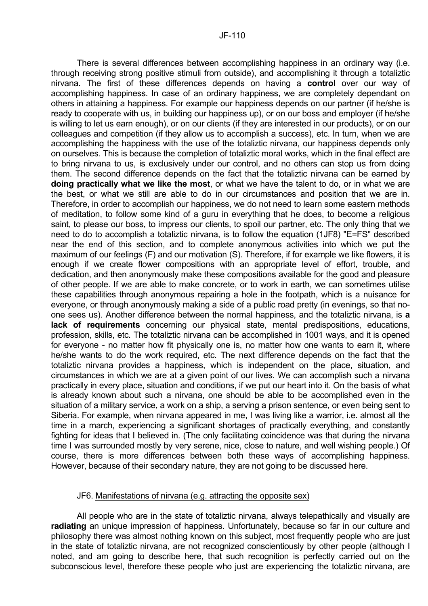There is several differences between accomplishing happiness in an ordinary way (i.e. through receiving strong positive stimuli from outside), and accomplishing it through a totaliztic nirvana. The first of these differences depends on having a **control** over our way of accomplishing happiness. In case of an ordinary happiness, we are completely dependant on others in attaining a happiness. For example our happiness depends on our partner (if he/she is ready to cooperate with us, in building our happiness up), or on our boss and employer (if he/she is willing to let us earn enough), or on our clients (if they are interested in our products), or on our colleagues and competition (if they allow us to accomplish a success), etc. In turn, when we are accomplishing the happiness with the use of the totaliztic nirvana, our happiness depends only on ourselves. This is because the completion of totaliztic moral works, which in the final effect are to bring nirvana to us, is exclusively under our control, and no others can stop us from doing them. The second difference depends on the fact that the totaliztic nirvana can be earned by **doing practically what we like the most**, or what we have the talent to do, or in what we are the best, or what we still are able to do in our circumstances and position that we are in. Therefore, in order to accomplish our happiness, we do not need to learn some eastern methods of meditation, to follow some kind of a guru in everything that he does, to become a religious saint, to please our boss, to impress our clients, to spoil our partner, etc. The only thing that we need to do to accomplish a totaliztic nirvana, is to follow the equation (1JF8) "E=FS" described near the end of this section, and to complete anonymous activities into which we put the maximum of our feelings (F) and our motivation (S). Therefore, if for example we like flowers, it is enough if we create flower compositions with an appropriate level of effort, trouble, and dedication, and then anonymously make these compositions available for the good and pleasure of other people. If we are able to make concrete, or to work in earth, we can sometimes utilise these capabilities through anonymous repairing a hole in the footpath, which is a nuisance for everyone, or through anonymously making a side of a public road pretty (in evenings, so that noone sees us). Another difference between the normal happiness, and the totaliztic nirvana, is **a lack of requirements** concerning our physical state, mental predispositions, educations, profession, skills, etc. The totaliztic nirvana can be accomplished in 1001 ways, and it is opened for everyone - no matter how fit physically one is, no matter how one wants to earn it, where he/she wants to do the work required, etc. The next difference depends on the fact that the totaliztic nirvana provides a happiness, which is independent on the place, situation, and circumstances in which we are at a given point of our lives. We can accomplish such a nirvana practically in every place, situation and conditions, if we put our heart into it. On the basis of what is already known about such a nirvana, one should be able to be accomplished even in the situation of a military service, a work on a ship, a serving a prison sentence, or even being sent to Siberia. For example, when nirvana appeared in me, I was living like a warrior, i.e. almost all the time in a march, experiencing a significant shortages of practically everything, and constantly fighting for ideas that I believed in. (The only facilitating coincidence was that during the nirvana time I was surrounded mostly by very serene, nice, close to nature, and well wishing people.) Of course, there is more differences between both these ways of accomplishing happiness. However, because of their secondary nature, they are not going to be discussed here.

### JF6. Manifestations of nirvana (e.g. attracting the opposite sex)

 All people who are in the state of totaliztic nirvana, always telepathically and visually are **radiating** an unique impression of happiness. Unfortunately, because so far in our culture and philosophy there was almost nothing known on this subject, most frequently people who are just in the state of totaliztic nirvana, are not recognized conscientiously by other people (although I noted, and am going to describe here, that such recognition is perfectly carried out on the subconscious level, therefore these people who just are experiencing the totaliztic nirvana, are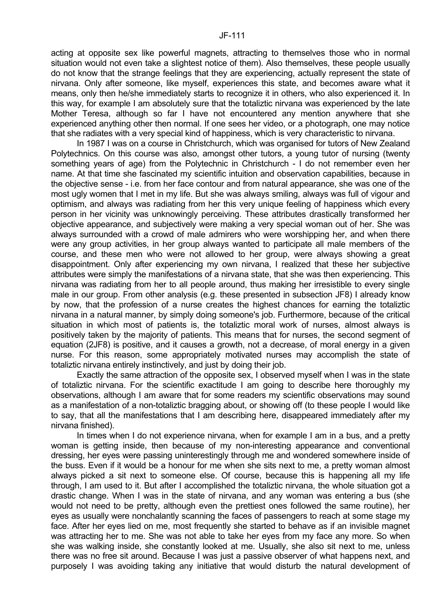acting at opposite sex like powerful magnets, attracting to themselves those who in normal situation would not even take a slightest notice of them). Also themselves, these people usually do not know that the strange feelings that they are experiencing, actually represent the state of nirvana. Only after someone, like myself, experiences this state, and becomes aware what it means, only then he/she immediately starts to recognize it in others, who also experienced it. In this way, for example I am absolutely sure that the totaliztic nirvana was experienced by the late Mother Teresa, although so far I have not encountered any mention anywhere that she experienced anything other then normal. If one sees her video, or a photograph, one may notice that she radiates with a very special kind of happiness, which is very characteristic to nirvana.

 In 1987 I was on a course in Christchurch, which was organised for tutors of New Zealand Polytechnics. On this course was also, amongst other tutors, a young tutor of nursing (twenty something years of age) from the Polytechnic in Christchurch - I do not remember even her name. At that time she fascinated my scientific intuition and observation capabilities, because in the objective sense - i.e. from her face contour and from natural appearance, she was one of the most ugly women that I met in my life. But she was always smiling, always was full of vigour and optimism, and always was radiating from her this very unique feeling of happiness which every person in her vicinity was unknowingly perceiving. These attributes drastically transformed her objective appearance, and subjectively were making a very special woman out of her. She was always surrounded with a crowd of male admirers who were worshipping her, and when there were any group activities, in her group always wanted to participate all male members of the course, and these men who were not allowed to her group, were always showing a great disappointment. Only after experiencing my own nirvana, I realized that these her subjective attributes were simply the manifestations of a nirvana state, that she was then experiencing. This nirvana was radiating from her to all people around, thus making her irresistible to every single male in our group. From other analysis (e.g. these presented in subsection JF8) I already know by now, that the profession of a nurse creates the highest chances for earning the totaliztic nirvana in a natural manner, by simply doing someone's job. Furthermore, because of the critical situation in which most of patients is, the totaliztic moral work of nurses, almost always is positively taken by the majority of patients. This means that for nurses, the second segment of equation (2JF8) is positive, and it causes a growth, not a decrease, of moral energy in a given nurse. For this reason, some appropriately motivated nurses may accomplish the state of totaliztic nirvana entirely instinctively, and just by doing their job.

 Exactly the same attraction of the opposite sex, I observed myself when I was in the state of totaliztic nirvana. For the scientific exactitude I am going to describe here thoroughly my observations, although I am aware that for some readers my scientific observations may sound as a manifestation of a non-totaliztic bragging about, or showing off (to these people I would like to say, that all the manifestations that I am describing here, disappeared immediately after my nirvana finished).

In times when I do not experience nirvana, when for example I am in a bus, and a pretty woman is getting inside, then because of my non-interesting appearance and conventional dressing, her eyes were passing uninterestingly through me and wondered somewhere inside of the buss. Even if it would be a honour for me when she sits next to me, a pretty woman almost always picked a sit next to someone else. Of course, because this is happening all my life through, I am used to it. But after I accomplished the totaliztic nirvana, the whole situation got a drastic change. When I was in the state of nirvana, and any woman was entering a bus (she would not need to be pretty, although even the prettiest ones followed the same routine), her eyes as usually were nonchalantly scanning the faces of passengers to reach at some stage my face. After her eyes lied on me, most frequently she started to behave as if an invisible magnet was attracting her to me. She was not able to take her eyes from my face any more. So when she was walking inside, she constantly looked at me. Usually, she also sit next to me, unless there was no free sit around. Because I was just a passive observer of what happens next, and purposely I was avoiding taking any initiative that would disturb the natural development of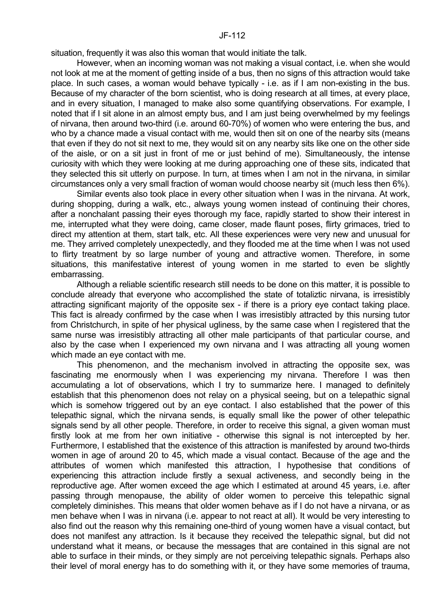situation, frequently it was also this woman that would initiate the talk.

 However, when an incoming woman was not making a visual contact, i.e. when she would not look at me at the moment of getting inside of a bus, then no signs of this attraction would take place. In such cases, a woman would behave typically - i.e. as if I am non-existing in the bus. Because of my character of the born scientist, who is doing research at all times, at every place, and in every situation, I managed to make also some quantifying observations. For example, I noted that if I sit alone in an almost empty bus, and I am just being overwhelmed by my feelings of nirvana, then around two-third (i.e. around 60-70%) of women who were entering the bus, and who by a chance made a visual contact with me, would then sit on one of the nearby sits (means that even if they do not sit next to me, they would sit on any nearby sits like one on the other side of the aisle, or on a sit just in front of me or just behind of me). Simultaneously, the intense curiosity with which they were looking at me during approaching one of these sits, indicated that they selected this sit utterly on purpose. In turn, at times when I am not in the nirvana, in similar circumstances only a very small fraction of woman would choose nearby sit (much less then 6%).

 Similar events also took place in every other situation when I was in the nirvana. At work, during shopping, during a walk, etc., always young women instead of continuing their chores, after a nonchalant passing their eyes thorough my face, rapidly started to show their interest in me, interrupted what they were doing, came closer, made flaunt poses, flirty grimaces, tried to direct my attention at them, start talk, etc. All these experiences were very new and unusual for me. They arrived completely unexpectedly, and they flooded me at the time when I was not used to flirty treatment by so large number of young and attractive women. Therefore, in some situations, this manifestative interest of young women in me started to even be slightly embarrassing.

 Although a reliable scientific research still needs to be done on this matter, it is possible to conclude already that everyone who accomplished the state of totaliztic nirvana, is irresistibly attracting significant majority of the opposite sex - if there is a priory eye contact taking place. This fact is already confirmed by the case when I was irresistibly attracted by this nursing tutor from Christchurch, in spite of her physical ugliness, by the same case when I registered that the same nurse was irresistibly attracting all other male participants of that particular course, and also by the case when I experienced my own nirvana and I was attracting all young women which made an eye contact with me.

 This phenomenon, and the mechanism involved in attracting the opposite sex, was fascinating me enormously when I was experiencing my nirvana. Therefore I was then accumulating a lot of observations, which I try to summarize here. I managed to definitely establish that this phenomenon does not relay on a physical seeing, but on a telepathic signal which is somehow triggered out by an eye contact. I also established that the power of this telepathic signal, which the nirvana sends, is equally small like the power of other telepathic signals send by all other people. Therefore, in order to receive this signal, a given woman must firstly look at me from her own initiative - otherwise this signal is not intercepted by her. Furthermore, I established that the existence of this attraction is manifested by around two-thirds women in age of around 20 to 45, which made a visual contact. Because of the age and the attributes of women which manifested this attraction, I hypothesise that conditions of experiencing this attraction include firstly a sexual activeness, and secondly being in the reproductive age. After women exceed the age which I estimated at around 45 years, i.e. after passing through menopause, the ability of older women to perceive this telepathic signal completely diminishes. This means that older women behave as if I do not have a nirvana, or as men behave when I was in nirvana (i.e. appear to not react at all). It would be very interesting to also find out the reason why this remaining one-third of young women have a visual contact, but does not manifest any attraction. Is it because they received the telepathic signal, but did not understand what it means, or because the messages that are contained in this signal are not able to surface in their minds, or they simply are not perceiving telepathic signals. Perhaps also their level of moral energy has to do something with it, or they have some memories of trauma,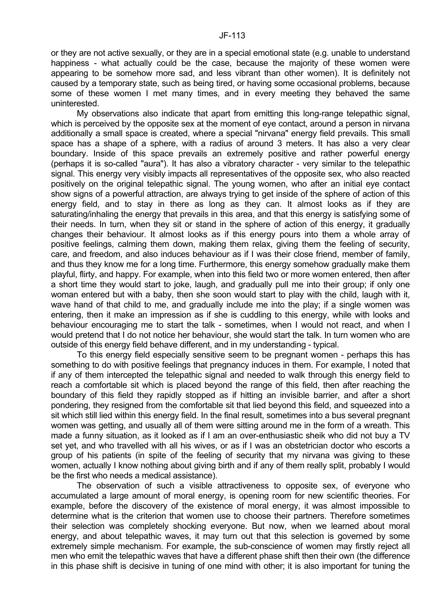or they are not active sexually, or they are in a special emotional state (e.g. unable to understand happiness - what actually could be the case, because the majority of these women were appearing to be somehow more sad, and less vibrant than other women). It is definitely not caused by a temporary state, such as being tired, or having some occasional problems, because some of these women I met many times, and in every meeting they behaved the same uninterested.

 My observations also indicate that apart from emitting this long-range telepathic signal, which is perceived by the opposite sex at the moment of eye contact, around a person in nirvana additionally a small space is created, where a special "nirvana" energy field prevails. This small space has a shape of a sphere, with a radius of around 3 meters. It has also a very clear boundary. Inside of this space prevails an extremely positive and rather powerful energy (perhaps it is so-called "aura"). It has also a vibratory character - very similar to the telepathic signal. This energy very visibly impacts all representatives of the opposite sex, who also reacted positively on the original telepathic signal. The young women, who after an initial eye contact show signs of a powerful attraction, are always trying to get inside of the sphere of action of this energy field, and to stay in there as long as they can. It almost looks as if they are saturating/inhaling the energy that prevails in this area, and that this energy is satisfying some of their needs. In turn, when they sit or stand in the sphere of action of this energy, it gradually changes their behaviour. It almost looks as if this energy pours into them a whole array of positive feelings, calming them down, making them relax, giving them the feeling of security, care, and freedom, and also induces behaviour as if I was their close friend, member of family, and thus they know me for a long time. Furthermore, this energy somehow gradually make them playful, flirty, and happy. For example, when into this field two or more women entered, then after a short time they would start to joke, laugh, and gradually pull me into their group; if only one woman entered but with a baby, then she soon would start to play with the child, laugh with it, wave hand of that child to me, and gradually include me into the play; if a single women was entering, then it make an impression as if she is cuddling to this energy, while with looks and behaviour encouraging me to start the talk - sometimes, when I would not react, and when I would pretend that I do not notice her behaviour, she would start the talk. In turn women who are outside of this energy field behave different, and in my understanding - typical.

 To this energy field especially sensitive seem to be pregnant women - perhaps this has something to do with positive feelings that pregnancy induces in them. For example, I noted that if any of them intercepted the telepathic signal and needed to walk through this energy field to reach a comfortable sit which is placed beyond the range of this field, then after reaching the boundary of this field they rapidly stopped as if hitting an invisible barrier, and after a short pondering, they resigned from the comfortable sit that lied beyond this field, and squeezed into a sit which still lied within this energy field. In the final result, sometimes into a bus several pregnant women was getting, and usually all of them were sitting around me in the form of a wreath. This made a funny situation, as it looked as if I am an over-enthusiastic sheik who did not buy a TV set yet, and who travelled with all his wives, or as if I was an obstetrician doctor who escorts a group of his patients (in spite of the feeling of security that my nirvana was giving to these women, actually I know nothing about giving birth and if any of them really split, probably I would be the first who needs a medical assistance).

 The observation of such a visible attractiveness to opposite sex, of everyone who accumulated a large amount of moral energy, is opening room for new scientific theories. For example, before the discovery of the existence of moral energy, it was almost impossible to determine what is the criterion that women use to choose their partners. Therefore sometimes their selection was completely shocking everyone. But now, when we learned about moral energy, and about telepathic waves, it may turn out that this selection is governed by some extremely simple mechanism. For example, the sub-conscience of women may firstly reject all men who emit the telepathic waves that have a different phase shift then their own (the difference in this phase shift is decisive in tuning of one mind with other; it is also important for tuning the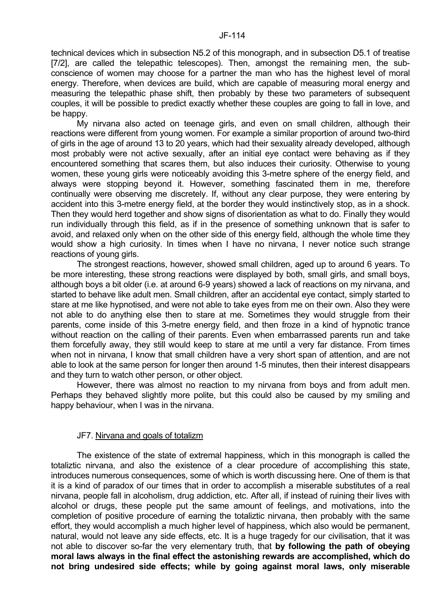technical devices which in subsection N5.2 of this monograph, and in subsection D5.1 of treatise [7/2], are called the telepathic telescopes). Then, amongst the remaining men, the subconscience of women may choose for a partner the man who has the highest level of moral energy. Therefore, when devices are build, which are capable of measuring moral energy and measuring the telepathic phase shift, then probably by these two parameters of subsequent couples, it will be possible to predict exactly whether these couples are going to fall in love, and be happy.

 My nirvana also acted on teenage girls, and even on small children, although their reactions were different from young women. For example a similar proportion of around two-third of girls in the age of around 13 to 20 years, which had their sexuality already developed, although most probably were not active sexually, after an initial eye contact were behaving as if they encountered something that scares them, but also induces their curiosity. Otherwise to young women, these young girls were noticeably avoiding this 3-metre sphere of the energy field, and always were stopping beyond it. However, something fascinated them in me, therefore continually were observing me discretely. If, without any clear purpose, they were entering by accident into this 3-metre energy field, at the border they would instinctively stop, as in a shock. Then they would herd together and show signs of disorientation as what to do. Finally they would run individually through this field, as if in the presence of something unknown that is safer to avoid, and relaxed only when on the other side of this energy field, although the whole time they would show a high curiosity. In times when I have no nirvana, I never notice such strange reactions of young girls.

 The strongest reactions, however, showed small children, aged up to around 6 years. To be more interesting, these strong reactions were displayed by both, small girls, and small boys, although boys a bit older (i.e. at around 6-9 years) showed a lack of reactions on my nirvana, and started to behave like adult men. Small children, after an accidental eye contact, simply started to stare at me like hypnotised, and were not able to take eyes from me on their own. Also they were not able to do anything else then to stare at me. Sometimes they would struggle from their parents, come inside of this 3-metre energy field, and then froze in a kind of hypnotic trance without reaction on the calling of their parents. Even when embarrassed parents run and take them forcefully away, they still would keep to stare at me until a very far distance. From times when not in nirvana, I know that small children have a very short span of attention, and are not able to look at the same person for longer then around 1-5 minutes, then their interest disappears and they turn to watch other person, or other object.

 However, there was almost no reaction to my nirvana from boys and from adult men. Perhaps they behaved slightly more polite, but this could also be caused by my smiling and happy behaviour, when I was in the nirvana.

### JF7. Nirvana and goals of totalizm

 The existence of the state of extremal happiness, which in this monograph is called the totaliztic nirvana, and also the existence of a clear procedure of accomplishing this state, introduces numerous consequences, some of which is worth discussing here. One of them is that it is a kind of paradox of our times that in order to accomplish a miserable substitutes of a real nirvana, people fall in alcoholism, drug addiction, etc. After all, if instead of ruining their lives with alcohol or drugs, these people put the same amount of feelings, and motivations, into the completion of positive procedure of earning the totaliztic nirvana, then probably with the same effort, they would accomplish a much higher level of happiness, which also would be permanent, natural, would not leave any side effects, etc. It is a huge tragedy for our civilisation, that it was not able to discover so-far the very elementary truth, that **by following the path of obeying moral laws always in the final effect the astonishing rewards are accomplished, which do not bring undesired side effects; while by going against moral laws, only miserable**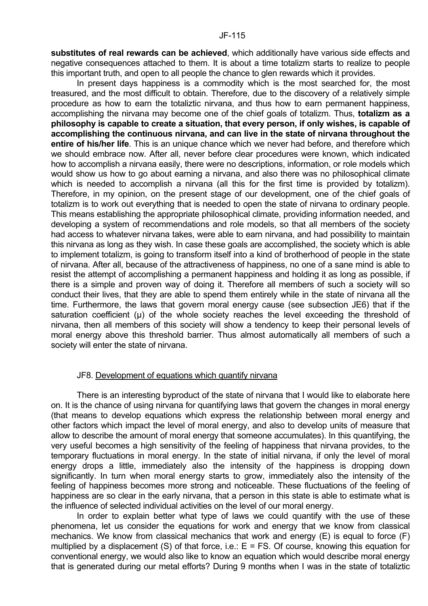**substitutes of real rewards can be achieved**, which additionally have various side effects and negative consequences attached to them. It is about a time totalizm starts to realize to people this important truth, and open to all people the chance to glen rewards which it provides.

 In present days happiness is a commodity which is the most searched for, the most treasured, and the most difficult to obtain. Therefore, due to the discovery of a relatively simple procedure as how to earn the totaliztic nirvana, and thus how to earn permanent happiness, accomplishing the nirvana may become one of the chief goals of totalizm. Thus, **totalizm as a philosophy is capable to create a situation, that every person, if only wishes, is capable of accomplishing the continuous nirvana, and can live in the state of nirvana throughout the entire of his/her life**. This is an unique chance which we never had before, and therefore which we should embrace now. After all, never before clear procedures were known, which indicated how to accomplish a nirvana easily, there were no descriptions, information, or role models which would show us how to go about earning a nirvana, and also there was no philosophical climate which is needed to accomplish a nirvana (all this for the first time is provided by totalizm). Therefore, in my opinion, on the present stage of our development, one of the chief goals of totalizm is to work out everything that is needed to open the state of nirvana to ordinary people. This means establishing the appropriate philosophical climate, providing information needed, and developing a system of recommendations and role models, so that all members of the society had access to whatever nirvana takes, were able to earn nirvana, and had possibility to maintain this nirvana as long as they wish. In case these goals are accomplished, the society which is able to implement totalizm, is going to transform itself into a kind of brotherhood of people in the state of nirvana. After all, because of the attractiveness of happiness, no one of a sane mind is able to resist the attempt of accomplishing a permanent happiness and holding it as long as possible, if there is a simple and proven way of doing it. Therefore all members of such a society will so conduct their lives, that they are able to spend them entirely while in the state of nirvana all the time. Furthermore, the laws that govern moral energy cause (see subsection JE6) that if the saturation coefficient ( $\mu$ ) of the whole society reaches the level exceeding the threshold of nirvana, then all members of this society will show a tendency to keep their personal levels of moral energy above this threshold barrier. Thus almost automatically all members of such a society will enter the state of nirvana.

#### JF8. Development of equations which quantify nirvana

 There is an interesting byproduct of the state of nirvana that I would like to elaborate here on. It is the chance of using nirvana for quantifying laws that govern the changes in moral energy (that means to develop equations which express the relationship between moral energy and other factors which impact the level of moral energy, and also to develop units of measure that allow to describe the amount of moral energy that someone accumulates). In this quantifying, the very useful becomes a high sensitivity of the feeling of happiness that nirvana provides, to the temporary fluctuations in moral energy. In the state of initial nirvana, if only the level of moral energy drops a little, immediately also the intensity of the happiness is dropping down significantly. In turn when moral energy starts to grow, immediately also the intensity of the feeling of happiness becomes more strong and noticeable. These fluctuations of the feeling of happiness are so clear in the early nirvana, that a person in this state is able to estimate what is the influence of selected individual activities on the level of our moral energy.

 In order to explain better what type of laws we could quantify with the use of these phenomena, let us consider the equations for work and energy that we know from classical mechanics. We know from classical mechanics that work and energy (E) is equal to force (F) multiplied by a displacement (S) of that force, i.e.:  $E = FS$ . Of course, knowing this equation for conventional energy, we would also like to know an equation which would describe moral energy that is generated during our metal efforts? During 9 months when I was in the state of totaliztic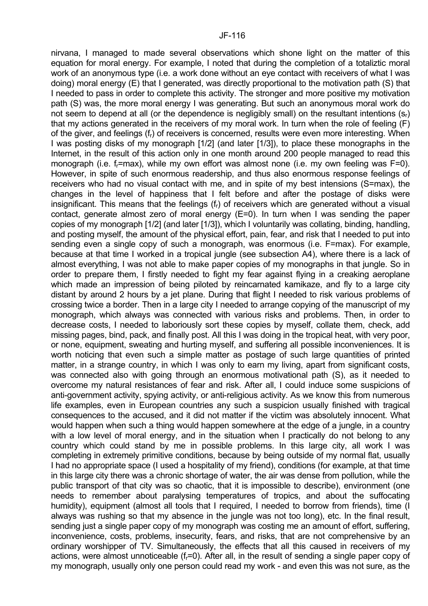nirvana, I managed to made several observations which shone light on the matter of this equation for moral energy. For example, I noted that during the completion of a totaliztic moral work of an anonymous type (i.e. a work done without an eye contact with receivers of what I was doing) moral energy (E) that I generated, was directly proportional to the motivation path (S) that I needed to pass in order to complete this activity. The stronger and more positive my motivation path (S) was, the more moral energy I was generating. But such an anonymous moral work do not seem to depend at all (or the dependence is negligibly small) on the resultant intentions  $(s<sub>r</sub>)$ that my actions generated in the receivers of my moral work. In turn when the role of feeling (F) of the giver, and feelings (fr) of receivers is concerned, results were even more interesting. When I was posting disks of my monograph [1/2] (and later [1/3]), to place these monographs in the Internet, in the result of this action only in one month around 200 people managed to read this monograph (i.e. f<sub>r</sub>=max), while my own effort was almost none (i.e. my own feeling was F=0). However, in spite of such enormous readership, and thus also enormous response feelings of receivers who had no visual contact with me, and in spite of my best intensions (S=max), the changes in the level of happiness that I felt before and after the postage of disks were insignificant. This means that the feelings  $(f<sub>r</sub>)$  of receivers which are generated without a visual contact, generate almost zero of moral energy (E=0). In turn when I was sending the paper copies of my monograph [1/2] (and later [1/3]), which I voluntarily was collating, binding, handling, and posting myself, the amount of the physical effort, pain, fear, and risk that I needed to put into sending even a single copy of such a monograph, was enormous (i.e. F=max). For example, because at that time I worked in a tropical jungle (see subsection A4), where there is a lack of almost everything, I was not able to make paper copies of my monographs in that jungle. So in order to prepare them, I firstly needed to fight my fear against flying in a creaking aeroplane which made an impression of being piloted by reincarnated kamikaze, and fly to a large city distant by around 2 hours by a jet plane. During that flight I needed to risk various problems of crossing twice a border. Then in a large city I needed to arrange copying of the manuscript of my monograph, which always was connected with various risks and problems. Then, in order to decrease costs, I needed to laboriously sort these copies by myself, collate them, check, add missing pages, bind, pack, and finally post. All this I was doing in the tropical heat, with very poor, or none, equipment, sweating and hurting myself, and suffering all possible inconveniences. It is worth noticing that even such a simple matter as postage of such large quantities of printed matter, in a strange country, in which I was only to earn my living, apart from significant costs, was connected also with going through an enormous motivational path (S), as it needed to overcome my natural resistances of fear and risk. After all, I could induce some suspicions of anti-government activity, spying activity, or anti-religious activity. As we know this from numerous life examples, even in European countries any such a suspicion usually finished with tragical consequences to the accused, and it did not matter if the victim was absolutely innocent. What would happen when such a thing would happen somewhere at the edge of a jungle, in a country with a low level of moral energy, and in the situation when I practically do not belong to any country which could stand by me in possible problems. In this large city, all work I was completing in extremely primitive conditions, because by being outside of my normal flat, usually I had no appropriate space (I used a hospitality of my friend), conditions (for example, at that time in this large city there was a chronic shortage of water, the air was dense from pollution, while the public transport of that city was so chaotic, that it is impossible to describe), environment (one needs to remember about paralysing temperatures of tropics, and about the suffocating humidity), equipment (almost all tools that I required, I needed to borrow from friends), time (I always was rushing so that my absence in the jungle was not too long), etc. In the final result, sending just a single paper copy of my monograph was costing me an amount of effort, suffering, inconvenience, costs, problems, insecurity, fears, and risks, that are not comprehensive by an ordinary worshipper of TV. Simultaneously, the effects that all this caused in receivers of my actions, were almost unnoticeable (f-=0). After all, in the result of sending a single paper copy of my monograph, usually only one person could read my work - and even this was not sure, as the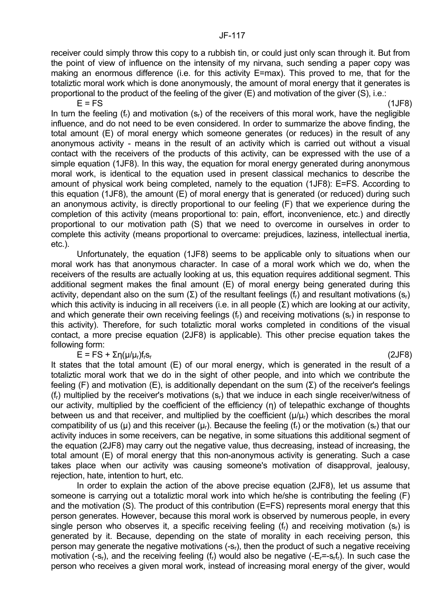receiver could simply throw this copy to a rubbish tin, or could just only scan through it. But from the point of view of influence on the intensity of my nirvana, such sending a paper copy was making an enormous difference (i.e. for this activity E=max). This proved to me, that for the totaliztic moral work which is done anonymously, the amount of moral energy that it generates is proportional to the product of the feeling of the giver (E) and motivation of the giver (S), i.e.:

 $E = FS$  (1JF8) In turn the feeling ( $f<sub>r</sub>$ ) and motivation ( $s<sub>r</sub>$ ) of the receivers of this moral work, have the negligible influence, and do not need to be even considered. In order to summarize the above finding, the total amount (E) of moral energy which someone generates (or reduces) in the result of any anonymous activity - means in the result of an activity which is carried out without a visual contact with the receivers of the products of this activity, can be expressed with the use of a simple equation (1JF8). In this way, the equation for moral energy generated during anonymous moral work, is identical to the equation used in present classical mechanics to describe the amount of physical work being completed, namely to the equation (1JF8): E=FS. According to this equation (1JF8), the amount (E) of moral energy that is generated (or reduced) during such an anonymous activity, is directly proportional to our feeling (F) that we experience during the completion of this activity (means proportional to: pain, effort, inconvenience, etc.) and directly proportional to our motivation path (S) that we need to overcome in ourselves in order to complete this activity (means proportional to overcame: prejudices, laziness, intellectual inertia, etc.).

 Unfortunately, the equation (1JF8) seems to be applicable only to situations when our moral work has that anonymous character. In case of a moral work which we do, when the receivers of the results are actually looking at us, this equation requires additional segment. This additional segment makes the final amount (E) of moral energy being generated during this activity, dependant also on the sum (Σ) of the resultant feelings ( $f<sub>r</sub>$ ) and resultant motivations ( $s<sub>r</sub>$ ) which this activity is inducing in all receivers (i.e. in all people (Σ) which are looking at our activity, and which generate their own receiving feelings  $(f<sub>r</sub>)$  and receiving motivations  $(s<sub>r</sub>)$  in response to this activity). Therefore, for such totaliztic moral works completed in conditions of the visual contact, a more precise equation (2JF8) is applicable). This other precise equation takes the following form:

# $\overline{E}$  = FS +  $\Sigma$ η(μ/μ<sub>r</sub>)f<sub>r</sub>s<sub>r</sub> (2JF8)

It states that the total amount (E) of our moral energy, which is generated in the result of a totaliztic moral work that we do in the sight of other people, and into which we contribute the feeling (F) and motivation (E), is additionally dependant on the sum (Σ) of the receiver's feelings (fr) multiplied by the receiver's motivations (sr) that we induce in each single receiver/witness of our activity, multiplied by the coefficient of the efficiency (η) of telepathic exchange of thoughts between us and that receiver, and multiplied by the coefficient  $(\mu/\mu_r)$  which describes the moral compatibility of us ( $\mu$ ) and this receiver ( $\mu$ <sub>r</sub>). Because the feeling ( $f_r$ ) or the motivation ( $s_r$ ) that our activity induces in some receivers, can be negative, in some situations this additional segment of the equation (2JF8) may carry out the negative value, thus decreasing, instead of increasing, the total amount (E) of moral energy that this non-anonymous activity is generating. Such a case takes place when our activity was causing someone's motivation of disapproval, jealousy, rejection, hate, intention to hurt, etc.

 In order to explain the action of the above precise equation (2JF8), let us assume that someone is carrying out a totaliztic moral work into which he/she is contributing the feeling (F) and the motivation (S). The product of this contribution (E=FS) represents moral energy that this person generates. However, because this moral work is observed by numerous people, in every single person who observes it, a specific receiving feeling  $(f<sub>r</sub>)$  and receiving motivation  $(s<sub>r</sub>)$  is generated by it. Because, depending on the state of morality in each receiving person, this person may generate the negative motivations  $(-s<sub>r</sub>)$ , then the product of such a negative receiving motivation (-s<sub>r</sub>), and the receiving feeling (f<sub>r</sub>) would also be negative (- $E_r = -s_r f_r$ ). In such case the person who receives a given moral work, instead of increasing moral energy of the giver, would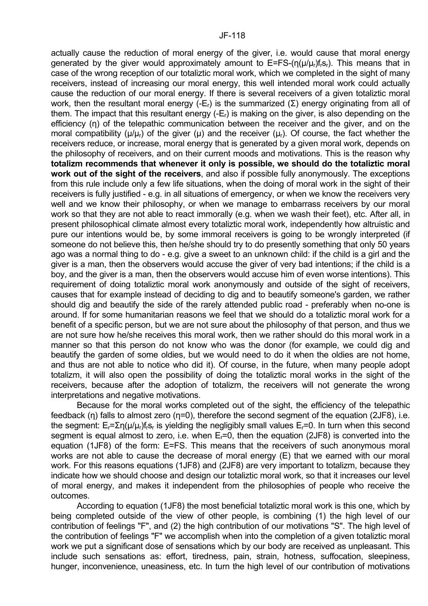actually cause the reduction of moral energy of the giver, i.e. would cause that moral energy generated by the giver would approximately amount to  $E=FS-(n(\mu/\mu_r)f(s_r)$ . This means that in case of the wrong reception of our totaliztic moral work, which we completed in the sight of many receivers, instead of increasing our moral energy, this well intended moral work could actually cause the reduction of our moral energy. If there is several receivers of a given totaliztic moral work, then the resultant moral energy (-E<sub>r</sub>) is the summarized (Σ) energy originating from all of them. The impact that this resultant energy (-Er) is making on the giver, is also depending on the efficiency (η) of the telepathic communication between the receiver and the giver, and on the moral compatibility ( $\mu/\mu_r$ ) of the giver ( $\mu$ ) and the receiver ( $\mu_r$ ). Of course, the fact whether the receivers reduce, or increase, moral energy that is generated by a given moral work, depends on the philosophy of receivers, and on their current moods and motivations. This is the reason why **totalizm recommends that whenever it only is possible, we should do the totaliztic moral work out of the sight of the receivers**, and also if possible fully anonymously. The exceptions from this rule include only a few life situations, when the doing of moral work in the sight of their receivers is fully justified - e.g. in all situations of emergency, or when we know the receivers very well and we know their philosophy, or when we manage to embarrass receivers by our moral work so that they are not able to react immorally (e.g. when we wash their feet), etc. After all, in present philosophical climate almost every totaliztic moral work, independently how altruistic and pure our intentions would be, by some immoral receivers is going to be wrongly interpreted (if someone do not believe this, then he/she should try to do presently something that only 50 years ago was a normal thing to do - e.g. give a sweet to an unknown child: if the child is a girl and the giver is a man, then the observers would accuse the giver of very bad intentions; if the child is a boy, and the giver is a man, then the observers would accuse him of even worse intentions). This requirement of doing totaliztic moral work anonymously and outside of the sight of receivers, causes that for example instead of deciding to dig and to beautify someone's garden, we rather should dig and beautify the side of the rarely attended public road - preferably when no-one is around. If for some humanitarian reasons we feel that we should do a totaliztic moral work for a benefit of a specific person, but we are not sure about the philosophy of that person, and thus we are not sure how he/she receives this moral work, then we rather should do this moral work in a manner so that this person do not know who was the donor (for example, we could dig and beautify the garden of some oldies, but we would need to do it when the oldies are not home, and thus are not able to notice who did it). Of course, in the future, when many people adopt totalizm, it will also open the possibility of doing the totaliztic moral works in the sight of the receivers, because after the adoption of totalizm, the receivers will not generate the wrong interpretations and negative motivations.

 Because for the moral works completed out of the sight, the efficiency of the telepathic feedback (η) falls to almost zero (η=0), therefore the second segment of the equation (2JF8), i.e. the segment:  $E_r = \sum n(\mu/\mu_r) f_r s_r$  is yielding the negligibly small values  $E_r = 0$ . In turn when this second segment is equal almost to zero, i.e. when E<sub>r</sub>=0, then the equation (2JF8) is converted into the equation (1JF8) of the form: E=FS. This means that the receivers of such anonymous moral works are not able to cause the decrease of moral energy (E) that we earned with our moral work. For this reasons equations (1JF8) and (2JF8) are very important to totalizm, because they indicate how we should choose and design our totaliztic moral work, so that it increases our level of moral energy, and makes it independent from the philosophies of people who receive the outcomes.

 According to equation (1JF8) the most beneficial totaliztic moral work is this one, which by being completed outside of the view of other people, is combining (1) the high level of our contribution of feelings "F", and (2) the high contribution of our motivations "S". The high level of the contribution of feelings "F" we accomplish when into the completion of a given totaliztic moral work we put a significant dose of sensations which by our body are received as unpleasant. This include such sensations as: effort, tiredness, pain, strain, hotness, suffocation, sleepiness, hunger, inconvenience, uneasiness, etc. In turn the high level of our contribution of motivations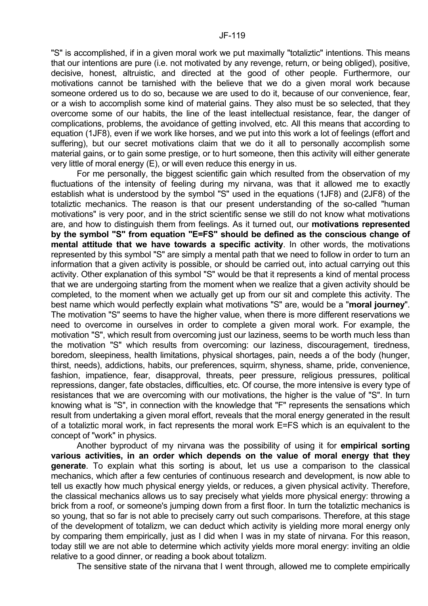"S" is accomplished, if in a given moral work we put maximally "totaliztic" intentions. This means that our intentions are pure (i.e. not motivated by any revenge, return, or being obliged), positive, decisive, honest, altruistic, and directed at the good of other people. Furthermore, our motivations cannot be tarnished with the believe that we do a given moral work because someone ordered us to do so, because we are used to do it, because of our convenience, fear, or a wish to accomplish some kind of material gains. They also must be so selected, that they overcome some of our habits, the line of the least intellectual resistance, fear, the danger of complications, problems, the avoidance of getting involved, etc. All this means that according to equation (1JF8), even if we work like horses, and we put into this work a lot of feelings (effort and suffering), but our secret motivations claim that we do it all to personally accomplish some material gains, or to gain some prestige, or to hurt someone, then this activity will either generate very little of moral energy (E), or will even reduce this energy in us.

 For me personally, the biggest scientific gain which resulted from the observation of my fluctuations of the intensity of feeling during my nirvana, was that it allowed me to exactly establish what is understood by the symbol "S" used in the equations (1JF8) and (2JF8) of the totaliztic mechanics. The reason is that our present understanding of the so-called "human motivations" is very poor, and in the strict scientific sense we still do not know what motivations are, and how to distinguish them from feelings. As it turned out, our **motivations represented by the symbol "S" from equation "E=FS" should be defined as the conscious change of mental attitude that we have towards a specific activity**. In other words, the motivations represented by this symbol "S" are simply a mental path that we need to follow in order to turn an information that a given activity is possible, or should be carried out, into actual carrying out this activity. Other explanation of this symbol "S" would be that it represents a kind of mental process that we are undergoing starting from the moment when we realize that a given activity should be completed, to the moment when we actually get up from our sit and complete this activity. The best name which would perfectly explain what motivations "S" are, would be a "**moral journey**". The motivation "S" seems to have the higher value, when there is more different reservations we need to overcome in ourselves in order to complete a given moral work. For example, the motivation "S", which result from overcoming just our laziness, seems to be worth much less than the motivation "S" which results from overcoming: our laziness, discouragement, tiredness, boredom, sleepiness, health limitations, physical shortages, pain, needs a of the body (hunger, thirst, needs), addictions, habits, our preferences, squirm, shyness, shame, pride, convenience, fashion, impatience, fear, disapproval, threats, peer pressure, religious pressures, political repressions, danger, fate obstacles, difficulties, etc. Of course, the more intensive is every type of resistances that we are overcoming with our motivations, the higher is the value of "S". In turn knowing what is "S", in connection with the knowledge that "F" represents the sensations which result from undertaking a given moral effort, reveals that the moral energy generated in the result of a totaliztic moral work, in fact represents the moral work E=FS which is an equivalent to the concept of "work" in physics.

 Another byproduct of my nirvana was the possibility of using it for **empirical sorting various activities, in an order which depends on the value of moral energy that they generate**. To explain what this sorting is about, let us use a comparison to the classical mechanics, which after a few centuries of continuous research and development, is now able to tell us exactly how much physical energy yields, or reduces, a given physical activity. Therefore, the classical mechanics allows us to say precisely what yields more physical energy: throwing a brick from a roof, or someone's jumping down from a first floor. In turn the totaliztic mechanics is so young, that so far is not able to precisely carry out such comparisons. Therefore, at this stage of the development of totalizm, we can deduct which activity is yielding more moral energy only by comparing them empirically, just as I did when I was in my state of nirvana. For this reason, today still we are not able to determine which activity yields more moral energy: inviting an oldie relative to a good dinner, or reading a book about totalizm.

The sensitive state of the nirvana that I went through, allowed me to complete empirically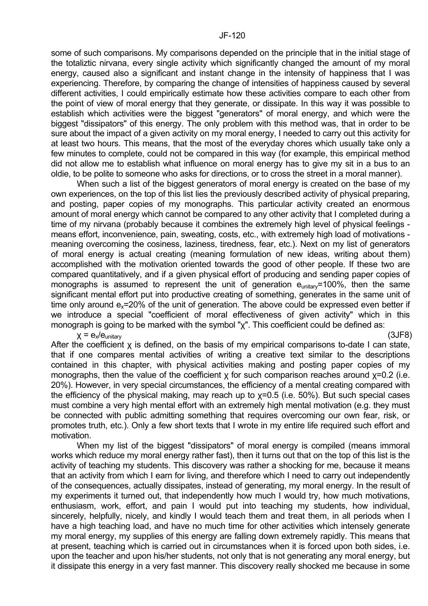some of such comparisons. My comparisons depended on the principle that in the initial stage of the totaliztic nirvana, every single activity which significantly changed the amount of my moral energy, caused also a significant and instant change in the intensity of happiness that I was experiencing. Therefore, by comparing the change of intensities of happiness caused by several different activities, I could empirically estimate how these activities compare to each other from the point of view of moral energy that they generate, or dissipate. In this way it was possible to establish which activities were the biggest "generators" of moral energy, and which were the biggest "dissipators" of this energy. The only problem with this method was, that in order to be sure about the impact of a given activity on my moral energy, I needed to carry out this activity for at least two hours. This means, that the most of the everyday chores which usually take only a few minutes to complete, could not be compared in this way (for example, this empirical method did not allow me to establish what influence on moral energy has to give my sit in a bus to an oldie, to be polite to someone who asks for directions, or to cross the street in a moral manner).

 When such a list of the biggest generators of moral energy is created on the base of my own experiences, on the top of this list lies the previously described activity of physical preparing, and posting, paper copies of my monographs. This particular activity created an enormous amount of moral energy which cannot be compared to any other activity that I completed during a time of my nirvana (probably because it combines the extremely high level of physical feelings means effort, inconvenience, pain, sweating, costs, etc., with extremely high load of motivations meaning overcoming the cosiness, laziness, tiredness, fear, etc.). Next on my list of generators of moral energy is actual creating (meaning formulation of new ideas, writing about them) accomplished with the motivation oriented towards the good of other people. If these two are compared quantitatively, and if a given physical effort of producing and sending paper copies of monographs is assumed to represent the unit of generation e<sub>unitary</sub>=100%, then the same significant mental effort put into productive creating of something, generates in the same unit of time only around  $e_x = 20\%$  of the unit of generation. The above could be expressed even better if we introduce a special "coefficient of moral effectiveness of given activity" which in this monograph is going to be marked with the symbol "χ". This coefficient could be defined as:

 $\mathsf{X} = \mathsf{e}_{\mathsf{x}}/\mathsf{e}_{\mathsf{unitary}}$  (3JF8)

After the coefficient χ is defined, on the basis of my empirical comparisons to-date I can state, that if one compares mental activities of writing a creative text similar to the descriptions contained in this chapter, with physical activities making and posting paper copies of my monographs, then the value of the coefficient  $x$  for such comparison reaches around  $x=0.2$  (i.e. 20%). However, in very special circumstances, the efficiency of a mental creating compared with the efficiency of the physical making, may reach up to χ=0.5 (i.e. 50%). But such special cases must combine a very high mental effort with an extremely high mental motivation (e.g. they must be connected with public admitting something that requires overcoming our own fear, risk, or promotes truth, etc.). Only a few short texts that I wrote in my entire life required such effort and motivation.

 When my list of the biggest "dissipators" of moral energy is compiled (means immoral works which reduce my moral energy rather fast), then it turns out that on the top of this list is the activity of teaching my students. This discovery was rather a shocking for me, because it means that an activity from which I earn for living, and therefore which I need to carry out independently of the consequences, actually dissipates, instead of generating, my moral energy. In the result of my experiments it turned out, that independently how much I would try, how much motivations, enthusiasm, work, effort, and pain I would put into teaching my students, how individual, sincerely, helpfully, nicely, and kindly I would teach them and treat them, in all periods when I have a high teaching load, and have no much time for other activities which intensely generate my moral energy, my supplies of this energy are falling down extremely rapidly. This means that at present, teaching which is carried out in circumstances when it is forced upon both sides, i.e. upon the teacher and upon his/her students, not only that is not generating any moral energy, but it dissipate this energy in a very fast manner. This discovery really shocked me because in some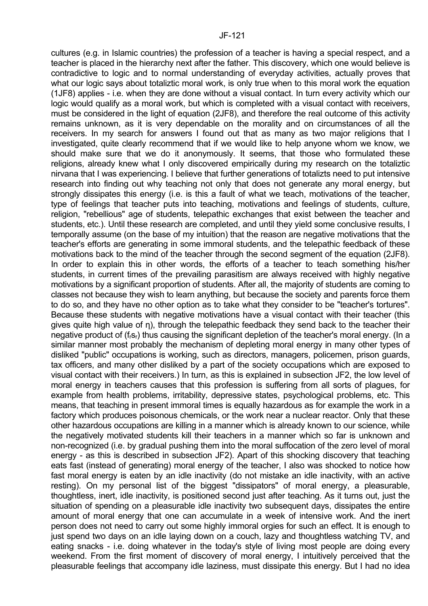cultures (e.g. in Islamic countries) the profession of a teacher is having a special respect, and a teacher is placed in the hierarchy next after the father. This discovery, which one would believe is contradictive to logic and to normal understanding of everyday activities, actually proves that what our logic says about totaliztic moral work, is only true when to this moral work the equation (1JF8) applies - i.e. when they are done without a visual contact. In turn every activity which our logic would qualify as a moral work, but which is completed with a visual contact with receivers, must be considered in the light of equation (2JF8), and therefore the real outcome of this activity remains unknown, as it is very dependable on the morality and on circumstances of all the receivers. In my search for answers I found out that as many as two major religions that I investigated, quite clearly recommend that if we would like to help anyone whom we know, we should make sure that we do it anonymously. It seems, that those who formulated these religions, already knew what I only discovered empirically during my research on the totaliztic nirvana that I was experiencing. I believe that further generations of totalizts need to put intensive research into finding out why teaching not only that does not generate any moral energy, but strongly dissipates this energy (i.e. is this a fault of what we teach, motivations of the teacher, type of feelings that teacher puts into teaching, motivations and feelings of students, culture, religion, "rebellious" age of students, telepathic exchanges that exist between the teacher and students, etc.). Until these research are completed, and until they yield some conclusive results, I temporally assume (on the base of my intuition) that the reason are negative motivations that the teacher's efforts are generating in some immoral students, and the telepathic feedback of these motivations back to the mind of the teacher through the second segment of the equation (2JF8). In order to explain this in other words, the efforts of a teacher to teach something his/her students, in current times of the prevailing parasitism are always received with highly negative motivations by a significant proportion of students. After all, the majority of students are coming to classes not because they wish to learn anything, but because the society and parents force them to do so, and they have no other option as to take what they consider to be "teacher's tortures". Because these students with negative motivations have a visual contact with their teacher (this gives quite high value of η), through the telepathic feedback they send back to the teacher their negative product of (f<sub>isr</sub>) thus causing the significant depletion of the teacher's moral energy. (In a similar manner most probably the mechanism of depleting moral energy in many other types of disliked "public" occupations is working, such as directors, managers, policemen, prison guards, tax officers, and many other disliked by a part of the society occupations which are exposed to visual contact with their receivers.) In turn, as this is explained in subsection JF2, the low level of moral energy in teachers causes that this profession is suffering from all sorts of plagues, for example from health problems, irritability, depressive states, psychological problems, etc. This means, that teaching in present immoral times is equally hazardous as for example the work in a factory which produces poisonous chemicals, or the work near a nuclear reactor. Only that these other hazardous occupations are killing in a manner which is already known to our science, while the negatively motivated students kill their teachers in a manner which so far is unknown and non-recognized (i.e. by gradual pushing them into the moral suffocation of the zero level of moral energy - as this is described in subsection JF2). Apart of this shocking discovery that teaching eats fast (instead of generating) moral energy of the teacher, I also was shocked to notice how fast moral energy is eaten by an idle inactivity (do not mistake an idle inactivity, with an active resting). On my personal list of the biggest "dissipators" of moral energy, a pleasurable, thoughtless, inert, idle inactivity, is positioned second just after teaching. As it turns out, just the situation of spending on a pleasurable idle inactivity two subsequent days, dissipates the entire amount of moral energy that one can accumulate in a week of intensive work. And the inert person does not need to carry out some highly immoral orgies for such an effect. It is enough to just spend two days on an idle laying down on a couch, lazy and thoughtless watching TV, and eating snacks - i.e. doing whatever in the today's style of living most people are doing every weekend. From the first moment of discovery of moral energy, I intuitively perceived that the pleasurable feelings that accompany idle laziness, must dissipate this energy. But I had no idea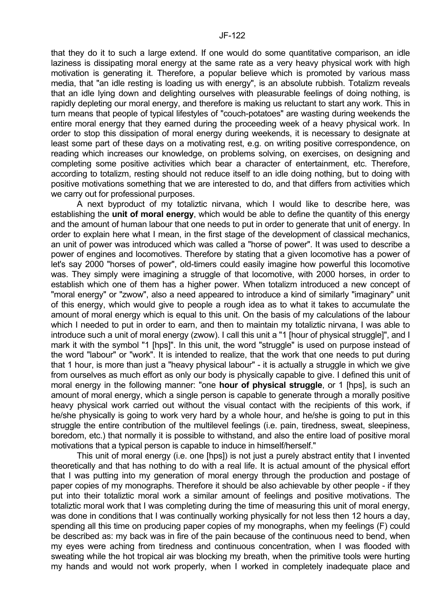that they do it to such a large extend. If one would do some quantitative comparison, an idle laziness is dissipating moral energy at the same rate as a very heavy physical work with high motivation is generating it. Therefore, a popular believe which is promoted by various mass media, that "an idle resting is loading us with energy", is an absolute rubbish. Totalizm reveals that an idle lying down and delighting ourselves with pleasurable feelings of doing nothing, is rapidly depleting our moral energy, and therefore is making us reluctant to start any work. This in turn means that people of typical lifestyles of "couch-potatoes" are wasting during weekends the entire moral energy that they earned during the proceeding week of a heavy physical work. In order to stop this dissipation of moral energy during weekends, it is necessary to designate at least some part of these days on a motivating rest, e.g. on writing positive correspondence, on reading which increases our knowledge, on problems solving, on exercises, on designing and completing some positive activities which bear a character of entertainment, etc. Therefore, according to totalizm, resting should not reduce itself to an idle doing nothing, but to doing with positive motivations something that we are interested to do, and that differs from activities which we carry out for professional purposes.

 A next byproduct of my totaliztic nirvana, which I would like to describe here, was establishing the **unit of moral energy**, which would be able to define the quantity of this energy and the amount of human labour that one needs to put in order to generate that unit of energy. In order to explain here what I mean, in the first stage of the development of classical mechanics, an unit of power was introduced which was called a "horse of power". It was used to describe a power of engines and locomotives. Therefore by stating that a given locomotive has a power of let's say 2000 "horses of power", old-timers could easily imagine how powerful this locomotive was. They simply were imagining a struggle of that locomotive, with 2000 horses, in order to establish which one of them has a higher power. When totalizm introduced a new concept of "moral energy" or "zwow", also a need appeared to introduce a kind of similarly "imaginary" unit of this energy, which would give to people a rough idea as to what it takes to accumulate the amount of moral energy which is equal to this unit. On the basis of my calculations of the labour which I needed to put in order to earn, and then to maintain my totaliztic nirvana. I was able to introduce such a unit of moral energy (zwow). I call this unit a "1 [hour of physical struggle]", and I mark it with the symbol "1 [hps]". In this unit, the word "struggle" is used on purpose instead of the word "labour" or "work". It is intended to realize, that the work that one needs to put during that 1 hour, is more than just a "heavy physical labour" - it is actually a struggle in which we give from ourselves as much effort as only our body is physically capable to give. I defined this unit of moral energy in the following manner: "one **hour of physical struggle**, or 1 [hps], is such an amount of moral energy, which a single person is capable to generate through a morally positive heavy physical work carried out without the visual contact with the recipients of this work, if he/she physically is going to work very hard by a whole hour, and he/she is going to put in this struggle the entire contribution of the multilevel feelings (i.e. pain, tiredness, sweat, sleepiness, boredom, etc.) that normally it is possible to withstand, and also the entire load of positive moral motivations that a typical person is capable to induce in himself/herself."

 This unit of moral energy (i.e. one [hps]) is not just a purely abstract entity that I invented theoretically and that has nothing to do with a real life. It is actual amount of the physical effort that I was putting into my generation of moral energy through the production and postage of paper copies of my monographs. Therefore it should be also achievable by other people - if they put into their totaliztic moral work a similar amount of feelings and positive motivations. The totaliztic moral work that I was completing during the time of measuring this unit of moral energy, was done in conditions that I was continually working physically for not less then 12 hours a day, spending all this time on producing paper copies of my monographs, when my feelings (F) could be described as: my back was in fire of the pain because of the continuous need to bend, when my eyes were aching from tiredness and continuous concentration, when I was flooded with sweating while the hot tropical air was blocking my breath, when the primitive tools were hurting my hands and would not work properly, when I worked in completely inadequate place and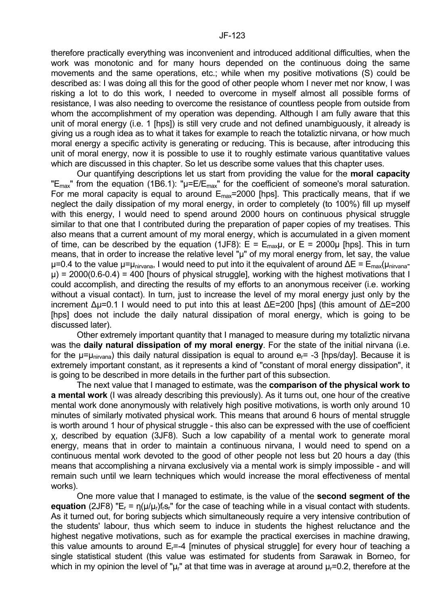therefore practically everything was inconvenient and introduced additional difficulties, when the work was monotonic and for many hours depended on the continuous doing the same movements and the same operations, etc.; while when my positive motivations (S) could be described as: I was doing all this for the good of other people whom I never met nor know, I was risking a lot to do this work, I needed to overcome in myself almost all possible forms of resistance, I was also needing to overcome the resistance of countless people from outside from whom the accomplishment of my operation was depending. Although I am fully aware that this unit of moral energy (i.e. 1 [hps]) is still very crude and not defined unambiguously, it already is giving us a rough idea as to what it takes for example to reach the totaliztic nirvana, or how much moral energy a specific activity is generating or reducing. This is because, after introducing this unit of moral energy, now it is possible to use it to roughly estimate various quantitative values which are discussed in this chapter. So let us describe some values that this chapter uses.

 Our quantifying descriptions let us start from providing the value for the **moral capacity** "E<sub>max</sub>" from the equation (1B6.1): " $\mu$ =E/E<sub>max</sub>" for the coefficient of someone's moral saturation. For me moral capacity is equal to around  $E_{\text{max}}$ =2000 [hps]. This practically means, that if we neglect the daily dissipation of my moral energy, in order to completely (to 100%) fill up myself with this energy, I would need to spend around 2000 hours on continuous physical struggle similar to that one that I contributed during the preparation of paper copies of my treatises. This also means that a current amount of my moral energy, which is accumulated in a given moment of time, can be described by the equation (1JF8):  $E = E_{max} \mu$ , or  $E = 2000 \mu$  [hps]. This in turn means, that in order to increase the relative level " $\mu$ " of my moral energy from, let say, the value µ=0.4 to the value µ=µ<sub>nirvana</sub>, I would need to put into it the equivalent of around ∆E = E<sub>max</sub>(µ<sub>nirvana</sub>- $\mu$ ) = 2000(0.6-0.4) = 400 [hours of physical struggle], working with the highest motivations that I could accomplish, and directing the results of my efforts to an anonymous receiver (i.e. working without a visual contact). In turn, just to increase the level of my moral energy just only by the increment ∆µ=0.1 I would need to put into this at least ∆E=200 [hps] (this amount of ∆E=200 [hps] does not include the daily natural dissipation of moral energy, which is going to be discussed later).

 Other extremely important quantity that I managed to measure during my totaliztic nirvana was the **daily natural dissipation of my moral energy**. For the state of the initial nirvana (i.e. for the  $\mu = \mu_{\text{nivana}}$ ) this daily natural dissipation is equal to around  $e_r = -3$  [hps/day]. Because it is extremely important constant, as it represents a kind of "constant of moral energy dissipation", it is going to be described in more details in the further part of this subsection.

 The next value that I managed to estimate, was the **comparison of the physical work to a mental work** (I was already describing this previously). As it turns out, one hour of the creative mental work done anonymously with relatively high positive motivations, is worth only around 10 minutes of similarly motivated physical work. This means that around 6 hours of mental struggle is worth around 1 hour of physical struggle - this also can be expressed with the use of coefficient χ, described by equation (3JF8). Such a low capability of a mental work to generate moral energy, means that in order to maintain a continuous nirvana, I would need to spend on a continuous mental work devoted to the good of other people not less but 20 hours a day (this means that accomplishing a nirvana exclusively via a mental work is simply impossible - and will remain such until we learn techniques which would increase the moral effectiveness of mental works).

 One more value that I managed to estimate, is the value of the **second segment of the equation** (2JF8) "E<sub>r</sub> =  $n(\mu/\mu_r)$ f<sub>r</sub>s<sub>r</sub>" for the case of teaching while in a visual contact with students. As it turned out, for boring subjects which simultaneously require a very intensive contribution of the students' labour, thus which seem to induce in students the highest reluctance and the highest negative motivations, such as for example the practical exercises in machine drawing, this value amounts to around  $E_r = -4$  [minutes of physical struggle] for every hour of teaching a single statistical student (this value was estimated for students from Sarawak in Borneo, for which in my opinion the level of " $\mu_r$ " at that time was in average at around  $\mu_r$ =0.2, therefore at the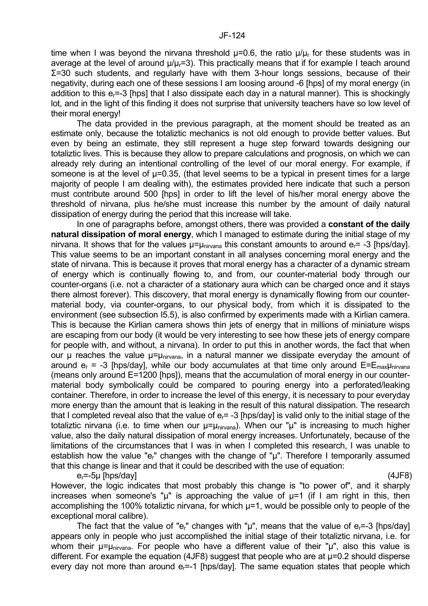time when I was beyond the nirvana threshold  $\mu$ =0.6, the ratio  $\mu/\mu_r$  for these students was in average at the level of around  $\mu/\mu = 3$ ). This practically means that if for example I teach around Σ=30 such students, and regularly have with them 3-hour longs sessions, because of their negativity, during each one of these sessions I am loosing around -6 [hps] of my moral energy (in addition to this  $e_i = -3$  [hps] that I also dissipate each day in a natural manner). This is shockingly lot, and in the light of this finding it does not surprise that university teachers have so low level of their moral energy!

 The data provided in the previous paragraph, at the moment should be treated as an estimate only, because the totaliztic mechanics is not old enough to provide better values. But even by being an estimate, they still represent a huge step forward towards designing our totaliztic lives. This is because they allow to prepare calculations and prognosis, on which we can already rely during an intentional controlling of the level of our moral energy. For example, if someone is at the level of  $\mu$ =0.35, (that level seems to be a typical in present times for a large majority of people I am dealing with), the estimates provided here indicate that such a person must contribute around 500 [hps] in order to lift the level of his/her moral energy above the threshold of nirvana, plus he/she must increase this number by the amount of daily natural dissipation of energy during the period that this increase will take.

 In one of paragraphs before, amongst others, there was provided a **constant of the daily natural dissipation of moral energy**, which I managed to estimate during the initial stage of my nirvana. It shows that for the values  $\mu = \mu_{\text{nivana}}$  this constant amounts to around  $e_r = -3$  [hps/day]. This value seems to be an important constant in all analyses concerning moral energy and the state of nirvana. This is because it proves that moral energy has a character of a dynamic stream of energy which is continually flowing to, and from, our counter-material body through our counter-organs (i.e. not a character of a stationary aura which can be charged once and it stays there almost forever). This discovery, that moral energy is dynamically flowing from our countermaterial body, via counter-organs, to our physical body, from which it is dissipated to the environment (see subsection I5.5), is also confirmed by experiments made with a Kirlian camera. This is because the Kirlian camera shows thin jets of energy that in millions of miniature wisps are escaping from our body (it would be very interesting to see how these jets of energy compare for people with, and without, a nirvana). In order to put this in another words, the fact that when our  $\mu$  reaches the value  $\mu = \mu_{\text{nirvana}}$ , in a natural manner we dissipate everyday the amount of around  $e_r$  = -3 [hps/day], while our body accumulates at that time only around  $E=E_{\text{max}}\mu_{\text{nivana}}$ (means only around E=1200 [hps]), means that the accumulation of moral energy in our countermaterial body symbolically could be compared to pouring energy into a perforated/leaking container. Therefore, in order to increase the level of this energy, it is necessary to pour everyday more energy than the amount that is leaking in the result of this natural dissipation. The research that I completed reveal also that the value of  $e<sub>r</sub>= -3$  [hps/day] is valid only to the initial stage of the totaliztic nirvana (i.e. to time when our  $\mu = \mu_{\text{nivana}}$ ). When our " $\mu$ " is increasing to much higher value, also the daily natural dissipation of moral energy increases. Unfortunately, because of the limitations of the circumstances that I was in when I completed this research, I was unable to establish how the value "e<sub>r</sub>" changes with the change of "µ". Therefore I temporarily assumed that this change is linear and that it could be described with the use of equation:

 $e_r = -5\mu$  [hps/day] (4JF8)

However, the logic indicates that most probably this change is "to power of", and it sharply increases when someone's " $\mu$ " is approaching the value of  $\mu$ =1 (if I am right in this, then accomplishing the 100% totaliztic nirvana, for which  $\mu$ =1, would be possible only to people of the exceptional moral calibre).

The fact that the value of "e<sub>r</sub>" changes with " $\mu$ ", means that the value of e<sub>r</sub>=-3 [hps/day] appears only in people who just accomplished the initial stage of their totaliztic nirvana, i.e. for whom their  $\mu = \mu_{\text{hirvana}}$ . For people who have a different value of their " $\mu$ ", also this value is different. For example the equation (4JF8) suggest that people who are at  $\mu$ =0.2 should disperse every day not more than around  $e<sub>r</sub>=-1$  [hps/day]. The same equation states that people which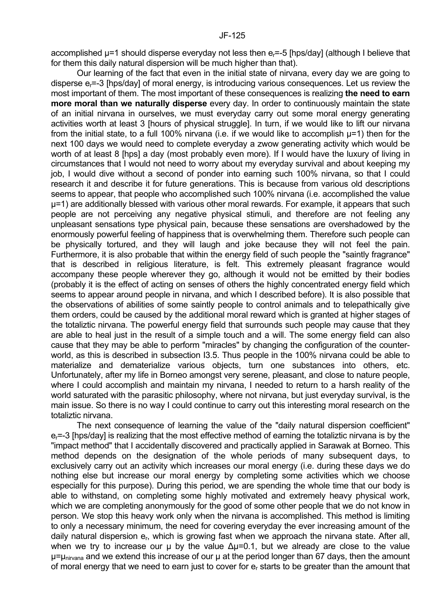accomplished µ=1 should disperse everyday not less then er=-5 [hps/day] (although I believe that for them this daily natural dispersion will be much higher than that).

 Our learning of the fact that even in the initial state of nirvana, every day we are going to disperse e<sub>r</sub>=-3 [hps/day] of moral energy, is introducing various consequences. Let us review the most important of them. The most important of these consequences is realizing **the need to earn more moral than we naturally disperse** every day. In order to continuously maintain the state of an initial nirvana in ourselves, we must everyday carry out some moral energy generating activities worth at least 3 [hours of physical struggle]. In turn, if we would like to lift our nirvana from the initial state, to a full 100% nirvana (i.e. if we would like to accomplish  $\mu$ =1) then for the next 100 days we would need to complete everyday a zwow generating activity which would be worth of at least 8 [hps] a day (most probably even more). If I would have the luxury of living in circumstances that I would not need to worry about my everyday survival and about keeping my job, I would dive without a second of ponder into earning such 100% nirvana, so that I could research it and describe it for future generations. This is because from various old descriptions seems to appear, that people who accomplished such 100% nirvana (i.e. accomplished the value µ=1) are additionally blessed with various other moral rewards. For example, it appears that such people are not perceiving any negative physical stimuli, and therefore are not feeling any unpleasant sensations type physical pain, because these sensations are overshadowed by the enormously powerful feeling of happiness that is overwhelming them. Therefore such people can be physically tortured, and they will laugh and joke because they will not feel the pain. Furthermore, it is also probable that within the energy field of such people the "saintly fragrance" that is described in religious literature, is felt. This extremely pleasant fragrance would accompany these people wherever they go, although it would not be emitted by their bodies (probably it is the effect of acting on senses of others the highly concentrated energy field which seems to appear around people in nirvana, and which I described before). It is also possible that the observations of abilities of some saintly people to control animals and to telepathically give them orders, could be caused by the additional moral reward which is granted at higher stages of the totaliztic nirvana. The powerful energy field that surrounds such people may cause that they are able to heal just in the result of a simple touch and a will. The some energy field can also cause that they may be able to perform "miracles" by changing the configuration of the counterworld, as this is described in subsection I3.5. Thus people in the 100% nirvana could be able to materialize and dematerialize various objects, turn one substances into others, etc. Unfortunately, after my life in Borneo amongst very serene, pleasant, and close to nature people, where I could accomplish and maintain my nirvana, I needed to return to a harsh reality of the world saturated with the parasitic philosophy, where not nirvana, but just everyday survival, is the main issue. So there is no way I could continue to carry out this interesting moral research on the totaliztic nirvana.

 The next consequence of learning the value of the "daily natural dispersion coefficient"  $e_r$ =-3 [hps/day] is realizing that the most effective method of earning the totaliztic nirvana is by the "impact method" that I accidentally discovered and practically applied in Sarawak at Borneo. This method depends on the designation of the whole periods of many subsequent days, to exclusively carry out an activity which increases our moral energy (i.e. during these days we do nothing else but increase our moral energy by completing some activities which we choose especially for this purpose). During this period, we are spending the whole time that our body is able to withstand, on completing some highly motivated and extremely heavy physical work, which we are completing anonymously for the good of some other people that we do not know in person. We stop this heavy work only when the nirvana is accomplished. This method is limiting to only a necessary minimum, the need for covering everyday the ever increasing amount of the daily natural dispersion  $e_r$ , which is growing fast when we approach the nirvana state. After all, when we try to increase our  $\mu$  by the value  $\Delta \mu$ =0.1, but we already are close to the value u=unirvana and we extend this increase of our u at the period longer than 67 days, then the amount of moral energy that we need to earn just to cover for er starts to be greater than the amount that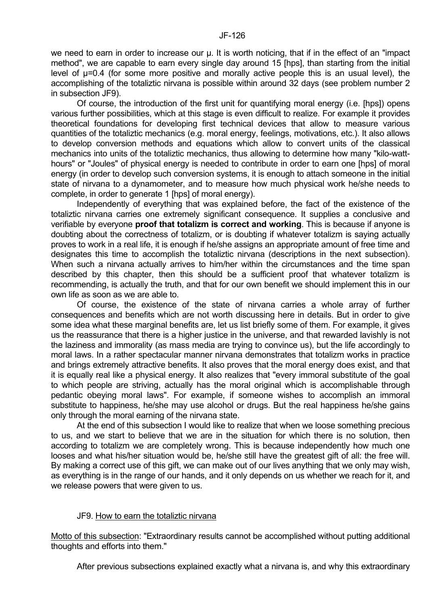we need to earn in order to increase our  $\mu$ . It is worth noticing, that if in the effect of an "impact method", we are capable to earn every single day around 15 [hps], than starting from the initial level of µ=0.4 (for some more positive and morally active people this is an usual level), the accomplishing of the totaliztic nirvana is possible within around 32 days (see problem number 2 in subsection JF9).

 Of course, the introduction of the first unit for quantifying moral energy (i.e. [hps]) opens various further possibilities, which at this stage is even difficult to realize. For example it provides theoretical foundations for developing first technical devices that allow to measure various quantities of the totaliztic mechanics (e.g. moral energy, feelings, motivations, etc.). It also allows to develop conversion methods and equations which allow to convert units of the classical mechanics into units of the totaliztic mechanics, thus allowing to determine how many "kilo-watthours" or "Joules" of physical energy is needed to contribute in order to earn one [hps] of moral energy (in order to develop such conversion systems, it is enough to attach someone in the initial state of nirvana to a dynamometer, and to measure how much physical work he/she needs to complete, in order to generate 1 [hps] of moral energy).

 Independently of everything that was explained before, the fact of the existence of the totaliztic nirvana carries one extremely significant consequence. It supplies a conclusive and verifiable by everyone **proof that totalizm is correct and working**. This is because if anyone is doubting about the correctness of totalizm, or is doubting if whatever totalizm is saying actually proves to work in a real life, it is enough if he/she assigns an appropriate amount of free time and designates this time to accomplish the totaliztic nirvana (descriptions in the next subsection). When such a nirvana actually arrives to him/her within the circumstances and the time span described by this chapter, then this should be a sufficient proof that whatever totalizm is recommending, is actually the truth, and that for our own benefit we should implement this in our own life as soon as we are able to.

 Of course, the existence of the state of nirvana carries a whole array of further consequences and benefits which are not worth discussing here in details. But in order to give some idea what these marginal benefits are, let us list briefly some of them. For example, it gives us the reassurance that there is a higher justice in the universe, and that rewarded lavishly is not the laziness and immorality (as mass media are trying to convince us), but the life accordingly to moral laws. In a rather spectacular manner nirvana demonstrates that totalizm works in practice and brings extremely attractive benefits. It also proves that the moral energy does exist, and that it is equally real like a physical energy. It also realizes that "every immoral substitute of the goal to which people are striving, actually has the moral original which is accomplishable through pedantic obeying moral laws". For example, if someone wishes to accomplish an immoral substitute to happiness, he/she may use alcohol or drugs. But the real happiness he/she gains only through the moral earning of the nirvana state.

 At the end of this subsection I would like to realize that when we loose something precious to us, and we start to believe that we are in the situation for which there is no solution, then according to totalizm we are completely wrong. This is because independently how much one looses and what his/her situation would be, he/she still have the greatest gift of all: the free will. By making a correct use of this gift, we can make out of our lives anything that we only may wish, as everything is in the range of our hands, and it only depends on us whether we reach for it, and we release powers that were given to us.

# JF9. How to earn the totaliztic nirvana

Motto of this subsection: "Extraordinary results cannot be accomplished without putting additional thoughts and efforts into them."

After previous subsections explained exactly what a nirvana is, and why this extraordinary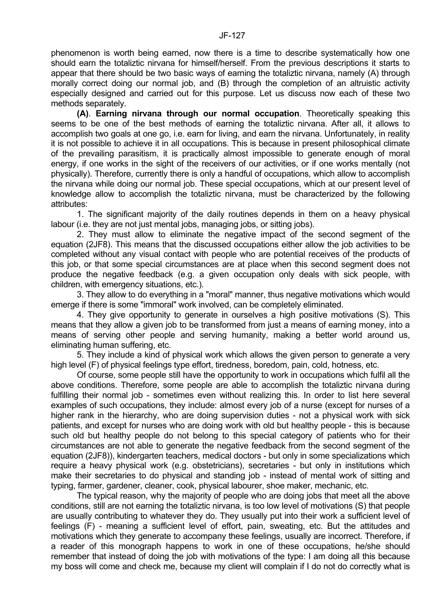phenomenon is worth being earned, now there is a time to describe systematically how one should earn the totaliztic nirvana for himself/herself. From the previous descriptions it starts to appear that there should be two basic ways of earning the totaliztic nirvana, namely (A) through morally correct doing our normal job, and (B) through the completion of an altruistic activity especially designed and carried out for this purpose. Let us discuss now each of these two methods separately.

 **(A)**. **Earning nirvana through our normal occupation**. Theoretically speaking this seems to be one of the best methods of earning the totaliztic nirvana. After all, it allows to accomplish two goals at one go, i.e. earn for living, and earn the nirvana. Unfortunately, in reality it is not possible to achieve it in all occupations. This is because in present philosophical climate of the prevailing parasitism, it is practically almost impossible to generate enough of moral energy, if one works in the sight of the receivers of our activities, or if one works mentally (not physically). Therefore, currently there is only a handful of occupations, which allow to accomplish the nirvana while doing our normal job. These special occupations, which at our present level of knowledge allow to accomplish the totaliztic nirvana, must be characterized by the following attributes:

 1. The significant majority of the daily routines depends in them on a heavy physical labour (i.e. they are not just mental jobs, managing jobs, or sitting jobs).

 2. They must allow to eliminate the negative impact of the second segment of the equation (2JF8). This means that the discussed occupations either allow the job activities to be completed without any visual contact with people who are potential receives of the products of this job, or that some special circumstances are at place when this second segment does not produce the negative feedback (e.g. a given occupation only deals with sick people, with children, with emergency situations, etc.).

 3. They allow to do everything in a "moral" manner, thus negative motivations which would emerge if there is some "immoral" work involved, can be completely eliminated.

 4. They give opportunity to generate in ourselves a high positive motivations (S). This means that they allow a given job to be transformed from just a means of earning money, into a means of serving other people and serving humanity, making a better world around us, eliminating human suffering, etc.

 5. They include a kind of physical work which allows the given person to generate a very high level (F) of physical feelings type effort, tiredness, boredom, pain, cold, hotness, etc.

 Of course, some people still have the opportunity to work in occupations which fulfil all the above conditions. Therefore, some people are able to accomplish the totaliztic nirvana during fulfilling their normal job - sometimes even without realizing this. In order to list here several examples of such occupations, they include: almost every job of a nurse (except for nurses of a higher rank in the hierarchy, who are doing supervision duties - not a physical work with sick patients, and except for nurses who are doing work with old but healthy people - this is because such old but healthy people do not belong to this special category of patients who for their circumstances are not able to generate the negative feedback from the second segment of the equation (2JF8)), kindergarten teachers, medical doctors - but only in some specializations which require a heavy physical work (e.g. obstetricians), secretaries - but only in institutions which make their secretaries to do physical and standing job - instead of mental work of sitting and typing, farmer, gardener, cleaner, cook, physical labourer, shoe maker, mechanic, etc.

 The typical reason, why the majority of people who are doing jobs that meet all the above conditions, still are not earning the totaliztic nirvana, is too low level of motivations (S) that people are usually contributing to whatever they do. They usually put into their work a sufficient level of feelings (F) - meaning a sufficient level of effort, pain, sweating, etc. But the attitudes and motivations which they generate to accompany these feelings, usually are incorrect. Therefore, if a reader of this monograph happens to work in one of these occupations, he/she should remember that instead of doing the job with motivations of the type: I am doing all this because my boss will come and check me, because my client will complain if I do not do correctly what is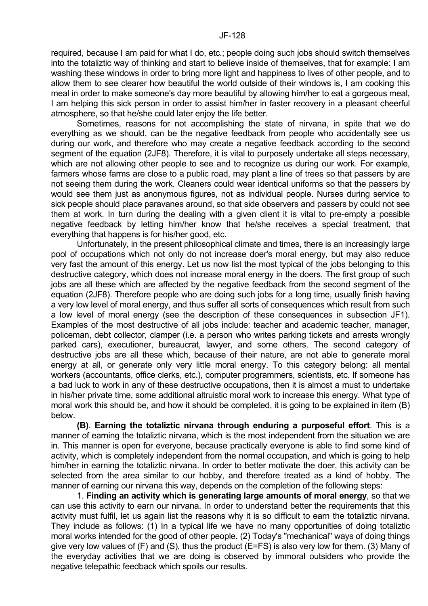required, because I am paid for what I do, etc.; people doing such jobs should switch themselves into the totaliztic way of thinking and start to believe inside of themselves, that for example: I am washing these windows in order to bring more light and happiness to lives of other people, and to allow them to see clearer how beautiful the world outside of their windows is, I am cooking this meal in order to make someone's day more beautiful by allowing him/her to eat a gorgeous meal, I am helping this sick person in order to assist him/her in faster recovery in a pleasant cheerful atmosphere, so that he/she could later enjoy the life better.

 Sometimes, reasons for not accomplishing the state of nirvana, in spite that we do everything as we should, can be the negative feedback from people who accidentally see us during our work, and therefore who may create a negative feedback according to the second segment of the equation (2JF8). Therefore, it is vital to purposely undertake all steps necessary, which are not allowing other people to see and to recognize us during our work. For example, farmers whose farms are close to a public road, may plant a line of trees so that passers by are not seeing them during the work. Cleaners could wear identical uniforms so that the passers by would see them just as anonymous figures, not as individual people. Nurses during service to sick people should place paravanes around, so that side observers and passers by could not see them at work. In turn during the dealing with a given client it is vital to pre-empty a possible negative feedback by letting him/her know that he/she receives a special treatment, that everything that happens is for his/her good, etc.

 Unfortunately, in the present philosophical climate and times, there is an increasingly large pool of occupations which not only do not increase doer's moral energy, but may also reduce very fast the amount of this energy. Let us now list the most typical of the jobs belonging to this destructive category, which does not increase moral energy in the doers. The first group of such jobs are all these which are affected by the negative feedback from the second segment of the equation (2JF8). Therefore people who are doing such jobs for a long time, usually finish having a very low level of moral energy, and thus suffer all sorts of consequences which result from such a low level of moral energy (see the description of these consequences in subsection JF1). Examples of the most destructive of all jobs include: teacher and academic teacher, manager, policeman, debt collector, clamper (i.e. a person who writes parking tickets and arrests wrongly parked cars), executioner, bureaucrat, lawyer, and some others. The second category of destructive jobs are all these which, because of their nature, are not able to generate moral energy at all, or generate only very little moral energy. To this category belong: all mental workers (accountants, office clerks, etc.), computer programmers, scientists, etc. If someone has a bad luck to work in any of these destructive occupations, then it is almost a must to undertake in his/her private time, some additional altruistic moral work to increase this energy. What type of moral work this should be, and how it should be completed, it is going to be explained in item (B) below.

 **(B)**. **Earning the totaliztic nirvana through enduring a purposeful effort**. This is a manner of earning the totaliztic nirvana, which is the most independent from the situation we are in. This manner is open for everyone, because practically everyone is able to find some kind of activity, which is completely independent from the normal occupation, and which is going to help him/her in earning the totaliztic nirvana. In order to better motivate the doer, this activity can be selected from the area similar to our hobby, and therefore treated as a kind of hobby. The manner of earning our nirvana this way, depends on the completion of the following steps:

 1. **Finding an activity which is generating large amounts of moral energy**, so that we can use this activity to earn our nirvana. In order to understand better the requirements that this activity must fulfil, let us again list the reasons why it is so difficult to earn the totaliztic nirvana. They include as follows: (1) In a typical life we have no many opportunities of doing totaliztic moral works intended for the good of other people. (2) Today's "mechanical" ways of doing things give very low values of (F) and (S), thus the product (E=FS) is also very low for them. (3) Many of the everyday activities that we are doing is observed by immoral outsiders who provide the negative telepathic feedback which spoils our results.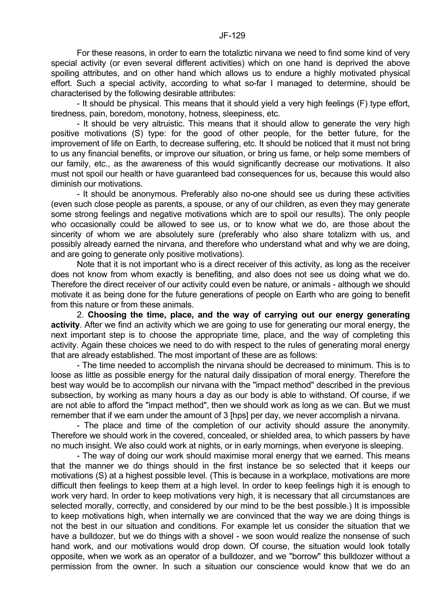For these reasons, in order to earn the totaliztic nirvana we need to find some kind of very special activity (or even several different activities) which on one hand is deprived the above spoiling attributes, and on other hand which allows us to endure a highly motivated physical effort. Such a special activity, according to what so-far I managed to determine, should be characterised by the following desirable attributes:

 - It should be physical. This means that it should yield a very high feelings (F) type effort, tiredness, pain, boredom, monotony, hotness, sleepiness, etc.

 - It should be very altruistic. This means that it should allow to generate the very high positive motivations (S) type: for the good of other people, for the better future, for the improvement of life on Earth, to decrease suffering, etc. It should be noticed that it must not bring to us any financial benefits, or improve our situation, or bring us fame, or help some members of our family, etc., as the awareness of this would significantly decrease our motivations. It also must not spoil our health or have guaranteed bad consequences for us, because this would also diminish our motivations.

 - It should be anonymous. Preferably also no-one should see us during these activities (even such close people as parents, a spouse, or any of our children, as even they may generate some strong feelings and negative motivations which are to spoil our results). The only people who occasionally could be allowed to see us, or to know what we do, are those about the sincerity of whom we are absolutely sure (preferably who also share totalizm with us, and possibly already earned the nirvana, and therefore who understand what and why we are doing, and are going to generate only positive motivations).

 Note that it is not important who is a direct receiver of this activity, as long as the receiver does not know from whom exactly is benefiting, and also does not see us doing what we do. Therefore the direct receiver of our activity could even be nature, or animals - although we should motivate it as being done for the future generations of people on Earth who are going to benefit from this nature or from these animals.

 2. **Choosing the time, place, and the way of carrying out our energy generating activity**. After we find an activity which we are going to use for generating our moral energy, the next important step is to choose the appropriate time, place, and the way of completing this activity. Again these choices we need to do with respect to the rules of generating moral energy that are already established. The most important of these are as follows:

 - The time needed to accomplish the nirvana should be decreased to minimum. This is to loose as little as possible energy for the natural daily dissipation of moral energy. Therefore the best way would be to accomplish our nirvana with the "impact method" described in the previous subsection, by working as many hours a day as our body is able to withstand. Of course, if we are not able to afford the "impact method", then we should work as long as we can. But we must remember that if we earn under the amount of 3 [hps] per day, we never accomplish a nirvana.

 - The place and time of the completion of our activity should assure the anonymity. Therefore we should work in the covered, concealed, or shielded area, to which passers by have no much insight. We also could work at nights, or in early mornings, when everyone is sleeping.

 - The way of doing our work should maximise moral energy that we earned. This means that the manner we do things should in the first instance be so selected that it keeps our motivations (S) at a highest possible level. (This is because in a workplace, motivations are more difficult then feelings to keep them at a high level. In order to keep feelings high it is enough to work very hard. In order to keep motivations very high, it is necessary that all circumstances are selected morally, correctly, and considered by our mind to be the best possible.) It is impossible to keep motivations high, when internally we are convinced that the way we are doing things is not the best in our situation and conditions. For example let us consider the situation that we have a bulldozer, but we do things with a shovel - we soon would realize the nonsense of such hand work, and our motivations would drop down. Of course, the situation would look totally opposite, when we work as an operator of a bulldozer, and we "borrow" this bulldozer without a permission from the owner. In such a situation our conscience would know that we do an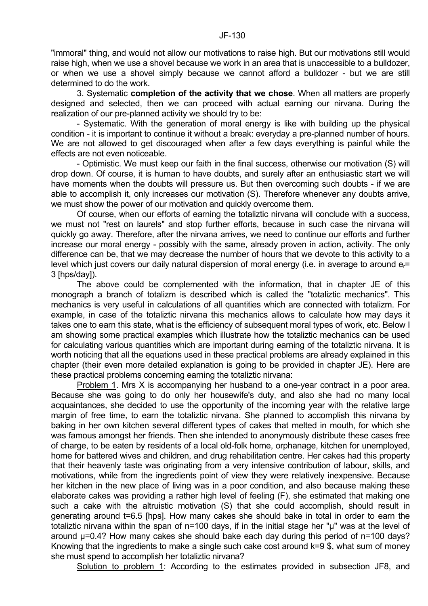"immoral" thing, and would not allow our motivations to raise high. But our motivations still would raise high, when we use a shovel because we work in an area that is unaccessible to a bulldozer, or when we use a shovel simply because we cannot afford a bulldozer - but we are still determined to do the work.

 3. Systematic **completion of the activity that we chose**. When all matters are properly designed and selected, then we can proceed with actual earning our nirvana. During the realization of our pre-planned activity we should try to be:

 - Systematic. With the generation of moral energy is like with building up the physical condition - it is important to continue it without a break: everyday a pre-planned number of hours. We are not allowed to get discouraged when after a few days everything is painful while the effects are not even noticeable.

 - Optimistic. We must keep our faith in the final success, otherwise our motivation (S) will drop down. Of course, it is human to have doubts, and surely after an enthusiastic start we will have moments when the doubts will pressure us. But then overcoming such doubts - if we are able to accomplish it, only increases our motivation (S). Therefore whenever any doubts arrive, we must show the power of our motivation and quickly overcome them.

 Of course, when our efforts of earning the totaliztic nirvana will conclude with a success, we must not "rest on laurels" and stop further efforts, because in such case the nirvana will quickly go away. Therefore, after the nirvana arrives, we need to continue our efforts and further increase our moral energy - possibly with the same, already proven in action, activity. The only difference can be, that we may decrease the number of hours that we devote to this activity to a level which just covers our daily natural dispersion of moral energy (i.e. in average to around  $e<sub>r</sub>$ = 3 [hps/day]).

 The above could be complemented with the information, that in chapter JE of this monograph a branch of totalizm is described which is called the "totaliztic mechanics". This mechanics is very useful in calculations of all quantities which are connected with totalizm. For example, in case of the totaliztic nirvana this mechanics allows to calculate how may days it takes one to earn this state, what is the efficiency of subsequent moral types of work, etc. Below I am showing some practical examples which illustrate how the totaliztic mechanics can be used for calculating various quantities which are important during earning of the totaliztic nirvana. It is worth noticing that all the equations used in these practical problems are already explained in this chapter (their even more detailed explanation is going to be provided in chapter JE). Here are these practical problems concerning earning the totaliztic nirvana:

 Problem 1. Mrs X is accompanying her husband to a one-year contract in a poor area. Because she was going to do only her housewife's duty, and also she had no many local acquaintances, she decided to use the opportunity of the incoming year with the relative large margin of free time, to earn the totaliztic nirvana. She planned to accomplish this nirvana by baking in her own kitchen several different types of cakes that melted in mouth, for which she was famous amongst her friends. Then she intended to anonymously distribute these cases free of charge, to be eaten by residents of a local old-folk home, orphanage, kitchen for unemployed, home for battered wives and children, and drug rehabilitation centre. Her cakes had this property that their heavenly taste was originating from a very intensive contribution of labour, skills, and motivations, while from the ingredients point of view they were relatively inexpensive. Because her kitchen in the new place of living was in a poor condition, and also because making these elaborate cakes was providing a rather high level of feeling (F), she estimated that making one such a cake with the altruistic motivation (S) that she could accomplish, should result in generating around t=6.5 [hps]. How many cakes she should bake in total in order to earn the totaliztic nirvana within the span of n=100 days, if in the initial stage her "u" was at the level of around µ=0.4? How many cakes she should bake each day during this period of n=100 days? Knowing that the ingredients to make a single such cake cost around k=9 \$, what sum of money she must spend to accomplish her totaliztic nirvana?

Solution to problem 1: According to the estimates provided in subsection JF8, and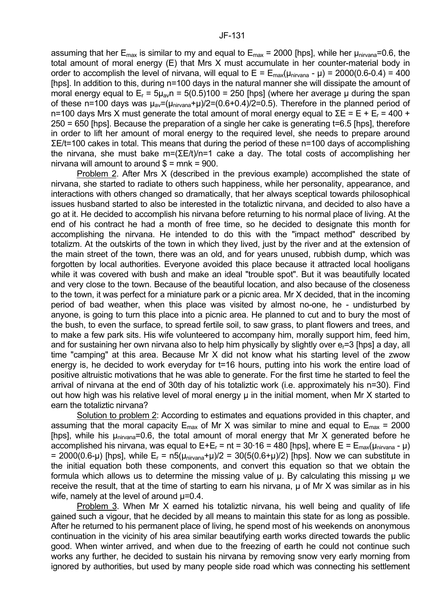assuming that her  $E_{\text{max}}$  is similar to my and equal to  $E_{\text{max}}$  = 2000 [hps], while her  $\mu_{\text{nivana}}$ =0.6, the total amount of moral energy (E) that Mrs X must accumulate in her counter-material body in order to accomplish the level of nirvana, will equal to  $E = E_{max}(\mu_{nirvana} - \mu) = 2000(0.6-0.4) = 400$ [hps]. In addition to this, during n=100 days in the natural manner she will dissipate the amount of moral energy equal to  $E_r = 5\mu_{av}n = 5(0.5)100 = 250$  [hps] (where her average u during the span of these n=100 days was  $\mu_{av}=(\mu_{\text{nivana}}+\mu)/2=(0.6+0.4)/2=0.5)$ . Therefore in the planned period of n=100 days Mrs X must generate the total amount of moral energy equal to  $\Sigma$ E = E + E<sub>r</sub> = 400 + 250 = 650 [hps]. Because the preparation of a single her cake is generating t=6.5 [hps], therefore in order to lift her amount of moral energy to the required level, she needs to prepare around ΣE/t=100 cakes in total. This means that during the period of these n=100 days of accomplishing the nirvana, she must bake m=(ΣE/t)/n=1 cake a day. The total costs of accomplishing her nirvana will amount to around  $\delta$  = mnk = 900.

 Problem 2. After Mrs X (described in the previous example) accomplished the state of nirvana, she started to radiate to others such happiness, while her personality, appearance, and interactions with others changed so dramatically, that her always sceptical towards philosophical issues husband started to also be interested in the totaliztic nirvana, and decided to also have a go at it. He decided to accomplish his nirvana before returning to his normal place of living. At the end of his contract he had a month of free time, so he decided to designate this month for accomplishing the nirvana. He intended to do this with the "impact method" described by totalizm. At the outskirts of the town in which they lived, just by the river and at the extension of the main street of the town, there was an old, and for years unused, rubbish dump, which was forgotten by local authorities. Everyone avoided this place because it attracted local hooligans while it was covered with bush and make an ideal "trouble spot". But it was beautifully located and very close to the town. Because of the beautiful location, and also because of the closeness to the town, it was perfect for a miniature park or a picnic area. Mr X decided, that in the incoming period of bad weather, when this place was visited by almost no-one, he - undisturbed by anyone, is going to turn this place into a picnic area. He planned to cut and to bury the most of the bush, to even the surface, to spread fertile soil, to saw grass, to plant flowers and trees, and to make a few park sits. His wife volunteered to accompany him, morally support him, feed him, and for sustaining her own nirvana also to help him physically by slightly over  $e<sub>r</sub>=3$  [hps] a day, all time "camping" at this area. Because Mr X did not know what his starting level of the zwow energy is, he decided to work everyday for t=16 hours, putting into his work the entire load of positive altruistic motivations that he was able to generate. For the first time he started to feel the arrival of nirvana at the end of 30th day of his totaliztic work (i.e. approximately his n=30). Find out how high was his relative level of moral energy  $\mu$  in the initial moment, when Mr X started to earn the totaliztic nirvana?

 Solution to problem 2: According to estimates and equations provided in this chapter, and assuming that the moral capacity  $E_{\text{max}}$  of Mr X was similar to mine and equal to  $E_{\text{max}} = 2000$ [hps], while his  $\mu_{\text{nivana}} = 0.6$ , the total amount of moral energy that Mr X generated before he accomplished his nirvana, was equal to  $E+E_r = nt = 30.16 = 480$  [hps], where  $E = E_{max}(u_{nivana} - \mu)$ = 2000(0.6-µ) [hps], while  $E_r = n5(\mu_{\text{nivana}}+\mu)/2 = 30(5(0.6+\mu)/2)$  [hps]. Now we can substitute in the initial equation both these components, and convert this equation so that we obtain the formula which allows us to determine the missing value of  $\mu$ . By calculating this missing  $\mu$  we receive the result, that at the time of starting to earn his nirvana,  $\mu$  of Mr X was similar as in his wife, namely at the level of around  $\mu$ =0.4.

 Problem 3. When Mr X earned his totaliztic nirvana, his well being and quality of life gained such a vigour, that he decided by all means to maintain this state for as long as possible. After he returned to his permanent place of living, he spend most of his weekends on anonymous continuation in the vicinity of his area similar beautifying earth works directed towards the public good. When winter arrived, and when due to the freezing of earth he could not continue such works any further, he decided to sustain his nirvana by removing snow very early morning from ignored by authorities, but used by many people side road which was connecting his settlement